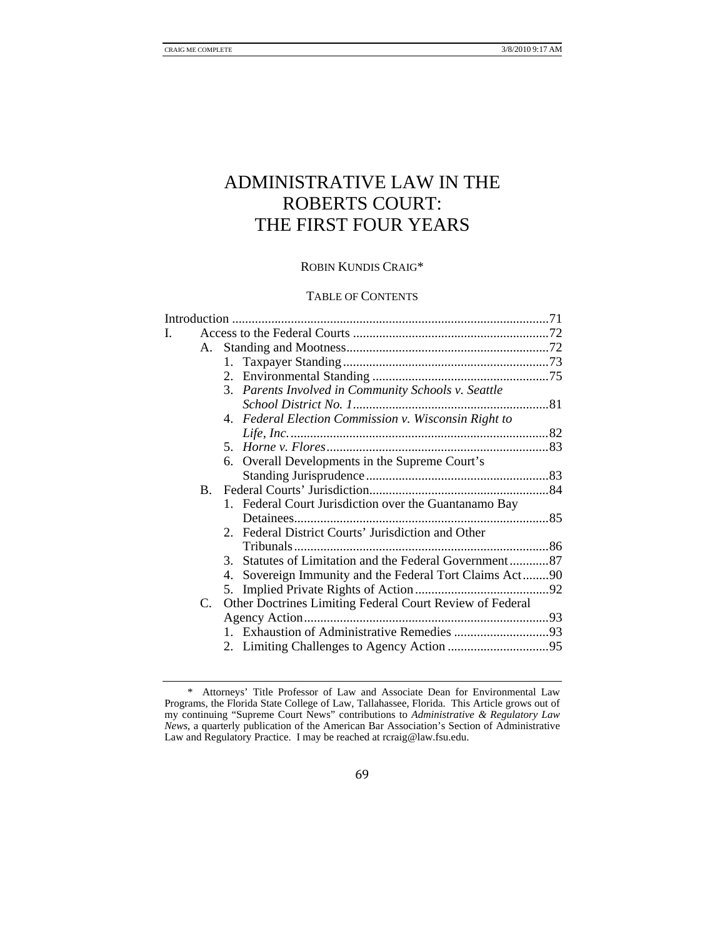# ADMINISTRATIVE LAW IN THE ROBERTS COURT: THE FIRST FOUR YEARS

## ROBIN KUNDIS CRAIG\*

# TABLE OF CONTENTS

| I. |                |                                                          |  |
|----|----------------|----------------------------------------------------------|--|
|    |                |                                                          |  |
|    |                |                                                          |  |
|    |                |                                                          |  |
|    |                | 3. Parents Involved in Community Schools v. Seattle      |  |
|    |                |                                                          |  |
|    |                | 4. Federal Election Commission v. Wisconsin Right to     |  |
|    |                |                                                          |  |
|    |                |                                                          |  |
|    |                | 6. Overall Developments in the Supreme Court's           |  |
|    |                |                                                          |  |
|    | $\mathbf{B}$ . |                                                          |  |
|    |                | 1. Federal Court Jurisdiction over the Guantanamo Bay    |  |
|    |                |                                                          |  |
|    |                | 2. Federal District Courts' Jurisdiction and Other       |  |
|    |                |                                                          |  |
|    |                | 3. Statutes of Limitation and the Federal Government87   |  |
|    |                | 4. Sovereign Immunity and the Federal Tort Claims Act90  |  |
|    |                |                                                          |  |
|    | C.             | Other Doctrines Limiting Federal Court Review of Federal |  |
|    |                |                                                          |  |
|    |                |                                                          |  |
|    |                |                                                          |  |
|    |                |                                                          |  |

 <sup>\*</sup> Attorneys' Title Professor of Law and Associate Dean for Environmental Law Programs, the Florida State College of Law, Tallahassee, Florida. This Article grows out of my continuing "Supreme Court News" contributions to *Administrative & Regulatory Law News*, a quarterly publication of the American Bar Association's Section of Administrative Law and Regulatory Practice. I may be reached at rcraig@law.fsu.edu.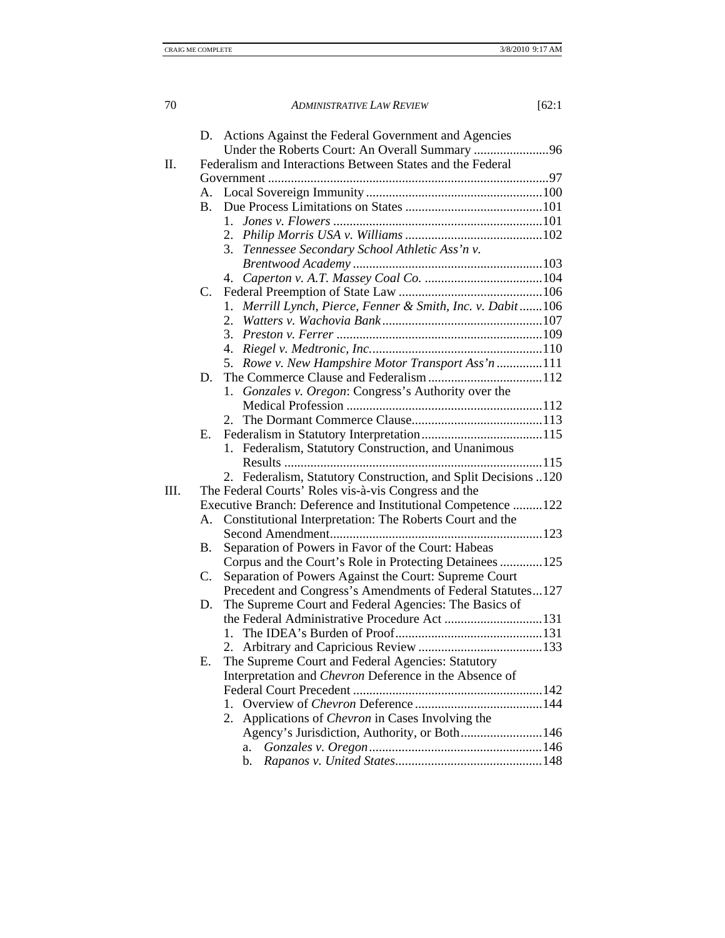|      |           | D. Actions Against the Federal Government and Agencies         |
|------|-----------|----------------------------------------------------------------|
|      |           | Under the Roberts Court: An Overall Summary 96                 |
| Π.   |           | Federalism and Interactions Between States and the Federal     |
|      |           |                                                                |
|      |           |                                                                |
|      | <b>B.</b> |                                                                |
|      |           |                                                                |
|      |           |                                                                |
|      |           | 3. Tennessee Secondary School Athletic Ass'n v.                |
|      |           |                                                                |
|      |           |                                                                |
|      | C.        |                                                                |
|      |           | Merrill Lynch, Pierce, Fenner & Smith, Inc. v. Dabit 106<br>1. |
|      |           |                                                                |
|      |           |                                                                |
|      |           |                                                                |
|      |           | 5. Rowe v. New Hampshire Motor Transport Ass'n 111             |
|      | D.        |                                                                |
|      |           | 1. Gonzales v. Oregon: Congress's Authority over the           |
|      |           |                                                                |
|      |           |                                                                |
|      | Е.        |                                                                |
|      |           | 1. Federalism, Statutory Construction, and Unanimous           |
|      |           |                                                                |
|      |           | 2. Federalism, Statutory Construction, and Split Decisions 120 |
| III. |           | The Federal Courts' Roles vis-à-vis Congress and the           |
|      |           | Executive Branch: Deference and Institutional Competence 122   |
|      | А.        | Constitutional Interpretation: The Roberts Court and the       |
|      |           |                                                                |
|      | Β.        | Separation of Powers in Favor of the Court: Habeas             |
|      |           | Corpus and the Court's Role in Protecting Detainees 125        |
|      | C.        | Separation of Powers Against the Court: Supreme Court          |
|      |           | Precedent and Congress's Amendments of Federal Statutes127     |
|      | D.        | The Supreme Court and Federal Agencies: The Basics of          |
|      |           |                                                                |
|      |           |                                                                |
|      |           |                                                                |
|      | Ε.        | The Supreme Court and Federal Agencies: Statutory              |
|      |           | Interpretation and Chevron Deference in the Absence of         |
|      |           |                                                                |
|      |           | $1_{\cdot}$                                                    |
|      |           | Applications of <i>Chevron</i> in Cases Involving the<br>2.    |
|      |           | Agency's Jurisdiction, Authority, or Both146                   |
|      |           | a.                                                             |
|      |           | b.                                                             |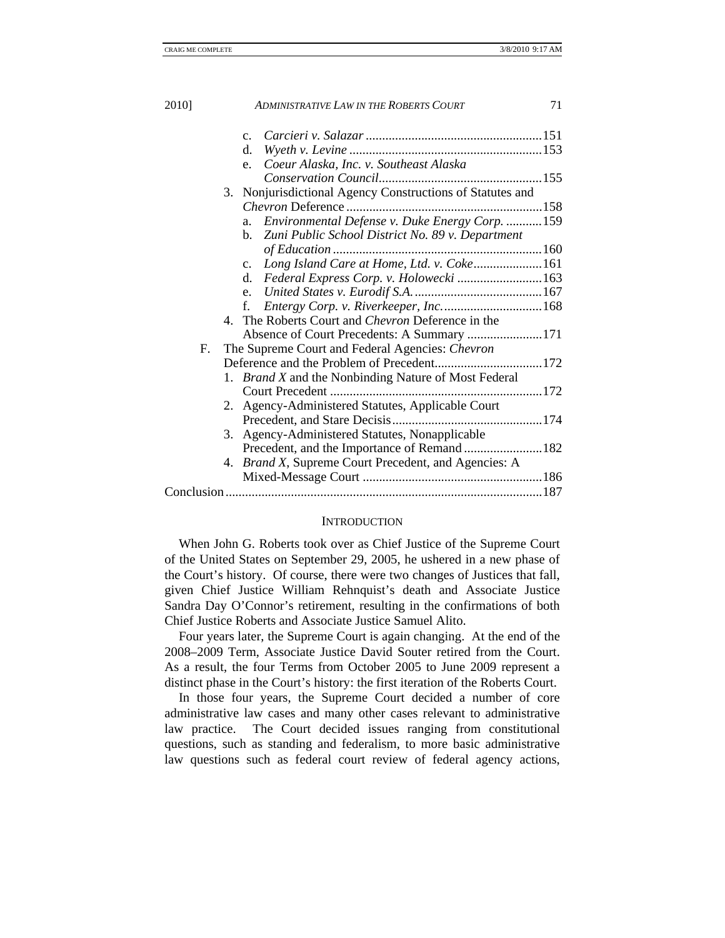|    | $C_{\cdot}$                                                  |  |
|----|--------------------------------------------------------------|--|
|    | d.                                                           |  |
|    | Coeur Alaska, Inc. v. Southeast Alaska<br>e.                 |  |
|    |                                                              |  |
|    | 3. Nonjurisdictional Agency Constructions of Statutes and    |  |
|    |                                                              |  |
|    | Environmental Defense v. Duke Energy Corp.  159<br>a.        |  |
|    | Zuni Public School District No. 89 v. Department<br>b.       |  |
|    |                                                              |  |
|    | c. Long Island Care at Home, Ltd. v. Coke161                 |  |
|    | Federal Express Corp. v. Holowecki  163<br>d.                |  |
|    |                                                              |  |
|    | f.                                                           |  |
|    | 4. The Roberts Court and Chevron Deference in the            |  |
|    |                                                              |  |
| F. | The Supreme Court and Federal Agencies: Chevron              |  |
|    |                                                              |  |
|    | 1. Brand X and the Nonbinding Nature of Most Federal         |  |
|    |                                                              |  |
|    | 2. Agency-Administered Statutes, Applicable Court            |  |
|    |                                                              |  |
|    | 3. Agency-Administered Statutes, Nonapplicable               |  |
|    |                                                              |  |
|    | 4. <i>Brand X</i> , Supreme Court Precedent, and Agencies: A |  |
|    |                                                              |  |
|    |                                                              |  |
|    |                                                              |  |

#### **INTRODUCTION**

When John G. Roberts took over as Chief Justice of the Supreme Court of the United States on September 29, 2005, he ushered in a new phase of the Court's history. Of course, there were two changes of Justices that fall, given Chief Justice William Rehnquist's death and Associate Justice Sandra Day O'Connor's retirement, resulting in the confirmations of both Chief Justice Roberts and Associate Justice Samuel Alito.

Four years later, the Supreme Court is again changing. At the end of the 2008–2009 Term, Associate Justice David Souter retired from the Court. As a result, the four Terms from October 2005 to June 2009 represent a distinct phase in the Court's history: the first iteration of the Roberts Court.

In those four years, the Supreme Court decided a number of core administrative law cases and many other cases relevant to administrative law practice. The Court decided issues ranging from constitutional questions, such as standing and federalism, to more basic administrative law questions such as federal court review of federal agency actions,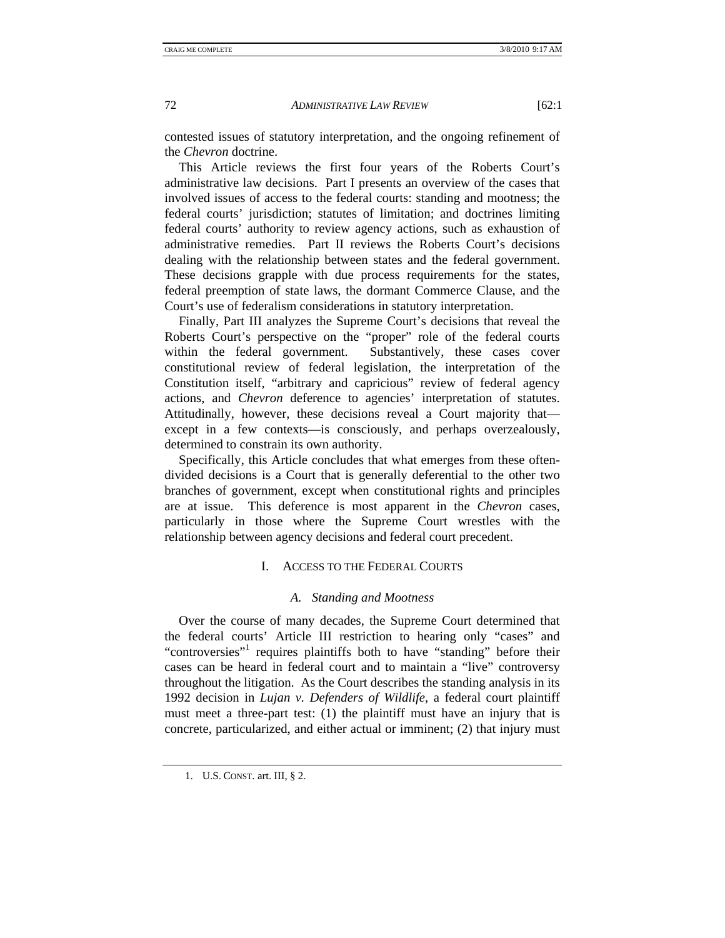contested issues of statutory interpretation, and the ongoing refinement of the *Chevron* doctrine.

This Article reviews the first four years of the Roberts Court's administrative law decisions. Part I presents an overview of the cases that involved issues of access to the federal courts: standing and mootness; the federal courts' jurisdiction; statutes of limitation; and doctrines limiting federal courts' authority to review agency actions, such as exhaustion of administrative remedies. Part II reviews the Roberts Court's decisions dealing with the relationship between states and the federal government. These decisions grapple with due process requirements for the states, federal preemption of state laws, the dormant Commerce Clause, and the Court's use of federalism considerations in statutory interpretation.

Finally, Part III analyzes the Supreme Court's decisions that reveal the Roberts Court's perspective on the "proper" role of the federal courts within the federal government. Substantively, these cases cover constitutional review of federal legislation, the interpretation of the Constitution itself, "arbitrary and capricious" review of federal agency actions, and *Chevron* deference to agencies' interpretation of statutes. Attitudinally, however, these decisions reveal a Court majority that except in a few contexts—is consciously, and perhaps overzealously, determined to constrain its own authority.

Specifically, this Article concludes that what emerges from these oftendivided decisions is a Court that is generally deferential to the other two branches of government, except when constitutional rights and principles are at issue. This deference is most apparent in the *Chevron* cases, particularly in those where the Supreme Court wrestles with the relationship between agency decisions and federal court precedent.

# I. ACCESS TO THE FEDERAL COURTS

# *A. Standing and Mootness*

Over the course of many decades, the Supreme Court determined that the federal courts' Article III restriction to hearing only "cases" and "controversies"<sup>1</sup> requires plaintiffs both to have "standing" before their cases can be heard in federal court and to maintain a "live" controversy throughout the litigation. As the Court describes the standing analysis in its 1992 decision in *Lujan v. Defenders of Wildlife*, a federal court plaintiff must meet a three-part test: (1) the plaintiff must have an injury that is concrete, particularized, and either actual or imminent; (2) that injury must

 <sup>1.</sup> U.S. CONST. art. III, § 2.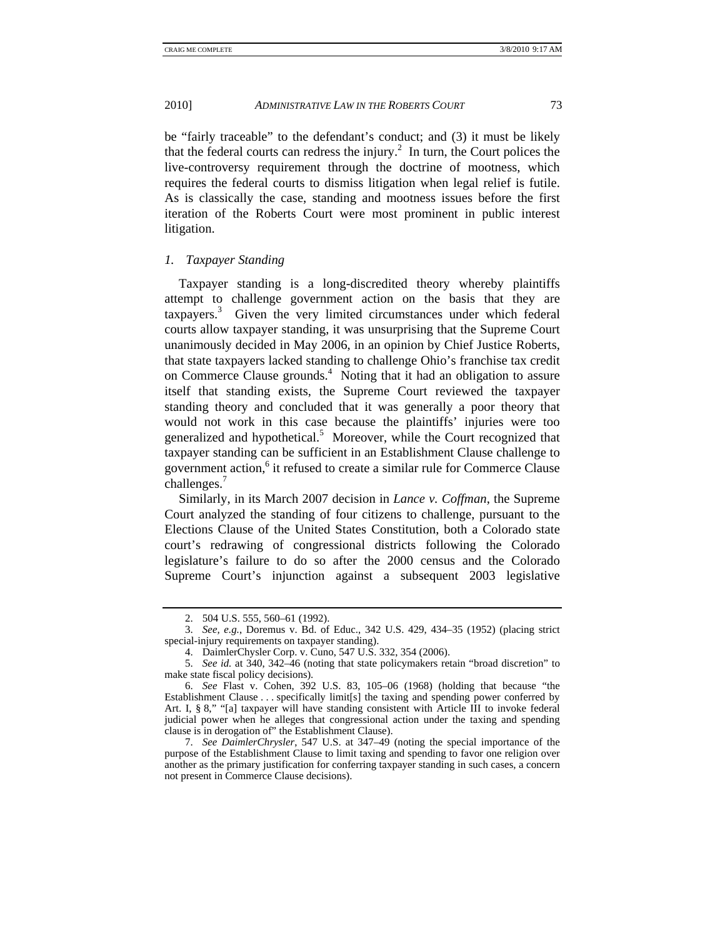be "fairly traceable" to the defendant's conduct; and (3) it must be likely that the federal courts can redress the injury.<sup>2</sup> In turn, the Court polices the live-controversy requirement through the doctrine of mootness, which requires the federal courts to dismiss litigation when legal relief is futile. As is classically the case, standing and mootness issues before the first iteration of the Roberts Court were most prominent in public interest litigation.

*1. Taxpayer Standing* 

Taxpayer standing is a long-discredited theory whereby plaintiffs attempt to challenge government action on the basis that they are taxpayers.<sup>3</sup> Given the very limited circumstances under which federal courts allow taxpayer standing, it was unsurprising that the Supreme Court unanimously decided in May 2006, in an opinion by Chief Justice Roberts, that state taxpayers lacked standing to challenge Ohio's franchise tax credit on Commerce Clause grounds.<sup>4</sup> Noting that it had an obligation to assure itself that standing exists, the Supreme Court reviewed the taxpayer standing theory and concluded that it was generally a poor theory that would not work in this case because the plaintiffs' injuries were too generalized and hypothetical.<sup>5</sup> Moreover, while the Court recognized that taxpayer standing can be sufficient in an Establishment Clause challenge to government action,<sup>6</sup> it refused to create a similar rule for Commerce Clause challenges.<sup>7</sup>

Similarly, in its March 2007 decision in *Lance v. Coffman*, the Supreme Court analyzed the standing of four citizens to challenge, pursuant to the Elections Clause of the United States Constitution, both a Colorado state court's redrawing of congressional districts following the Colorado legislature's failure to do so after the 2000 census and the Colorado Supreme Court's injunction against a subsequent 2003 legislative

 <sup>2. 504</sup> U.S. 555, 560–61 (1992).

 <sup>3.</sup> *See, e.g.*, Doremus v. Bd. of Educ., 342 U.S. 429, 434–35 (1952) (placing strict special-injury requirements on taxpayer standing).

 <sup>4.</sup> DaimlerChysler Corp. v. Cuno, 547 U.S. 332, 354 (2006).

 <sup>5.</sup> *See id.* at 340, 342–46 (noting that state policymakers retain "broad discretion" to make state fiscal policy decisions).

 <sup>6.</sup> *See* Flast v. Cohen, 392 U.S. 83, 105–06 (1968) (holding that because "the Establishment Clause . . . specifically limit[s] the taxing and spending power conferred by Art. I, § 8," "[a] taxpayer will have standing consistent with Article III to invoke federal judicial power when he alleges that congressional action under the taxing and spending clause is in derogation of" the Establishment Clause).

 <sup>7.</sup> *See DaimlerChrysler*, 547 U.S. at 347–49 (noting the special importance of the purpose of the Establishment Clause to limit taxing and spending to favor one religion over another as the primary justification for conferring taxpayer standing in such cases, a concern not present in Commerce Clause decisions).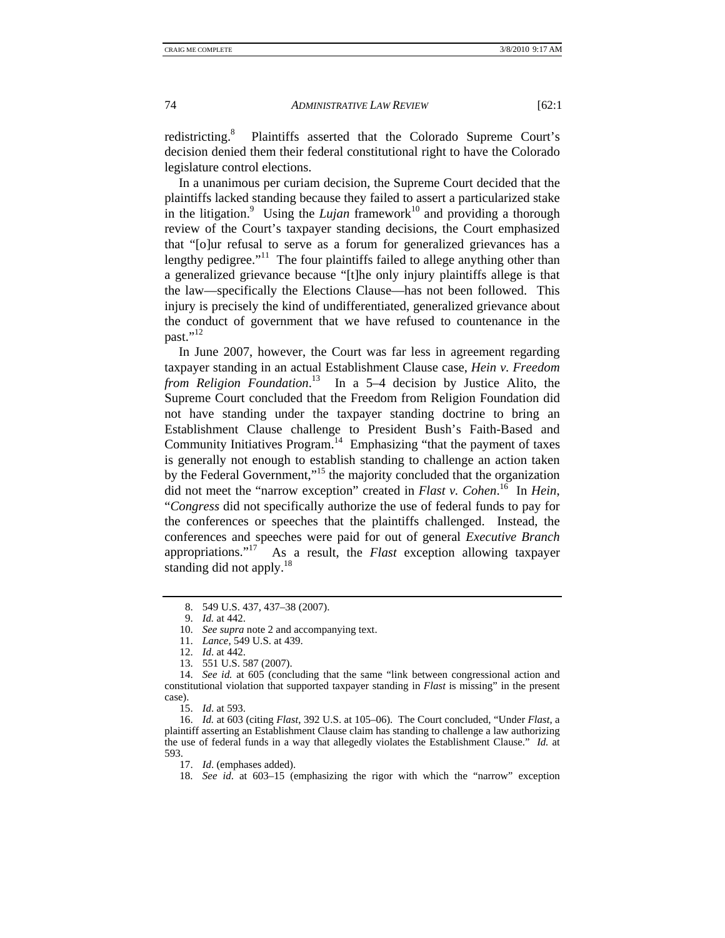redistricting.<sup>8</sup> Plaintiffs asserted that the Colorado Supreme Court's decision denied them their federal constitutional right to have the Colorado legislature control elections.

In a unanimous per curiam decision, the Supreme Court decided that the plaintiffs lacked standing because they failed to assert a particularized stake in the litigation.<sup>9</sup> Using the *Lujan* framework<sup>10</sup> and providing a thorough review of the Court's taxpayer standing decisions, the Court emphasized that "[o]ur refusal to serve as a forum for generalized grievances has a lengthy pedigree."<sup>11</sup> The four plaintiffs failed to allege anything other than a generalized grievance because "[t]he only injury plaintiffs allege is that the law—specifically the Elections Clause—has not been followed. This injury is precisely the kind of undifferentiated, generalized grievance about the conduct of government that we have refused to countenance in the past." $^{12}$ 

In June 2007, however, the Court was far less in agreement regarding taxpayer standing in an actual Establishment Clause case, *Hein v. Freedom from Religion Foundation*. 13 In a 5–4 decision by Justice Alito, the Supreme Court concluded that the Freedom from Religion Foundation did not have standing under the taxpayer standing doctrine to bring an Establishment Clause challenge to President Bush's Faith-Based and Community Initiatives Program.<sup>14</sup> Emphasizing "that the payment of taxes is generally not enough to establish standing to challenge an action taken by the Federal Government,"15 the majority concluded that the organization did not meet the "narrow exception" created in *Flast v. Cohen*. 16 In *Hein*, "*Congress* did not specifically authorize the use of federal funds to pay for the conferences or speeches that the plaintiffs challenged. Instead, the conferences and speeches were paid for out of general *Executive Branch* appropriations."17 As a result, the *Flast* exception allowing taxpayer standing did not apply. $^{18}$ 

- 10. *See supra* note 2 and accompanying text.
- 11. *Lance*, 549 U.S. at 439.
- 12. *Id*. at 442.
- 13. 551 U.S. 587 (2007).

 <sup>8. 549</sup> U.S. 437, 437–38 (2007).

 <sup>9.</sup> *Id.* at 442.

 <sup>14.</sup> *See id.* at 605 (concluding that the same "link between congressional action and constitutional violation that supported taxpayer standing in *Flast* is missing" in the present case).

 <sup>15.</sup> *Id*. at 593.

 <sup>16.</sup> *Id.* at 603 (citing *Flast*, 392 U.S. at 105–06). The Court concluded, "Under *Flast*, a plaintiff asserting an Establishment Clause claim has standing to challenge a law authorizing the use of federal funds in a way that allegedly violates the Establishment Clause." *Id.* at 593.

 <sup>17.</sup> *Id*. (emphases added).

 <sup>18.</sup> *See id*. at 603–15 (emphasizing the rigor with which the "narrow" exception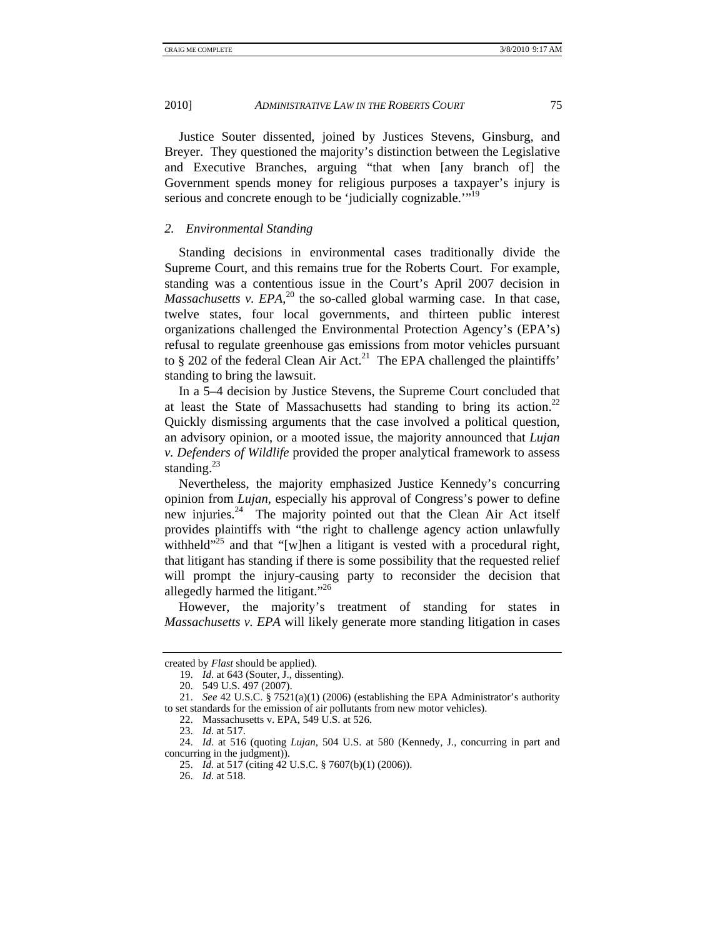Justice Souter dissented, joined by Justices Stevens, Ginsburg, and Breyer. They questioned the majority's distinction between the Legislative and Executive Branches, arguing "that when [any branch of] the Government spends money for religious purposes a taxpayer's injury is serious and concrete enough to be 'judicially cognizable.'"<sup>19</sup>

## *2. Environmental Standing*

Standing decisions in environmental cases traditionally divide the Supreme Court, and this remains true for the Roberts Court. For example, standing was a contentious issue in the Court's April 2007 decision in *Massachusetts v. EPA*, $^{20}$  the so-called global warming case. In that case, twelve states, four local governments, and thirteen public interest organizations challenged the Environmental Protection Agency's (EPA's) refusal to regulate greenhouse gas emissions from motor vehicles pursuant to  $§$  202 of the federal Clean Air Act.<sup>21</sup> The EPA challenged the plaintiffs' standing to bring the lawsuit.

In a 5–4 decision by Justice Stevens, the Supreme Court concluded that at least the State of Massachusetts had standing to bring its action.<sup>22</sup> Quickly dismissing arguments that the case involved a political question, an advisory opinion, or a mooted issue, the majority announced that *Lujan v. Defenders of Wildlife* provided the proper analytical framework to assess standing. $^{23}$ 

Nevertheless, the majority emphasized Justice Kennedy's concurring opinion from *Lujan*, especially his approval of Congress's power to define new injuries.<sup>24</sup> The majority pointed out that the Clean Air Act itself provides plaintiffs with "the right to challenge agency action unlawfully withheld $\overline{r}^{25}$  and that "[w]hen a litigant is vested with a procedural right, that litigant has standing if there is some possibility that the requested relief will prompt the injury-causing party to reconsider the decision that allegedly harmed the litigant."26

However, the majority's treatment of standing for states in *Massachusetts v. EPA* will likely generate more standing litigation in cases

created by *Flast* should be applied).

 <sup>19.</sup> *Id*. at 643 (Souter, J., dissenting).

 <sup>20. 549</sup> U.S. 497 (2007).

 <sup>21.</sup> *See* 42 U.S.C. § 7521(a)(1) (2006) (establishing the EPA Administrator's authority to set standards for the emission of air pollutants from new motor vehicles).

 <sup>22.</sup> Massachusetts v. EPA, 549 U.S. at 526.

 <sup>23.</sup> *Id*. at 517.

 <sup>24.</sup> *Id*. at 516 (quoting *Lujan*, 504 U.S. at 580 (Kennedy, J., concurring in part and concurring in the judgment)).

 <sup>25.</sup> *Id.* at 517 (citing 42 U.S.C. § 7607(b)(1) (2006)).

 <sup>26.</sup> *Id*. at 518.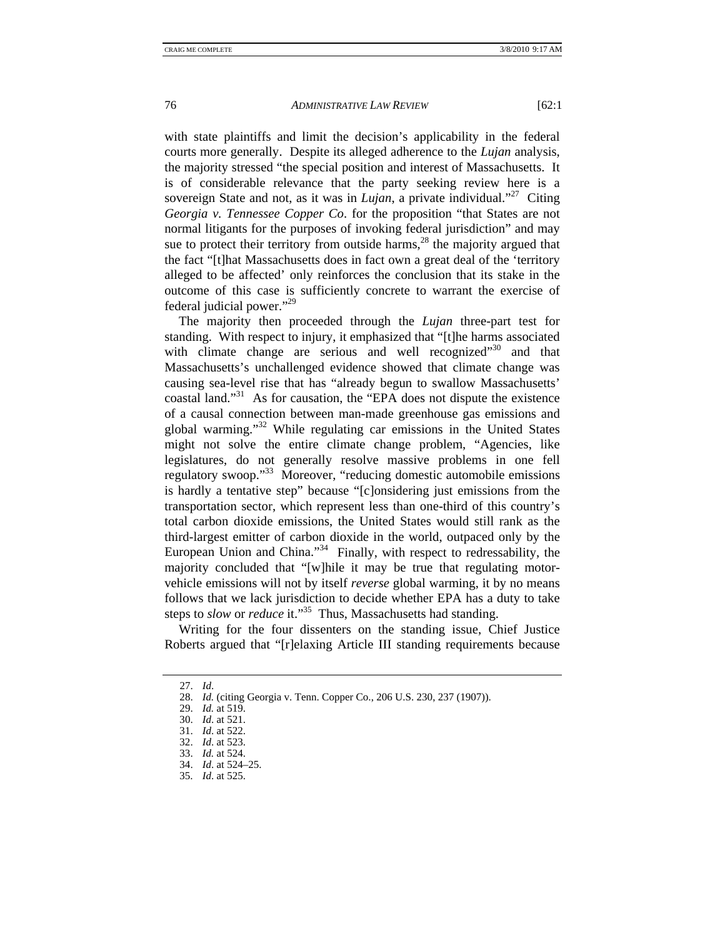with state plaintiffs and limit the decision's applicability in the federal courts more generally. Despite its alleged adherence to the *Lujan* analysis, the majority stressed "the special position and interest of Massachusetts. It is of considerable relevance that the party seeking review here is a sovereign State and not, as it was in *Lujan*, a private individual."<sup>27</sup> Citing *Georgia v. Tennessee Copper Co*. for the proposition "that States are not normal litigants for the purposes of invoking federal jurisdiction" and may sue to protect their territory from outside harms,<sup>28</sup> the majority argued that the fact "[t]hat Massachusetts does in fact own a great deal of the 'territory alleged to be affected' only reinforces the conclusion that its stake in the outcome of this case is sufficiently concrete to warrant the exercise of federal judicial power."29

The majority then proceeded through the *Lujan* three-part test for standing. With respect to injury, it emphasized that "[t]he harms associated with climate change are serious and well recognized $1^{30}$  and that Massachusetts's unchallenged evidence showed that climate change was causing sea-level rise that has "already begun to swallow Massachusetts' coastal land."<sup>31</sup> As for causation, the "EPA does not dispute the existence of a causal connection between man-made greenhouse gas emissions and global warming."32 While regulating car emissions in the United States might not solve the entire climate change problem, "Agencies, like legislatures, do not generally resolve massive problems in one fell regulatory swoop."33 Moreover, "reducing domestic automobile emissions is hardly a tentative step" because "[c]onsidering just emissions from the transportation sector, which represent less than one-third of this country's total carbon dioxide emissions, the United States would still rank as the third-largest emitter of carbon dioxide in the world, outpaced only by the European Union and China."<sup>34</sup> Finally, with respect to redressability, the majority concluded that "[w]hile it may be true that regulating motorvehicle emissions will not by itself *reverse* global warming, it by no means follows that we lack jurisdiction to decide whether EPA has a duty to take steps to *slow* or *reduce* it."<sup>35</sup> Thus, Massachusetts had standing.

Writing for the four dissenters on the standing issue, Chief Justice Roberts argued that "[r]elaxing Article III standing requirements because

 <sup>27.</sup> *Id*.

 <sup>28.</sup> *Id.* (citing Georgia v. Tenn. Copper Co., 206 U.S. 230, 237 (1907)).

 <sup>29.</sup> *Id.* at 519.

 <sup>30.</sup> *Id*. at 521.

 <sup>31.</sup> *Id*. at 522.

 <sup>32.</sup> *Id*. at 523.

 <sup>33.</sup> *Id.* at 524.

 <sup>34.</sup> *Id*. at 524–25.

 <sup>35.</sup> *Id*. at 525.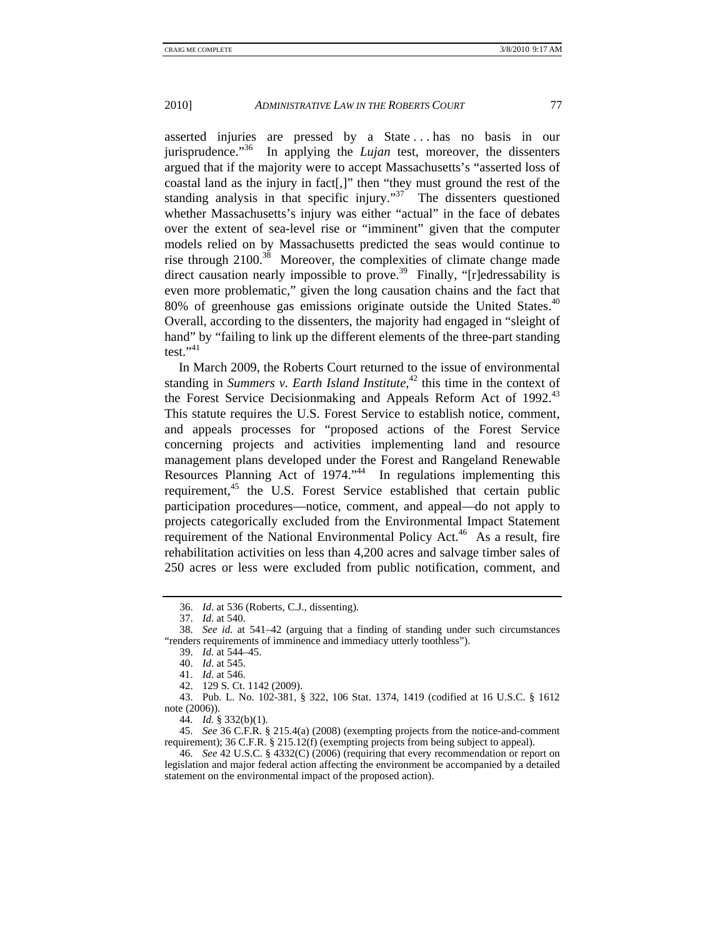asserted injuries are pressed by a State . . . has no basis in our jurisprudence."36 In applying the *Lujan* test, moreover, the dissenters argued that if the majority were to accept Massachusetts's "asserted loss of coastal land as the injury in fact[,]" then "they must ground the rest of the standing analysis in that specific injury."<sup>37</sup> The dissenters questioned whether Massachusetts's injury was either "actual" in the face of debates over the extent of sea-level rise or "imminent" given that the computer models relied on by Massachusetts predicted the seas would continue to rise through  $2100^{38}$  Moreover, the complexities of climate change made direct causation nearly impossible to prove.<sup>39</sup> Finally, "[r]edressability is even more problematic," given the long causation chains and the fact that 80% of greenhouse gas emissions originate outside the United States.<sup>40</sup> Overall, according to the dissenters, the majority had engaged in "sleight of hand" by "failing to link up the different elements of the three-part standing test." $41$ 

In March 2009, the Roberts Court returned to the issue of environmental standing in *Summers v. Earth Island Institute*,<sup>42</sup> this time in the context of the Forest Service Decisionmaking and Appeals Reform Act of 1992.<sup>43</sup> This statute requires the U.S. Forest Service to establish notice, comment, and appeals processes for "proposed actions of the Forest Service concerning projects and activities implementing land and resource management plans developed under the Forest and Rangeland Renewable Resources Planning Act of 1974."<sup>44</sup> In regulations implementing this requirement,<sup>45</sup> the U.S. Forest Service established that certain public participation procedures—notice, comment, and appeal—do not apply to projects categorically excluded from the Environmental Impact Statement requirement of the National Environmental Policy Act.<sup>46</sup> As a result, fire rehabilitation activities on less than 4,200 acres and salvage timber sales of 250 acres or less were excluded from public notification, comment, and

42. 129 S. Ct. 1142 (2009).

 43. Pub. L. No. 102-381, § 322, 106 Stat. 1374, 1419 (codified at 16 U.S.C. § 1612 note (2006)).

44. *Id.* § 332(b)(1).

 45. *See* 36 C.F.R. § 215.4(a) (2008) (exempting projects from the notice-and-comment requirement); 36 C.F.R. § 215.12(f) (exempting projects from being subject to appeal).

 46. *See* 42 U.S.C. § 4332(C) (2006) (requiring that every recommendation or report on legislation and major federal action affecting the environment be accompanied by a detailed statement on the environmental impact of the proposed action).

 <sup>36.</sup> *Id*. at 536 (Roberts, C.J., dissenting).

 <sup>37.</sup> *Id*. at 540.

 <sup>38.</sup> *See id*. at 541–42 (arguing that a finding of standing under such circumstances "renders requirements of imminence and immediacy utterly toothless").

 <sup>39.</sup> *Id*. at 544–45.

 <sup>40.</sup> *Id*. at 545.

 <sup>41.</sup> *Id*. at 546.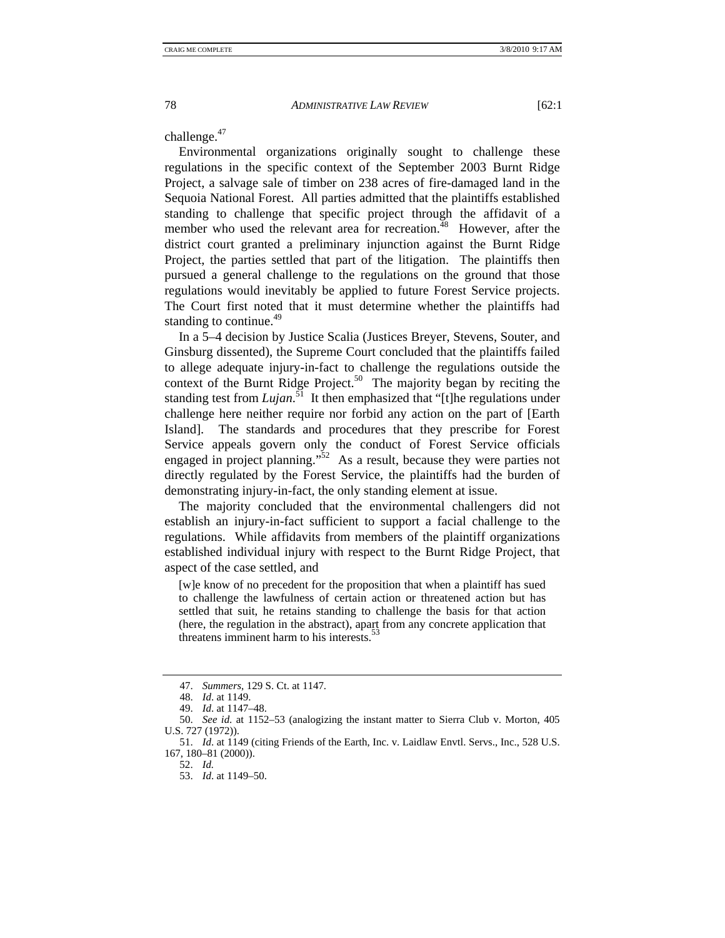challenge.<sup>47</sup>

Environmental organizations originally sought to challenge these regulations in the specific context of the September 2003 Burnt Ridge Project, a salvage sale of timber on 238 acres of fire-damaged land in the Sequoia National Forest. All parties admitted that the plaintiffs established standing to challenge that specific project through the affidavit of a member who used the relevant area for recreation. $^{48}$  However, after the district court granted a preliminary injunction against the Burnt Ridge Project, the parties settled that part of the litigation. The plaintiffs then pursued a general challenge to the regulations on the ground that those regulations would inevitably be applied to future Forest Service projects. The Court first noted that it must determine whether the plaintiffs had standing to continue. $49$ 

In a 5–4 decision by Justice Scalia (Justices Breyer, Stevens, Souter, and Ginsburg dissented), the Supreme Court concluded that the plaintiffs failed to allege adequate injury-in-fact to challenge the regulations outside the context of the Burnt Ridge Project.<sup>50</sup> The majority began by reciting the standing test from *Lujan*. 51 It then emphasized that "[t]he regulations under challenge here neither require nor forbid any action on the part of [Earth Island]. The standards and procedures that they prescribe for Forest Service appeals govern only the conduct of Forest Service officials engaged in project planning."<sup>52</sup> As a result, because they were parties not directly regulated by the Forest Service, the plaintiffs had the burden of demonstrating injury-in-fact, the only standing element at issue.

The majority concluded that the environmental challengers did not establish an injury-in-fact sufficient to support a facial challenge to the regulations. While affidavits from members of the plaintiff organizations established individual injury with respect to the Burnt Ridge Project, that aspect of the case settled, and

[w]e know of no precedent for the proposition that when a plaintiff has sued to challenge the lawfulness of certain action or threatened action but has settled that suit, he retains standing to challenge the basis for that action (here, the regulation in the abstract), apart from any concrete application that threatens imminent harm to his interests. $53$ 

 <sup>47.</sup> *Summers*, 129 S. Ct. at 1147.

 <sup>48.</sup> *Id*. at 1149.

 <sup>49.</sup> *Id*. at 1147–48.

 <sup>50.</sup> *See id*. at 1152–53 (analogizing the instant matter to Sierra Club v. Morton, 405 U.S. 727 (1972)).

 <sup>51.</sup> *Id*. at 1149 (citing Friends of the Earth, Inc. v. Laidlaw Envtl. Servs., Inc., 528 U.S. 167, 180–81 (2000)).

 <sup>52.</sup> *Id.*

 <sup>53.</sup> *Id*. at 1149–50.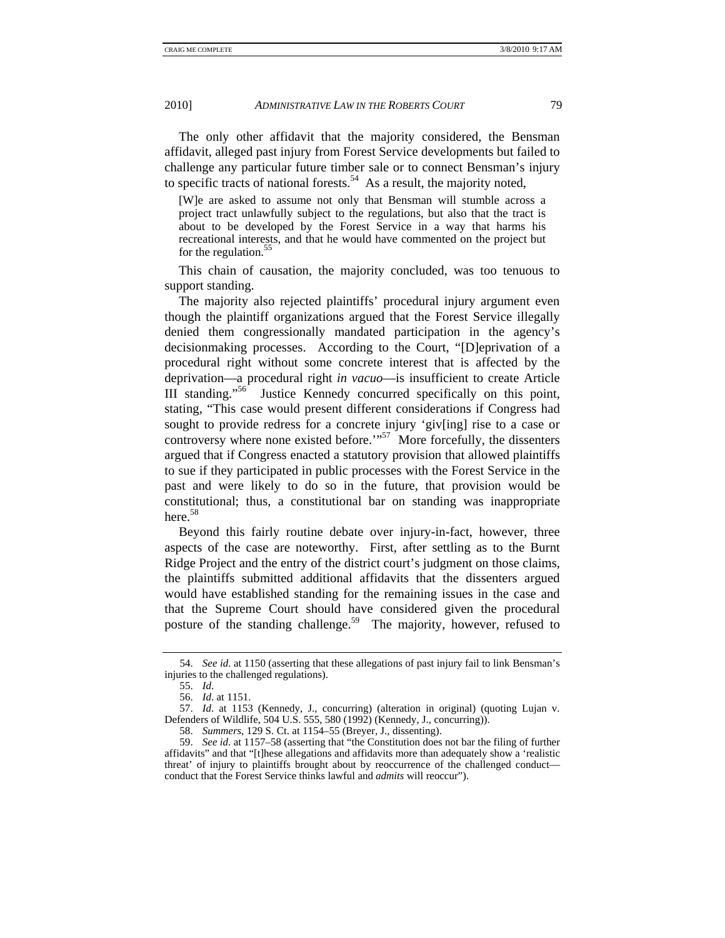The only other affidavit that the majority considered, the Bensman affidavit, alleged past injury from Forest Service developments but failed to challenge any particular future timber sale or to connect Bensman's injury to specific tracts of national forests.<sup>54</sup> As a result, the majority noted,

[W]e are asked to assume not only that Bensman will stumble across a project tract unlawfully subject to the regulations, but also that the tract is about to be developed by the Forest Service in a way that harms his recreational interests, and that he would have commented on the project but for the regulation.<sup>55</sup>

This chain of causation, the majority concluded, was too tenuous to support standing.

The majority also rejected plaintiffs' procedural injury argument even though the plaintiff organizations argued that the Forest Service illegally denied them congressionally mandated participation in the agency's decisionmaking processes. According to the Court, "[D]eprivation of a procedural right without some concrete interest that is affected by the deprivation—a procedural right *in vacuo*—is insufficient to create Article III standing."56 Justice Kennedy concurred specifically on this point, stating, "This case would present different considerations if Congress had sought to provide redress for a concrete injury 'giv[ing] rise to a case or controversy where none existed before." $57 \text{ More}$  forcefully, the dissenters argued that if Congress enacted a statutory provision that allowed plaintiffs to sue if they participated in public processes with the Forest Service in the past and were likely to do so in the future, that provision would be constitutional; thus, a constitutional bar on standing was inappropriate here.<sup>58</sup>

Beyond this fairly routine debate over injury-in-fact, however, three aspects of the case are noteworthy. First, after settling as to the Burnt Ridge Project and the entry of the district court's judgment on those claims, the plaintiffs submitted additional affidavits that the dissenters argued would have established standing for the remaining issues in the case and that the Supreme Court should have considered given the procedural posture of the standing challenge.<sup>59</sup> The majority, however, refused to

 <sup>54.</sup> *See id*. at 1150 (asserting that these allegations of past injury fail to link Bensman's injuries to the challenged regulations).

 <sup>55.</sup> *Id*.

 <sup>56.</sup> *Id*. at 1151.

 <sup>57.</sup> *Id*. at 1153 (Kennedy, J., concurring) (alteration in original) (quoting Lujan v. Defenders of Wildlife, 504 U.S. 555, 580 (1992) (Kennedy, J., concurring)).

 <sup>58.</sup> *Summers*, 129 S. Ct. at 1154–55 (Breyer, J., dissenting).

 <sup>59.</sup> *See id*. at 1157–58 (asserting that "the Constitution does not bar the filing of further affidavits" and that "[t]hese allegations and affidavits more than adequately show a 'realistic threat' of injury to plaintiffs brought about by reoccurrence of the challenged conduct conduct that the Forest Service thinks lawful and *admits* will reoccur").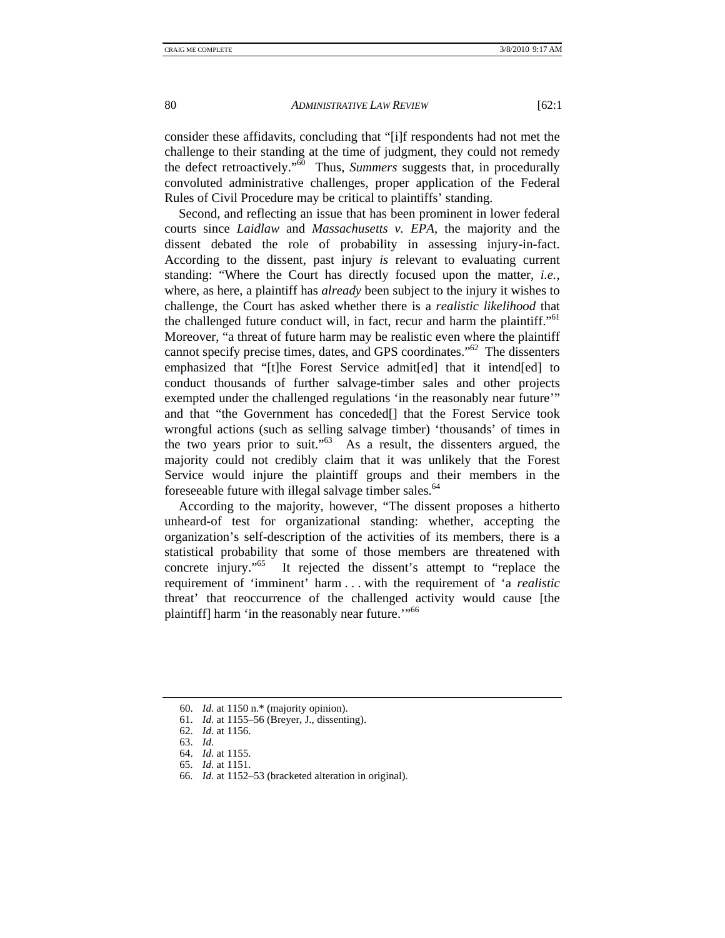consider these affidavits, concluding that "[i]f respondents had not met the challenge to their standing at the time of judgment, they could not remedy the defect retroactively."60 Thus, *Summers* suggests that, in procedurally convoluted administrative challenges, proper application of the Federal Rules of Civil Procedure may be critical to plaintiffs' standing.

Second, and reflecting an issue that has been prominent in lower federal courts since *Laidlaw* and *Massachusetts v. EPA*, the majority and the dissent debated the role of probability in assessing injury-in-fact. According to the dissent, past injury *is* relevant to evaluating current standing: "Where the Court has directly focused upon the matter, *i.e.*, where, as here, a plaintiff has *already* been subject to the injury it wishes to challenge, the Court has asked whether there is a *realistic likelihood* that the challenged future conduct will, in fact, recur and harm the plaintiff."<sup>61</sup> Moreover, "a threat of future harm may be realistic even where the plaintiff cannot specify precise times, dates, and GPS coordinates."62 The dissenters emphasized that "[t]he Forest Service admit[ed] that it intend[ed] to conduct thousands of further salvage-timber sales and other projects exempted under the challenged regulations 'in the reasonably near future'" and that "the Government has conceded<sup>[]</sup> that the Forest Service took wrongful actions (such as selling salvage timber) 'thousands' of times in the two years prior to suit." $63$  As a result, the dissenters argued, the majority could not credibly claim that it was unlikely that the Forest Service would injure the plaintiff groups and their members in the foreseeable future with illegal salvage timber sales.<sup>64</sup>

According to the majority, however, "The dissent proposes a hitherto unheard-of test for organizational standing: whether, accepting the organization's self-description of the activities of its members, there is a statistical probability that some of those members are threatened with concrete injury."<sup>65</sup> It rejected the dissent's attempt to "replace the requirement of 'imminent' harm . . . with the requirement of 'a *realistic*  threat' that reoccurrence of the challenged activity would cause [the plaintiff] harm 'in the reasonably near future."<sup>66</sup>

 <sup>60.</sup> *Id*. at 1150 n.\* (majority opinion).

 <sup>61.</sup> *Id*. at 1155–56 (Breyer, J., dissenting).

 <sup>62.</sup> *Id*. at 1156.

 <sup>63.</sup> *Id*.

 <sup>64.</sup> *Id*. at 1155.

 <sup>65.</sup> *Id*. at 1151.

 <sup>66.</sup> *Id*. at 1152–53 (bracketed alteration in original).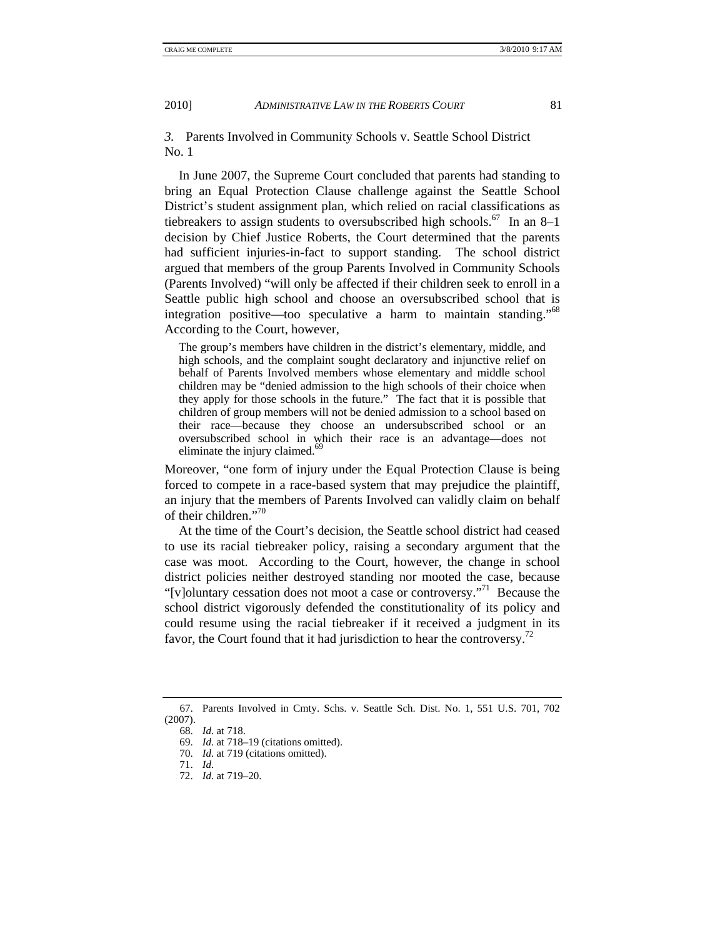*3.* Parents Involved in Community Schools v. Seattle School District No. 1

In June 2007, the Supreme Court concluded that parents had standing to bring an Equal Protection Clause challenge against the Seattle School District's student assignment plan, which relied on racial classifications as tiebreakers to assign students to oversubscribed high schools.<sup>67</sup> In an 8–1 decision by Chief Justice Roberts, the Court determined that the parents had sufficient injuries-in-fact to support standing. The school district argued that members of the group Parents Involved in Community Schools (Parents Involved) "will only be affected if their children seek to enroll in a Seattle public high school and choose an oversubscribed school that is integration positive—too speculative a harm to maintain standing."68 According to the Court, however,

The group's members have children in the district's elementary, middle, and high schools, and the complaint sought declaratory and injunctive relief on behalf of Parents Involved members whose elementary and middle school children may be "denied admission to the high schools of their choice when they apply for those schools in the future." The fact that it is possible that children of group members will not be denied admission to a school based on their race—because they choose an undersubscribed school or an oversubscribed school in which their race is an advantage—does not eliminate the injury claimed.<sup>69</sup>

Moreover, "one form of injury under the Equal Protection Clause is being forced to compete in a race-based system that may prejudice the plaintiff, an injury that the members of Parents Involved can validly claim on behalf of their children."70

At the time of the Court's decision, the Seattle school district had ceased to use its racial tiebreaker policy, raising a secondary argument that the case was moot. According to the Court, however, the change in school district policies neither destroyed standing nor mooted the case, because "[v]oluntary cessation does not moot a case or controversy."71 Because the school district vigorously defended the constitutionality of its policy and could resume using the racial tiebreaker if it received a judgment in its favor, the Court found that it had jurisdiction to hear the controversy.<sup>72</sup>

 <sup>67.</sup> Parents Involved in Cmty. Schs. v. Seattle Sch. Dist. No. 1, 551 U.S. 701, 702 (2007).

 <sup>68.</sup> *Id*. at 718.

 <sup>69.</sup> *Id*. at 718–19 (citations omitted).

 <sup>70.</sup> *Id*. at 719 (citations omitted).

 <sup>71.</sup> *Id*.

 <sup>72.</sup> *Id*. at 719–20.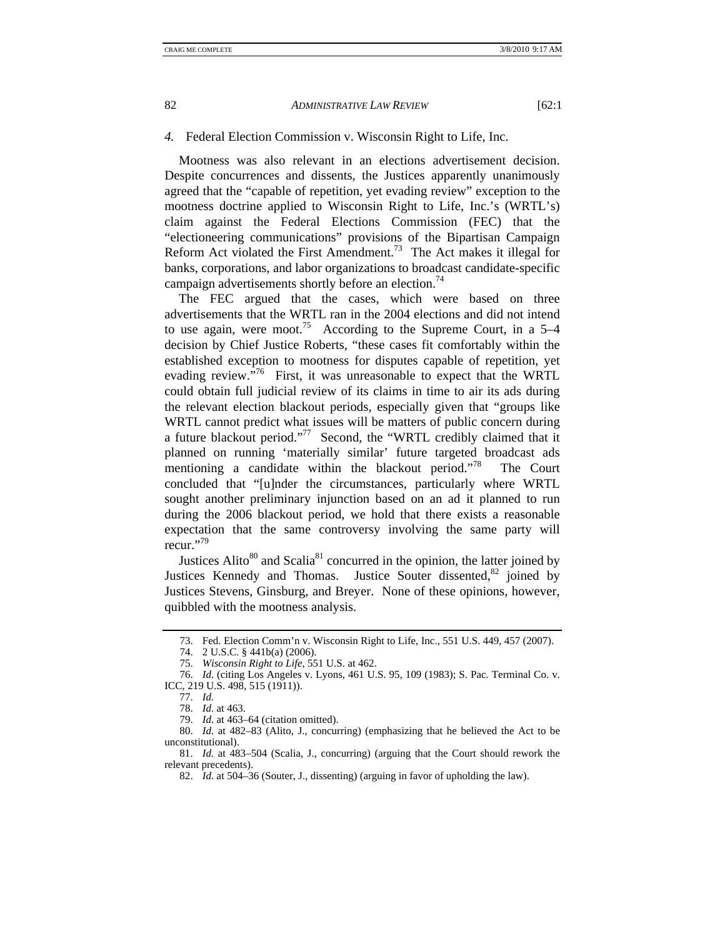## *4.* Federal Election Commission v. Wisconsin Right to Life, Inc.

Mootness was also relevant in an elections advertisement decision. Despite concurrences and dissents, the Justices apparently unanimously agreed that the "capable of repetition, yet evading review" exception to the mootness doctrine applied to Wisconsin Right to Life, Inc.'s (WRTL's) claim against the Federal Elections Commission (FEC) that the "electioneering communications" provisions of the Bipartisan Campaign Reform Act violated the First Amendment.<sup>73</sup> The Act makes it illegal for banks, corporations, and labor organizations to broadcast candidate-specific campaign advertisements shortly before an election.<sup>74</sup>

The FEC argued that the cases, which were based on three advertisements that the WRTL ran in the 2004 elections and did not intend to use again, were moot.<sup>75</sup> According to the Supreme Court, in a  $5-4$ decision by Chief Justice Roberts, "these cases fit comfortably within the established exception to mootness for disputes capable of repetition, yet evading review.<sup>576</sup> First, it was unreasonable to expect that the WRTL could obtain full judicial review of its claims in time to air its ads during the relevant election blackout periods, especially given that "groups like WRTL cannot predict what issues will be matters of public concern during a future blackout period."77 Second, the "WRTL credibly claimed that it planned on running 'materially similar' future targeted broadcast ads mentioning a candidate within the blackout period."<sup>78</sup> The Court concluded that "[u]nder the circumstances, particularly where WRTL sought another preliminary injunction based on an ad it planned to run during the 2006 blackout period, we hold that there exists a reasonable expectation that the same controversy involving the same party will recur."79

Justices Alito $80$  and Scalia $81$  concurred in the opinion, the latter joined by Justices Kennedy and Thomas. Justice Souter dissented, $82$  joined by Justices Stevens, Ginsburg, and Breyer. None of these opinions, however, quibbled with the mootness analysis.

 <sup>73.</sup> Fed. Election Comm'n v. Wisconsin Right to Life, Inc., 551 U.S. 449, 457 (2007).

 <sup>74. 2</sup> U.S.C. § 441b(a) (2006).

 <sup>75.</sup> *Wisconsin Right to Life*, 551 U.S. at 462.

 <sup>76.</sup> *Id*. (citing Los Angeles v. Lyons, 461 U.S. 95, 109 (1983); S. Pac. Terminal Co. v. ICC, 219 U.S. 498, 515 (1911)).

 <sup>77.</sup> *Id.*

 <sup>78.</sup> *Id*. at 463.

 <sup>79.</sup> *Id*. at 463–64 (citation omitted).

<sup>80.</sup> *Id*. at 482–83 (Alito, J., concurring) (emphasizing that he believed the Act to be unconstitutional).

 <sup>81.</sup> *Id.* at 483–504 (Scalia, J., concurring) (arguing that the Court should rework the relevant precedents).

 <sup>82.</sup> *Id.* at 504–36 (Souter, J., dissenting) (arguing in favor of upholding the law).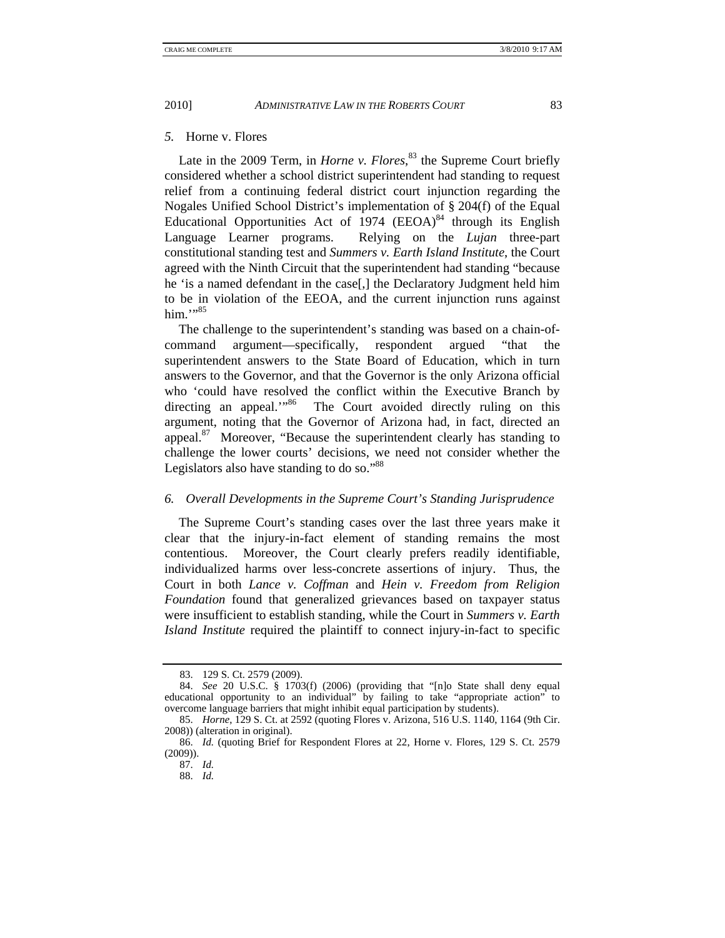Late in the 2009 Term, in *Horne v. Flores*, <sup>83</sup> the Supreme Court briefly considered whether a school district superintendent had standing to request relief from a continuing federal district court injunction regarding the Nogales Unified School District's implementation of § 204(f) of the Equal Educational Opportunities Act of  $1974$  (EEOA)<sup>84</sup> through its English Language Learner programs. Relying on the *Lujan* three-part constitutional standing test and *Summers v. Earth Island Institute*, the Court agreed with the Ninth Circuit that the superintendent had standing "because he 'is a named defendant in the case[,] the Declaratory Judgment held him to be in violation of the EEOA, and the current injunction runs against him $\cdot$ <sup>1,95</sup>

The challenge to the superintendent's standing was based on a chain-ofcommand argument—specifically, respondent argued "that the superintendent answers to the State Board of Education, which in turn answers to the Governor, and that the Governor is the only Arizona official who 'could have resolved the conflict within the Executive Branch by directing an appeal."<sup>86</sup> The Court avoided directly ruling on this The Court avoided directly ruling on this argument, noting that the Governor of Arizona had, in fact, directed an appeal. $87$  Moreover, "Because the superintendent clearly has standing to challenge the lower courts' decisions, we need not consider whether the Legislators also have standing to do so."<sup>88</sup>

## *6. Overall Developments in the Supreme Court's Standing Jurisprudence*

The Supreme Court's standing cases over the last three years make it clear that the injury-in-fact element of standing remains the most contentious. Moreover, the Court clearly prefers readily identifiable, individualized harms over less-concrete assertions of injury. Thus, the Court in both *Lance v. Coffman* and *Hein v. Freedom from Religion Foundation* found that generalized grievances based on taxpayer status were insufficient to establish standing, while the Court in *Summers v. Earth Island Institute* required the plaintiff to connect injury-in-fact to specific

 <sup>83. 129</sup> S. Ct. 2579 (2009).

 <sup>84.</sup> *See* 20 U.S.C. § 1703(f) (2006) (providing that "[n]o State shall deny equal educational opportunity to an individual" by failing to take "appropriate action" to overcome language barriers that might inhibit equal participation by students).

 <sup>85.</sup> *Horne*, 129 S. Ct. at 2592 (quoting Flores v. Arizona, 516 U.S. 1140, 1164 (9th Cir. 2008)) (alteration in original).

 <sup>86.</sup> *Id.* (quoting Brief for Respondent Flores at 22, Horne v. Flores, 129 S. Ct. 2579 (2009)).

 <sup>87.</sup> *Id.*

 <sup>88.</sup> *Id.*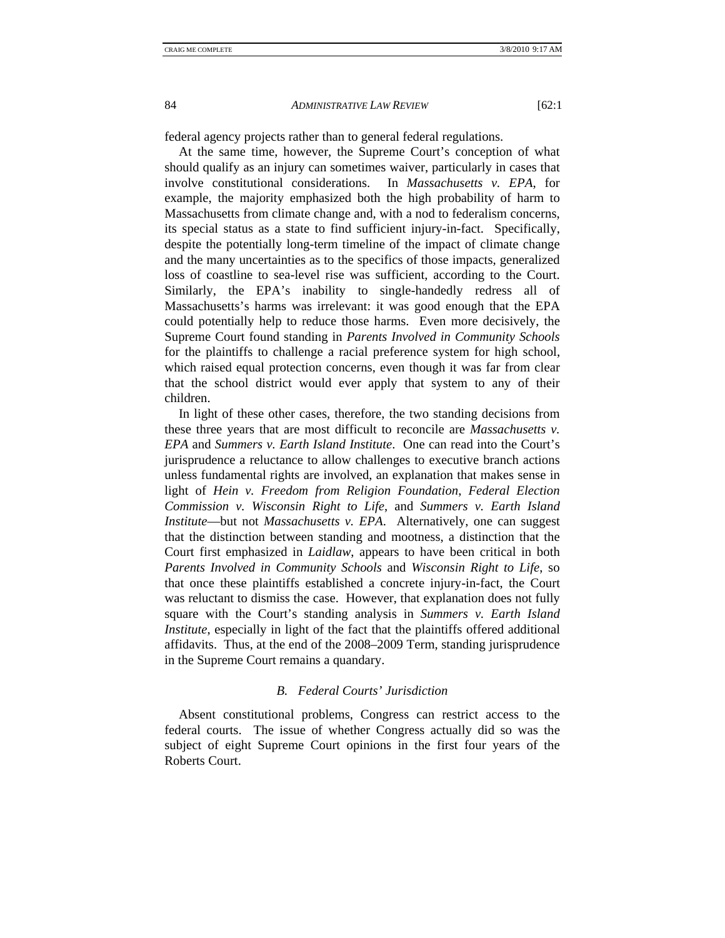federal agency projects rather than to general federal regulations.

At the same time, however, the Supreme Court's conception of what should qualify as an injury can sometimes waiver, particularly in cases that involve constitutional considerations. In *Massachusetts v. EPA*, for example, the majority emphasized both the high probability of harm to Massachusetts from climate change and, with a nod to federalism concerns, its special status as a state to find sufficient injury-in-fact. Specifically, despite the potentially long-term timeline of the impact of climate change and the many uncertainties as to the specifics of those impacts, generalized loss of coastline to sea-level rise was sufficient, according to the Court. Similarly, the EPA's inability to single-handedly redress all of Massachusetts's harms was irrelevant: it was good enough that the EPA could potentially help to reduce those harms. Even more decisively, the Supreme Court found standing in *Parents Involved in Community Schools*  for the plaintiffs to challenge a racial preference system for high school, which raised equal protection concerns, even though it was far from clear that the school district would ever apply that system to any of their children.

In light of these other cases, therefore, the two standing decisions from these three years that are most difficult to reconcile are *Massachusetts v. EPA* and *Summers v. Earth Island Institute*. One can read into the Court's jurisprudence a reluctance to allow challenges to executive branch actions unless fundamental rights are involved, an explanation that makes sense in light of *Hein v. Freedom from Religion Foundation*, *Federal Election Commission v. Wisconsin Right to Life*, and *Summers v. Earth Island Institute*—but not *Massachusetts v. EPA*. Alternatively, one can suggest that the distinction between standing and mootness, a distinction that the Court first emphasized in *Laidlaw*, appears to have been critical in both *Parents Involved in Community Schools* and *Wisconsin Right to Life*, so that once these plaintiffs established a concrete injury-in-fact, the Court was reluctant to dismiss the case. However, that explanation does not fully square with the Court's standing analysis in *Summers v. Earth Island Institute*, especially in light of the fact that the plaintiffs offered additional affidavits. Thus, at the end of the 2008–2009 Term, standing jurisprudence in the Supreme Court remains a quandary.

## *B. Federal Courts' Jurisdiction*

Absent constitutional problems, Congress can restrict access to the federal courts. The issue of whether Congress actually did so was the subject of eight Supreme Court opinions in the first four years of the Roberts Court.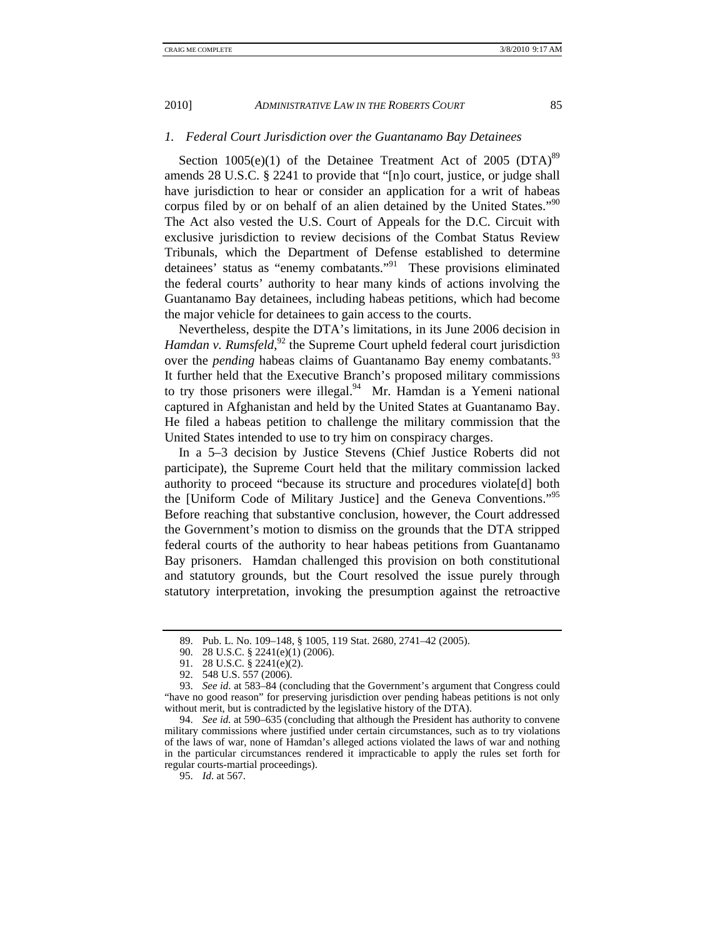#### *1. Federal Court Jurisdiction over the Guantanamo Bay Detainees*

Section  $1005(e)(1)$  of the Detainee Treatment Act of 2005 (DTA)<sup>89</sup> amends 28 U.S.C. § 2241 to provide that "[n]o court, justice, or judge shall have jurisdiction to hear or consider an application for a writ of habeas corpus filed by or on behalf of an alien detained by the United States."<sup>90</sup> The Act also vested the U.S. Court of Appeals for the D.C. Circuit with exclusive jurisdiction to review decisions of the Combat Status Review Tribunals, which the Department of Defense established to determine detainees' status as "enemy combatants."91 These provisions eliminated the federal courts' authority to hear many kinds of actions involving the Guantanamo Bay detainees, including habeas petitions, which had become the major vehicle for detainees to gain access to the courts.

Nevertheless, despite the DTA's limitations, in its June 2006 decision in Hamdan v. Rumsfeld,<sup>92</sup> the Supreme Court upheld federal court jurisdiction over the *pending* habeas claims of Guantanamo Bay enemy combatants.<sup>93</sup> It further held that the Executive Branch's proposed military commissions to try those prisoners were illegal. $94$  Mr. Hamdan is a Yemeni national captured in Afghanistan and held by the United States at Guantanamo Bay. He filed a habeas petition to challenge the military commission that the United States intended to use to try him on conspiracy charges.

In a 5–3 decision by Justice Stevens (Chief Justice Roberts did not participate), the Supreme Court held that the military commission lacked authority to proceed "because its structure and procedures violate[d] both the [Uniform Code of Military Justice] and the Geneva Conventions."95 Before reaching that substantive conclusion, however, the Court addressed the Government's motion to dismiss on the grounds that the DTA stripped federal courts of the authority to hear habeas petitions from Guantanamo Bay prisoners. Hamdan challenged this provision on both constitutional and statutory grounds, but the Court resolved the issue purely through statutory interpretation, invoking the presumption against the retroactive

95. *Id*. at 567.

 <sup>89.</sup> Pub. L. No. 109–148, § 1005, 119 Stat. 2680, 2741–42 (2005).

 <sup>90. 28</sup> U.S.C. § 2241(e)(1) (2006).

 <sup>91. 28</sup> U.S.C. § 2241(e)(2).

 <sup>92. 548</sup> U.S. 557 (2006).

 <sup>93.</sup> *See id*. at 583–84 (concluding that the Government's argument that Congress could "have no good reason" for preserving jurisdiction over pending habeas petitions is not only without merit, but is contradicted by the legislative history of the DTA).

 <sup>94.</sup> *See id.* at 590–635 (concluding that although the President has authority to convene military commissions where justified under certain circumstances, such as to try violations of the laws of war, none of Hamdan's alleged actions violated the laws of war and nothing in the particular circumstances rendered it impracticable to apply the rules set forth for regular courts-martial proceedings).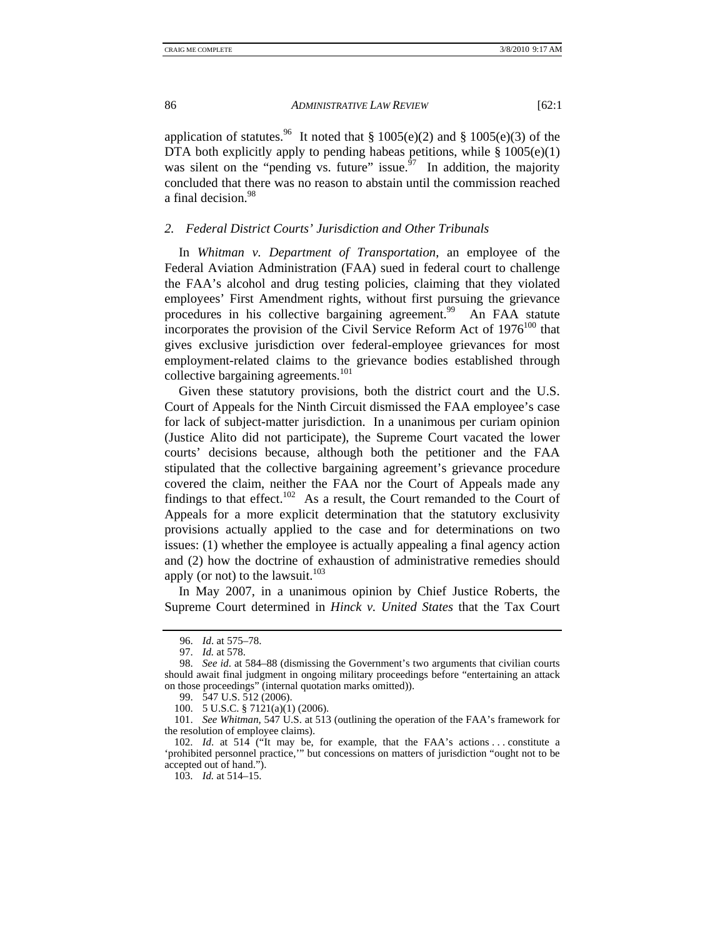application of statutes.<sup>96</sup> It noted that § 1005(e)(2) and § 1005(e)(3) of the DTA both explicitly apply to pending habeas petitions, while  $\S 1005(e)(1)$ was silent on the "pending vs. future" issue.<sup> $\frac{6}{7}$ </sup> In addition, the majority concluded that there was no reason to abstain until the commission reached a final decision.<sup>98</sup>

## *2. Federal District Courts' Jurisdiction and Other Tribunals*

In *Whitman v. Department of Transportation*, an employee of the Federal Aviation Administration (FAA) sued in federal court to challenge the FAA's alcohol and drug testing policies, claiming that they violated employees' First Amendment rights, without first pursuing the grievance procedures in his collective bargaining agreement.<sup>99</sup> An FAA statute incorporates the provision of the Civil Service Reform Act of  $1976^{100}$  that gives exclusive jurisdiction over federal-employee grievances for most employment-related claims to the grievance bodies established through collective bargaining agreements. $101$ 

Given these statutory provisions, both the district court and the U.S. Court of Appeals for the Ninth Circuit dismissed the FAA employee's case for lack of subject-matter jurisdiction. In a unanimous per curiam opinion (Justice Alito did not participate), the Supreme Court vacated the lower courts' decisions because, although both the petitioner and the FAA stipulated that the collective bargaining agreement's grievance procedure covered the claim, neither the FAA nor the Court of Appeals made any findings to that effect.<sup>102</sup> As a result, the Court remanded to the Court of Appeals for a more explicit determination that the statutory exclusivity provisions actually applied to the case and for determinations on two issues: (1) whether the employee is actually appealing a final agency action and (2) how the doctrine of exhaustion of administrative remedies should apply (or not) to the lawsuit. $103$ 

In May 2007, in a unanimous opinion by Chief Justice Roberts, the Supreme Court determined in *Hinck v. United States* that the Tax Court

 <sup>96.</sup> *Id*. at 575–78.

 <sup>97.</sup> *Id.* at 578.

 <sup>98.</sup> *See id*. at 584–88 (dismissing the Government's two arguments that civilian courts should await final judgment in ongoing military proceedings before "entertaining an attack on those proceedings" (internal quotation marks omitted)).

 <sup>99. 547</sup> U.S. 512 (2006).

 <sup>100. 5</sup> U.S.C. § 7121(a)(1) (2006).

 <sup>101.</sup> *See Whitman*, 547 U.S. at 513 (outlining the operation of the FAA's framework for the resolution of employee claims).

 <sup>102.</sup> *Id*. at 514 ("It may be, for example, that the FAA's actions . . . constitute a 'prohibited personnel practice,'" but concessions on matters of jurisdiction "ought not to be accepted out of hand.").

 <sup>103.</sup> *Id.* at 514–15.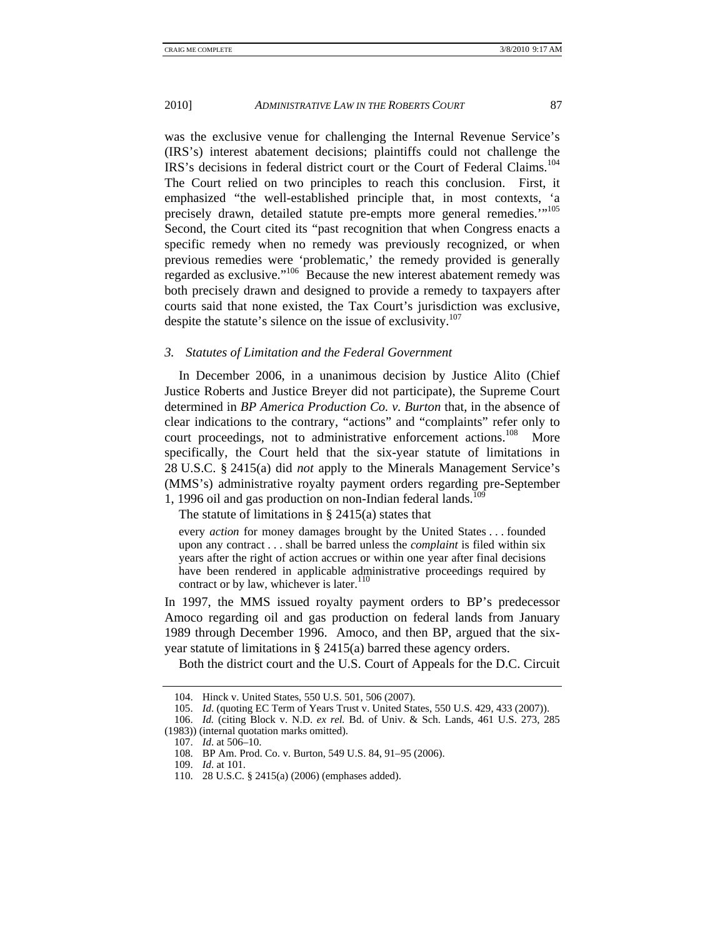was the exclusive venue for challenging the Internal Revenue Service's (IRS's) interest abatement decisions; plaintiffs could not challenge the IRS's decisions in federal district court or the Court of Federal Claims.<sup>104</sup> The Court relied on two principles to reach this conclusion. First, it emphasized "the well-established principle that, in most contexts, 'a precisely drawn, detailed statute pre-empts more general remedies."<sup>105</sup> Second, the Court cited its "past recognition that when Congress enacts a specific remedy when no remedy was previously recognized, or when previous remedies were 'problematic,' the remedy provided is generally regarded as exclusive."106 Because the new interest abatement remedy was both precisely drawn and designed to provide a remedy to taxpayers after courts said that none existed, the Tax Court's jurisdiction was exclusive, despite the statute's silence on the issue of exclusivity.<sup>107</sup>

## *3. Statutes of Limitation and the Federal Government*

In December 2006, in a unanimous decision by Justice Alito (Chief Justice Roberts and Justice Breyer did not participate), the Supreme Court determined in *BP America Production Co. v. Burton* that, in the absence of clear indications to the contrary, "actions" and "complaints" refer only to court proceedings, not to administrative enforcement actions.<sup>108</sup> More specifically, the Court held that the six-year statute of limitations in 28 U.S.C. § 2415(a) did *not* apply to the Minerals Management Service's (MMS's) administrative royalty payment orders regarding pre-September 1, 1996 oil and gas production on non-Indian federal lands. $^{109}$ 

The statute of limitations in § 2415(a) states that

every *action* for money damages brought by the United States . . . founded upon any contract . . . shall be barred unless the *complaint* is filed within six years after the right of action accrues or within one year after final decisions have been rendered in applicable administrative proceedings required by contract or by law, whichever is later.<sup>110</sup>

In 1997, the MMS issued royalty payment orders to BP's predecessor Amoco regarding oil and gas production on federal lands from January 1989 through December 1996. Amoco, and then BP, argued that the sixyear statute of limitations in § 2415(a) barred these agency orders.

Both the district court and the U.S. Court of Appeals for the D.C. Circuit

 <sup>104.</sup> Hinck v. United States, 550 U.S. 501, 506 (2007).

 <sup>105.</sup> *Id*. (quoting EC Term of Years Trust v. United States, 550 U.S. 429, 433 (2007)).

 <sup>106.</sup> *Id.* (citing Block v. N.D. *ex rel.* Bd. of Univ. & Sch. Lands, 461 U.S. 273, 285 (1983)) (internal quotation marks omitted).

 <sup>107.</sup> *Id*. at 506–10.

 <sup>108.</sup> BP Am. Prod. Co. v. Burton, 549 U.S. 84, 91–95 (2006).

 <sup>109.</sup> *Id*. at 101.

 <sup>110. 28</sup> U.S.C. § 2415(a) (2006) (emphases added).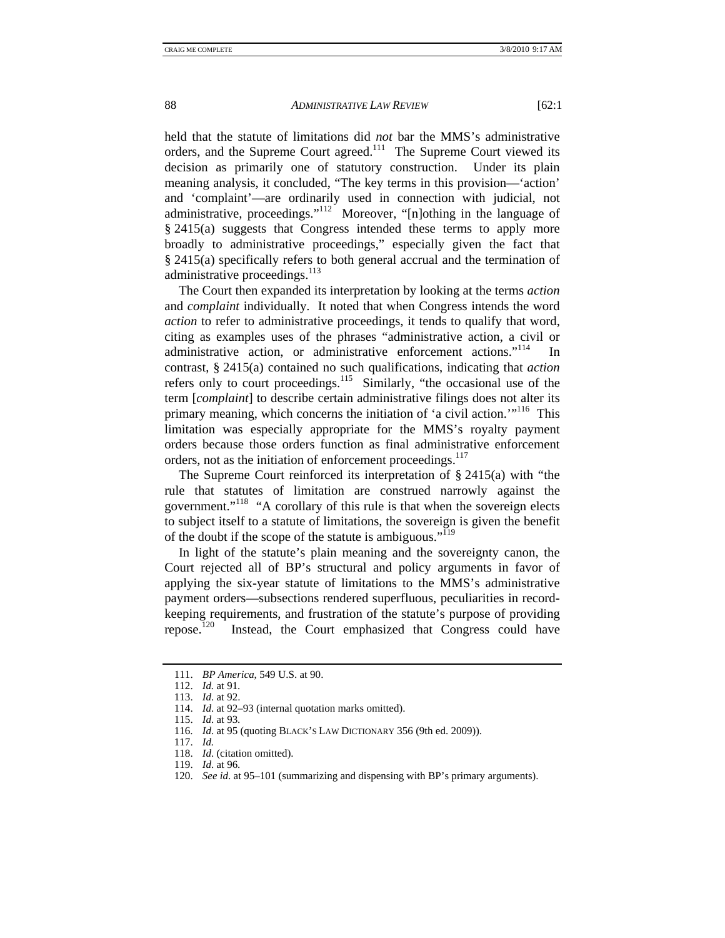held that the statute of limitations did *not* bar the MMS's administrative orders, and the Supreme Court agreed.<sup>111</sup> The Supreme Court viewed its decision as primarily one of statutory construction. Under its plain meaning analysis, it concluded, "The key terms in this provision—'action' and 'complaint'—are ordinarily used in connection with judicial, not administrative, proceedings."<sup>112</sup> Moreover, "[n]othing in the language of § 2415(a) suggests that Congress intended these terms to apply more broadly to administrative proceedings," especially given the fact that § 2415(a) specifically refers to both general accrual and the termination of administrative proceedings. $^{113}$ 

The Court then expanded its interpretation by looking at the terms *action* and *complaint* individually. It noted that when Congress intends the word *action* to refer to administrative proceedings, it tends to qualify that word, citing as examples uses of the phrases "administrative action, a civil or administrative action, or administrative enforcement actions."<sup>114</sup> In contrast, § 2415(a) contained no such qualifications, indicating that *action* refers only to court proceedings.<sup>115</sup> Similarly, "the occasional use of the term [*complaint*] to describe certain administrative filings does not alter its primary meaning, which concerns the initiation of 'a civil action.'"116 This limitation was especially appropriate for the MMS's royalty payment orders because those orders function as final administrative enforcement orders, not as the initiation of enforcement proceedings.<sup>117</sup>

The Supreme Court reinforced its interpretation of  $\S$  2415(a) with "the rule that statutes of limitation are construed narrowly against the government."<sup>118</sup> "A corollary of this rule is that when the sovereign elects to subject itself to a statute of limitations, the sovereign is given the benefit of the doubt if the scope of the statute is ambiguous."<sup>119</sup>

In light of the statute's plain meaning and the sovereignty canon, the Court rejected all of BP's structural and policy arguments in favor of applying the six-year statute of limitations to the MMS's administrative payment orders—subsections rendered superfluous, peculiarities in recordkeeping requirements, and frustration of the statute's purpose of providing repose.<sup>120</sup> Instead, the Court emphasized that Congress could have

- 118. *Id*. (citation omitted).
- 119. *Id*. at 96.

 <sup>111.</sup> *BP America*, 549 U.S. at 90.

 <sup>112.</sup> *Id.* at 91.

 <sup>113.</sup> *Id*. at 92.

 <sup>114.</sup> *Id*. at 92–93 (internal quotation marks omitted).

 <sup>115.</sup> *Id*. at 93.

 <sup>116.</sup> *Id*. at 95 (quoting BLACK'S LAW DICTIONARY 356 (9th ed. 2009)).

 <sup>117.</sup> *Id.*

 <sup>120.</sup> *See id*. at 95–101 (summarizing and dispensing with BP's primary arguments).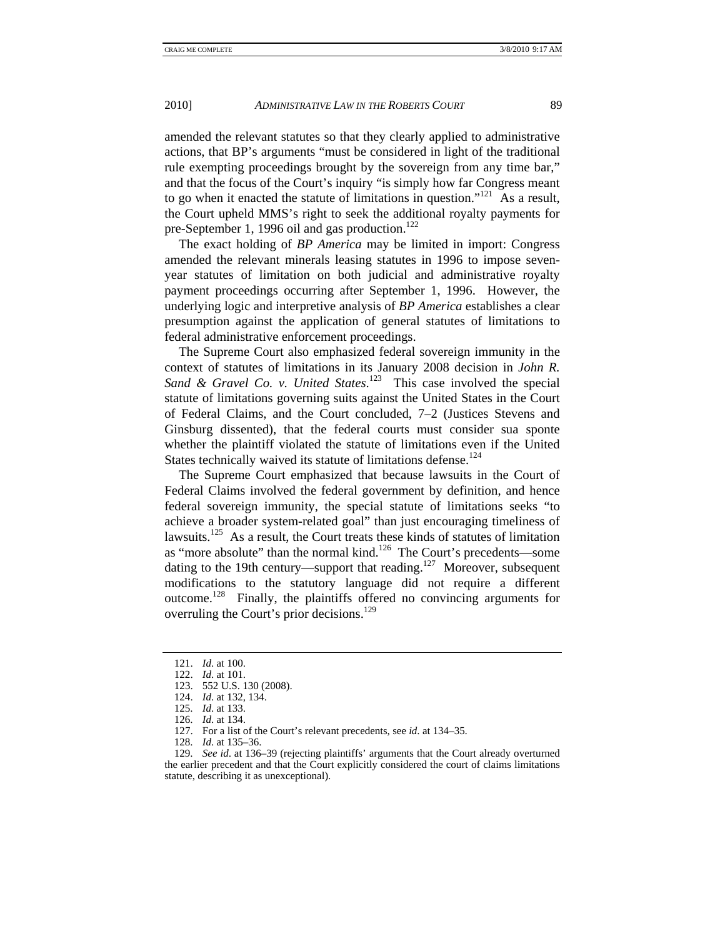amended the relevant statutes so that they clearly applied to administrative actions, that BP's arguments "must be considered in light of the traditional rule exempting proceedings brought by the sovereign from any time bar," and that the focus of the Court's inquiry "is simply how far Congress meant to go when it enacted the statute of limitations in question."<sup>121</sup> As a result, the Court upheld MMS's right to seek the additional royalty payments for pre-September 1, 1996 oil and gas production.<sup>122</sup>

The exact holding of *BP America* may be limited in import: Congress amended the relevant minerals leasing statutes in 1996 to impose sevenyear statutes of limitation on both judicial and administrative royalty payment proceedings occurring after September 1, 1996. However, the underlying logic and interpretive analysis of *BP America* establishes a clear presumption against the application of general statutes of limitations to federal administrative enforcement proceedings.

The Supreme Court also emphasized federal sovereign immunity in the context of statutes of limitations in its January 2008 decision in *John R.*  Sand & Gravel Co. v. United States.<sup>123</sup> This case involved the special statute of limitations governing suits against the United States in the Court of Federal Claims, and the Court concluded, 7–2 (Justices Stevens and Ginsburg dissented), that the federal courts must consider sua sponte whether the plaintiff violated the statute of limitations even if the United States technically waived its statute of limitations defense.<sup>124</sup>

The Supreme Court emphasized that because lawsuits in the Court of Federal Claims involved the federal government by definition, and hence federal sovereign immunity, the special statute of limitations seeks "to achieve a broader system-related goal" than just encouraging timeliness of lawsuits.<sup>125</sup> As a result, the Court treats these kinds of statutes of limitation as "more absolute" than the normal kind.<sup>126</sup> The Court's precedents—some dating to the 19th century—support that reading.<sup>127</sup> Moreover, subsequent modifications to the statutory language did not require a different outcome.128 Finally, the plaintiffs offered no convincing arguments for overruling the Court's prior decisions.<sup>129</sup>

 <sup>121.</sup> *Id*. at 100.

 <sup>122.</sup> *Id*. at 101.

 <sup>123. 552</sup> U.S. 130 (2008).

 <sup>124.</sup> *Id*. at 132, 134.

 <sup>125.</sup> *Id*. at 133.

 <sup>126.</sup> *Id*. at 134.

 <sup>127.</sup> For a list of the Court's relevant precedents, see *id*. at 134–35.

 <sup>128.</sup> *Id*. at 135–36.

 <sup>129.</sup> *See id*. at 136–39 (rejecting plaintiffs' arguments that the Court already overturned the earlier precedent and that the Court explicitly considered the court of claims limitations statute, describing it as unexceptional).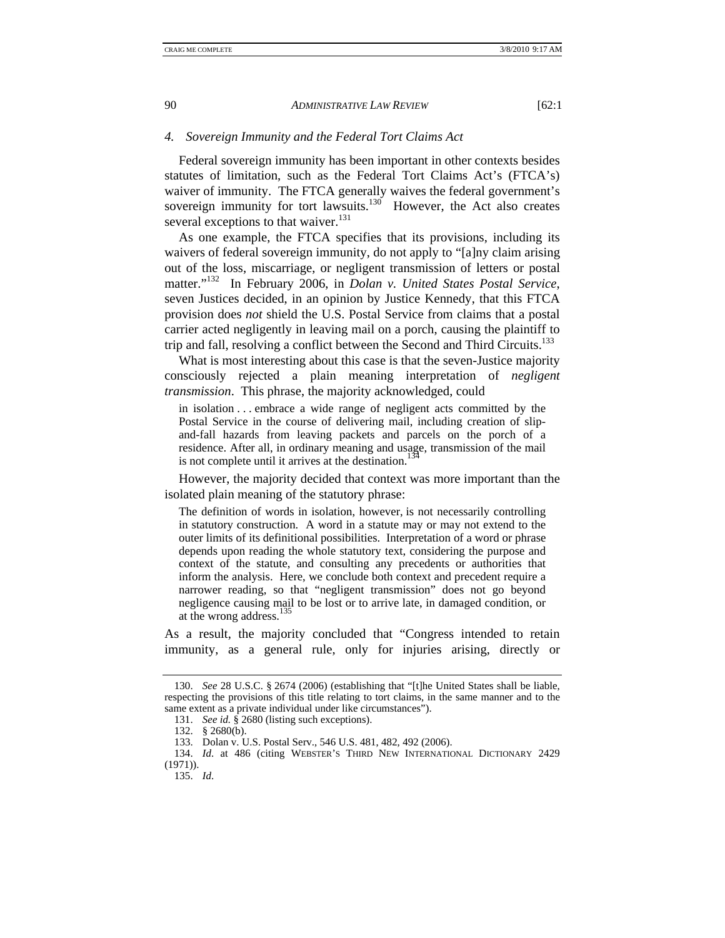#### *4. Sovereign Immunity and the Federal Tort Claims Act*

Federal sovereign immunity has been important in other contexts besides statutes of limitation, such as the Federal Tort Claims Act's (FTCA's) waiver of immunity. The FTCA generally waives the federal government's sovereign immunity for tort lawsuits.<sup>130</sup> However, the Act also creates several exceptions to that waiver. $131$ 

As one example, the FTCA specifies that its provisions, including its waivers of federal sovereign immunity, do not apply to "[a]ny claim arising out of the loss, miscarriage, or negligent transmission of letters or postal matter."132 In February 2006, in *Dolan v. United States Postal Service*, seven Justices decided, in an opinion by Justice Kennedy, that this FTCA provision does *not* shield the U.S. Postal Service from claims that a postal carrier acted negligently in leaving mail on a porch, causing the plaintiff to trip and fall, resolving a conflict between the Second and Third Circuits.<sup>133</sup>

What is most interesting about this case is that the seven-Justice majority consciously rejected a plain meaning interpretation of *negligent transmission*. This phrase, the majority acknowledged, could

in isolation . . . embrace a wide range of negligent acts committed by the Postal Service in the course of delivering mail, including creation of slipand-fall hazards from leaving packets and parcels on the porch of a residence. After all, in ordinary meaning and usage, transmission of the mail is not complete until it arrives at the destination.<sup>13</sup>

However, the majority decided that context was more important than the isolated plain meaning of the statutory phrase:

The definition of words in isolation, however, is not necessarily controlling in statutory construction. A word in a statute may or may not extend to the outer limits of its definitional possibilities. Interpretation of a word or phrase depends upon reading the whole statutory text, considering the purpose and context of the statute, and consulting any precedents or authorities that inform the analysis. Here, we conclude both context and precedent require a narrower reading, so that "negligent transmission" does not go beyond negligence causing mail to be lost or to arrive late, in damaged condition, or at the wrong address.<sup>135</sup>

As a result, the majority concluded that "Congress intended to retain immunity, as a general rule, only for injuries arising, directly or

 <sup>130.</sup> *See* 28 U.S.C. § 2674 (2006) (establishing that "[t]he United States shall be liable, respecting the provisions of this title relating to tort claims, in the same manner and to the same extent as a private individual under like circumstances").

 <sup>131.</sup> *See id.* § 2680 (listing such exceptions).

 <sup>132. § 2680(</sup>b).

 <sup>133.</sup> Dolan v. U.S. Postal Serv., 546 U.S. 481, 482, 492 (2006).

 <sup>134.</sup> *Id*. at 486 (citing WEBSTER'S THIRD NEW INTERNATIONAL DICTIONARY 2429 (1971)).

 <sup>135.</sup> *Id*.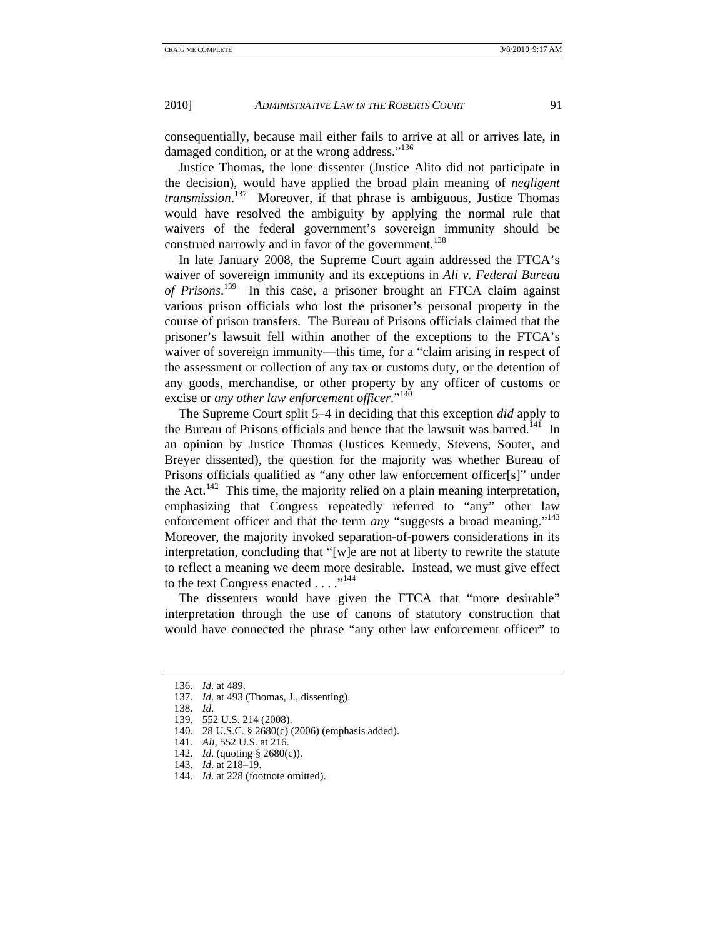consequentially, because mail either fails to arrive at all or arrives late, in damaged condition, or at the wrong address."<sup>136</sup>

Justice Thomas, the lone dissenter (Justice Alito did not participate in the decision), would have applied the broad plain meaning of *negligent transmission*. 137 Moreover, if that phrase is ambiguous, Justice Thomas would have resolved the ambiguity by applying the normal rule that waivers of the federal government's sovereign immunity should be construed narrowly and in favor of the government.<sup>138</sup>

In late January 2008, the Supreme Court again addressed the FTCA's waiver of sovereign immunity and its exceptions in *Ali v. Federal Bureau of Prisons*. 139 In this case, a prisoner brought an FTCA claim against various prison officials who lost the prisoner's personal property in the course of prison transfers. The Bureau of Prisons officials claimed that the prisoner's lawsuit fell within another of the exceptions to the FTCA's waiver of sovereign immunity—this time, for a "claim arising in respect of the assessment or collection of any tax or customs duty, or the detention of any goods, merchandise, or other property by any officer of customs or excise or *any other law enforcement officer*."<sup>140</sup>

The Supreme Court split 5–4 in deciding that this exception *did* apply to the Bureau of Prisons officials and hence that the lawsuit was barred.<sup>141</sup> In an opinion by Justice Thomas (Justices Kennedy, Stevens, Souter, and Breyer dissented), the question for the majority was whether Bureau of Prisons officials qualified as "any other law enforcement officer[s]" under the Act.<sup>142</sup> This time, the majority relied on a plain meaning interpretation, emphasizing that Congress repeatedly referred to "any" other law enforcement officer and that the term *any* "suggests a broad meaning."<sup>143</sup> Moreover, the majority invoked separation-of-powers considerations in its interpretation, concluding that "[w]e are not at liberty to rewrite the statute to reflect a meaning we deem more desirable. Instead, we must give effect to the text Congress enacted . . . ."<sup>144</sup>

The dissenters would have given the FTCA that "more desirable" interpretation through the use of canons of statutory construction that would have connected the phrase "any other law enforcement officer" to

 <sup>136.</sup> *Id*. at 489.

 <sup>137.</sup> *Id*. at 493 (Thomas, J., dissenting).

 <sup>138.</sup> *Id*.

 <sup>139. 552</sup> U.S. 214 (2008).

 <sup>140. 28</sup> U.S.C. § 2680(c) (2006) (emphasis added).

 <sup>141.</sup> *Ali*, 552 U.S. at 216.

 <sup>142.</sup> *Id*. (quoting § 2680(c)).

 <sup>143.</sup> *Id*. at 218–19.

 <sup>144.</sup> *Id*. at 228 (footnote omitted).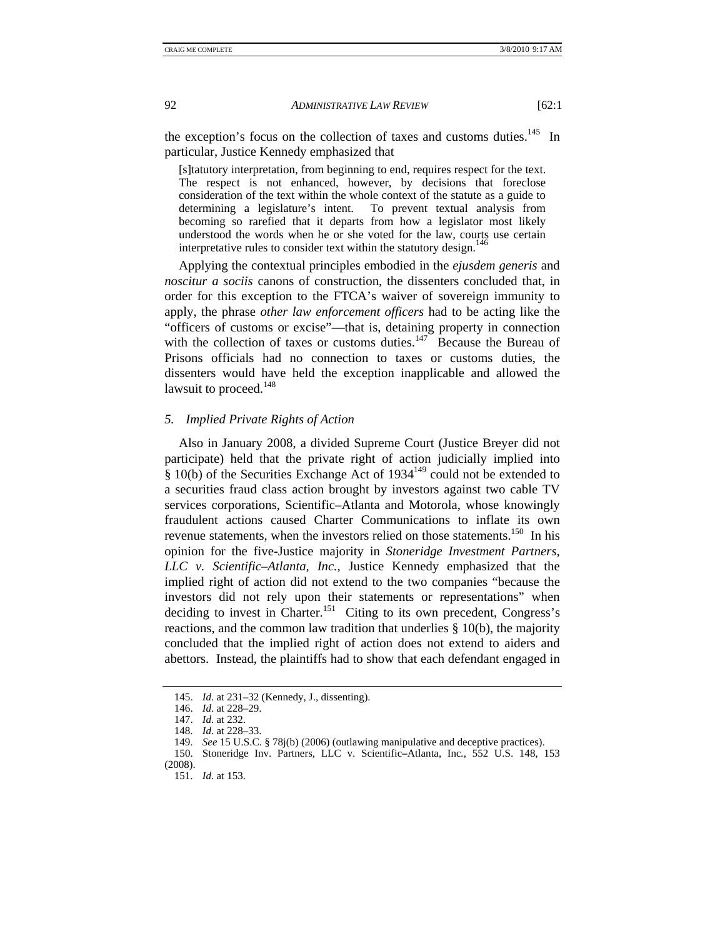the exception's focus on the collection of taxes and customs duties.<sup>145</sup> In particular, Justice Kennedy emphasized that

[s]tatutory interpretation, from beginning to end, requires respect for the text. The respect is not enhanced, however, by decisions that foreclose consideration of the text within the whole context of the statute as a guide to determining a legislature's intent. To prevent textual analysis from becoming so rarefied that it departs from how a legislator most likely understood the words when he or she voted for the law, courts use certain interpretative rules to consider text within the statutory design.<sup>146</sup>

Applying the contextual principles embodied in the *ejusdem generis* and *noscitur a sociis* canons of construction, the dissenters concluded that, in order for this exception to the FTCA's waiver of sovereign immunity to apply, the phrase *other law enforcement officers* had to be acting like the "officers of customs or excise"—that is, detaining property in connection with the collection of taxes or customs duties.<sup>147</sup> Because the Bureau of Prisons officials had no connection to taxes or customs duties, the dissenters would have held the exception inapplicable and allowed the lawsuit to proceed. $148$ 

#### *5. Implied Private Rights of Action*

Also in January 2008, a divided Supreme Court (Justice Breyer did not participate) held that the private right of action judicially implied into  $\hat{\S}$  10(b) of the Securities Exchange Act of 1934<sup>149</sup> could not be extended to a securities fraud class action brought by investors against two cable TV services corporations, Scientific–Atlanta and Motorola, whose knowingly fraudulent actions caused Charter Communications to inflate its own revenue statements, when the investors relied on those statements.<sup>150</sup> In his opinion for the five-Justice majority in *Stoneridge Investment Partners, LLC v. Scientific–Atlanta, Inc.*, Justice Kennedy emphasized that the implied right of action did not extend to the two companies "because the investors did not rely upon their statements or representations" when deciding to invest in Charter.<sup>151</sup> Citing to its own precedent, Congress's reactions, and the common law tradition that underlies § 10(b), the majority concluded that the implied right of action does not extend to aiders and abettors. Instead, the plaintiffs had to show that each defendant engaged in

 <sup>145.</sup> *Id*. at 231–32 (Kennedy, J., dissenting).

 <sup>146.</sup> *Id*. at 228–29.

 <sup>147.</sup> *Id*. at 232.

 <sup>148.</sup> *Id*. at 228–33.

 <sup>149.</sup> *See* 15 U.S.C. § 78j(b) (2006) (outlawing manipulative and deceptive practices).

 <sup>150.</sup> Stoneridge Inv. Partners, LLC v. Scientific**–**Atlanta, Inc*.*, 552 U.S. 148, 153 (2008).

 <sup>151.</sup> *Id*. at 153.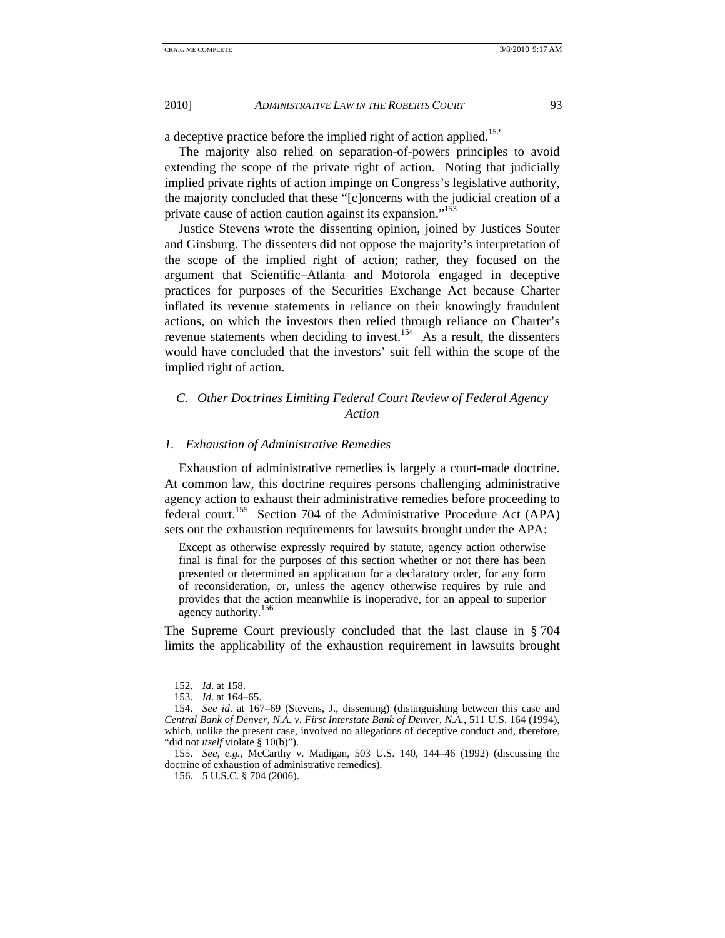a deceptive practice before the implied right of action applied.<sup>152</sup>

The majority also relied on separation-of-powers principles to avoid extending the scope of the private right of action. Noting that judicially implied private rights of action impinge on Congress's legislative authority, the majority concluded that these "[c]oncerns with the judicial creation of a private cause of action caution against its expansion."<sup>153</sup>

Justice Stevens wrote the dissenting opinion, joined by Justices Souter and Ginsburg. The dissenters did not oppose the majority's interpretation of the scope of the implied right of action; rather, they focused on the argument that Scientific–Atlanta and Motorola engaged in deceptive practices for purposes of the Securities Exchange Act because Charter inflated its revenue statements in reliance on their knowingly fraudulent actions, on which the investors then relied through reliance on Charter's revenue statements when deciding to invest.<sup>154</sup> As a result, the dissenters would have concluded that the investors' suit fell within the scope of the implied right of action.

# *C. Other Doctrines Limiting Federal Court Review of Federal Agency Action*

## *1. Exhaustion of Administrative Remedies*

Exhaustion of administrative remedies is largely a court-made doctrine. At common law, this doctrine requires persons challenging administrative agency action to exhaust their administrative remedies before proceeding to federal court.155 Section 704 of the Administrative Procedure Act (APA) sets out the exhaustion requirements for lawsuits brought under the APA:

Except as otherwise expressly required by statute, agency action otherwise final is final for the purposes of this section whether or not there has been presented or determined an application for a declaratory order, for any form of reconsideration, or, unless the agency otherwise requires by rule and provides that the action meanwhile is inoperative, for an appeal to superior agency authority.<sup>156</sup>

The Supreme Court previously concluded that the last clause in § 704 limits the applicability of the exhaustion requirement in lawsuits brought

 <sup>152.</sup> *Id*. at 158.

 <sup>153.</sup> *Id*. at 164–65.

 <sup>154.</sup> *See id*. at 167–69 (Stevens, J., dissenting) (distinguishing between this case and *Central Bank of Denver, N.A. v. First Interstate Bank of Denver, N.A.*, 511 U.S. 164 (1994), which, unlike the present case, involved no allegations of deceptive conduct and, therefore, "did not *itself* violate § 10(b)").

 <sup>155.</sup> *See, e.g.*, McCarthy v. Madigan, 503 U.S. 140, 144–46 (1992) (discussing the doctrine of exhaustion of administrative remedies).

 <sup>156. 5</sup> U.S.C. § 704 (2006).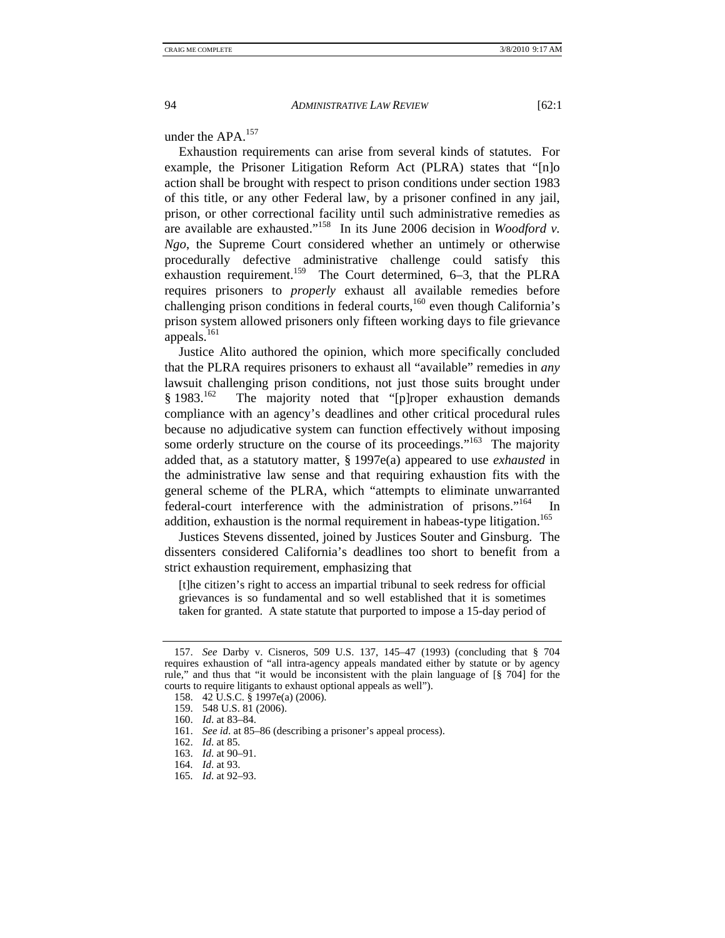under the  $APA$ <sup>157</sup>

Exhaustion requirements can arise from several kinds of statutes. For example, the Prisoner Litigation Reform Act (PLRA) states that "[n]o action shall be brought with respect to prison conditions under section 1983 of this title, or any other Federal law, by a prisoner confined in any jail, prison, or other correctional facility until such administrative remedies as are available are exhausted."158 In its June 2006 decision in *Woodford v. Ngo*, the Supreme Court considered whether an untimely or otherwise procedurally defective administrative challenge could satisfy this exhaustion requirement.<sup>159</sup> The Court determined, 6–3, that the PLRA requires prisoners to *properly* exhaust all available remedies before challenging prison conditions in federal courts,<sup>160</sup> even though California's prison system allowed prisoners only fifteen working days to file grievance appeals. $161$ 

Justice Alito authored the opinion, which more specifically concluded that the PLRA requires prisoners to exhaust all "available" remedies in *any* lawsuit challenging prison conditions, not just those suits brought under § 1983.<sup>162</sup> The majority noted that "[p]roper exhaustion demands compliance with an agency's deadlines and other critical procedural rules because no adjudicative system can function effectively without imposing some orderly structure on the course of its proceedings."<sup>163</sup> The majority added that, as a statutory matter, § 1997e(a) appeared to use *exhausted* in the administrative law sense and that requiring exhaustion fits with the general scheme of the PLRA, which "attempts to eliminate unwarranted federal-court interference with the administration of prisons."<sup>164</sup> In addition, exhaustion is the normal requirement in habeas-type litigation.<sup>165</sup>

Justices Stevens dissented, joined by Justices Souter and Ginsburg. The dissenters considered California's deadlines too short to benefit from a strict exhaustion requirement, emphasizing that

[t]he citizen's right to access an impartial tribunal to seek redress for official grievances is so fundamental and so well established that it is sometimes taken for granted. A state statute that purported to impose a 15-day period of

 <sup>157.</sup> *See* Darby v. Cisneros, 509 U.S. 137, 145–47 (1993) (concluding that § 704 requires exhaustion of "all intra-agency appeals mandated either by statute or by agency rule," and thus that "it would be inconsistent with the plain language of [§ 704] for the courts to require litigants to exhaust optional appeals as well").

 <sup>158. 42</sup> U.S.C. § 1997e(a) (2006).

 <sup>159. 548</sup> U.S. 81 (2006).

 <sup>160.</sup> *Id*. at 83–84.

 <sup>161.</sup> *See id*. at 85–86 (describing a prisoner's appeal process).

 <sup>162.</sup> *Id*. at 85.

 <sup>163.</sup> *Id*. at 90–91.

 <sup>164.</sup> *Id*. at 93.

 <sup>165.</sup> *Id*. at 92–93.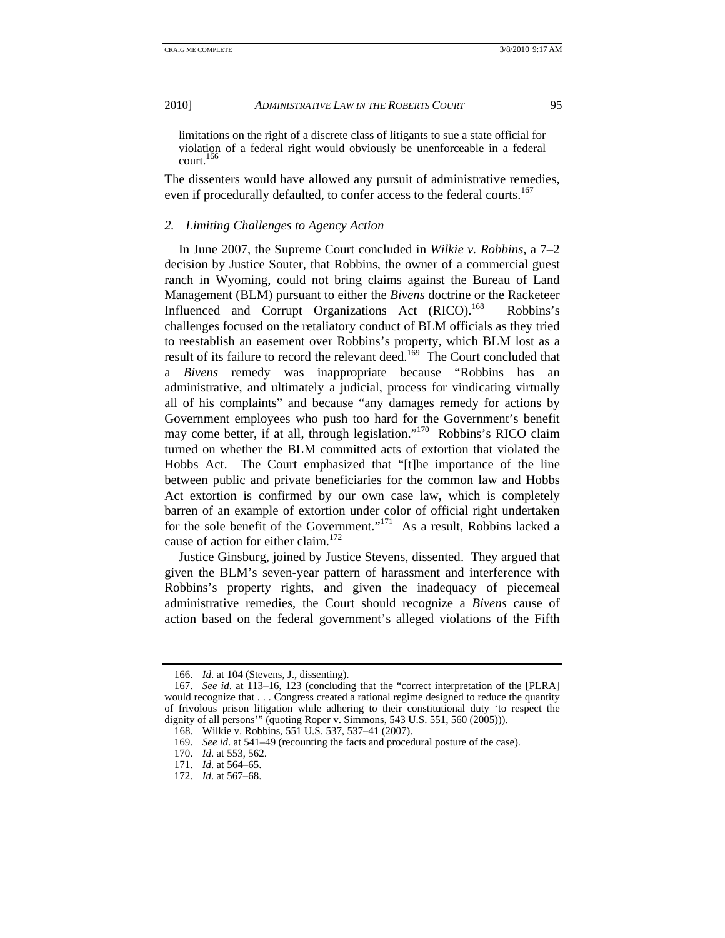limitations on the right of a discrete class of litigants to sue a state official for violation of a federal right would obviously be unenforceable in a federal court.166

The dissenters would have allowed any pursuit of administrative remedies, even if procedurally defaulted, to confer access to the federal courts.<sup>167</sup>

## *2. Limiting Challenges to Agency Action*

In June 2007, the Supreme Court concluded in *Wilkie v. Robbins*, a 7–2 decision by Justice Souter, that Robbins, the owner of a commercial guest ranch in Wyoming, could not bring claims against the Bureau of Land Management (BLM) pursuant to either the *Bivens* doctrine or the Racketeer Influenced and Corrupt Organizations Act (RICO).<sup>168</sup> Robbins's challenges focused on the retaliatory conduct of BLM officials as they tried to reestablish an easement over Robbins's property, which BLM lost as a result of its failure to record the relevant deed.<sup>169</sup> The Court concluded that a *Bivens* remedy was inappropriate because "Robbins has an administrative, and ultimately a judicial, process for vindicating virtually all of his complaints" and because "any damages remedy for actions by Government employees who push too hard for the Government's benefit may come better, if at all, through legislation."170 Robbins's RICO claim turned on whether the BLM committed acts of extortion that violated the Hobbs Act. The Court emphasized that "[t]he importance of the line between public and private beneficiaries for the common law and Hobbs Act extortion is confirmed by our own case law, which is completely barren of an example of extortion under color of official right undertaken for the sole benefit of the Government."<sup>171</sup> As a result, Robbins lacked a cause of action for either claim.<sup>172</sup>

Justice Ginsburg, joined by Justice Stevens, dissented. They argued that given the BLM's seven-year pattern of harassment and interference with Robbins's property rights, and given the inadequacy of piecemeal administrative remedies, the Court should recognize a *Bivens* cause of action based on the federal government's alleged violations of the Fifth

 <sup>166.</sup> *Id*. at 104 (Stevens, J., dissenting).

 <sup>167.</sup> *See id*. at 113–16, 123 (concluding that the "correct interpretation of the [PLRA] would recognize that . . . Congress created a rational regime designed to reduce the quantity of frivolous prison litigation while adhering to their constitutional duty 'to respect the dignity of all persons" (quoting Roper v. Simmons, 543 U.S. 551, 560 (2005))).

 <sup>168.</sup> Wilkie v. Robbins, 551 U.S. 537, 537–41 (2007).

 <sup>169.</sup> *See id*. at 541–49 (recounting the facts and procedural posture of the case).

 <sup>170.</sup> *Id*. at 553, 562.

 <sup>171.</sup> *Id*. at 564–65.

 <sup>172.</sup> *Id*. at 567–68.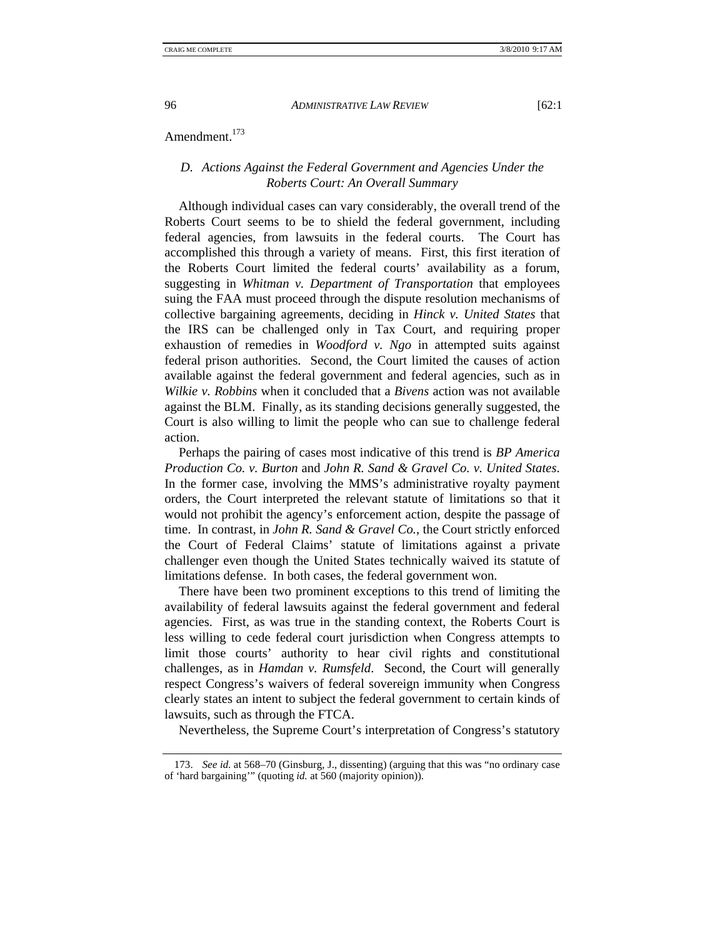## Amendment.<sup>173</sup>

## *D. Actions Against the Federal Government and Agencies Under the Roberts Court: An Overall Summary*

Although individual cases can vary considerably, the overall trend of the Roberts Court seems to be to shield the federal government, including federal agencies, from lawsuits in the federal courts. The Court has accomplished this through a variety of means. First, this first iteration of the Roberts Court limited the federal courts' availability as a forum, suggesting in *Whitman v. Department of Transportation* that employees suing the FAA must proceed through the dispute resolution mechanisms of collective bargaining agreements, deciding in *Hinck v. United States* that the IRS can be challenged only in Tax Court, and requiring proper exhaustion of remedies in *Woodford v. Ngo* in attempted suits against federal prison authorities. Second, the Court limited the causes of action available against the federal government and federal agencies, such as in *Wilkie v. Robbins* when it concluded that a *Bivens* action was not available against the BLM. Finally, as its standing decisions generally suggested, the Court is also willing to limit the people who can sue to challenge federal action.

Perhaps the pairing of cases most indicative of this trend is *BP America Production Co. v. Burton* and *John R. Sand & Gravel Co. v. United States*. In the former case, involving the MMS's administrative royalty payment orders, the Court interpreted the relevant statute of limitations so that it would not prohibit the agency's enforcement action, despite the passage of time. In contrast, in *John R. Sand & Gravel Co.*, the Court strictly enforced the Court of Federal Claims' statute of limitations against a private challenger even though the United States technically waived its statute of limitations defense. In both cases, the federal government won.

There have been two prominent exceptions to this trend of limiting the availability of federal lawsuits against the federal government and federal agencies. First, as was true in the standing context, the Roberts Court is less willing to cede federal court jurisdiction when Congress attempts to limit those courts' authority to hear civil rights and constitutional challenges, as in *Hamdan v. Rumsfeld*. Second, the Court will generally respect Congress's waivers of federal sovereign immunity when Congress clearly states an intent to subject the federal government to certain kinds of lawsuits, such as through the FTCA.

Nevertheless, the Supreme Court's interpretation of Congress's statutory

 <sup>173.</sup> *See id*. at 568–70 (Ginsburg, J., dissenting) (arguing that this was "no ordinary case of 'hard bargaining'" (quoting *id.* at 560 (majority opinion)).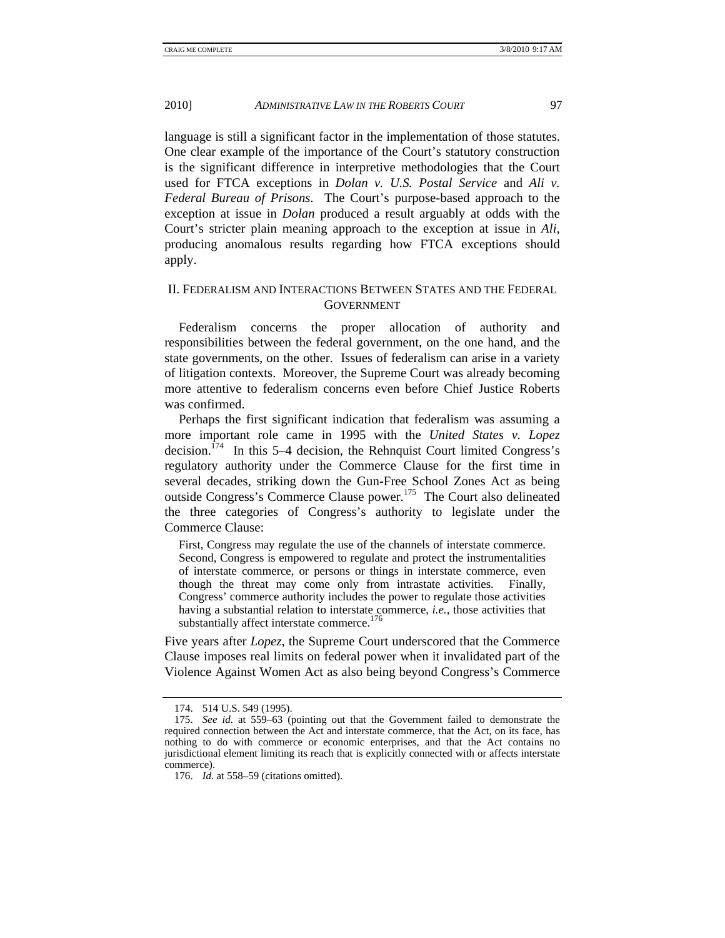language is still a significant factor in the implementation of those statutes. One clear example of the importance of the Court's statutory construction is the significant difference in interpretive methodologies that the Court used for FTCA exceptions in *Dolan v. U.S. Postal Service* and *Ali v. Federal Bureau of Prisons*. The Court's purpose-based approach to the exception at issue in *Dolan* produced a result arguably at odds with the Court's stricter plain meaning approach to the exception at issue in *Ali*, producing anomalous results regarding how FTCA exceptions should apply.

# II. FEDERALISM AND INTERACTIONS BETWEEN STATES AND THE FEDERAL GOVERNMENT

Federalism concerns the proper allocation of authority and responsibilities between the federal government, on the one hand, and the state governments, on the other. Issues of federalism can arise in a variety of litigation contexts. Moreover, the Supreme Court was already becoming more attentive to federalism concerns even before Chief Justice Roberts was confirmed.

Perhaps the first significant indication that federalism was assuming a more important role came in 1995 with the *United States v. Lopez*  decision.<sup> $174$ </sup> In this 5–4 decision, the Rehnquist Court limited Congress's regulatory authority under the Commerce Clause for the first time in several decades, striking down the Gun-Free School Zones Act as being outside Congress's Commerce Clause power.175 The Court also delineated the three categories of Congress's authority to legislate under the Commerce Clause:

First, Congress may regulate the use of the channels of interstate commerce. Second, Congress is empowered to regulate and protect the instrumentalities of interstate commerce, or persons or things in interstate commerce, even though the threat may come only from intrastate activities. Finally, Congress' commerce authority includes the power to regulate those activities having a substantial relation to interstate commerce, *i.e.*, those activities that substantially affect interstate commerce.<sup>176</sup>

Five years after *Lopez*, the Supreme Court underscored that the Commerce Clause imposes real limits on federal power when it invalidated part of the Violence Against Women Act as also being beyond Congress's Commerce

 <sup>174. 514</sup> U.S. 549 (1995).

 <sup>175.</sup> *See id.* at 559–63 (pointing out that the Government failed to demonstrate the required connection between the Act and interstate commerce, that the Act, on its face, has nothing to do with commerce or economic enterprises, and that the Act contains no jurisdictional element limiting its reach that is explicitly connected with or affects interstate commerce).

 <sup>176.</sup> *Id*. at 558–59 (citations omitted).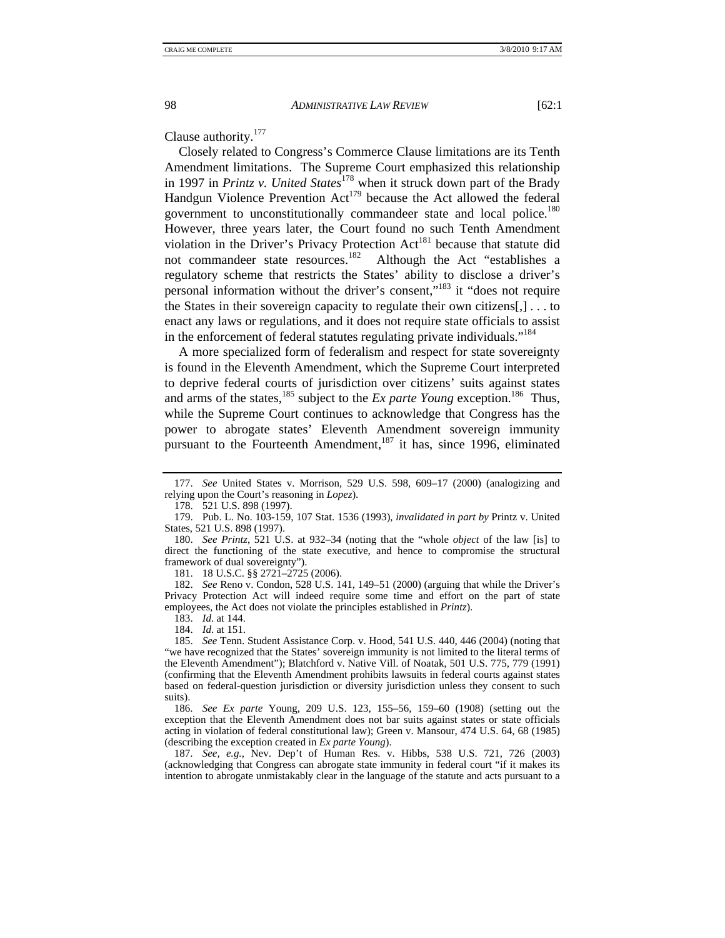Clause authority.177

Closely related to Congress's Commerce Clause limitations are its Tenth Amendment limitations. The Supreme Court emphasized this relationship in 1997 in *Printz v. United States*<sup>178</sup> when it struck down part of the Brady Handgun Violence Prevention  $Act^{179}$  because the Act allowed the federal government to unconstitutionally commandeer state and local police.<sup>180</sup> However, three years later, the Court found no such Tenth Amendment violation in the Driver's Privacy Protection  $Act^{181}$  because that statute did not commandeer state resources.<sup>182</sup> Although the Act "establishes a regulatory scheme that restricts the States' ability to disclose a driver's personal information without the driver's consent,"183 it "does not require the States in their sovereign capacity to regulate their own citizens[,] . . . to enact any laws or regulations, and it does not require state officials to assist in the enforcement of federal statutes regulating private individuals."<sup>184</sup>

A more specialized form of federalism and respect for state sovereignty is found in the Eleventh Amendment, which the Supreme Court interpreted to deprive federal courts of jurisdiction over citizens' suits against states and arms of the states,<sup>185</sup> subject to the *Ex parte Young* exception.<sup>186</sup> Thus, while the Supreme Court continues to acknowledge that Congress has the power to abrogate states' Eleventh Amendment sovereign immunity pursuant to the Fourteenth Amendment, $187$  it has, since 1996, eliminated

181. 18 U.S.C. §§ 2721–2725 (2006).

 182. *See* Reno v. Condon, 528 U.S. 141, 149–51 (2000) (arguing that while the Driver's Privacy Protection Act will indeed require some time and effort on the part of state employees, the Act does not violate the principles established in *Printz*).

- 183. *Id*. at 144.
- 184. *Id*. at 151.

 185. *See* Tenn. Student Assistance Corp. v. Hood, 541 U.S. 440, 446 (2004) (noting that "we have recognized that the States' sovereign immunity is not limited to the literal terms of the Eleventh Amendment"); Blatchford v. Native Vill. of Noatak, 501 U.S. 775, 779 (1991) (confirming that the Eleventh Amendment prohibits lawsuits in federal courts against states based on federal-question jurisdiction or diversity jurisdiction unless they consent to such suits).

 186. *See Ex parte* Young, 209 U.S. 123, 155–56, 159–60 (1908) (setting out the exception that the Eleventh Amendment does not bar suits against states or state officials acting in violation of federal constitutional law); Green v. Mansour, 474 U.S. 64, 68 (1985) (describing the exception created in *Ex parte Young*).

 187. *See, e.g.*, Nev. Dep't of Human Res. v. Hibbs, 538 U.S. 721, 726 (2003) (acknowledging that Congress can abrogate state immunity in federal court "if it makes its intention to abrogate unmistakably clear in the language of the statute and acts pursuant to a

 <sup>177.</sup> *See* United States v. Morrison, 529 U.S. 598, 609–17 (2000) (analogizing and relying upon the Court's reasoning in *Lopez*).

 <sup>178. 521</sup> U.S. 898 (1997).

 <sup>179.</sup> Pub. L. No. 103-159, 107 Stat. 1536 (1993), *invalidated in part by* Printz v. United States, 521 U.S. 898 (1997).

 <sup>180.</sup> *See Printz*, 521 U.S. at 932–34 (noting that the "whole *object* of the law [is] to direct the functioning of the state executive, and hence to compromise the structural framework of dual sovereignty").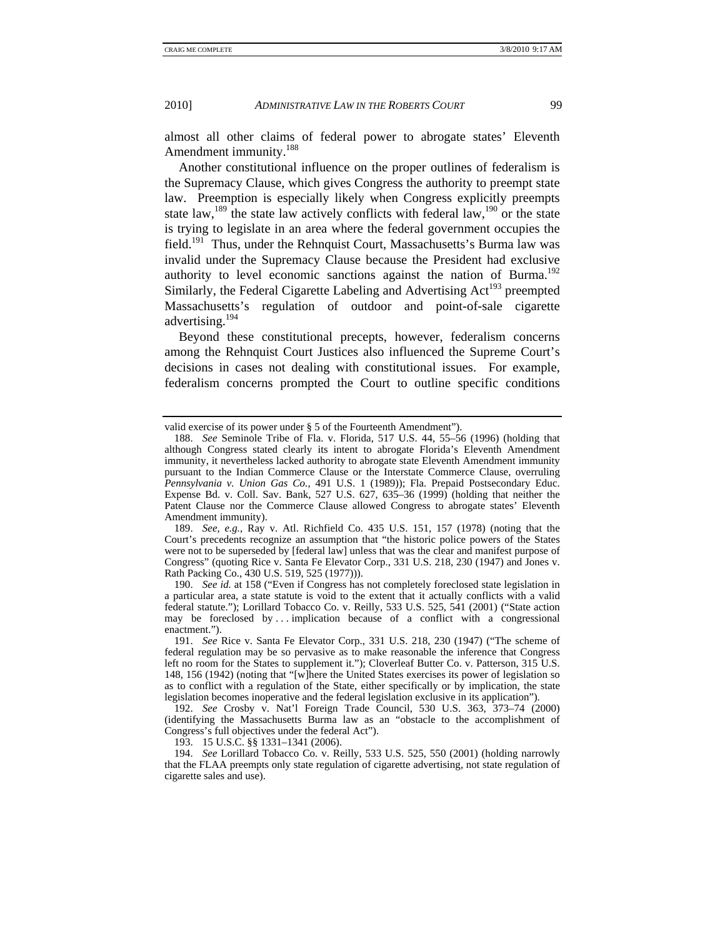almost all other claims of federal power to abrogate states' Eleventh Amendment immunity.188

Another constitutional influence on the proper outlines of federalism is the Supremacy Clause, which gives Congress the authority to preempt state law. Preemption is especially likely when Congress explicitly preempts state law,<sup>189</sup> the state law actively conflicts with federal law,<sup>190</sup> or the state is trying to legislate in an area where the federal government occupies the field.191 Thus, under the Rehnquist Court, Massachusetts's Burma law was invalid under the Supremacy Clause because the President had exclusive authority to level economic sanctions against the nation of Burma.<sup>192</sup> Similarly, the Federal Cigarette Labeling and Advertising Act<sup>193</sup> preempted Massachusetts's regulation of outdoor and point-of-sale cigarette advertising.<sup>194</sup>

Beyond these constitutional precepts, however, federalism concerns among the Rehnquist Court Justices also influenced the Supreme Court's decisions in cases not dealing with constitutional issues. For example, federalism concerns prompted the Court to outline specific conditions

 189. *See, e.g.*, Ray v. Atl. Richfield Co. 435 U.S. 151, 157 (1978) (noting that the Court's precedents recognize an assumption that "the historic police powers of the States were not to be superseded by [federal law] unless that was the clear and manifest purpose of Congress" (quoting Rice v. Santa Fe Elevator Corp., 331 U.S. 218, 230 (1947) and Jones v. Rath Packing Co., 430 U.S. 519, 525 (1977))).

 190. *See id.* at 158 ("Even if Congress has not completely foreclosed state legislation in a particular area, a state statute is void to the extent that it actually conflicts with a valid federal statute."); Lorillard Tobacco Co. v. Reilly, 533 U.S. 525, 541 (2001) ("State action may be foreclosed by ... implication because of a conflict with a congressional enactment.").

valid exercise of its power under § 5 of the Fourteenth Amendment").

 <sup>188.</sup> *See* Seminole Tribe of Fla. v. Florida, 517 U.S. 44, 55–56 (1996) (holding that although Congress stated clearly its intent to abrogate Florida's Eleventh Amendment immunity, it nevertheless lacked authority to abrogate state Eleventh Amendment immunity pursuant to the Indian Commerce Clause or the Interstate Commerce Clause, overruling *Pennsylvania v. Union Gas Co.*, 491 U.S. 1 (1989)); Fla. Prepaid Postsecondary Educ. Expense Bd. v. Coll. Sav. Bank, 527 U.S. 627, 635–36 (1999) (holding that neither the Patent Clause nor the Commerce Clause allowed Congress to abrogate states' Eleventh Amendment immunity).

 <sup>191.</sup> *See* Rice v. Santa Fe Elevator Corp., 331 U.S. 218, 230 (1947) ("The scheme of federal regulation may be so pervasive as to make reasonable the inference that Congress left no room for the States to supplement it."); Cloverleaf Butter Co. v. Patterson, 315 U.S. 148, 156 (1942) (noting that "[w]here the United States exercises its power of legislation so as to conflict with a regulation of the State, either specifically or by implication, the state legislation becomes inoperative and the federal legislation exclusive in its application").

 <sup>192.</sup> *See* Crosby v. Nat'l Foreign Trade Council, 530 U.S. 363, 373–74 (2000) (identifying the Massachusetts Burma law as an "obstacle to the accomplishment of Congress's full objectives under the federal Act").

 <sup>193. 15</sup> U.S.C. §§ 1331–1341 (2006).

 <sup>194.</sup> *See* Lorillard Tobacco Co. v. Reilly, 533 U.S. 525, 550 (2001) (holding narrowly that the FLAA preempts only state regulation of cigarette advertising, not state regulation of cigarette sales and use).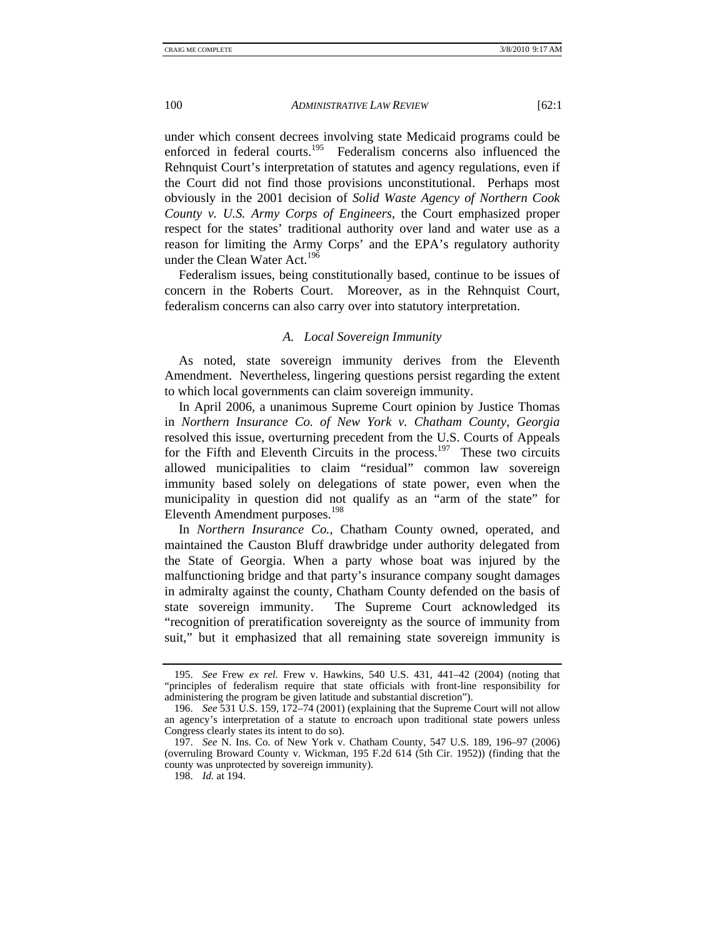under which consent decrees involving state Medicaid programs could be enforced in federal courts.<sup>195</sup> Federalism concerns also influenced the Rehnquist Court's interpretation of statutes and agency regulations, even if the Court did not find those provisions unconstitutional. Perhaps most obviously in the 2001 decision of *Solid Waste Agency of Northern Cook County v. U.S. Army Corps of Engineers*, the Court emphasized proper respect for the states' traditional authority over land and water use as a reason for limiting the Army Corps' and the EPA's regulatory authority under the Clean Water Act.<sup>196</sup>

Federalism issues, being constitutionally based, continue to be issues of concern in the Roberts Court. Moreover, as in the Rehnquist Court, federalism concerns can also carry over into statutory interpretation.

## *A. Local Sovereign Immunity*

As noted, state sovereign immunity derives from the Eleventh Amendment. Nevertheless, lingering questions persist regarding the extent to which local governments can claim sovereign immunity.

In April 2006, a unanimous Supreme Court opinion by Justice Thomas in *Northern Insurance Co. of New York v. Chatham County, Georgia*  resolved this issue, overturning precedent from the U.S. Courts of Appeals for the Fifth and Eleventh Circuits in the process.<sup>197</sup> These two circuits allowed municipalities to claim "residual" common law sovereign immunity based solely on delegations of state power, even when the municipality in question did not qualify as an "arm of the state" for Eleventh Amendment purposes.<sup>198</sup>

In *Northern Insurance Co.*, Chatham County owned, operated, and maintained the Causton Bluff drawbridge under authority delegated from the State of Georgia. When a party whose boat was injured by the malfunctioning bridge and that party's insurance company sought damages in admiralty against the county, Chatham County defended on the basis of state sovereign immunity. The Supreme Court acknowledged its "recognition of preratification sovereignty as the source of immunity from suit," but it emphasized that all remaining state sovereign immunity is

 <sup>195.</sup> *See* Frew *ex rel.* Frew v. Hawkins, 540 U.S. 431, 441–42 (2004) (noting that "principles of federalism require that state officials with front-line responsibility for administering the program be given latitude and substantial discretion").

 <sup>196.</sup> *See* 531 U.S. 159, 172–74 (2001) (explaining that the Supreme Court will not allow an agency's interpretation of a statute to encroach upon traditional state powers unless Congress clearly states its intent to do so).

 <sup>197.</sup> *See* N. Ins. Co. of New York v. Chatham County, 547 U.S. 189, 196–97 (2006) (overruling Broward County v. Wickman, 195 F.2d 614 (5th Cir. 1952)) (finding that the county was unprotected by sovereign immunity).

 <sup>198.</sup> *Id.* at 194.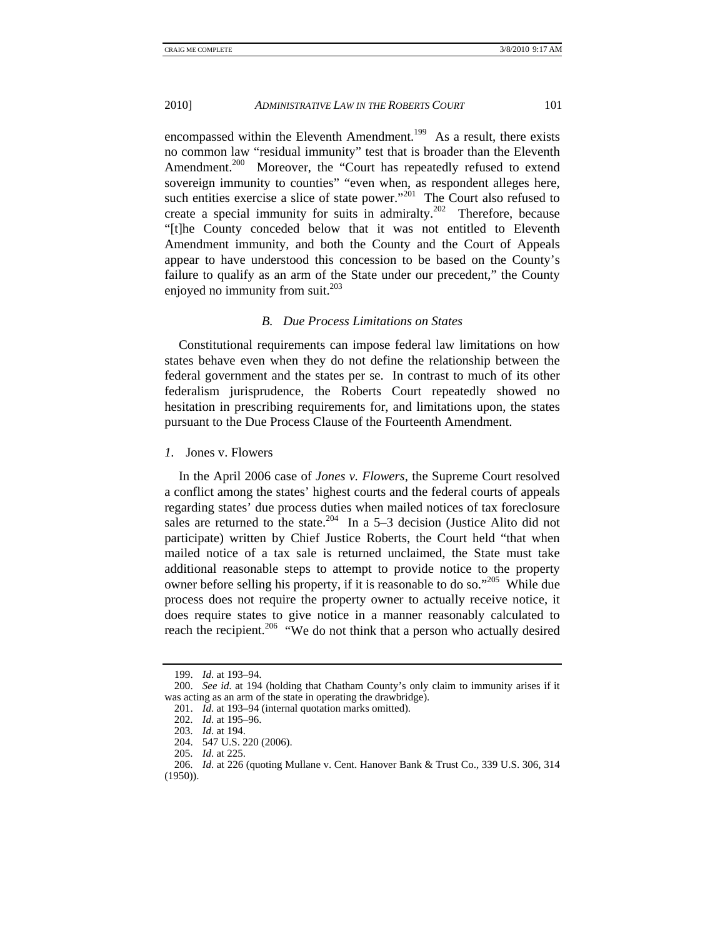encompassed within the Eleventh Amendment.<sup>199</sup> As a result, there exists no common law "residual immunity" test that is broader than the Eleventh Amendment.<sup>200</sup> Moreover, the "Court has repeatedly refused to extend sovereign immunity to counties" "even when, as respondent alleges here, such entities exercise a slice of state power."<sup>201</sup> The Court also refused to create a special immunity for suits in admiralty.<sup>202</sup> Therefore, because "[t]he County conceded below that it was not entitled to Eleventh Amendment immunity, and both the County and the Court of Appeals appear to have understood this concession to be based on the County's failure to qualify as an arm of the State under our precedent," the County enjoyed no immunity from suit. $^{203}$ 

## *B. Due Process Limitations on States*

Constitutional requirements can impose federal law limitations on how states behave even when they do not define the relationship between the federal government and the states per se. In contrast to much of its other federalism jurisprudence, the Roberts Court repeatedly showed no hesitation in prescribing requirements for, and limitations upon, the states pursuant to the Due Process Clause of the Fourteenth Amendment.

*1.* Jones v. Flowers

In the April 2006 case of *Jones v. Flowers*, the Supreme Court resolved a conflict among the states' highest courts and the federal courts of appeals regarding states' due process duties when mailed notices of tax foreclosure sales are returned to the state.<sup>204</sup> In a 5–3 decision (Justice Alito did not participate) written by Chief Justice Roberts, the Court held "that when mailed notice of a tax sale is returned unclaimed, the State must take additional reasonable steps to attempt to provide notice to the property owner before selling his property, if it is reasonable to do so."205 While due process does not require the property owner to actually receive notice, it does require states to give notice in a manner reasonably calculated to reach the recipient.<sup>206</sup> "We do not think that a person who actually desired

 <sup>199.</sup> *Id*. at 193–94.

 <sup>200.</sup> *See id*. at 194 (holding that Chatham County's only claim to immunity arises if it was acting as an arm of the state in operating the drawbridge).

 <sup>201.</sup> *Id*. at 193–94 (internal quotation marks omitted).

 <sup>202.</sup> *Id*. at 195–96.

 <sup>203.</sup> *Id*. at 194.

 <sup>204. 547</sup> U.S. 220 (2006).

 <sup>205.</sup> *Id*. at 225.

 <sup>206.</sup> *Id*. at 226 (quoting Mullane v. Cent. Hanover Bank & Trust Co., 339 U.S. 306, 314 (1950)).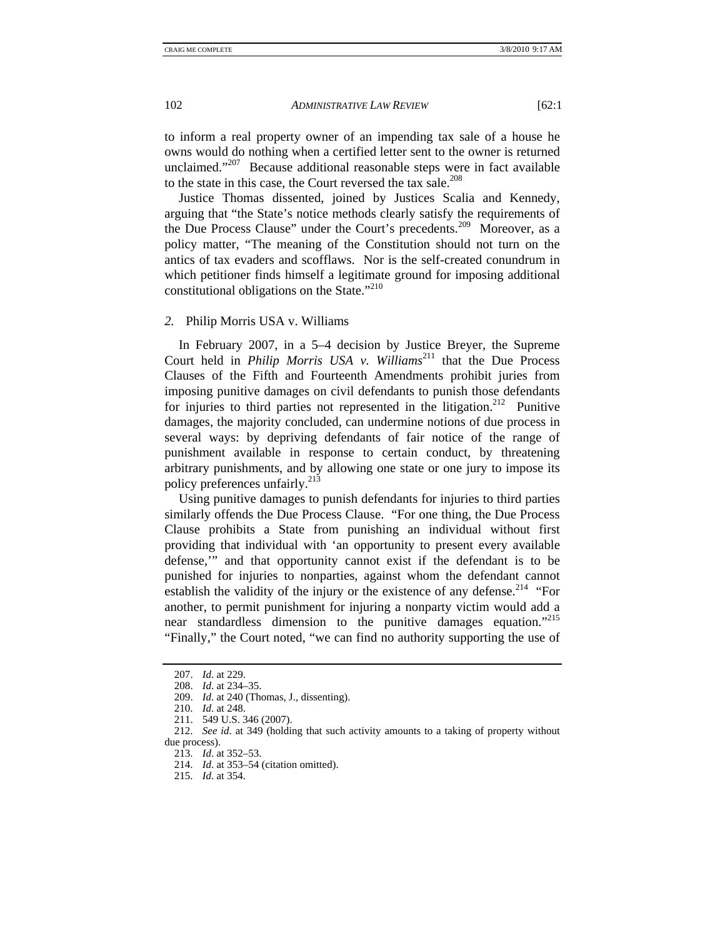to inform a real property owner of an impending tax sale of a house he owns would do nothing when a certified letter sent to the owner is returned unclaimed."<sup>207</sup> Because additional reasonable steps were in fact available to the state in this case, the Court reversed the tax sale. $208$ 

Justice Thomas dissented, joined by Justices Scalia and Kennedy, arguing that "the State's notice methods clearly satisfy the requirements of the Due Process Clause" under the Court's precedents.<sup>209</sup> Moreover, as a policy matter, "The meaning of the Constitution should not turn on the antics of tax evaders and scofflaws. Nor is the self-created conundrum in which petitioner finds himself a legitimate ground for imposing additional constitutional obligations on the State." $2^{10}$ 

#### *2.* Philip Morris USA v. Williams

In February 2007, in a 5–4 decision by Justice Breyer, the Supreme Court held in *Philip Morris USA v. Williams*<sup>211</sup> that the Due Process Clauses of the Fifth and Fourteenth Amendments prohibit juries from imposing punitive damages on civil defendants to punish those defendants for injuries to third parties not represented in the litigation.<sup>212</sup> Punitive damages, the majority concluded, can undermine notions of due process in several ways: by depriving defendants of fair notice of the range of punishment available in response to certain conduct, by threatening arbitrary punishments, and by allowing one state or one jury to impose its policy preferences unfairly.<sup>213</sup>

Using punitive damages to punish defendants for injuries to third parties similarly offends the Due Process Clause. "For one thing, the Due Process Clause prohibits a State from punishing an individual without first providing that individual with 'an opportunity to present every available defense,'" and that opportunity cannot exist if the defendant is to be punished for injuries to nonparties, against whom the defendant cannot establish the validity of the injury or the existence of any defense.<sup>214</sup> "For another, to permit punishment for injuring a nonparty victim would add a near standardless dimension to the punitive damages equation."<sup>215</sup> "Finally," the Court noted, "we can find no authority supporting the use of

- 213. *Id*. at 352–53.
- 214. *Id*. at 353–54 (citation omitted).
- 215. *Id*. at 354.

 <sup>207.</sup> *Id*. at 229.

 <sup>208.</sup> *Id*. at 234–35.

 <sup>209.</sup> *Id*. at 240 (Thomas, J., dissenting).

 <sup>210.</sup> *Id*. at 248.

 <sup>211. 549</sup> U.S. 346 (2007).

 <sup>212.</sup> *See id*. at 349 (holding that such activity amounts to a taking of property without due process).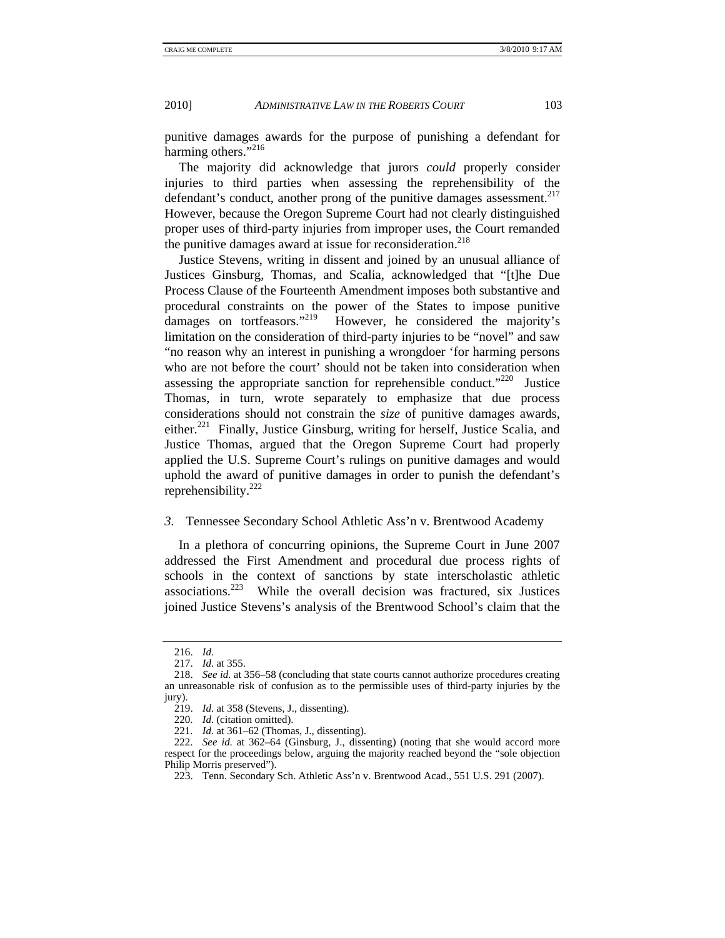punitive damages awards for the purpose of punishing a defendant for harming others."<sup>216</sup>

The majority did acknowledge that jurors *could* properly consider injuries to third parties when assessing the reprehensibility of the defendant's conduct, another prong of the punitive damages assessment.<sup>217</sup> However, because the Oregon Supreme Court had not clearly distinguished proper uses of third-party injuries from improper uses, the Court remanded the punitive damages award at issue for reconsideration.<sup>218</sup>

Justice Stevens, writing in dissent and joined by an unusual alliance of Justices Ginsburg, Thomas, and Scalia, acknowledged that "[t]he Due Process Clause of the Fourteenth Amendment imposes both substantive and procedural constraints on the power of the States to impose punitive damages on tortfeasors."<sup>219</sup> However, he considered the majority's limitation on the consideration of third-party injuries to be "novel" and saw "no reason why an interest in punishing a wrongdoer 'for harming persons who are not before the court' should not be taken into consideration when assessing the appropriate sanction for reprehensible conduct."<sup>220</sup> Justice Thomas, in turn, wrote separately to emphasize that due process considerations should not constrain the *size* of punitive damages awards, either.221 Finally, Justice Ginsburg, writing for herself, Justice Scalia, and Justice Thomas, argued that the Oregon Supreme Court had properly applied the U.S. Supreme Court's rulings on punitive damages and would uphold the award of punitive damages in order to punish the defendant's reprehensibility.222

## *3.* Tennessee Secondary School Athletic Ass'n v. Brentwood Academy

In a plethora of concurring opinions, the Supreme Court in June 2007 addressed the First Amendment and procedural due process rights of schools in the context of sanctions by state interscholastic athletic associations.223 While the overall decision was fractured, six Justices joined Justice Stevens's analysis of the Brentwood School's claim that the

 <sup>216.</sup> *Id*.

 <sup>217.</sup> *Id*. at 355.

 <sup>218.</sup> *See id*. at 356–58 (concluding that state courts cannot authorize procedures creating an unreasonable risk of confusion as to the permissible uses of third-party injuries by the jury).

 <sup>219.</sup> *Id*. at 358 (Stevens, J., dissenting).

 <sup>220.</sup> *Id*. (citation omitted).

 <sup>221.</sup> *Id*. at 361–62 (Thomas, J., dissenting).

 <sup>222.</sup> *See id*. at 362–64 (Ginsburg, J., dissenting) (noting that she would accord more respect for the proceedings below, arguing the majority reached beyond the "sole objection Philip Morris preserved").

 <sup>223.</sup> Tenn. Secondary Sch. Athletic Ass'n v. Brentwood Acad., 551 U.S. 291 (2007).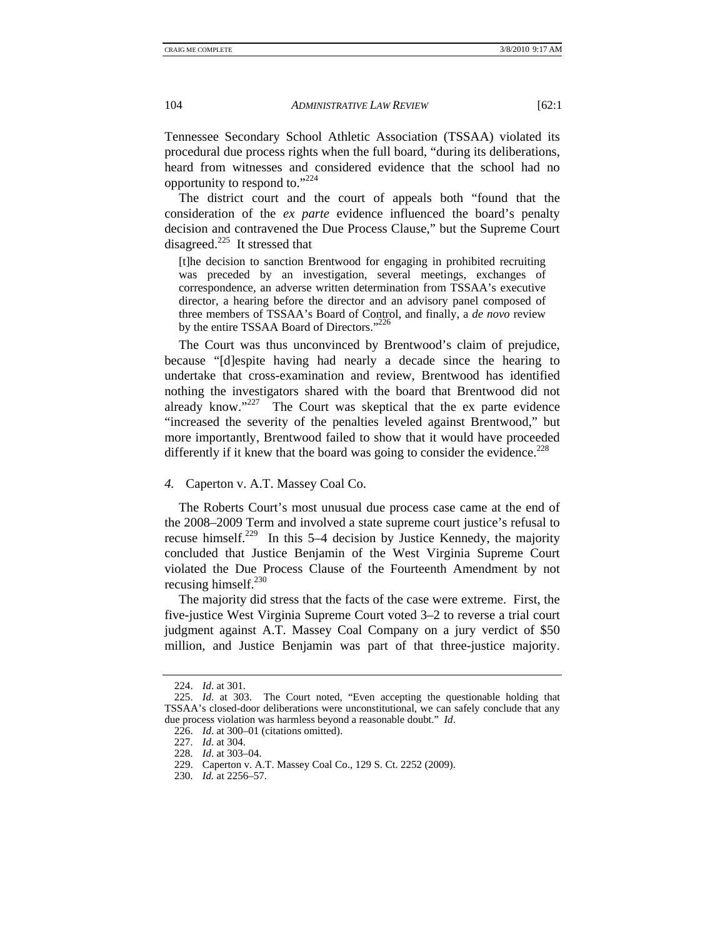Tennessee Secondary School Athletic Association (TSSAA) violated its procedural due process rights when the full board, "during its deliberations, heard from witnesses and considered evidence that the school had no opportunity to respond to."224

The district court and the court of appeals both "found that the consideration of the *ex parte* evidence influenced the board's penalty decision and contravened the Due Process Clause," but the Supreme Court disagreed. $^{225}$  It stressed that

[t]he decision to sanction Brentwood for engaging in prohibited recruiting was preceded by an investigation, several meetings, exchanges of correspondence, an adverse written determination from TSSAA's executive director, a hearing before the director and an advisory panel composed of three members of TSSAA's Board of Control, and finally, a *de novo* review by the entire TSSAA Board of Directors."<sup>226</sup>

The Court was thus unconvinced by Brentwood's claim of prejudice, because "[d]espite having had nearly a decade since the hearing to undertake that cross-examination and review, Brentwood has identified nothing the investigators shared with the board that Brentwood did not already know." $227$  The Court was skeptical that the ex parte evidence "increased the severity of the penalties leveled against Brentwood," but more importantly, Brentwood failed to show that it would have proceeded differently if it knew that the board was going to consider the evidence.<sup>228</sup>

## *4.* Caperton v. A.T. Massey Coal Co.

The Roberts Court's most unusual due process case came at the end of the 2008–2009 Term and involved a state supreme court justice's refusal to recuse himself.229 In this 5–4 decision by Justice Kennedy, the majority concluded that Justice Benjamin of the West Virginia Supreme Court violated the Due Process Clause of the Fourteenth Amendment by not recusing himself.<sup>230</sup>

The majority did stress that the facts of the case were extreme. First, the five-justice West Virginia Supreme Court voted 3–2 to reverse a trial court judgment against A.T. Massey Coal Company on a jury verdict of \$50 million, and Justice Benjamin was part of that three-justice majority.

 <sup>224.</sup> *Id*. at 301.

 <sup>225.</sup> *Id*. at 303. The Court noted, "Even accepting the questionable holding that TSSAA's closed-door deliberations were unconstitutional, we can safely conclude that any due process violation was harmless beyond a reasonable doubt." *Id*.

 <sup>226.</sup> *Id*. at 300–01 (citations omitted).

 <sup>227.</sup> *Id*. at 304.

 <sup>228.</sup> *Id*. at 303–04.

 <sup>229.</sup> Caperton v. A.T. Massey Coal Co., 129 S. Ct. 2252 (2009).

 <sup>230.</sup> *Id.* at 2256–57.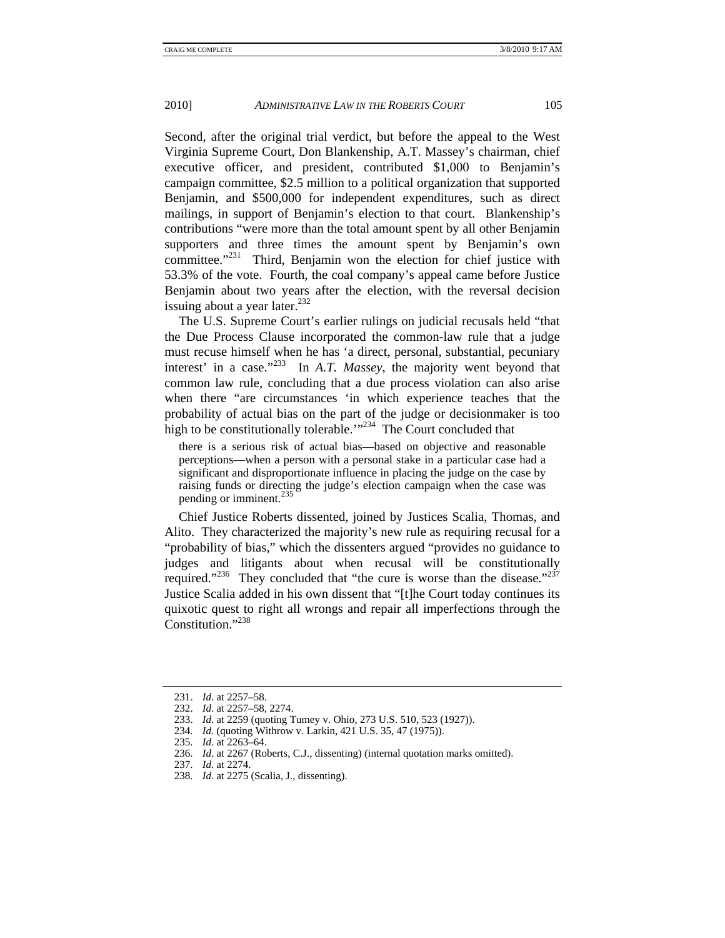Second, after the original trial verdict, but before the appeal to the West Virginia Supreme Court, Don Blankenship, A.T. Massey's chairman, chief executive officer, and president, contributed \$1,000 to Benjamin's campaign committee, \$2.5 million to a political organization that supported Benjamin, and \$500,000 for independent expenditures, such as direct mailings, in support of Benjamin's election to that court. Blankenship's contributions "were more than the total amount spent by all other Benjamin supporters and three times the amount spent by Benjamin's own committee."<sup>231</sup> Third, Benjamin won the election for chief justice with 53.3% of the vote. Fourth, the coal company's appeal came before Justice Benjamin about two years after the election, with the reversal decision issuing about a year later. $^{232}$ 

The U.S. Supreme Court's earlier rulings on judicial recusals held "that the Due Process Clause incorporated the common-law rule that a judge must recuse himself when he has 'a direct, personal, substantial, pecuniary interest' in a case."233 In *A.T. Massey*, the majority went beyond that common law rule, concluding that a due process violation can also arise when there "are circumstances 'in which experience teaches that the probability of actual bias on the part of the judge or decisionmaker is too high to be constitutionally tolerable."<sup>234</sup> The Court concluded that

there is a serious risk of actual bias—based on objective and reasonable perceptions—when a person with a personal stake in a particular case had a significant and disproportionate influence in placing the judge on the case by raising funds or directing the judge's election campaign when the case was pending or imminent.<sup>235</sup>

Chief Justice Roberts dissented, joined by Justices Scalia, Thomas, and Alito. They characterized the majority's new rule as requiring recusal for a "probability of bias," which the dissenters argued "provides no guidance to judges and litigants about when recusal will be constitutionally required."<sup>236</sup> They concluded that "the cure is worse than the disease."<sup>237</sup> Justice Scalia added in his own dissent that "[t]he Court today continues its quixotic quest to right all wrongs and repair all imperfections through the Constitution."<sup>238</sup>

 <sup>231.</sup> *Id*. at 2257–58.

 <sup>232.</sup> *Id*. at 2257–58, 2274.

 <sup>233.</sup> *Id*. at 2259 (quoting Tumey v. Ohio, 273 U.S. 510, 523 (1927)).

 <sup>234.</sup> *Id*. (quoting Withrow v. Larkin, 421 U.S. 35, 47 (1975)).

 <sup>235.</sup> *Id*. at 2263–64.

 <sup>236.</sup> *Id*. at 2267 (Roberts, C.J., dissenting) (internal quotation marks omitted).

 <sup>237.</sup> *Id*. at 2274.

 <sup>238.</sup> *Id*. at 2275 (Scalia, J., dissenting).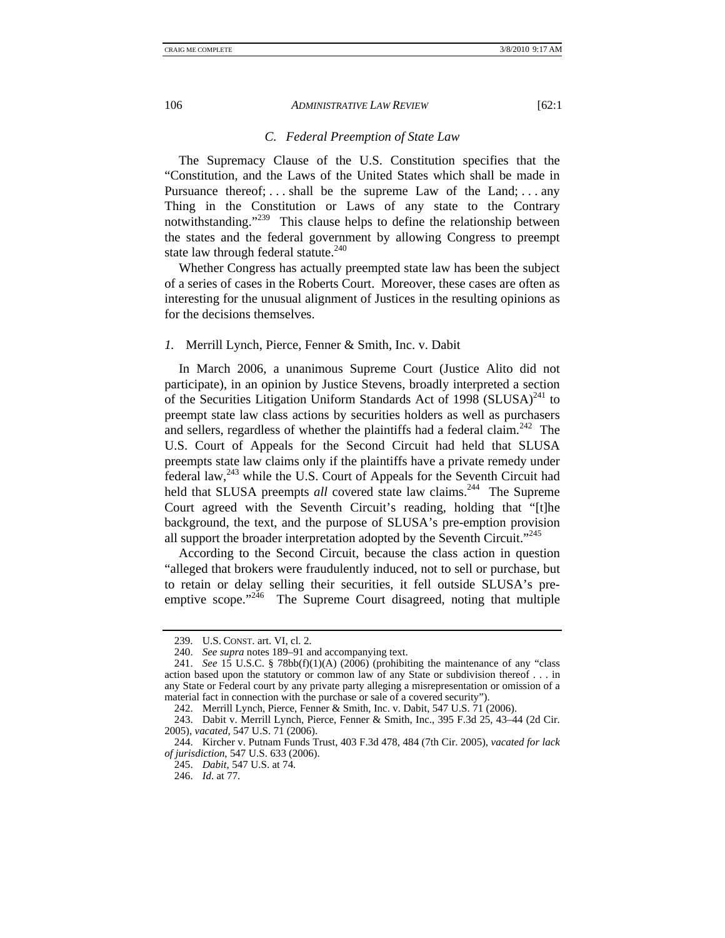# *C. Federal Preemption of State Law*

The Supremacy Clause of the U.S. Constitution specifies that the "Constitution, and the Laws of the United States which shall be made in Pursuance thereof; ... shall be the supreme Law of the Land; ... any Thing in the Constitution or Laws of any state to the Contrary notwithstanding."<sup>239</sup> This clause helps to define the relationship between the states and the federal government by allowing Congress to preempt state law through federal statute.<sup>240</sup>

Whether Congress has actually preempted state law has been the subject of a series of cases in the Roberts Court. Moreover, these cases are often as interesting for the unusual alignment of Justices in the resulting opinions as for the decisions themselves.

### *1.* Merrill Lynch, Pierce, Fenner & Smith, Inc. v. Dabit

In March 2006, a unanimous Supreme Court (Justice Alito did not participate), in an opinion by Justice Stevens, broadly interpreted a section of the Securities Litigation Uniform Standards Act of 1998 (SLUSA) $^{241}$  to preempt state law class actions by securities holders as well as purchasers and sellers, regardless of whether the plaintiffs had a federal claim.<sup>242</sup> The U.S. Court of Appeals for the Second Circuit had held that SLUSA preempts state law claims only if the plaintiffs have a private remedy under federal law, $^{243}$  while the U.S. Court of Appeals for the Seventh Circuit had held that SLUSA preempts *all* covered state law claims.<sup>244</sup> The Supreme Court agreed with the Seventh Circuit's reading, holding that "[t]he background, the text, and the purpose of SLUSA's pre-emption provision all support the broader interpretation adopted by the Seventh Circuit."<sup>245</sup>

According to the Second Circuit, because the class action in question "alleged that brokers were fraudulently induced, not to sell or purchase, but to retain or delay selling their securities, it fell outside SLUSA's preemptive scope."<sup>246</sup> The Supreme Court disagreed, noting that multiple

 <sup>239.</sup> U.S. CONST. art. VI, cl. 2.

 <sup>240.</sup> *See supra* notes 189–91 and accompanying text.

 <sup>241.</sup> *See* 15 U.S.C. § 78bb(f)(1)(A) (2006) (prohibiting the maintenance of any "class action based upon the statutory or common law of any State or subdivision thereof . . . in any State or Federal court by any private party alleging a misrepresentation or omission of a material fact in connection with the purchase or sale of a covered security").

 <sup>242.</sup> Merrill Lynch, Pierce, Fenner & Smith, Inc. v. Dabit, 547 U.S. 71 (2006).

 <sup>243.</sup> Dabit v. Merrill Lynch, Pierce, Fenner & Smith, Inc., 395 F.3d 25, 43–44 (2d Cir. 2005), *vacated*, 547 U.S. 71 (2006).

 <sup>244.</sup> Kircher v. Putnam Funds Trust, 403 F.3d 478, 484 (7th Cir. 2005), *vacated for lack of jurisdiction*, 547 U.S. 633 (2006).

 <sup>245.</sup> *Dabit*, 547 U.S. at 74.

 <sup>246.</sup> *Id*. at 77.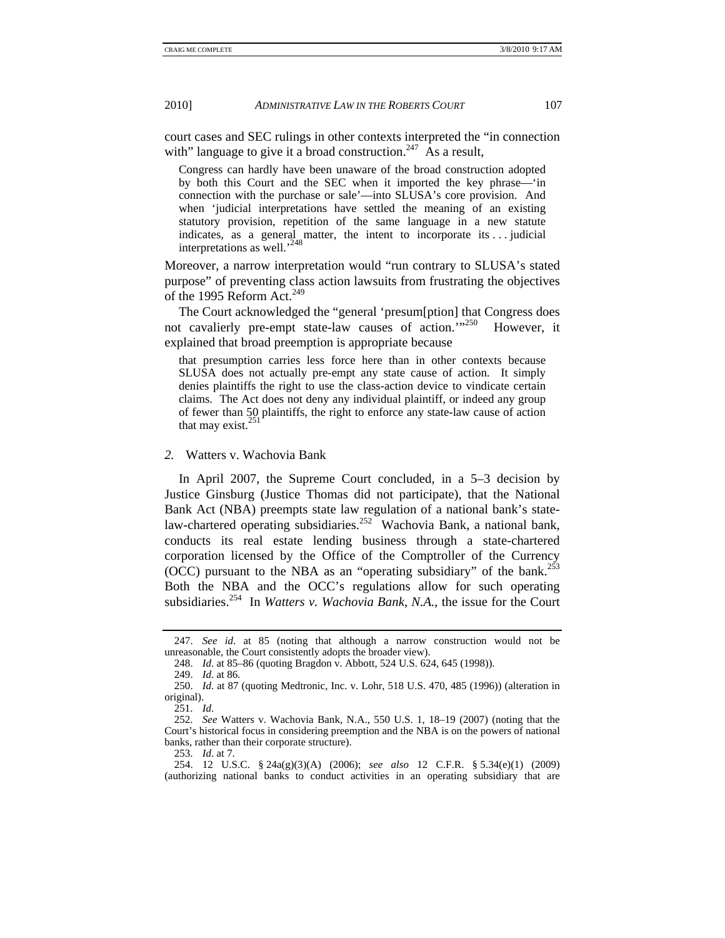court cases and SEC rulings in other contexts interpreted the "in connection with" language to give it a broad construction.<sup>247</sup> As a result,

Congress can hardly have been unaware of the broad construction adopted by both this Court and the SEC when it imported the key phrase—'in connection with the purchase or sale'—into SLUSA's core provision. And when 'judicial interpretations have settled the meaning of an existing statutory provision, repetition of the same language in a new statute indicates, as a general matter, the intent to incorporate its . . . judicial interpretations as well.'248

Moreover, a narrow interpretation would "run contrary to SLUSA's stated purpose" of preventing class action lawsuits from frustrating the objectives of the 1995 Reform Act. $249$ 

The Court acknowledged the "general 'presum[ption] that Congress does not cavalierly pre-empt state-law causes of action.'"250 However, it explained that broad preemption is appropriate because

that presumption carries less force here than in other contexts because SLUSA does not actually pre-empt any state cause of action. It simply denies plaintiffs the right to use the class-action device to vindicate certain claims. The Act does not deny any individual plaintiff, or indeed any group of fewer than 50 plaintiffs, the right to enforce any state-law cause of action that may exist.<sup>251</sup>

#### *2.* Watters v. Wachovia Bank

In April 2007, the Supreme Court concluded, in a 5–3 decision by Justice Ginsburg (Justice Thomas did not participate), that the National Bank Act (NBA) preempts state law regulation of a national bank's statelaw-chartered operating subsidiaries.<sup>252</sup> Wachovia Bank, a national bank, conducts its real estate lending business through a state-chartered corporation licensed by the Office of the Comptroller of the Currency (OCC) pursuant to the NBA as an "operating subsidiary" of the bank.<sup>253</sup> Both the NBA and the OCC's regulations allow for such operating subsidiaries.254 In *Watters v. Wachovia Bank, N.A.*, the issue for the Court

 <sup>247.</sup> *See id*. at 85 (noting that although a narrow construction would not be unreasonable, the Court consistently adopts the broader view).

 <sup>248.</sup> *Id*. at 85–86 (quoting Bragdon v. Abbott, 524 U.S. 624, 645 (1998)).

 <sup>249.</sup> *Id*. at 86.

 <sup>250.</sup> *Id*. at 87 (quoting Medtronic, Inc. v. Lohr, 518 U.S. 470, 485 (1996)) (alteration in original).

 <sup>251.</sup> *Id*.

 <sup>252.</sup> *See* Watters v. Wachovia Bank, N.A., 550 U.S. 1, 18–19 (2007) (noting that the Court's historical focus in considering preemption and the NBA is on the powers of national banks, rather than their corporate structure).

 <sup>253.</sup> *Id*. at 7.

 <sup>254. 12</sup> U.S.C. § 24a(g)(3)(A) (2006); *see also* 12 C.F.R. § 5.34(e)(1) (2009) (authorizing national banks to conduct activities in an operating subsidiary that are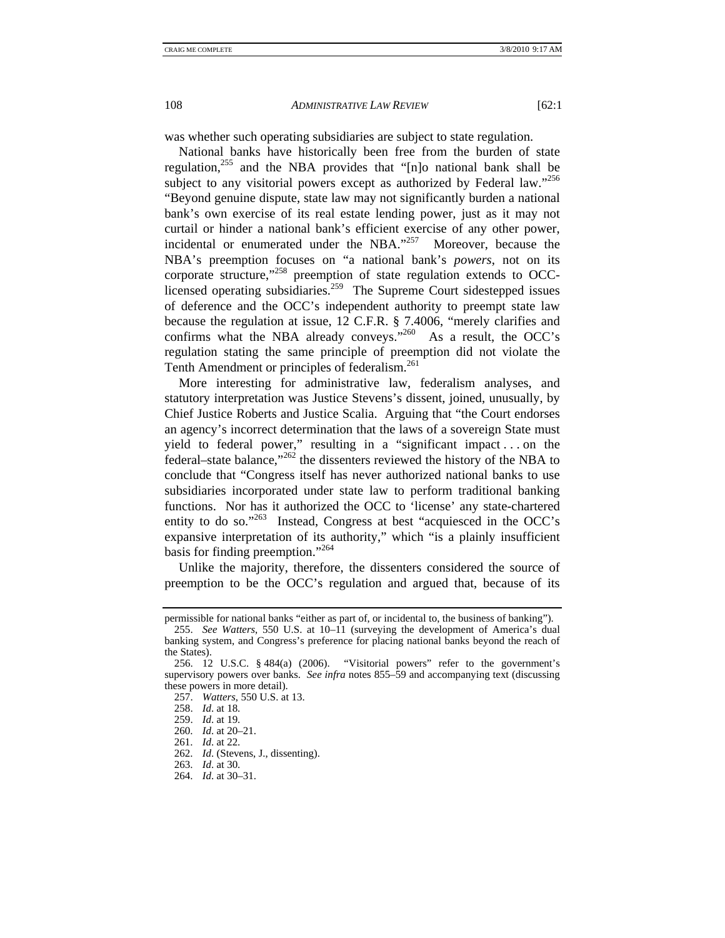was whether such operating subsidiaries are subject to state regulation.

National banks have historically been free from the burden of state regulation,255 and the NBA provides that "[n]o national bank shall be subject to any visitorial powers except as authorized by Federal law."<sup>256</sup> "Beyond genuine dispute, state law may not significantly burden a national bank's own exercise of its real estate lending power, just as it may not curtail or hinder a national bank's efficient exercise of any other power, incidental or enumerated under the NBA."<sup>257</sup> Moreover, because the NBA's preemption focuses on "a national bank's *powers*, not on its corporate structure,"258 preemption of state regulation extends to OCClicensed operating subsidiaries.<sup>259</sup> The Supreme Court sidestepped issues of deference and the OCC's independent authority to preempt state law because the regulation at issue, 12 C.F.R. § 7.4006, "merely clarifies and confirms what the NBA already conveys."<sup>260</sup> As a result, the OCC's regulation stating the same principle of preemption did not violate the Tenth Amendment or principles of federalism.<sup>261</sup>

More interesting for administrative law, federalism analyses, and statutory interpretation was Justice Stevens's dissent, joined, unusually, by Chief Justice Roberts and Justice Scalia. Arguing that "the Court endorses an agency's incorrect determination that the laws of a sovereign State must yield to federal power," resulting in a "significant impact . . . on the federal–state balance,"262 the dissenters reviewed the history of the NBA to conclude that "Congress itself has never authorized national banks to use subsidiaries incorporated under state law to perform traditional banking functions. Nor has it authorized the OCC to 'license' any state-chartered entity to do so."<sup>263</sup> Instead, Congress at best "acquiesced in the OCC's expansive interpretation of its authority," which "is a plainly insufficient basis for finding preemption."264

Unlike the majority, therefore, the dissenters considered the source of preemption to be the OCC's regulation and argued that, because of its

- 260. *Id*. at 20–21.
- 261. *Id*. at 22.

permissible for national banks "either as part of, or incidental to, the business of banking").

 <sup>255.</sup> *See Watters*, 550 U.S. at 10–11 (surveying the development of America's dual banking system, and Congress's preference for placing national banks beyond the reach of the States).

 <sup>256. 12</sup> U.S.C. § 484(a) (2006). "Visitorial powers" refer to the government's supervisory powers over banks. *See infra* notes 855–59 and accompanying text (discussing these powers in more detail).

 <sup>257.</sup> *Watters*, 550 U.S. at 13.

 <sup>258.</sup> *Id*. at 18.

 <sup>259.</sup> *Id*. at 19.

 <sup>262.</sup> *Id*. (Stevens, J., dissenting).

 <sup>263.</sup> *Id*. at 30.

 <sup>264.</sup> *Id*. at 30–31.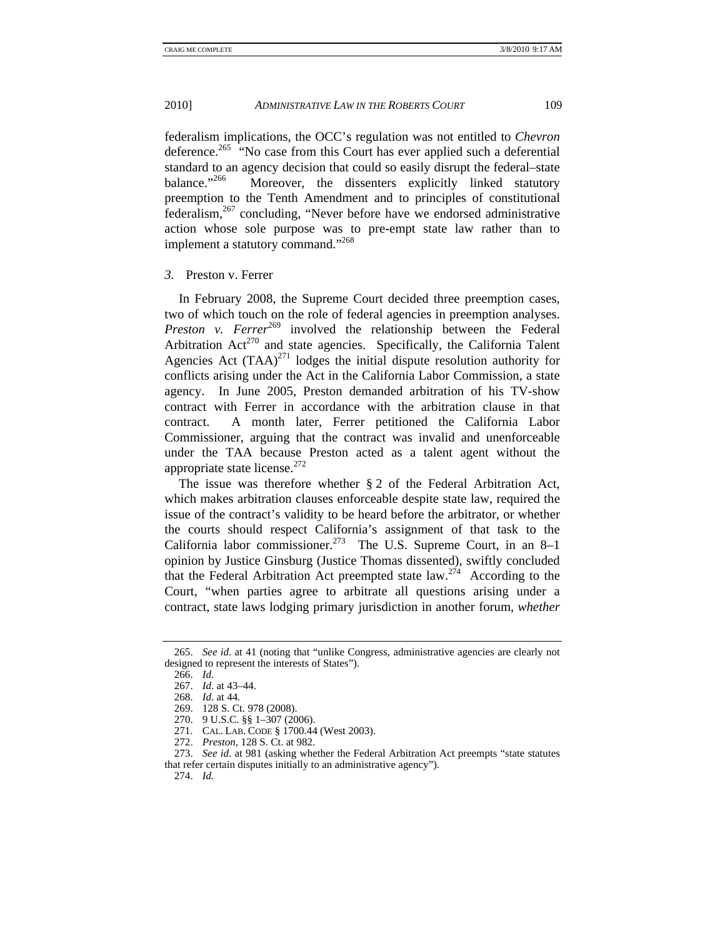federalism implications, the OCC's regulation was not entitled to *Chevron*  deference.265 "No case from this Court has ever applied such a deferential standard to an agency decision that could so easily disrupt the federal–state balance.<sup>2266</sup> Moreover, the dissenters explicitly linked statutory Moreover, the dissenters explicitly linked statutory preemption to the Tenth Amendment and to principles of constitutional  $f$ ederalism,  $267$  concluding, "Never before have we endorsed administrative action whose sole purpose was to pre-empt state law rather than to implement a statutory command."<sup>268</sup>

# *3.* Preston v. Ferrer

In February 2008, the Supreme Court decided three preemption cases, two of which touch on the role of federal agencies in preemption analyses. *Preston v. Ferrer*<sup>269</sup> involved the relationship between the Federal Arbitration  $Act^{270}$  and state agencies. Specifically, the California Talent Agencies Act  $(TAA)^{271}$  lodges the initial dispute resolution authority for conflicts arising under the Act in the California Labor Commission, a state agency. In June 2005, Preston demanded arbitration of his TV-show contract with Ferrer in accordance with the arbitration clause in that contract. A month later, Ferrer petitioned the California Labor Commissioner, arguing that the contract was invalid and unenforceable under the TAA because Preston acted as a talent agent without the appropriate state license. $272$ 

The issue was therefore whether § 2 of the Federal Arbitration Act, which makes arbitration clauses enforceable despite state law, required the issue of the contract's validity to be heard before the arbitrator, or whether the courts should respect California's assignment of that task to the California labor commissioner.<sup>273</sup> The U.S. Supreme Court, in an  $8-1$ opinion by Justice Ginsburg (Justice Thomas dissented), swiftly concluded that the Federal Arbitration Act preempted state  $law<sup>274</sup>$  According to the Court, "when parties agree to arbitrate all questions arising under a contract, state laws lodging primary jurisdiction in another forum, *whether* 

- 270. 9 U.S.C. §§ 1–307 (2006).
	- 271. CAL. LAB. CODE § 1700.44 (West 2003).

 <sup>265.</sup> *See id*. at 41 (noting that "unlike Congress, administrative agencies are clearly not designed to represent the interests of States").

 <sup>266.</sup> *Id*.

 <sup>267.</sup> *Id*. at 43–44.

 <sup>268.</sup> *Id*. at 44.

 <sup>269. 128</sup> S. Ct. 978 (2008).

 <sup>272.</sup> *Preston*, 128 S. Ct. at 982.

 <sup>273.</sup> *See id*. at 981 (asking whether the Federal Arbitration Act preempts "state statutes that refer certain disputes initially to an administrative agency").

 <sup>274.</sup> *Id.*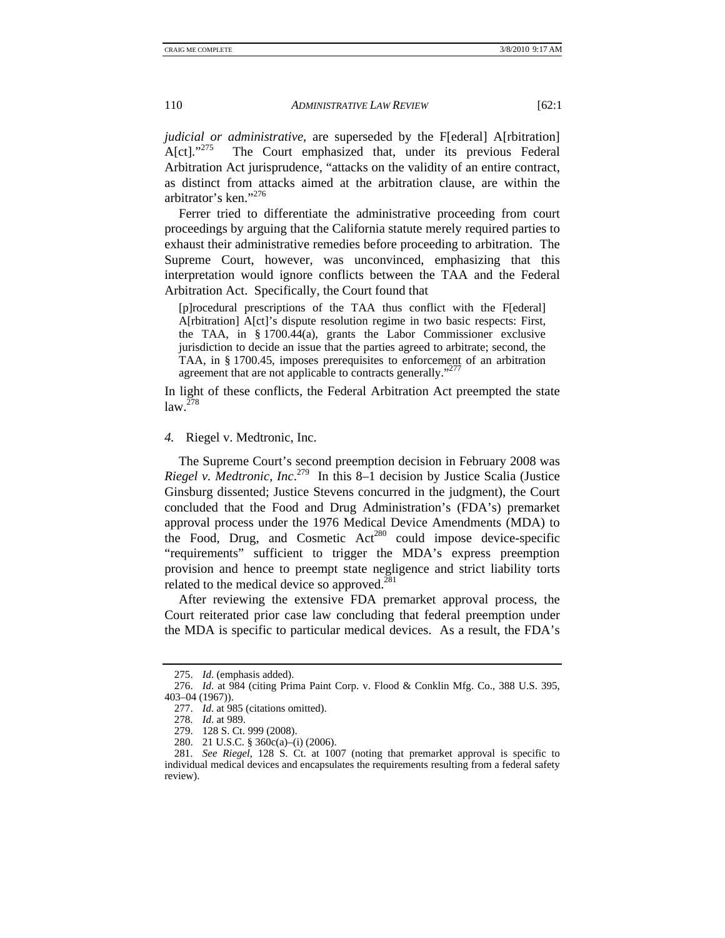*judicial or administrative*, are superseded by the F[ederal] A[rbitration]<br>A[ct].<sup>275</sup> The Court emphasized that, under its previous Federal The Court emphasized that, under its previous Federal Arbitration Act jurisprudence, "attacks on the validity of an entire contract, as distinct from attacks aimed at the arbitration clause, are within the arbitrator's ken."276

Ferrer tried to differentiate the administrative proceeding from court proceedings by arguing that the California statute merely required parties to exhaust their administrative remedies before proceeding to arbitration. The Supreme Court, however, was unconvinced, emphasizing that this interpretation would ignore conflicts between the TAA and the Federal Arbitration Act. Specifically, the Court found that

[p]rocedural prescriptions of the TAA thus conflict with the F[ederal] A[rbitration] A[ct]'s dispute resolution regime in two basic respects: First, the TAA, in § 1700.44(a), grants the Labor Commissioner exclusive jurisdiction to decide an issue that the parties agreed to arbitrate; second, the TAA, in § 1700.45, imposes prerequisites to enforcement of an arbitration agreement that are not applicable to contracts generally."

In light of these conflicts, the Federal Arbitration Act preempted the state  $law<sup>278</sup>$ 

# *4.* Riegel v. Medtronic, Inc.

The Supreme Court's second preemption decision in February 2008 was *Riegel v. Medtronic, Inc*. 279 In this 8–1 decision by Justice Scalia (Justice Ginsburg dissented; Justice Stevens concurred in the judgment), the Court concluded that the Food and Drug Administration's (FDA's) premarket approval process under the 1976 Medical Device Amendments (MDA) to the Food, Drug, and Cosmetic Act<sup>280</sup> could impose device-specific "requirements" sufficient to trigger the MDA's express preemption provision and hence to preempt state negligence and strict liability torts related to the medical device so approved.<sup>281</sup>

After reviewing the extensive FDA premarket approval process, the Court reiterated prior case law concluding that federal preemption under the MDA is specific to particular medical devices. As a result, the FDA's

 <sup>275.</sup> *Id*. (emphasis added).

 <sup>276.</sup> *Id*. at 984 (citing Prima Paint Corp. v. Flood & Conklin Mfg. Co., 388 U.S. 395, 403–04 (1967)).

 <sup>277.</sup> *Id*. at 985 (citations omitted).

 <sup>278.</sup> *Id*. at 989.

 <sup>279. 128</sup> S. Ct. 999 (2008).

 <sup>280. 21</sup> U.S.C. § 360c(a)–(i) (2006).

 <sup>281.</sup> *See Riegel*, 128 S. Ct. at 1007 (noting that premarket approval is specific to individual medical devices and encapsulates the requirements resulting from a federal safety review).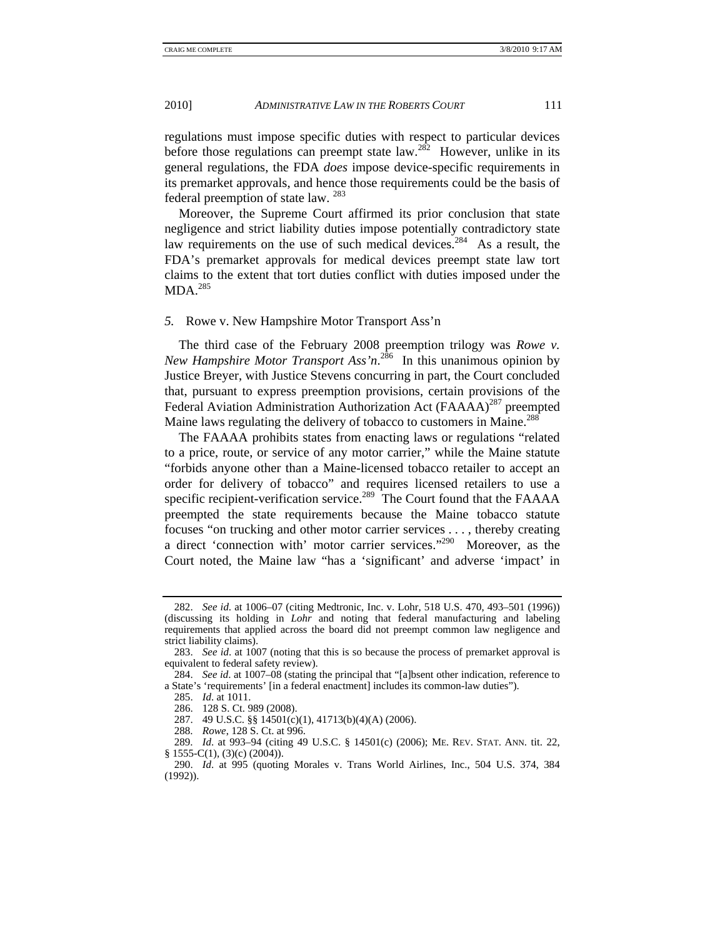regulations must impose specific duties with respect to particular devices before those regulations can preempt state law.<sup>282</sup> However, unlike in its general regulations, the FDA *does* impose device-specific requirements in its premarket approvals, and hence those requirements could be the basis of federal preemption of state law. <sup>283</sup>

Moreover, the Supreme Court affirmed its prior conclusion that state negligence and strict liability duties impose potentially contradictory state law requirements on the use of such medical devices.<sup>284</sup> As a result, the FDA's premarket approvals for medical devices preempt state law tort claims to the extent that tort duties conflict with duties imposed under the  $MDA.<sup>285</sup>$ 

### *5.* Rowe v. New Hampshire Motor Transport Ass'n

The third case of the February 2008 preemption trilogy was *Rowe v. New Hampshire Motor Transport Ass'n*. 286 In this unanimous opinion by Justice Breyer, with Justice Stevens concurring in part, the Court concluded that, pursuant to express preemption provisions, certain provisions of the Federal Aviation Administration Authorization Act (FAAAA)<sup>287</sup> preempted Maine laws regulating the delivery of tobacco to customers in Maine.<sup>288</sup>

The FAAAA prohibits states from enacting laws or regulations "related to a price, route, or service of any motor carrier," while the Maine statute "forbids anyone other than a Maine-licensed tobacco retailer to accept an order for delivery of tobacco" and requires licensed retailers to use a specific recipient-verification service.<sup>289</sup> The Court found that the FAAAA preempted the state requirements because the Maine tobacco statute focuses "on trucking and other motor carrier services . . . , thereby creating a direct 'connection with' motor carrier services."290 Moreover, as the Court noted, the Maine law "has a 'significant' and adverse 'impact' in

288. *Rowe*, 128 S. Ct. at 996.

 <sup>282.</sup> *See id*. at 1006–07 (citing Medtronic, Inc. v. Lohr, 518 U.S. 470, 493–501 (1996)) (discussing its holding in *Lohr* and noting that federal manufacturing and labeling requirements that applied across the board did not preempt common law negligence and strict liability claims).

 <sup>283.</sup> *See id*. at 1007 (noting that this is so because the process of premarket approval is equivalent to federal safety review).

 <sup>284.</sup> *See id*. at 1007–08 (stating the principal that "[a]bsent other indication, reference to a State's 'requirements' [in a federal enactment] includes its common-law duties").

 <sup>285.</sup> *Id*. at 1011.

 <sup>286. 128</sup> S. Ct. 989 (2008).

 <sup>287. 49</sup> U.S.C. §§ 14501(c)(1), 41713(b)(4)(A) (2006).

 <sup>289.</sup> *Id*. at 993–94 (citing 49 U.S.C. § 14501(c) (2006); ME. REV. STAT. ANN. tit. 22,  $§ 1555-C(1), (3)(c) (2004)).$ 

 <sup>290.</sup> *Id*. at 995 (quoting Morales v. Trans World Airlines, Inc., 504 U.S. 374, 384 (1992)).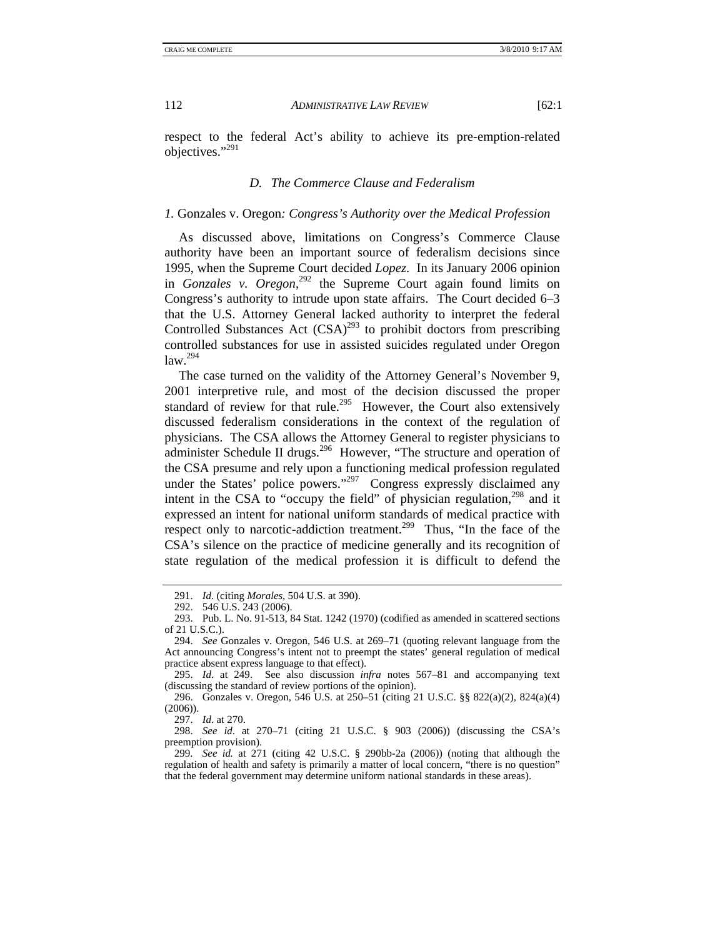respect to the federal Act's ability to achieve its pre-emption-related objectives."291

# *D. The Commerce Clause and Federalism*

## *1.* Gonzales v. Oregon*: Congress's Authority over the Medical Profession*

As discussed above, limitations on Congress's Commerce Clause authority have been an important source of federalism decisions since 1995, when the Supreme Court decided *Lopez*. In its January 2006 opinion in *Gonzales v. Oregon*, 292 the Supreme Court again found limits on Congress's authority to intrude upon state affairs. The Court decided 6–3 that the U.S. Attorney General lacked authority to interpret the federal Controlled Substances Act  $(CSA)^{293}$  to prohibit doctors from prescribing controlled substances for use in assisted suicides regulated under Oregon  $law.<sup>294</sup>$ 

The case turned on the validity of the Attorney General's November 9, 2001 interpretive rule, and most of the decision discussed the proper standard of review for that rule.<sup>295</sup> However, the Court also extensively discussed federalism considerations in the context of the regulation of physicians. The CSA allows the Attorney General to register physicians to administer Schedule II drugs.<sup>296</sup> However, "The structure and operation of the CSA presume and rely upon a functioning medical profession regulated under the States' police powers."<sup>297</sup> Congress expressly disclaimed any intent in the CSA to "occupy the field" of physician regulation, $298$  and it expressed an intent for national uniform standards of medical practice with respect only to narcotic-addiction treatment.<sup>299</sup> Thus, "In the face of the CSA's silence on the practice of medicine generally and its recognition of state regulation of the medical profession it is difficult to defend the

 295. *Id*. at 249. See also discussion *infra* notes 567–81 and accompanying text (discussing the standard of review portions of the opinion).

 296. Gonzales v. Oregon, 546 U.S. at 250–51 (citing 21 U.S.C. §§ 822(a)(2), 824(a)(4) (2006)).

297. *Id*. at 270.

 298. *See id*. at 270–71 (citing 21 U.S.C. § 903 (2006)) (discussing the CSA's preemption provision).

 <sup>291.</sup> *Id*. (citing *Morales*, 504 U.S. at 390).

 <sup>292. 546</sup> U.S. 243 (2006).

 <sup>293.</sup> Pub. L. No. 91-513, 84 Stat. 1242 (1970) (codified as amended in scattered sections of 21 U.S.C.).

 <sup>294.</sup> *See* Gonzales v. Oregon, 546 U.S. at 269–71 (quoting relevant language from the Act announcing Congress's intent not to preempt the states' general regulation of medical practice absent express language to that effect).

 <sup>299.</sup> *See id.* at 271 (citing 42 U.S.C. § 290bb-2a (2006)) (noting that although the regulation of health and safety is primarily a matter of local concern, "there is no question" that the federal government may determine uniform national standards in these areas).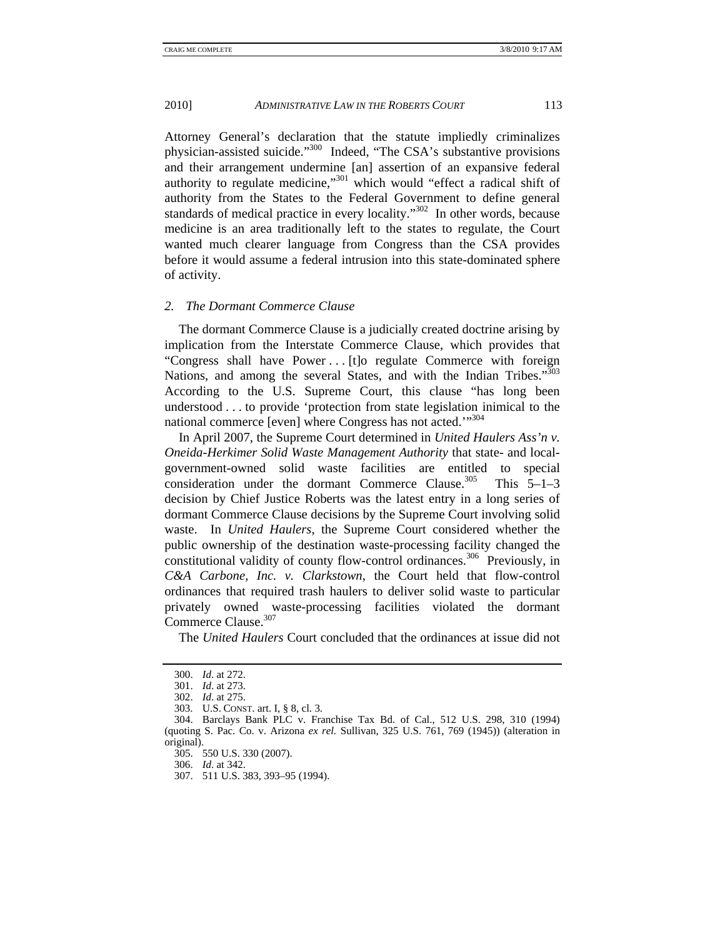Attorney General's declaration that the statute impliedly criminalizes physician-assisted suicide."300 Indeed, "The CSA's substantive provisions and their arrangement undermine [an] assertion of an expansive federal authority to regulate medicine,"301 which would "effect a radical shift of authority from the States to the Federal Government to define general standards of medical practice in every locality."<sup>302</sup> In other words, because medicine is an area traditionally left to the states to regulate, the Court wanted much clearer language from Congress than the CSA provides before it would assume a federal intrusion into this state-dominated sphere of activity.

# *2. The Dormant Commerce Clause*

The dormant Commerce Clause is a judicially created doctrine arising by implication from the Interstate Commerce Clause, which provides that "Congress shall have Power . . . [t]o regulate Commerce with foreign Nations, and among the several States, and with the Indian Tribes."<sup>303</sup> According to the U.S. Supreme Court, this clause "has long been understood . . . to provide 'protection from state legislation inimical to the national commerce [even] where Congress has not acted.""304

In April 2007, the Supreme Court determined in *United Haulers Ass'n v. Oneida-Herkimer Solid Waste Management Authority* that state- and localgovernment-owned solid waste facilities are entitled to special consideration under the dormant Commerce Clause.<sup>305</sup> This  $5-1-3$ decision by Chief Justice Roberts was the latest entry in a long series of dormant Commerce Clause decisions by the Supreme Court involving solid waste. In *United Haulers*, the Supreme Court considered whether the public ownership of the destination waste-processing facility changed the constitutional validity of county flow-control ordinances.<sup>306</sup> Previously, in *C&A Carbone, Inc. v. Clarkstown*, the Court held that flow-control ordinances that required trash haulers to deliver solid waste to particular privately owned waste-processing facilities violated the dormant Commerce Clause.<sup>307</sup>

The *United Haulers* Court concluded that the ordinances at issue did not

 <sup>300.</sup> *Id*. at 272.

 <sup>301.</sup> *Id*. at 273.

 <sup>302.</sup> *Id*. at 275.

 <sup>303.</sup> U.S. CONST. art. I, § 8, cl. 3.

 <sup>304.</sup> Barclays Bank PLC v. Franchise Tax Bd. of Cal., 512 U.S. 298, 310 (1994) (quoting S. Pac. Co. v. Arizona *ex rel.* Sullivan, 325 U.S. 761, 769 (1945)) (alteration in original).

 <sup>305. 550</sup> U.S. 330 (2007).

 <sup>306.</sup> *Id*. at 342.

 <sup>307. 511</sup> U.S. 383, 393–95 (1994).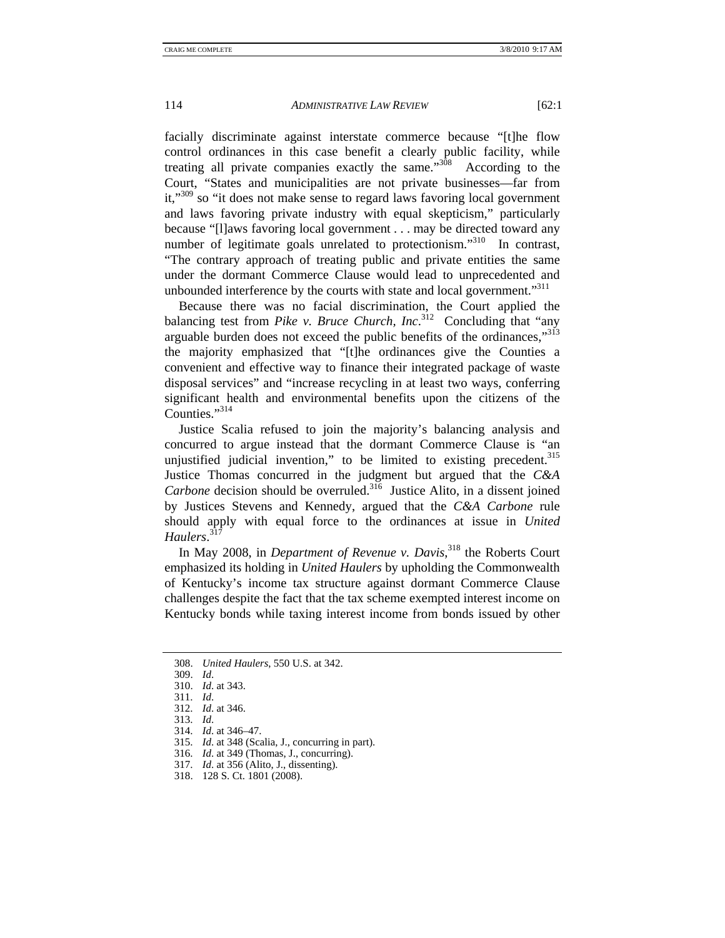facially discriminate against interstate commerce because "[t]he flow control ordinances in this case benefit a clearly public facility, while treating all private companies exactly the same.<sup>308</sup> According to the Court, "States and municipalities are not private businesses—far from it,<sup>309</sup> so "it does not make sense to regard laws favoring local government and laws favoring private industry with equal skepticism," particularly because "[l]aws favoring local government . . . may be directed toward any number of legitimate goals unrelated to protectionism. $1310$  In contrast, "The contrary approach of treating public and private entities the same under the dormant Commerce Clause would lead to unprecedented and unbounded interference by the courts with state and local government."<sup>311</sup>

Because there was no facial discrimination, the Court applied the balancing test from *Pike v. Bruce Church, Inc*. 312 Concluding that "any arguable burden does not exceed the public benefits of the ordinances."<sup>313</sup> the majority emphasized that "[t]he ordinances give the Counties a convenient and effective way to finance their integrated package of waste disposal services" and "increase recycling in at least two ways, conferring significant health and environmental benefits upon the citizens of the Counties."314

Justice Scalia refused to join the majority's balancing analysis and concurred to argue instead that the dormant Commerce Clause is "an unjustified judicial invention," to be limited to existing precedent. $315$ Justice Thomas concurred in the judgment but argued that the *C&A Carbone* decision should be overruled.<sup>316</sup> Justice Alito, in a dissent joined by Justices Stevens and Kennedy, argued that the *C&A Carbone* rule should apply with equal force to the ordinances at issue in *United Haulers*. 317

In May 2008, in *Department of Revenue v. Davis*, 318 the Roberts Court emphasized its holding in *United Haulers* by upholding the Commonwealth of Kentucky's income tax structure against dormant Commerce Clause challenges despite the fact that the tax scheme exempted interest income on Kentucky bonds while taxing interest income from bonds issued by other

- 313. *Id*.
	- 314. *Id*. at 346–47.
	- 315. *Id*. at 348 (Scalia, J., concurring in part).
	- 316. *Id*. at 349 (Thomas, J., concurring).
	- 317. *Id*. at 356 (Alito, J., dissenting).
	- 318. 128 S. Ct. 1801 (2008).

 <sup>308.</sup> *United Haulers*, 550 U.S. at 342.

 <sup>309.</sup> *Id*.

 <sup>310.</sup> *Id*. at 343.

 <sup>311.</sup> *Id*.

 <sup>312.</sup> *Id*. at 346.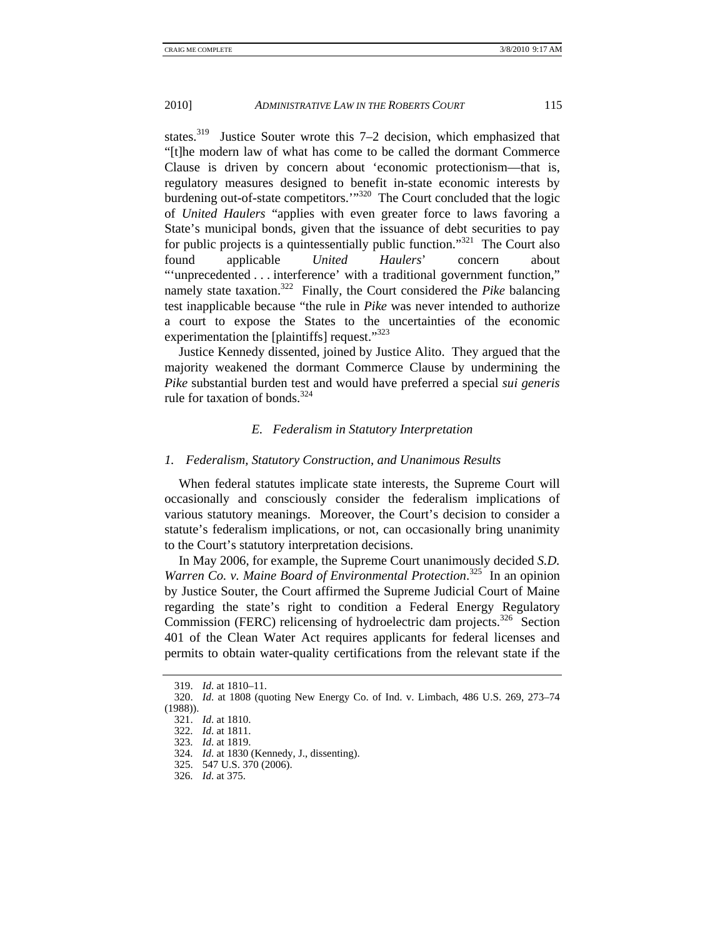states.<sup>319</sup> Justice Souter wrote this 7–2 decision, which emphasized that "[t]he modern law of what has come to be called the dormant Commerce Clause is driven by concern about 'economic protectionism—that is, regulatory measures designed to benefit in-state economic interests by burdening out-of-state competitors.'"<sup>320</sup> The Court concluded that the logic of *United Haulers* "applies with even greater force to laws favoring a State's municipal bonds, given that the issuance of debt securities to pay for public projects is a quintessentially public function."<sup>321</sup> The Court also found applicable *United Haulers*' concern about "'unprecedented . . . interference' with a traditional government function," namely state taxation.<sup>322</sup> Finally, the Court considered the *Pike* balancing test inapplicable because "the rule in *Pike* was never intended to authorize a court to expose the States to the uncertainties of the economic experimentation the [plaintiffs] request." $323$ 

Justice Kennedy dissented, joined by Justice Alito. They argued that the majority weakened the dormant Commerce Clause by undermining the *Pike* substantial burden test and would have preferred a special *sui generis* rule for taxation of bonds.  $324$ 

### *E. Federalism in Statutory Interpretation*

#### *1. Federalism, Statutory Construction, and Unanimous Results*

When federal statutes implicate state interests, the Supreme Court will occasionally and consciously consider the federalism implications of various statutory meanings. Moreover, the Court's decision to consider a statute's federalism implications, or not, can occasionally bring unanimity to the Court's statutory interpretation decisions.

In May 2006, for example, the Supreme Court unanimously decided *S.D.*  Warren Co. v. Maine Board of Environmental Protection.<sup>325</sup> In an opinion by Justice Souter, the Court affirmed the Supreme Judicial Court of Maine regarding the state's right to condition a Federal Energy Regulatory Commission (FERC) relicensing of hydroelectric dam projects.<sup>326</sup> Section 401 of the Clean Water Act requires applicants for federal licenses and permits to obtain water-quality certifications from the relevant state if the

 <sup>319.</sup> *Id*. at 1810–11.

 <sup>320.</sup> *Id*. at 1808 (quoting New Energy Co. of Ind. v. Limbach, 486 U.S. 269, 273–74 (1988)).

 <sup>321.</sup> *Id*. at 1810.

 <sup>322.</sup> *Id*. at 1811.

 <sup>323.</sup> *Id*. at 1819.

 <sup>324.</sup> *Id*. at 1830 (Kennedy, J., dissenting).

 <sup>325. 547</sup> U.S. 370 (2006).

 <sup>326.</sup> *Id*. at 375.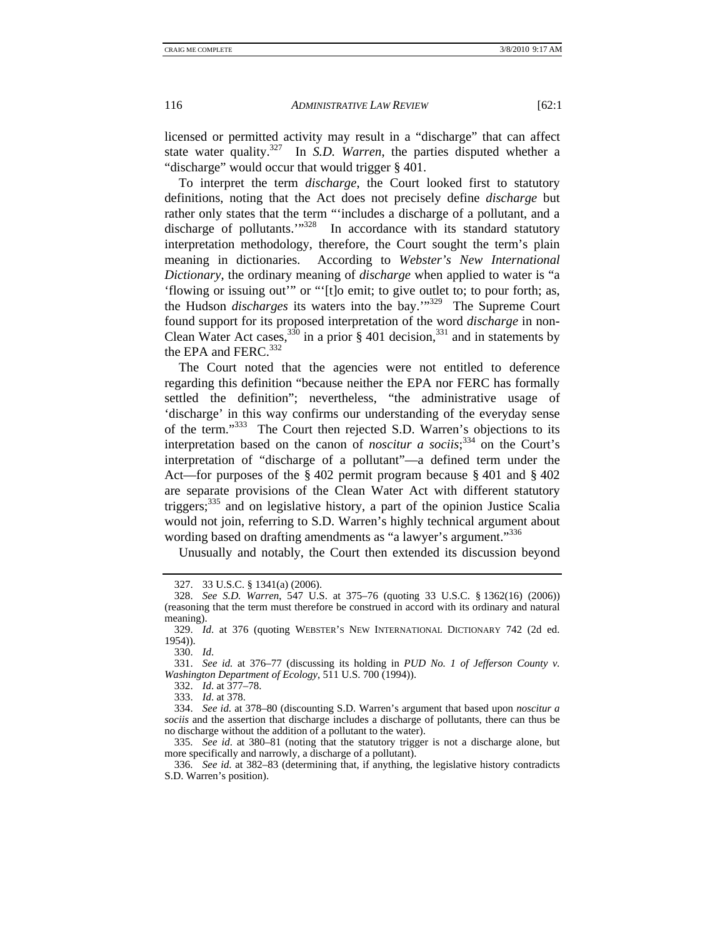licensed or permitted activity may result in a "discharge" that can affect state water quality.<sup>327</sup> In *S.D. Warren*, the parties disputed whether a "discharge" would occur that would trigger § 401.

To interpret the term *discharge*, the Court looked first to statutory definitions, noting that the Act does not precisely define *discharge* but rather only states that the term "'includes a discharge of a pollutant, and a discharge of pollutants."<sup>328</sup> In accordance with its standard statutory interpretation methodology, therefore, the Court sought the term's plain meaning in dictionaries. According to *Webster's New International Dictionary*, the ordinary meaning of *discharge* when applied to water is "a 'flowing or issuing out'" or "'[t]o emit; to give outlet to; to pour forth; as, the Hudson *discharges* its waters into the bay.'"329 The Supreme Court found support for its proposed interpretation of the word *discharge* in non-Clean Water Act cases,<sup>330</sup> in a prior § 401 decision,<sup>331</sup> and in statements by the EPA and FERC.<sup>332</sup>

The Court noted that the agencies were not entitled to deference regarding this definition "because neither the EPA nor FERC has formally settled the definition"; nevertheless, "the administrative usage of 'discharge' in this way confirms our understanding of the everyday sense of the term."333 The Court then rejected S.D. Warren's objections to its interpretation based on the canon of *noscitur a sociis*; 334 on the Court's interpretation of "discharge of a pollutant"—a defined term under the Act—for purposes of the § 402 permit program because § 401 and § 402 are separate provisions of the Clean Water Act with different statutory triggers;335 and on legislative history, a part of the opinion Justice Scalia would not join, referring to S.D. Warren's highly technical argument about wording based on drafting amendments as "a lawyer's argument."<sup>336</sup>

Unusually and notably, the Court then extended its discussion beyond

 332. *Id*. at 377–78. 333. *Id*. at 378.

 <sup>327. 33</sup> U.S.C. § 1341(a) (2006).

 <sup>328.</sup> *See S.D. Warren*, 547 U.S. at 375–76 (quoting 33 U.S.C. § 1362(16) (2006)) (reasoning that the term must therefore be construed in accord with its ordinary and natural meaning).

 <sup>329.</sup> *Id*. at 376 (quoting WEBSTER'S NEW INTERNATIONAL DICTIONARY 742 (2d ed. 1954)).

 <sup>330.</sup> *Id*.

 <sup>331.</sup> *See id.* at 376–77 (discussing its holding in *PUD No. 1 of Jefferson County v. Washington Department of Ecology*, 511 U.S. 700 (1994)).

 <sup>334.</sup> *See id*. at 378–80 (discounting S.D. Warren's argument that based upon *noscitur a sociis* and the assertion that discharge includes a discharge of pollutants, there can thus be no discharge without the addition of a pollutant to the water).

 <sup>335.</sup> *See id*. at 380–81 (noting that the statutory trigger is not a discharge alone, but more specifically and narrowly, a discharge of a pollutant).

 <sup>336.</sup> *See id*. at 382–83 (determining that, if anything, the legislative history contradicts S.D. Warren's position).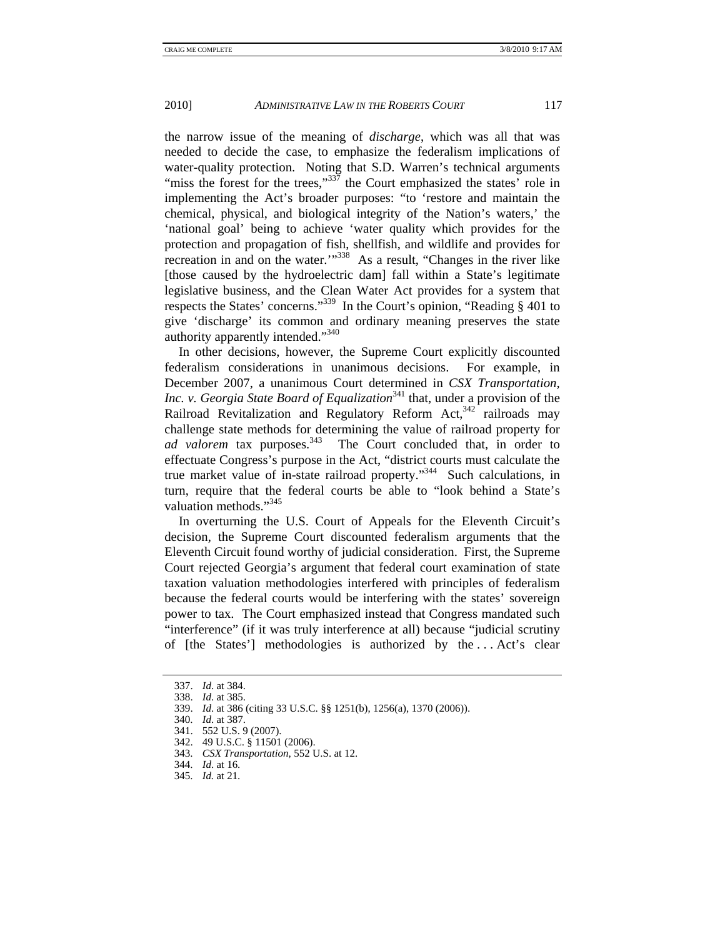the narrow issue of the meaning of *discharge*, which was all that was needed to decide the case, to emphasize the federalism implications of water-quality protection. Noting that S.D. Warren's technical arguments "miss the forest for the trees," $337$  the Court emphasized the states' role in implementing the Act's broader purposes: "to 'restore and maintain the chemical, physical, and biological integrity of the Nation's waters,' the 'national goal' being to achieve 'water quality which provides for the protection and propagation of fish, shellfish, and wildlife and provides for recreation in and on the water.'"338 As a result, "Changes in the river like [those caused by the hydroelectric dam] fall within a State's legitimate legislative business, and the Clean Water Act provides for a system that respects the States' concerns."339 In the Court's opinion, "Reading § 401 to give 'discharge' its common and ordinary meaning preserves the state authority apparently intended."<sup>340</sup>

In other decisions, however, the Supreme Court explicitly discounted federalism considerations in unanimous decisions. For example, in December 2007, a unanimous Court determined in *CSX Transportation, Inc. v. Georgia State Board of Equalization*<sup>341</sup> that, under a provision of the Railroad Revitalization and Regulatory Reform Act,  $342$  railroads may challenge state methods for determining the value of railroad property for *ad valorem* tax purposes.<sup>343</sup> The Court concluded that, in order to effectuate Congress's purpose in the Act, "district courts must calculate the true market value of in-state railroad property."344 Such calculations, in turn, require that the federal courts be able to "look behind a State's valuation methods."<sup>345</sup>

In overturning the U.S. Court of Appeals for the Eleventh Circuit's decision, the Supreme Court discounted federalism arguments that the Eleventh Circuit found worthy of judicial consideration. First, the Supreme Court rejected Georgia's argument that federal court examination of state taxation valuation methodologies interfered with principles of federalism because the federal courts would be interfering with the states' sovereign power to tax. The Court emphasized instead that Congress mandated such "interference" (if it was truly interference at all) because "judicial scrutiny of [the States'] methodologies is authorized by the . . . Act's clear

 <sup>337.</sup> *Id*. at 384.

 <sup>338.</sup> *Id*. at 385.

 <sup>339.</sup> *Id*. at 386 (citing 33 U.S.C. §§ 1251(b), 1256(a), 1370 (2006)).

 <sup>340.</sup> *Id*. at 387.

 <sup>341. 552</sup> U.S. 9 (2007).

 <sup>342. 49</sup> U.S.C. § 11501 (2006).

 <sup>343.</sup> *CSX Transportation*, 552 U.S. at 12.

 <sup>344.</sup> *Id*. at 16.

 <sup>345.</sup> *Id.* at 21.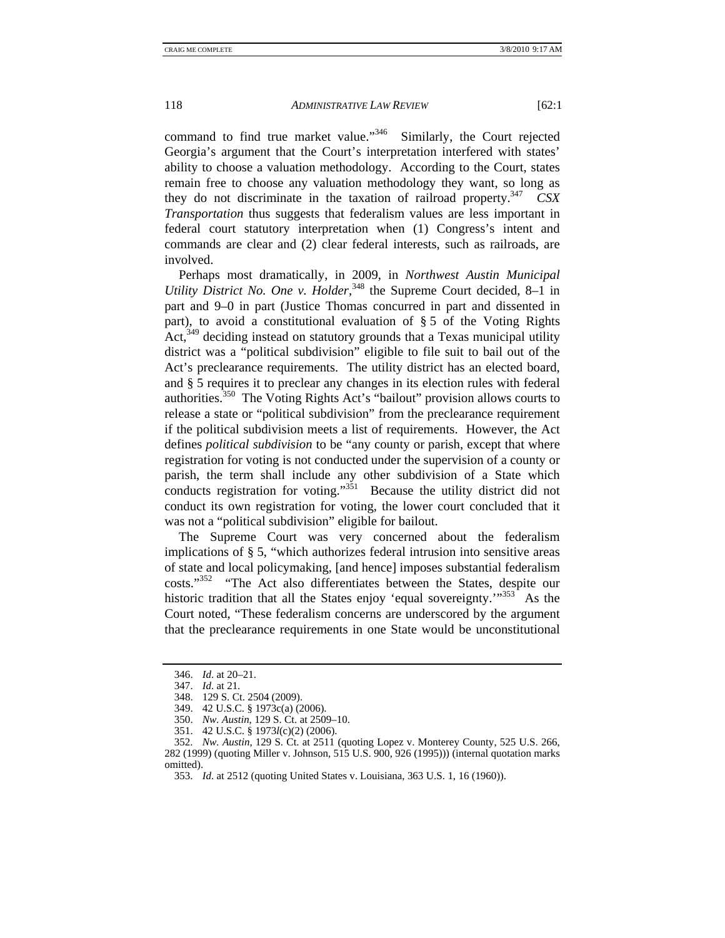command to find true market value."346 Similarly, the Court rejected Georgia's argument that the Court's interpretation interfered with states' ability to choose a valuation methodology. According to the Court, states remain free to choose any valuation methodology they want, so long as they do not discriminate in the taxation of railroad property.<sup>347</sup> *CSX Transportation* thus suggests that federalism values are less important in federal court statutory interpretation when (1) Congress's intent and commands are clear and (2) clear federal interests, such as railroads, are involved.

Perhaps most dramatically, in 2009, in *Northwest Austin Municipal*  Utility District No. One v. Holder,<sup>348</sup> the Supreme Court decided, 8–1 in part and 9–0 in part (Justice Thomas concurred in part and dissented in part), to avoid a constitutional evaluation of § 5 of the Voting Rights  $Act<sub>349</sub>$  deciding instead on statutory grounds that a Texas municipal utility district was a "political subdivision" eligible to file suit to bail out of the Act's preclearance requirements. The utility district has an elected board, and § 5 requires it to preclear any changes in its election rules with federal authorities.350 The Voting Rights Act's "bailout" provision allows courts to release a state or "political subdivision" from the preclearance requirement if the political subdivision meets a list of requirements. However, the Act defines *political subdivision* to be "any county or parish, except that where registration for voting is not conducted under the supervision of a county or parish, the term shall include any other subdivision of a State which conducts registration for voting."<sup>351</sup> Because the utility district did not conduct its own registration for voting, the lower court concluded that it was not a "political subdivision" eligible for bailout.

The Supreme Court was very concerned about the federalism implications of § 5, "which authorizes federal intrusion into sensitive areas of state and local policymaking, [and hence] imposes substantial federalism costs."352 "The Act also differentiates between the States, despite our historic tradition that all the States enjoy 'equal sovereignty.'"<sup>353</sup> As the Court noted, "These federalism concerns are underscored by the argument that the preclearance requirements in one State would be unconstitutional

 <sup>346.</sup> *Id*. at 20–21.

 <sup>347.</sup> *Id*. at 21.

 <sup>348. 129</sup> S. Ct. 2504 (2009).

 <sup>349. 42</sup> U.S.C. § 1973c(a) (2006).

 <sup>350.</sup> *Nw. Austin*, 129 S. Ct. at 2509–10.

 <sup>351. 42</sup> U.S.C. § 1973*l*(c)(2) (2006).

 <sup>352.</sup> *Nw. Austin*, 129 S. Ct. at 2511 (quoting Lopez v. Monterey County, 525 U.S. 266, 282 (1999) (quoting Miller v. Johnson, 515 U.S. 900, 926 (1995))) (internal quotation marks omitted).

 <sup>353.</sup> *Id*. at 2512 (quoting United States v. Louisiana, 363 U.S. 1, 16 (1960)).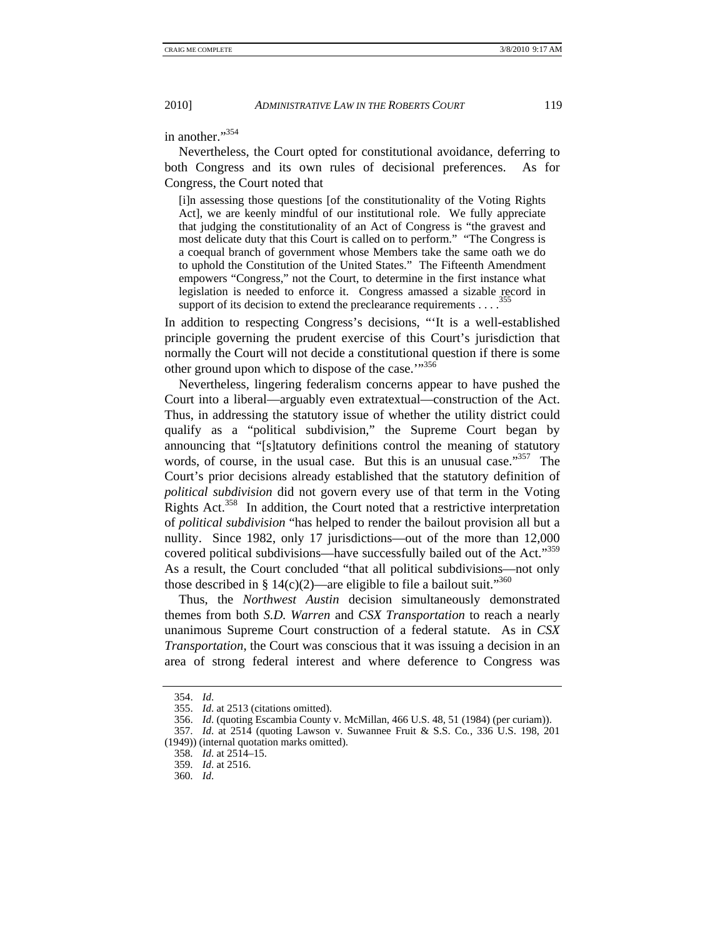in another."<sup>354</sup>

Nevertheless, the Court opted for constitutional avoidance, deferring to both Congress and its own rules of decisional preferences. As for Congress, the Court noted that

[i]n assessing those questions [of the constitutionality of the Voting Rights Act], we are keenly mindful of our institutional role. We fully appreciate that judging the constitutionality of an Act of Congress is "the gravest and most delicate duty that this Court is called on to perform." "The Congress is a coequal branch of government whose Members take the same oath we do to uphold the Constitution of the United States." The Fifteenth Amendment empowers "Congress," not the Court, to determine in the first instance what legislation is needed to enforce it. Congress amassed a sizable record in support of its decision to extend the preclearance requirements  $\ldots$ 

In addition to respecting Congress's decisions, "'It is a well-established principle governing the prudent exercise of this Court's jurisdiction that normally the Court will not decide a constitutional question if there is some other ground upon which to dispose of the case."<sup>356</sup>

Nevertheless, lingering federalism concerns appear to have pushed the Court into a liberal—arguably even extratextual—construction of the Act. Thus, in addressing the statutory issue of whether the utility district could qualify as a "political subdivision," the Supreme Court began by announcing that "[s]tatutory definitions control the meaning of statutory words, of course, in the usual case. But this is an unusual case."<sup>357</sup> The Court's prior decisions already established that the statutory definition of *political subdivision* did not govern every use of that term in the Voting Rights Act.<sup>358</sup> In addition, the Court noted that a restrictive interpretation of *political subdivision* "has helped to render the bailout provision all but a nullity. Since 1982, only 17 jurisdictions—out of the more than 12,000 covered political subdivisions—have successfully bailed out of the Act."359 As a result, the Court concluded "that all political subdivisions—not only those described in § 14(c)(2)—are eligible to file a bailout suit."<sup>360</sup>

Thus, the *Northwest Austin* decision simultaneously demonstrated themes from both *S.D. Warren* and *CSX Transportation* to reach a nearly unanimous Supreme Court construction of a federal statute. As in *CSX Transportation*, the Court was conscious that it was issuing a decision in an area of strong federal interest and where deference to Congress was

 <sup>354.</sup> *Id*.

 <sup>355.</sup> *Id*. at 2513 (citations omitted).

 <sup>356.</sup> *Id*. (quoting Escambia County v. McMillan, 466 U.S. 48, 51 (1984) (per curiam)).

 <sup>357.</sup> *Id*. at 2514 (quoting Lawson v. Suwannee Fruit & S.S. Co*.*, 336 U.S. 198, 201 (1949)) (internal quotation marks omitted).

 <sup>358.</sup> *Id*. at 2514–15.

 <sup>359.</sup> *Id*. at 2516.

 <sup>360.</sup> *Id*.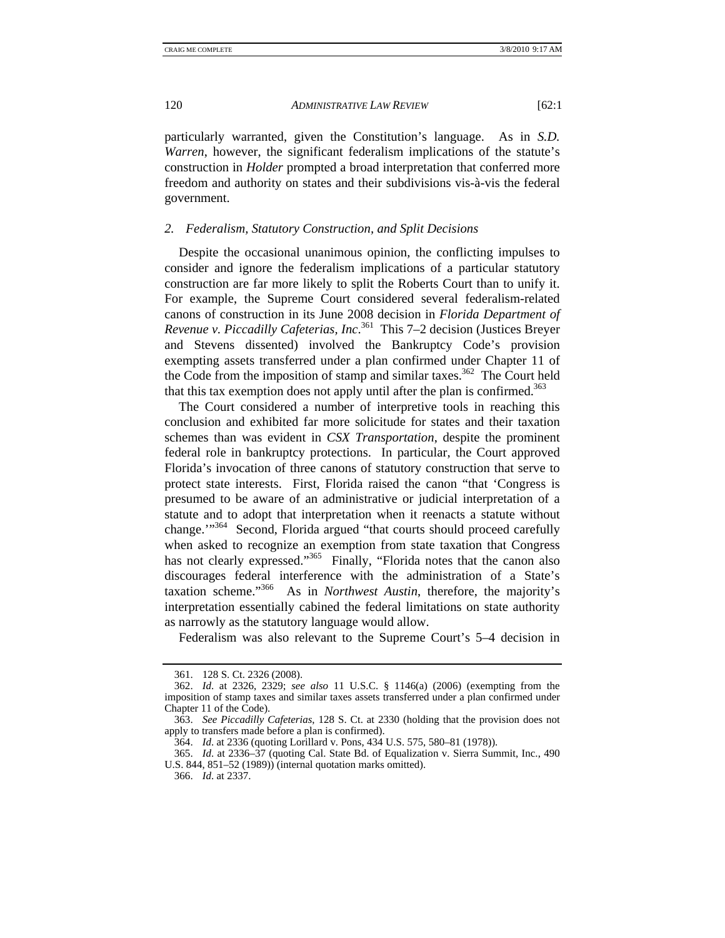particularly warranted, given the Constitution's language. As in *S.D. Warren*, however, the significant federalism implications of the statute's construction in *Holder* prompted a broad interpretation that conferred more freedom and authority on states and their subdivisions vis-à-vis the federal government.

#### *2. Federalism, Statutory Construction, and Split Decisions*

Despite the occasional unanimous opinion, the conflicting impulses to consider and ignore the federalism implications of a particular statutory construction are far more likely to split the Roberts Court than to unify it. For example, the Supreme Court considered several federalism-related canons of construction in its June 2008 decision in *Florida Department of Revenue v. Piccadilly Cafeterias, Inc*. 361 This 7–2 decision (Justices Breyer and Stevens dissented) involved the Bankruptcy Code's provision exempting assets transferred under a plan confirmed under Chapter 11 of the Code from the imposition of stamp and similar taxes.<sup>362</sup> The Court held that this tax exemption does not apply until after the plan is confirmed.<sup>363</sup>

The Court considered a number of interpretive tools in reaching this conclusion and exhibited far more solicitude for states and their taxation schemes than was evident in *CSX Transportation*, despite the prominent federal role in bankruptcy protections. In particular, the Court approved Florida's invocation of three canons of statutory construction that serve to protect state interests. First, Florida raised the canon "that 'Congress is presumed to be aware of an administrative or judicial interpretation of a statute and to adopt that interpretation when it reenacts a statute without change."<sup>364</sup> Second, Florida argued "that courts should proceed carefully when asked to recognize an exemption from state taxation that Congress has not clearly expressed."<sup>365</sup> Finally, "Florida notes that the canon also discourages federal interference with the administration of a State's taxation scheme."366 As in *Northwest Austin*, therefore, the majority's interpretation essentially cabined the federal limitations on state authority as narrowly as the statutory language would allow.

Federalism was also relevant to the Supreme Court's 5–4 decision in

 <sup>361. 128</sup> S. Ct. 2326 (2008).

 <sup>362.</sup> *Id*. at 2326, 2329; *see also* 11 U.S.C. § 1146(a) (2006) (exempting from the imposition of stamp taxes and similar taxes assets transferred under a plan confirmed under Chapter 11 of the Code).

 <sup>363.</sup> *See Piccadilly Cafeterias*, 128 S. Ct. at 2330 (holding that the provision does not apply to transfers made before a plan is confirmed).

 <sup>364.</sup> *Id*. at 2336 (quoting Lorillard v. Pons, 434 U.S. 575, 580–81 (1978)).

 <sup>365.</sup> *Id*. at 2336–37 (quoting Cal. State Bd. of Equalization v. Sierra Summit, Inc., 490 U.S. 844, 851–52 (1989)) (internal quotation marks omitted).

 <sup>366.</sup> *Id*. at 2337.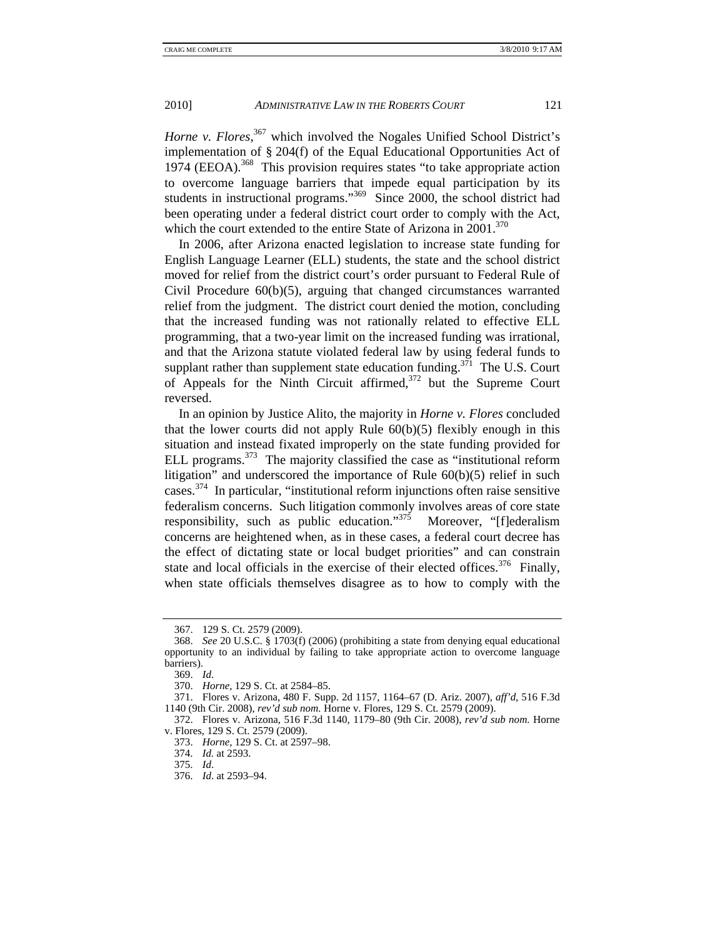Horne v. Flores,<sup>367</sup> which involved the Nogales Unified School District's implementation of § 204(f) of the Equal Educational Opportunities Act of 1974 (EEOA).<sup>368</sup> This provision requires states "to take appropriate action to overcome language barriers that impede equal participation by its students in instructional programs."<sup>369</sup> Since 2000, the school district had been operating under a federal district court order to comply with the Act, which the court extended to the entire State of Arizona in  $2001$ <sup>370</sup>

In 2006, after Arizona enacted legislation to increase state funding for English Language Learner (ELL) students, the state and the school district moved for relief from the district court's order pursuant to Federal Rule of Civil Procedure 60(b)(5), arguing that changed circumstances warranted relief from the judgment. The district court denied the motion, concluding that the increased funding was not rationally related to effective ELL programming, that a two-year limit on the increased funding was irrational, and that the Arizona statute violated federal law by using federal funds to supplant rather than supplement state education funding.<sup>371</sup> The U.S. Court of Appeals for the Ninth Circuit affirmed, $372$  but the Supreme Court reversed.

In an opinion by Justice Alito, the majority in *Horne v. Flores* concluded that the lower courts did not apply Rule  $60(b)(5)$  flexibly enough in this situation and instead fixated improperly on the state funding provided for ELL programs.<sup>373</sup> The majority classified the case as "institutional reform" litigation" and underscored the importance of Rule 60(b)(5) relief in such cases.374 In particular, "institutional reform injunctions often raise sensitive federalism concerns. Such litigation commonly involves areas of core state responsibility, such as public education."<sup>375</sup> Moreover, "[f]ederalism concerns are heightened when, as in these cases, a federal court decree has the effect of dictating state or local budget priorities" and can constrain state and local officials in the exercise of their elected offices.<sup>376</sup> Finally, when state officials themselves disagree as to how to comply with the

 <sup>367. 129</sup> S. Ct. 2579 (2009).

 <sup>368.</sup> *See* 20 U.S.C. § 1703(f) (2006) (prohibiting a state from denying equal educational opportunity to an individual by failing to take appropriate action to overcome language barriers).

 <sup>369.</sup> *Id*.

 <sup>370.</sup> *Horne*, 129 S. Ct. at 2584–85.

 <sup>371.</sup> Flores v. Arizona, 480 F. Supp. 2d 1157, 1164–67 (D. Ariz. 2007), *aff'd*, 516 F.3d 1140 (9th Cir. 2008), *rev'd sub nom.* Horne v. Flores, 129 S. Ct. 2579 (2009).

 <sup>372.</sup> Flores v. Arizona, 516 F.3d 1140, 1179–80 (9th Cir. 2008), *rev'd sub nom.* Horne v. Flores, 129 S. Ct. 2579 (2009).

 <sup>373.</sup> *Horne*, 129 S. Ct. at 2597–98.

 <sup>374.</sup> *Id.* at 2593.

 <sup>375.</sup> *Id*.

 <sup>376.</sup> *Id*. at 2593–94.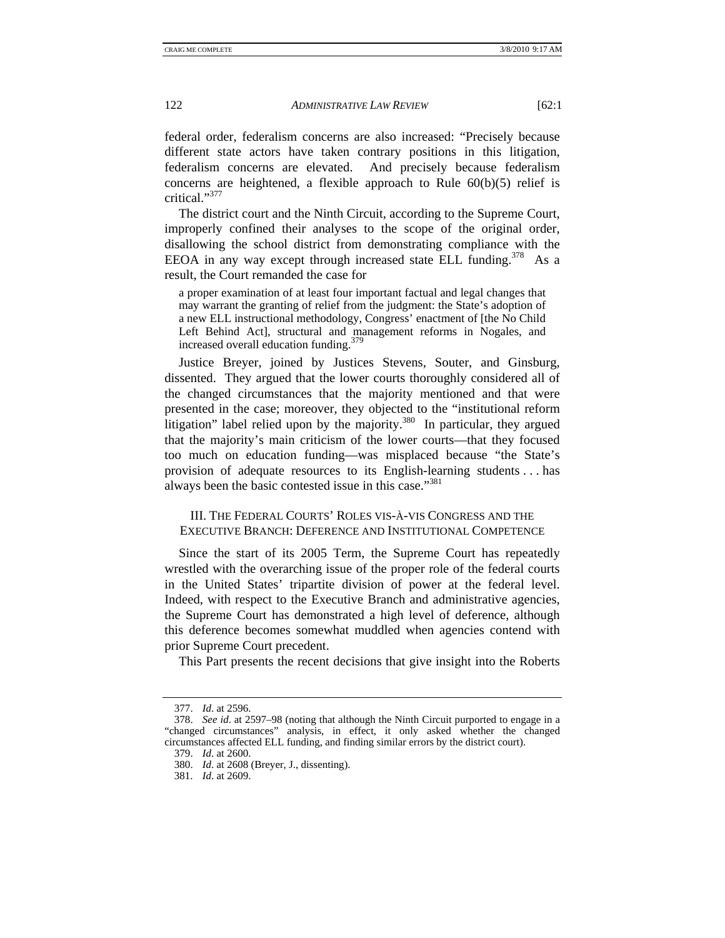federal order, federalism concerns are also increased: "Precisely because different state actors have taken contrary positions in this litigation, federalism concerns are elevated. And precisely because federalism concerns are heightened, a flexible approach to Rule  $60(b)(5)$  relief is critical."<sup>377</sup>

The district court and the Ninth Circuit, according to the Supreme Court, improperly confined their analyses to the scope of the original order, disallowing the school district from demonstrating compliance with the EEOA in any way except through increased state ELL funding.<sup>378</sup> As a result, the Court remanded the case for

a proper examination of at least four important factual and legal changes that may warrant the granting of relief from the judgment: the State's adoption of a new ELL instructional methodology, Congress' enactment of [the No Child Left Behind Act], structural and management reforms in Nogales, and increased overall education funding.<sup>379</sup>

Justice Breyer, joined by Justices Stevens, Souter, and Ginsburg, dissented. They argued that the lower courts thoroughly considered all of the changed circumstances that the majority mentioned and that were presented in the case; moreover, they objected to the "institutional reform litigation" label relied upon by the majority. $380$  In particular, they argued that the majority's main criticism of the lower courts—that they focused too much on education funding—was misplaced because "the State's provision of adequate resources to its English-learning students . . . has always been the basic contested issue in this case."<sup>381</sup>

III. THE FEDERAL COURTS' ROLES VIS-À-VIS CONGRESS AND THE EXECUTIVE BRANCH: DEFERENCE AND INSTITUTIONAL COMPETENCE

Since the start of its 2005 Term, the Supreme Court has repeatedly wrestled with the overarching issue of the proper role of the federal courts in the United States' tripartite division of power at the federal level. Indeed, with respect to the Executive Branch and administrative agencies, the Supreme Court has demonstrated a high level of deference, although this deference becomes somewhat muddled when agencies contend with prior Supreme Court precedent.

This Part presents the recent decisions that give insight into the Roberts

 <sup>377.</sup> *Id*. at 2596.

 <sup>378.</sup> *See id*. at 2597–98 (noting that although the Ninth Circuit purported to engage in a "changed circumstances" analysis, in effect, it only asked whether the changed circumstances affected ELL funding, and finding similar errors by the district court).

 <sup>379.</sup> *Id*. at 2600.

 <sup>380.</sup> *Id*. at 2608 (Breyer, J., dissenting).

 <sup>381.</sup> *Id*. at 2609.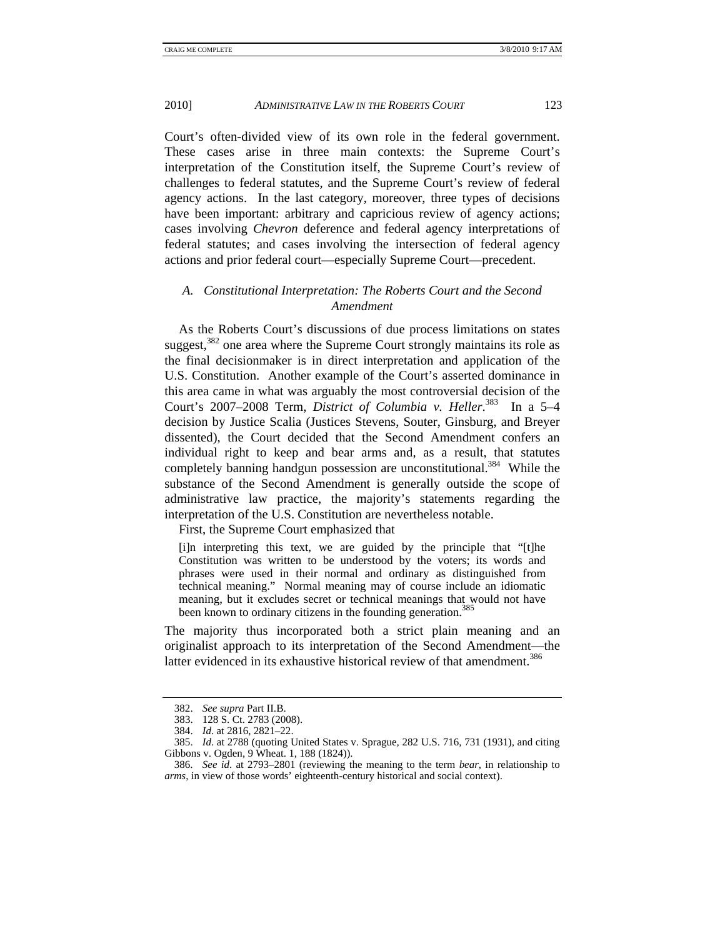Court's often-divided view of its own role in the federal government. These cases arise in three main contexts: the Supreme Court's interpretation of the Constitution itself, the Supreme Court's review of challenges to federal statutes, and the Supreme Court's review of federal agency actions. In the last category, moreover, three types of decisions have been important: arbitrary and capricious review of agency actions; cases involving *Chevron* deference and federal agency interpretations of federal statutes; and cases involving the intersection of federal agency actions and prior federal court—especially Supreme Court—precedent.

# *A. Constitutional Interpretation: The Roberts Court and the Second Amendment*

As the Roberts Court's discussions of due process limitations on states suggest,<sup>382</sup> one area where the Supreme Court strongly maintains its role as the final decisionmaker is in direct interpretation and application of the U.S. Constitution. Another example of the Court's asserted dominance in this area came in what was arguably the most controversial decision of the Court's 2007–2008 Term, *District of Columbia v. Heller*. 383 In a 5–4 decision by Justice Scalia (Justices Stevens, Souter, Ginsburg, and Breyer dissented), the Court decided that the Second Amendment confers an individual right to keep and bear arms and, as a result, that statutes completely banning handgun possession are unconstitutional.<sup>384</sup> While the substance of the Second Amendment is generally outside the scope of administrative law practice, the majority's statements regarding the interpretation of the U.S. Constitution are nevertheless notable.

First, the Supreme Court emphasized that

[i]n interpreting this text, we are guided by the principle that "[t]he Constitution was written to be understood by the voters; its words and phrases were used in their normal and ordinary as distinguished from technical meaning." Normal meaning may of course include an idiomatic meaning, but it excludes secret or technical meanings that would not have been known to ordinary citizens in the founding generation.<sup>385</sup>

The majority thus incorporated both a strict plain meaning and an originalist approach to its interpretation of the Second Amendment—the latter evidenced in its exhaustive historical review of that amendment.<sup>386</sup>

 <sup>382.</sup> *See supra* Part II.B.

 <sup>383. 128</sup> S. Ct. 2783 (2008).

 <sup>384.</sup> *Id*. at 2816, 2821–22.

 <sup>385.</sup> *Id*. at 2788 (quoting United States v. Sprague, 282 U.S. 716, 731 (1931), and citing Gibbons v. Ogden, 9 Wheat. 1, 188 (1824)).

 <sup>386.</sup> *See id*. at 2793–2801 (reviewing the meaning to the term *bear*, in relationship to *arms*, in view of those words' eighteenth-century historical and social context).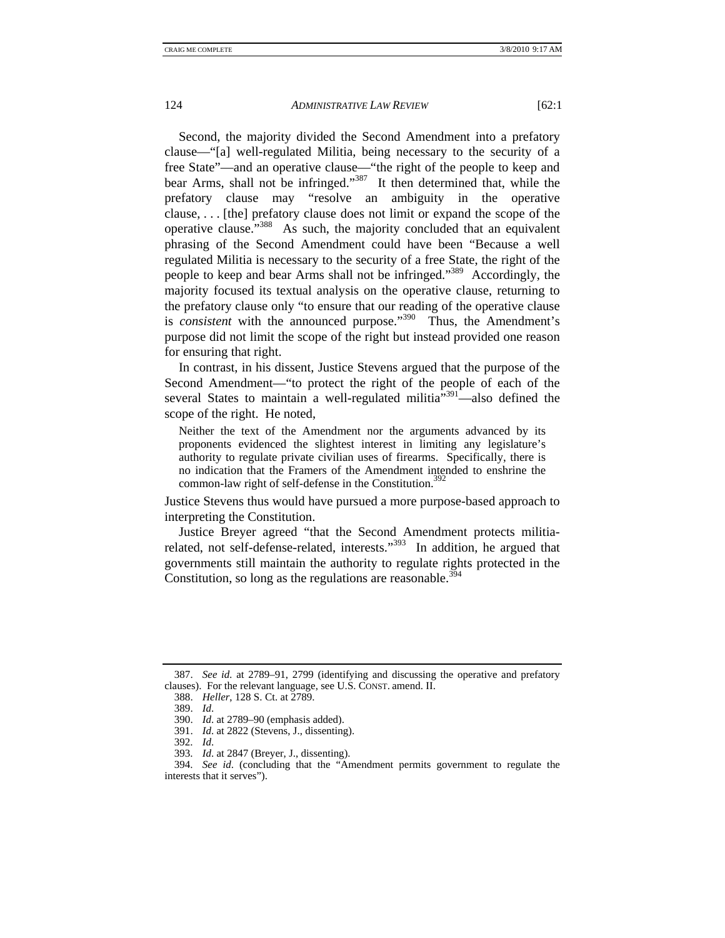Second, the majority divided the Second Amendment into a prefatory clause—"[a] well-regulated Militia, being necessary to the security of a free State"—and an operative clause—"the right of the people to keep and bear Arms, shall not be infringed."387 It then determined that, while the prefatory clause may "resolve an ambiguity in the operative clause, . . . [the] prefatory clause does not limit or expand the scope of the operative clause."388 As such, the majority concluded that an equivalent phrasing of the Second Amendment could have been "Because a well regulated Militia is necessary to the security of a free State, the right of the people to keep and bear Arms shall not be infringed."389 Accordingly, the majority focused its textual analysis on the operative clause, returning to the prefatory clause only "to ensure that our reading of the operative clause is *consistent* with the announced purpose."<sup>390</sup> Thus, the Amendment's purpose did not limit the scope of the right but instead provided one reason for ensuring that right.

In contrast, in his dissent, Justice Stevens argued that the purpose of the Second Amendment—"to protect the right of the people of each of the several States to maintain a well-regulated militia $\frac{1}{2}$ <sup>391</sup>—also defined the scope of the right. He noted,

Neither the text of the Amendment nor the arguments advanced by its proponents evidenced the slightest interest in limiting any legislature's authority to regulate private civilian uses of firearms. Specifically, there is no indication that the Framers of the Amendment intended to enshrine the common-law right of self-defense in the Constitution.<sup>392</sup>

Justice Stevens thus would have pursued a more purpose-based approach to interpreting the Constitution.

Justice Breyer agreed "that the Second Amendment protects militiarelated, not self-defense-related, interests."<sup>393</sup> In addition, he argued that governments still maintain the authority to regulate rights protected in the Constitution, so long as the regulations are reasonable. $394$ 

 <sup>387.</sup> *See id.* at 2789–91, 2799 (identifying and discussing the operative and prefatory clauses). For the relevant language, see U.S. CONST. amend. II.

 <sup>388.</sup> *Heller*, 128 S. Ct. at 2789.

 <sup>389.</sup> *Id*.

 <sup>390.</sup> *Id*. at 2789–90 (emphasis added).

 <sup>391.</sup> *Id*. at 2822 (Stevens, J., dissenting).

 <sup>392.</sup> *Id*.

 <sup>393.</sup> *Id*. at 2847 (Breyer, J., dissenting).

 <sup>394.</sup> *See id*. (concluding that the "Amendment permits government to regulate the interests that it serves").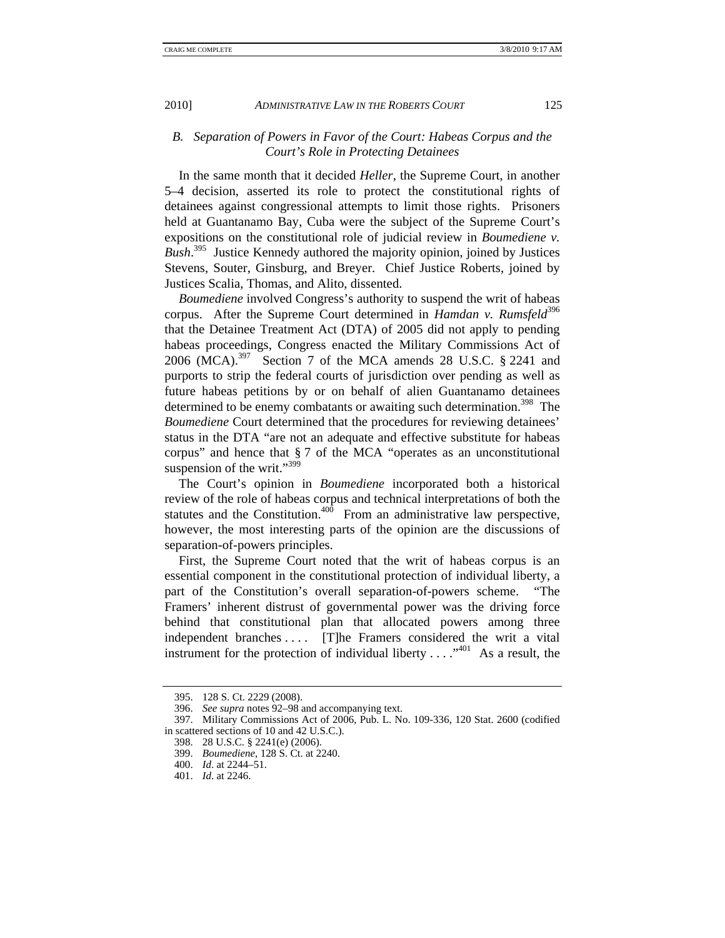# *B. Separation of Powers in Favor of the Court: Habeas Corpus and the Court's Role in Protecting Detainees*

In the same month that it decided *Heller*, the Supreme Court, in another 5–4 decision, asserted its role to protect the constitutional rights of detainees against congressional attempts to limit those rights. Prisoners held at Guantanamo Bay, Cuba were the subject of the Supreme Court's expositions on the constitutional role of judicial review in *Boumediene v. Bush*. 395 Justice Kennedy authored the majority opinion, joined by Justices Stevens, Souter, Ginsburg, and Breyer. Chief Justice Roberts, joined by Justices Scalia, Thomas, and Alito, dissented.

*Boumediene* involved Congress's authority to suspend the writ of habeas corpus. After the Supreme Court determined in *Hamdan v. Rumsfeld*<sup>396</sup> that the Detainee Treatment Act (DTA) of 2005 did not apply to pending habeas proceedings, Congress enacted the Military Commissions Act of 2006 (MCA).<sup>397</sup> Section 7 of the MCA amends 28 U.S.C. § 2241 and purports to strip the federal courts of jurisdiction over pending as well as future habeas petitions by or on behalf of alien Guantanamo detainees determined to be enemy combatants or awaiting such determination.<sup>398</sup> The *Boumediene* Court determined that the procedures for reviewing detainees' status in the DTA "are not an adequate and effective substitute for habeas corpus" and hence that § 7 of the MCA "operates as an unconstitutional suspension of the writ."<sup>399</sup>

The Court's opinion in *Boumediene* incorporated both a historical review of the role of habeas corpus and technical interpretations of both the statutes and the Constitution. $400$  From an administrative law perspective, however, the most interesting parts of the opinion are the discussions of separation-of-powers principles.

First, the Supreme Court noted that the writ of habeas corpus is an essential component in the constitutional protection of individual liberty, a part of the Constitution's overall separation-of-powers scheme. "The Framers' inherent distrust of governmental power was the driving force behind that constitutional plan that allocated powers among three independent branches .... [T]he Framers considered the writ a vital instrument for the protection of individual liberty  $\dots$   $\cdot$   $\cdot$  As a result, the

 <sup>395. 128</sup> S. Ct. 2229 (2008).

 <sup>396.</sup> *See supra* notes 92–98 and accompanying text.

 <sup>397.</sup> Military Commissions Act of 2006, Pub. L. No. 109-336, 120 Stat. 2600 (codified in scattered sections of 10 and 42 U.S.C.).

 <sup>398. 28</sup> U.S.C. § 2241(e) (2006).

 <sup>399.</sup> *Boumediene*, 128 S. Ct. at 2240.

 <sup>400.</sup> *Id*. at 2244–51.

 <sup>401.</sup> *Id*. at 2246.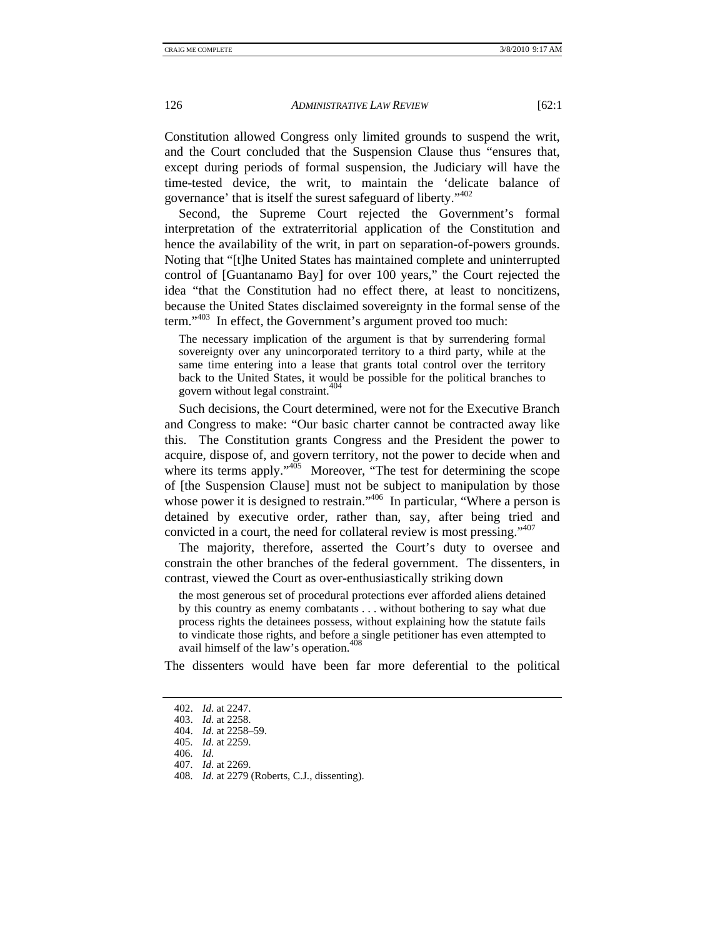Constitution allowed Congress only limited grounds to suspend the writ, and the Court concluded that the Suspension Clause thus "ensures that, except during periods of formal suspension, the Judiciary will have the time-tested device, the writ, to maintain the 'delicate balance of governance' that is itself the surest safeguard of liberty."<sup>402</sup>

Second, the Supreme Court rejected the Government's formal interpretation of the extraterritorial application of the Constitution and hence the availability of the writ, in part on separation-of-powers grounds. Noting that "[t]he United States has maintained complete and uninterrupted control of [Guantanamo Bay] for over 100 years," the Court rejected the idea "that the Constitution had no effect there, at least to noncitizens, because the United States disclaimed sovereignty in the formal sense of the term."<sup>403</sup> In effect, the Government's argument proved too much:

The necessary implication of the argument is that by surrendering formal sovereignty over any unincorporated territory to a third party, while at the same time entering into a lease that grants total control over the territory back to the United States, it would be possible for the political branches to govern without legal constraint.<sup>404</sup>

Such decisions, the Court determined, were not for the Executive Branch and Congress to make: "Our basic charter cannot be contracted away like this. The Constitution grants Congress and the President the power to acquire, dispose of, and govern territory, not the power to decide when and where its terms apply."<sup>405</sup> Moreover, "The test for determining the scope of [the Suspension Clause] must not be subject to manipulation by those whose power it is designed to restrain."<sup>406</sup> In particular, "Where a person is detained by executive order, rather than, say, after being tried and convicted in a court, the need for collateral review is most pressing."407

The majority, therefore, asserted the Court's duty to oversee and constrain the other branches of the federal government. The dissenters, in contrast, viewed the Court as over-enthusiastically striking down

the most generous set of procedural protections ever afforded aliens detained by this country as enemy combatants . . . without bothering to say what due process rights the detainees possess, without explaining how the statute fails to vindicate those rights, and before a single petitioner has even attempted to avail himself of the law's operation.<sup>408</sup>

The dissenters would have been far more deferential to the political

406. *Id*.

 <sup>402.</sup> *Id*. at 2247.

 <sup>403.</sup> *Id*. at 2258.

 <sup>404.</sup> *Id*. at 2258–59.

 <sup>405.</sup> *Id*. at 2259.

 <sup>407.</sup> *Id*. at 2269.

 <sup>408.</sup> *Id*. at 2279 (Roberts, C.J., dissenting).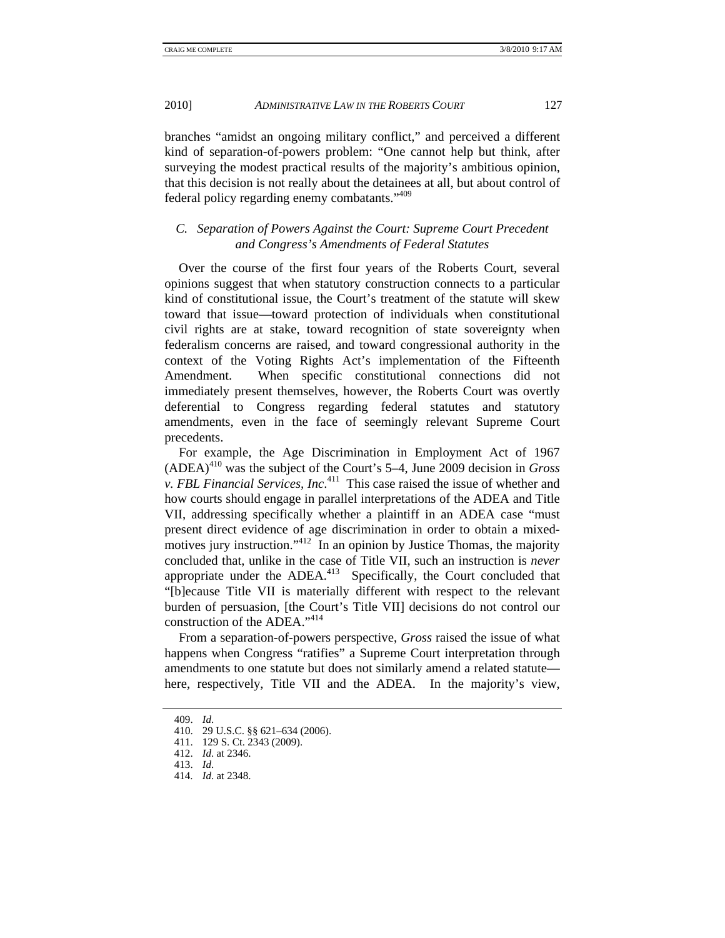branches "amidst an ongoing military conflict," and perceived a different kind of separation-of-powers problem: "One cannot help but think, after surveying the modest practical results of the majority's ambitious opinion, that this decision is not really about the detainees at all, but about control of federal policy regarding enemy combatants."409

# *C. Separation of Powers Against the Court: Supreme Court Precedent and Congress's Amendments of Federal Statutes*

Over the course of the first four years of the Roberts Court, several opinions suggest that when statutory construction connects to a particular kind of constitutional issue, the Court's treatment of the statute will skew toward that issue—toward protection of individuals when constitutional civil rights are at stake, toward recognition of state sovereignty when federalism concerns are raised, and toward congressional authority in the context of the Voting Rights Act's implementation of the Fifteenth Amendment. When specific constitutional connections did not immediately present themselves, however, the Roberts Court was overtly deferential to Congress regarding federal statutes and statutory amendments, even in the face of seemingly relevant Supreme Court precedents.

For example, the Age Discrimination in Employment Act of 1967 (ADEA)410 was the subject of the Court's 5–4, June 2009 decision in *Gross v. FBL Financial Services, Inc*. 411 This case raised the issue of whether and how courts should engage in parallel interpretations of the ADEA and Title VII, addressing specifically whether a plaintiff in an ADEA case "must present direct evidence of age discrimination in order to obtain a mixedmotives jury instruction."<sup>412</sup> In an opinion by Justice Thomas, the majority concluded that, unlike in the case of Title VII, such an instruction is *never* appropriate under the  $ADEA<sup>413</sup>$  Specifically, the Court concluded that "[b]ecause Title VII is materially different with respect to the relevant burden of persuasion, [the Court's Title VII] decisions do not control our construction of the ADEA."<sup>414</sup>

From a separation-of-powers perspective, *Gross* raised the issue of what happens when Congress "ratifies" a Supreme Court interpretation through amendments to one statute but does not similarly amend a related statute here, respectively, Title VII and the ADEA. In the majority's view,

 <sup>409.</sup> *Id*.

 <sup>410. 29</sup> U.S.C. §§ 621–634 (2006).

 <sup>411. 129</sup> S. Ct. 2343 (2009).

 <sup>412.</sup> *Id*. at 2346.

 <sup>413.</sup> *Id*.

 <sup>414.</sup> *Id*. at 2348.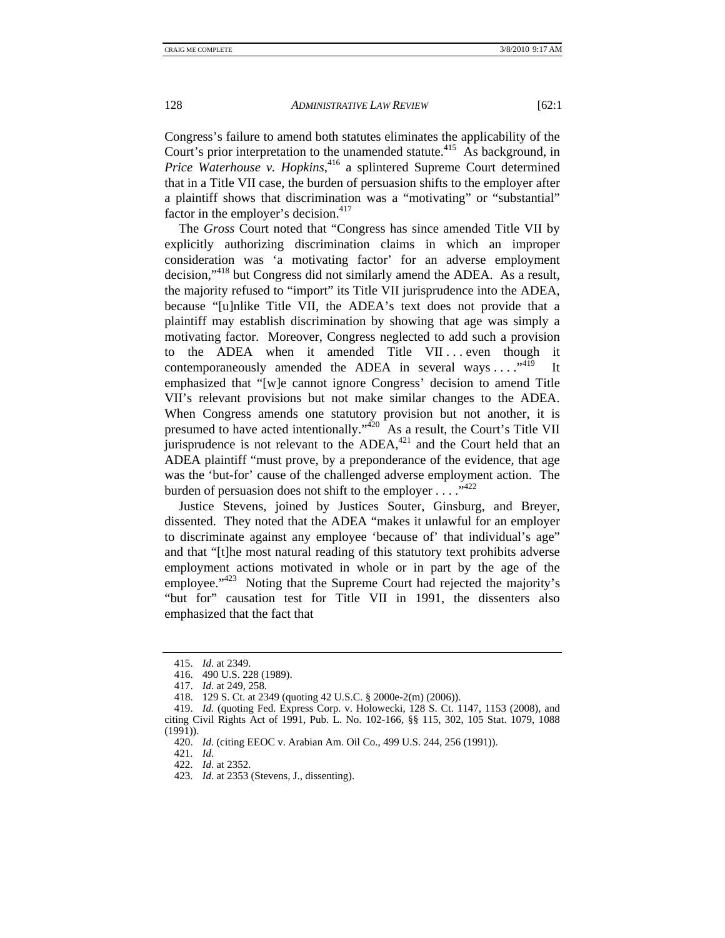Congress's failure to amend both statutes eliminates the applicability of the Court's prior interpretation to the unamended statute.<sup>415</sup> As background, in *Price Waterhouse v. Hopkins*, 416 a splintered Supreme Court determined that in a Title VII case, the burden of persuasion shifts to the employer after a plaintiff shows that discrimination was a "motivating" or "substantial" factor in the employer's decision.<sup>417</sup>

The *Gross* Court noted that "Congress has since amended Title VII by explicitly authorizing discrimination claims in which an improper consideration was 'a motivating factor' for an adverse employment decision,"418 but Congress did not similarly amend the ADEA. As a result, the majority refused to "import" its Title VII jurisprudence into the ADEA, because "[u]nlike Title VII, the ADEA's text does not provide that a plaintiff may establish discrimination by showing that age was simply a motivating factor. Moreover, Congress neglected to add such a provision to the ADEA when it amended Title VII... even though it contemporaneously amended the ADEA in several ways  $\dots$ <sup>419</sup> It emphasized that "[w]e cannot ignore Congress' decision to amend Title VII's relevant provisions but not make similar changes to the ADEA. When Congress amends one statutory provision but not another, it is presumed to have acted intentionally."<sup>420</sup> As a result, the Court's Title VII jurisprudence is not relevant to the  $ADEA<sub>1</sub><sup>421</sup>$  and the Court held that an ADEA plaintiff "must prove, by a preponderance of the evidence, that age was the 'but-for' cause of the challenged adverse employment action. The burden of persuasion does not shift to the employer  $\ldots$ .  $\ldots$ 

Justice Stevens, joined by Justices Souter, Ginsburg, and Breyer, dissented. They noted that the ADEA "makes it unlawful for an employer to discriminate against any employee 'because of' that individual's age" and that "[t]he most natural reading of this statutory text prohibits adverse employment actions motivated in whole or in part by the age of the employee."<sup>423</sup> Noting that the Supreme Court had rejected the majority's "but for" causation test for Title VII in 1991, the dissenters also emphasized that the fact that

 <sup>415.</sup> *Id*. at 2349.

 <sup>416. 490</sup> U.S. 228 (1989).

 <sup>417.</sup> *Id*. at 249, 258.

 <sup>418. 129</sup> S. Ct. at 2349 (quoting 42 U.S.C. § 2000e-2(m) (2006)).

 <sup>419.</sup> *Id.* (quoting Fed. Express Corp. v. Holowecki, 128 S. Ct. 1147, 1153 (2008), and citing Civil Rights Act of 1991, Pub. L. No. 102-166, §§ 115, 302, 105 Stat. 1079, 1088 (1991)).

 <sup>420.</sup> *Id*. (citing EEOC v. Arabian Am. Oil Co., 499 U.S. 244, 256 (1991)).

 <sup>421.</sup> *Id*.

 <sup>422.</sup> *Id*. at 2352.

 <sup>423.</sup> *Id*. at 2353 (Stevens, J., dissenting).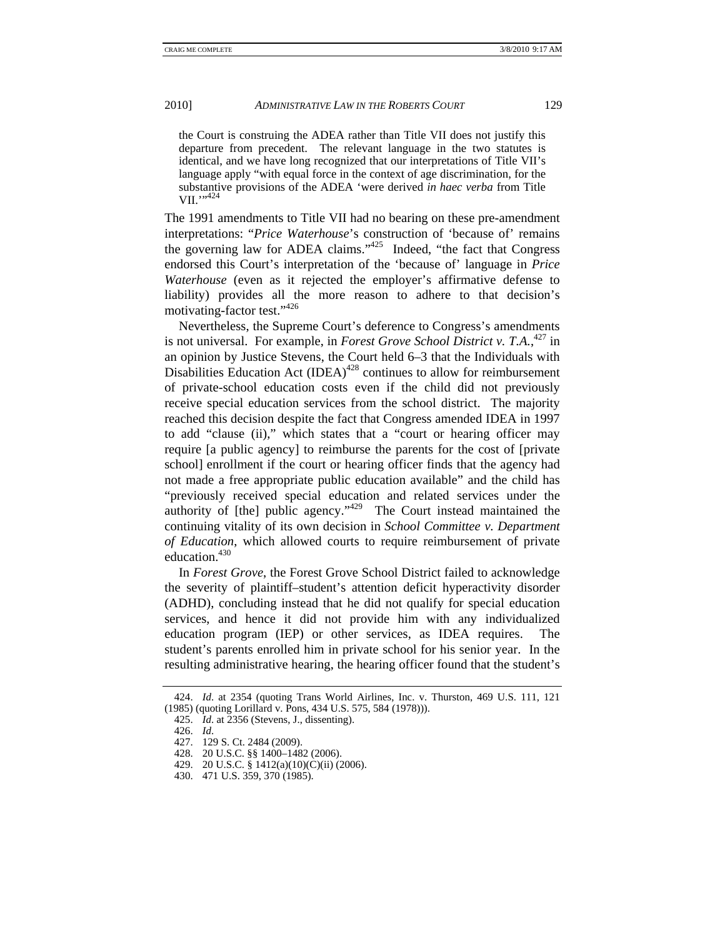the Court is construing the ADEA rather than Title VII does not justify this departure from precedent. The relevant language in the two statutes is identical, and we have long recognized that our interpretations of Title VII's language apply "with equal force in the context of age discrimination, for the substantive provisions of the ADEA 'were derived *in haec verba* from Title VII.",424

The 1991 amendments to Title VII had no bearing on these pre-amendment interpretations: "*Price Waterhouse*'s construction of 'because of' remains the governing law for ADEA claims." $425$  Indeed, "the fact that Congress" endorsed this Court's interpretation of the 'because of' language in *Price Waterhouse* (even as it rejected the employer's affirmative defense to liability) provides all the more reason to adhere to that decision's motivating-factor test."<sup>426</sup>

Nevertheless, the Supreme Court's deference to Congress's amendments is not universal. For example, in *Forest Grove School District v. T.A.*, 427 in an opinion by Justice Stevens, the Court held 6–3 that the Individuals with Disabilities Education Act  $(IDEA)^{428}$  continues to allow for reimbursement of private-school education costs even if the child did not previously receive special education services from the school district. The majority reached this decision despite the fact that Congress amended IDEA in 1997 to add "clause (ii)," which states that a "court or hearing officer may require [a public agency] to reimburse the parents for the cost of [private school] enrollment if the court or hearing officer finds that the agency had not made a free appropriate public education available" and the child has "previously received special education and related services under the authority of [the] public agency."<sup>429</sup> The Court instead maintained the continuing vitality of its own decision in *School Committee v. Department of Education*, which allowed courts to require reimbursement of private education.<sup>430</sup>

In *Forest Grove*, the Forest Grove School District failed to acknowledge the severity of plaintiff–student's attention deficit hyperactivity disorder (ADHD), concluding instead that he did not qualify for special education services, and hence it did not provide him with any individualized education program (IEP) or other services, as IDEA requires. The student's parents enrolled him in private school for his senior year. In the resulting administrative hearing, the hearing officer found that the student's

 <sup>424.</sup> *Id*. at 2354 (quoting Trans World Airlines, Inc. v. Thurston, 469 U.S. 111, 121 (1985) (quoting Lorillard v. Pons, 434 U.S. 575, 584 (1978))).

 <sup>425.</sup> *Id*. at 2356 (Stevens, J., dissenting).

 <sup>426.</sup> *Id*.

 <sup>427. 129</sup> S. Ct. 2484 (2009).

 <sup>428. 20</sup> U.S.C. §§ 1400–1482 (2006).

 <sup>429. 20</sup> U.S.C. § 1412(a)(10)(C)(ii) (2006).

 <sup>430. 471</sup> U.S. 359, 370 (1985).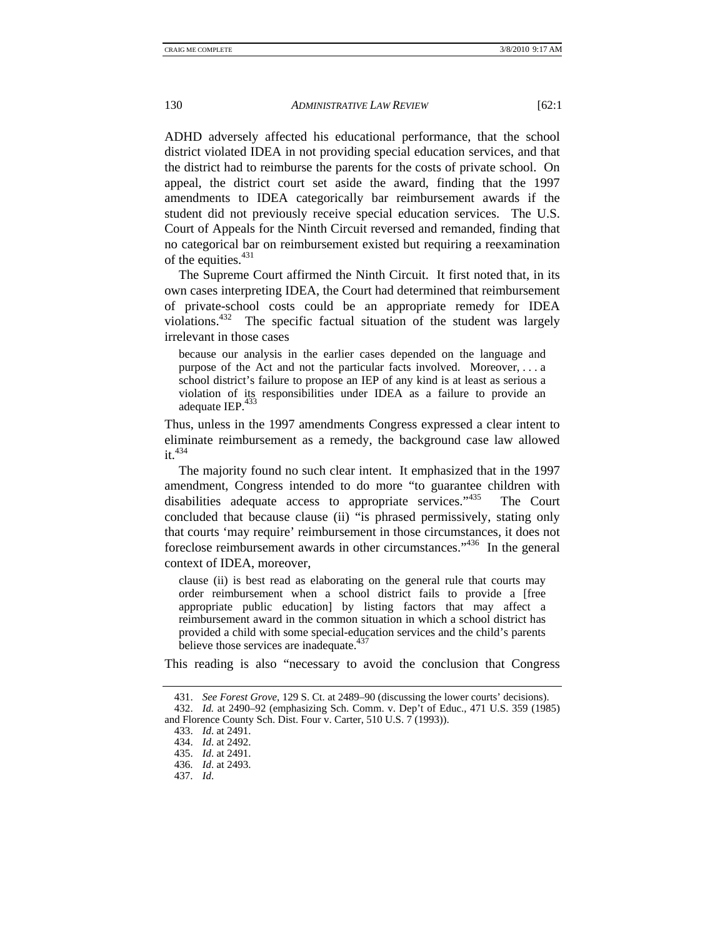ADHD adversely affected his educational performance, that the school district violated IDEA in not providing special education services, and that the district had to reimburse the parents for the costs of private school. On appeal, the district court set aside the award, finding that the 1997 amendments to IDEA categorically bar reimbursement awards if the student did not previously receive special education services. The U.S. Court of Appeals for the Ninth Circuit reversed and remanded, finding that no categorical bar on reimbursement existed but requiring a reexamination of the equities.<sup>431</sup>

The Supreme Court affirmed the Ninth Circuit. It first noted that, in its own cases interpreting IDEA, the Court had determined that reimbursement of private-school costs could be an appropriate remedy for IDEA violations.432 The specific factual situation of the student was largely irrelevant in those cases

because our analysis in the earlier cases depended on the language and purpose of the Act and not the particular facts involved. Moreover, . . . a school district's failure to propose an IEP of any kind is at least as serious a violation of its responsibilities under IDEA as a failure to provide an adequate IEP. $433$ 

Thus, unless in the 1997 amendments Congress expressed a clear intent to eliminate reimbursement as a remedy, the background case law allowed  $it^{434}$ 

The majority found no such clear intent. It emphasized that in the 1997 amendment, Congress intended to do more "to guarantee children with disabilities adequate access to appropriate services."<sup>435</sup> The Court concluded that because clause (ii) "is phrased permissively, stating only that courts 'may require' reimbursement in those circumstances, it does not foreclose reimbursement awards in other circumstances."436 In the general context of IDEA, moreover,

clause (ii) is best read as elaborating on the general rule that courts may order reimbursement when a school district fails to provide a [free appropriate public education] by listing factors that may affect a reimbursement award in the common situation in which a school district has provided a child with some special-education services and the child's parents believe those services are inadequate. $437$ 

This reading is also "necessary to avoid the conclusion that Congress

 <sup>431.</sup> *See Forest Grove*, 129 S. Ct. at 2489–90 (discussing the lower courts' decisions). 432. *Id.* at 2490–92 (emphasizing Sch. Comm. v. Dep't of Educ., 471 U.S. 359 (1985) and Florence County Sch. Dist. Four v. Carter, 510 U.S. 7 (1993)).

 <sup>433.</sup> *Id*. at 2491.

 <sup>434.</sup> *Id*. at 2492.

 <sup>435.</sup> *Id*. at 2491.

 <sup>436.</sup> *Id*. at 2493.

 <sup>437.</sup> *Id*.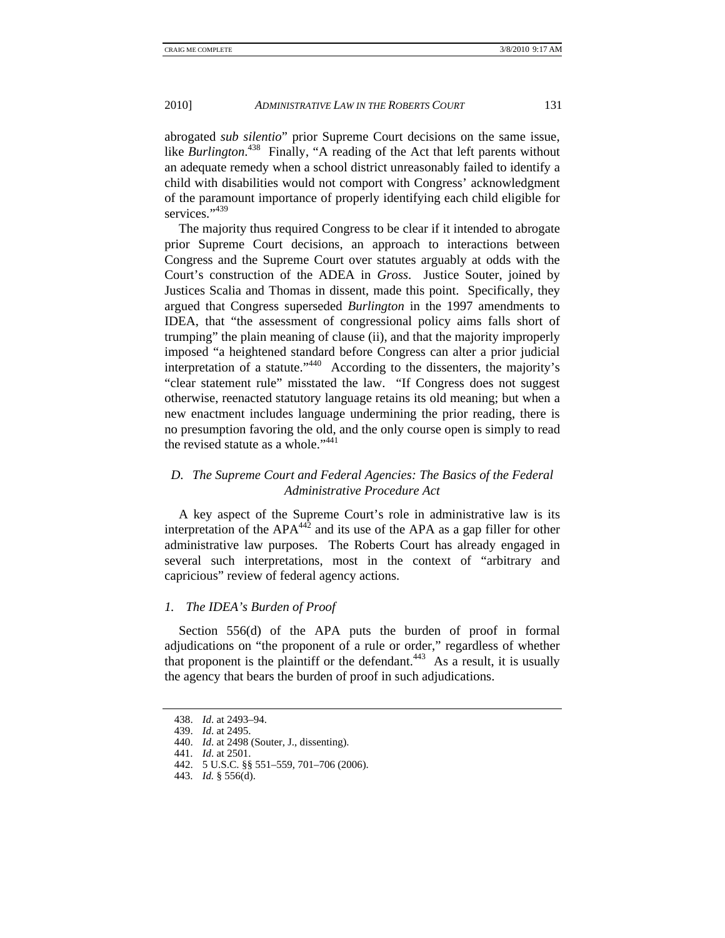abrogated *sub silentio*" prior Supreme Court decisions on the same issue, like *Burlington*. 438 Finally, "A reading of the Act that left parents without an adequate remedy when a school district unreasonably failed to identify a child with disabilities would not comport with Congress' acknowledgment of the paramount importance of properly identifying each child eligible for services."439

The majority thus required Congress to be clear if it intended to abrogate prior Supreme Court decisions, an approach to interactions between Congress and the Supreme Court over statutes arguably at odds with the Court's construction of the ADEA in *Gross*. Justice Souter, joined by Justices Scalia and Thomas in dissent, made this point. Specifically, they argued that Congress superseded *Burlington* in the 1997 amendments to IDEA, that "the assessment of congressional policy aims falls short of trumping" the plain meaning of clause (ii), and that the majority improperly imposed "a heightened standard before Congress can alter a prior judicial interpretation of a statute."440 According to the dissenters, the majority's "clear statement rule" misstated the law. "If Congress does not suggest otherwise, reenacted statutory language retains its old meaning; but when a new enactment includes language undermining the prior reading, there is no presumption favoring the old, and the only course open is simply to read the revised statute as a whole." $441$ 

# *D. The Supreme Court and Federal Agencies: The Basics of the Federal Administrative Procedure Act*

A key aspect of the Supreme Court's role in administrative law is its interpretation of the  $APA^{442}$  and its use of the APA as a gap filler for other administrative law purposes. The Roberts Court has already engaged in several such interpretations, most in the context of "arbitrary and capricious" review of federal agency actions.

# *1. The IDEA's Burden of Proof*

Section 556(d) of the APA puts the burden of proof in formal adjudications on "the proponent of a rule or order," regardless of whether that proponent is the plaintiff or the defendant.<sup> $443$ </sup> As a result, it is usually the agency that bears the burden of proof in such adjudications.

 <sup>438.</sup> *Id*. at 2493–94.

 <sup>439.</sup> *Id*. at 2495.

 <sup>440.</sup> *Id*. at 2498 (Souter, J., dissenting).

 <sup>441.</sup> *Id*. at 2501.

 <sup>442. 5</sup> U.S.C. §§ 551–559, 701–706 (2006).

 <sup>443.</sup> *Id.* § 556(d).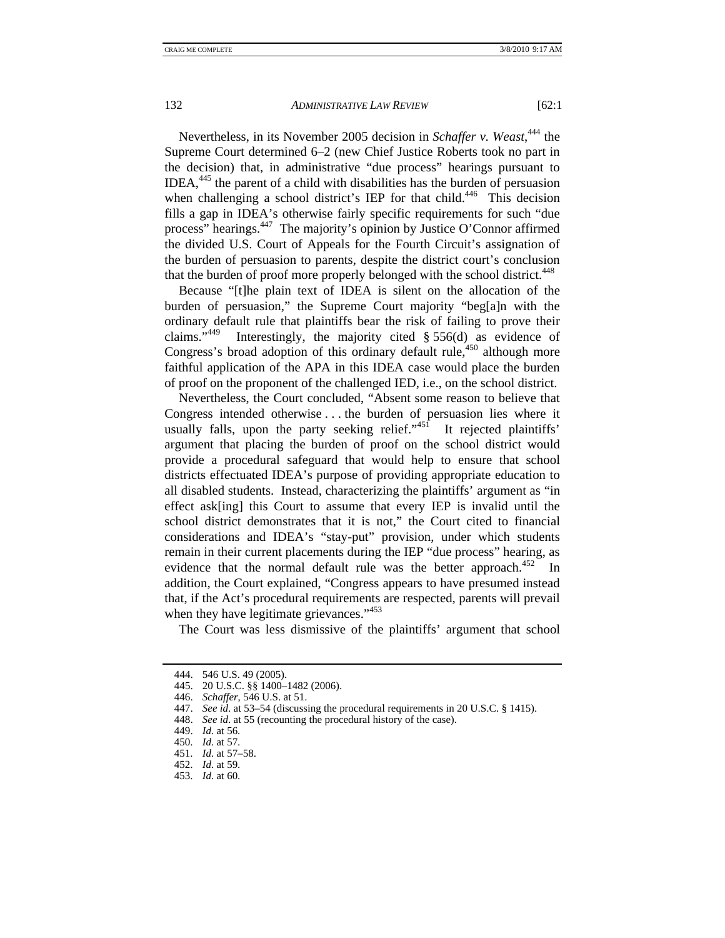Nevertheless, in its November 2005 decision in *Schaffer v. Weast*, 444 the Supreme Court determined 6–2 (new Chief Justice Roberts took no part in the decision) that, in administrative "due process" hearings pursuant to IDEA, $445$  the parent of a child with disabilities has the burden of persuasion when challenging a school district's IEP for that child.<sup>446</sup> This decision fills a gap in IDEA's otherwise fairly specific requirements for such "due process" hearings.447 The majority's opinion by Justice O'Connor affirmed the divided U.S. Court of Appeals for the Fourth Circuit's assignation of the burden of persuasion to parents, despite the district court's conclusion that the burden of proof more properly belonged with the school district.<sup>448</sup>

Because "[t]he plain text of IDEA is silent on the allocation of the burden of persuasion," the Supreme Court majority "beg[a]n with the ordinary default rule that plaintiffs bear the risk of failing to prove their claims."<sup>449</sup> Interestingly, the majority cited  $\S 556(d)$  as evidence of Congress's broad adoption of this ordinary default rule, $450$  although more faithful application of the APA in this IDEA case would place the burden of proof on the proponent of the challenged IED, i.e., on the school district.

Nevertheless, the Court concluded, "Absent some reason to believe that Congress intended otherwise . . . the burden of persuasion lies where it usually falls, upon the party seeking relief."<sup>451</sup> It rejected plaintiffs' argument that placing the burden of proof on the school district would provide a procedural safeguard that would help to ensure that school districts effectuated IDEA's purpose of providing appropriate education to all disabled students. Instead, characterizing the plaintiffs' argument as "in effect ask[ing] this Court to assume that every IEP is invalid until the school district demonstrates that it is not," the Court cited to financial considerations and IDEA's "stay-put" provision, under which students remain in their current placements during the IEP "due process" hearing, as evidence that the normal default rule was the better approach.<sup>452</sup> In addition, the Court explained, "Congress appears to have presumed instead that, if the Act's procedural requirements are respected, parents will prevail when they have legitimate grievances."<sup>453</sup>

The Court was less dismissive of the plaintiffs' argument that school

448. *See id*. at 55 (recounting the procedural history of the case).

451. *Id*. at 57–58.

453. *Id*. at 60.

 <sup>444. 546</sup> U.S. 49 (2005).

 <sup>445. 20</sup> U.S.C. §§ 1400–1482 (2006).

 <sup>446.</sup> *Schaffer*, 546 U.S. at 51.

 <sup>447.</sup> *See id*. at 53–54 (discussing the procedural requirements in 20 U.S.C. § 1415).

 <sup>449.</sup> *Id*. at 56.

 <sup>450.</sup> *Id*. at 57.

 <sup>452.</sup> *Id*. at 59.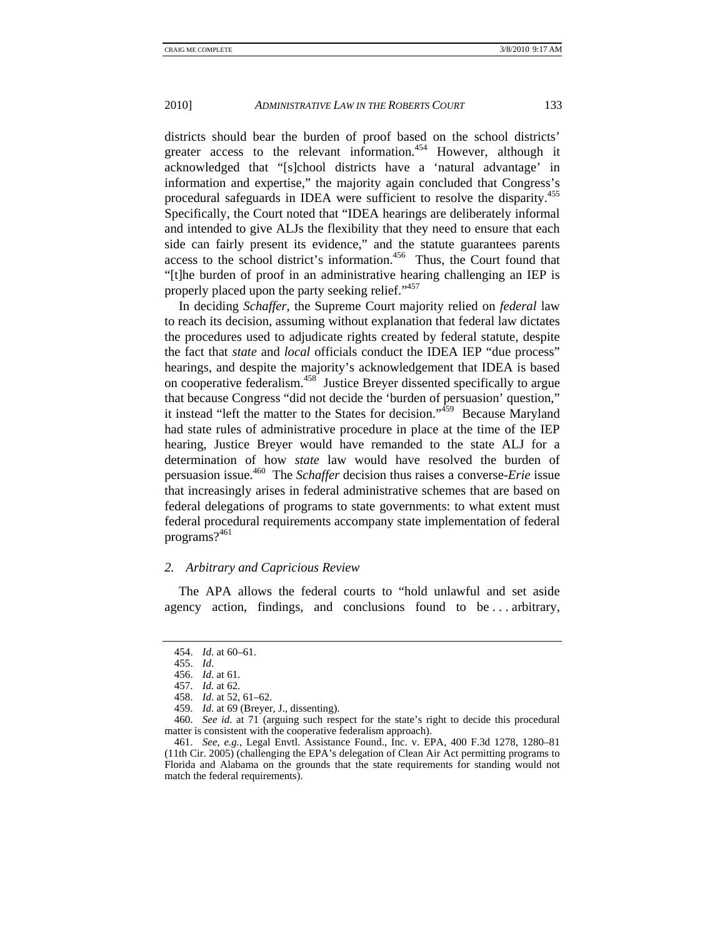districts should bear the burden of proof based on the school districts' greater access to the relevant information.<sup>454</sup> However, although it acknowledged that "[s]chool districts have a 'natural advantage' in information and expertise," the majority again concluded that Congress's procedural safeguards in IDEA were sufficient to resolve the disparity.<sup>455</sup> Specifically, the Court noted that "IDEA hearings are deliberately informal and intended to give ALJs the flexibility that they need to ensure that each side can fairly present its evidence," and the statute guarantees parents access to the school district's information.<sup>456</sup> Thus, the Court found that "[t]he burden of proof in an administrative hearing challenging an IEP is properly placed upon the party seeking relief."<sup>457</sup>

In deciding *Schaffer*, the Supreme Court majority relied on *federal* law to reach its decision, assuming without explanation that federal law dictates the procedures used to adjudicate rights created by federal statute, despite the fact that *state* and *local* officials conduct the IDEA IEP "due process" hearings, and despite the majority's acknowledgement that IDEA is based on cooperative federalism.458 Justice Breyer dissented specifically to argue that because Congress "did not decide the 'burden of persuasion' question," it instead "left the matter to the States for decision." $459$  Because Maryland had state rules of administrative procedure in place at the time of the IEP hearing, Justice Breyer would have remanded to the state ALJ for a determination of how *state* law would have resolved the burden of persuasion issue.460 The *Schaffer* decision thus raises a converse-*Erie* issue that increasingly arises in federal administrative schemes that are based on federal delegations of programs to state governments: to what extent must federal procedural requirements accompany state implementation of federal programs?<sup>461</sup>

# *2. Arbitrary and Capricious Review*

The APA allows the federal courts to "hold unlawful and set aside agency action, findings, and conclusions found to be . . . arbitrary,

 <sup>454.</sup> *Id*. at 60–61.

 <sup>455.</sup> *Id*.

 <sup>456.</sup> *Id*. at 61.

 <sup>457.</sup> *Id.* at 62.

 <sup>458.</sup> *Id*. at 52, 61–62.

 <sup>459.</sup> *Id*. at 69 (Breyer, J., dissenting).

 <sup>460.</sup> *See id*. at 71 (arguing such respect for the state's right to decide this procedural matter is consistent with the cooperative federalism approach).

 <sup>461.</sup> *See, e.g.*, Legal Envtl. Assistance Found., Inc. v. EPA, 400 F.3d 1278, 1280–81 (11th Cir. 2005) (challenging the EPA's delegation of Clean Air Act permitting programs to Florida and Alabama on the grounds that the state requirements for standing would not match the federal requirements).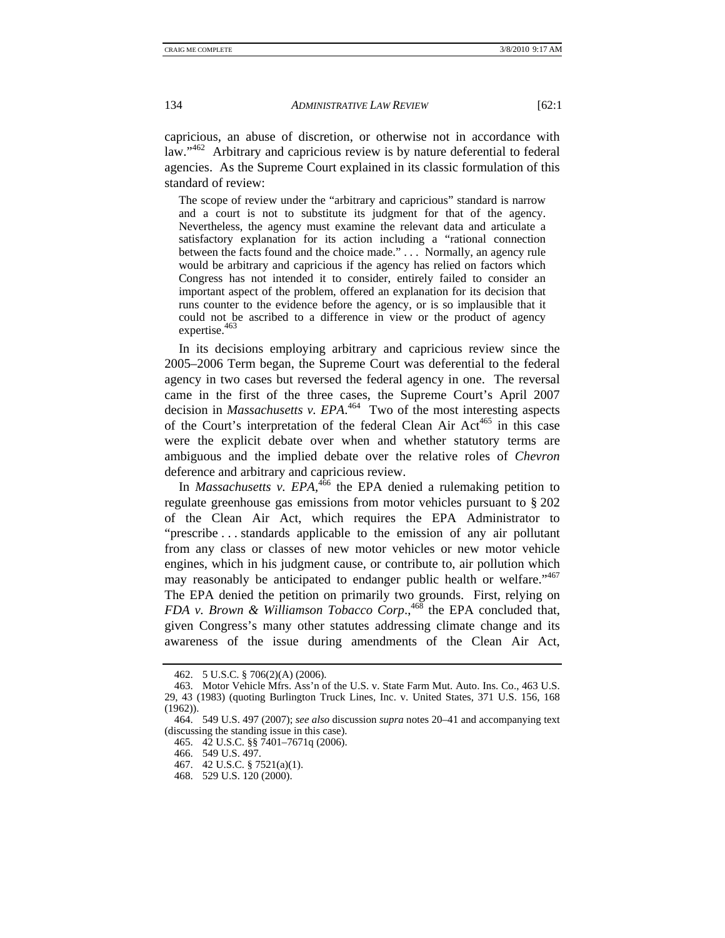capricious, an abuse of discretion, or otherwise not in accordance with law."<sup>462</sup> Arbitrary and capricious review is by nature deferential to federal agencies. As the Supreme Court explained in its classic formulation of this standard of review:

The scope of review under the "arbitrary and capricious" standard is narrow and a court is not to substitute its judgment for that of the agency. Nevertheless, the agency must examine the relevant data and articulate a satisfactory explanation for its action including a "rational connection between the facts found and the choice made." . . . Normally, an agency rule would be arbitrary and capricious if the agency has relied on factors which Congress has not intended it to consider, entirely failed to consider an important aspect of the problem, offered an explanation for its decision that runs counter to the evidence before the agency, or is so implausible that it could not be ascribed to a difference in view or the product of agency expertise.<sup>463</sup>

In its decisions employing arbitrary and capricious review since the 2005–2006 Term began, the Supreme Court was deferential to the federal agency in two cases but reversed the federal agency in one. The reversal came in the first of the three cases, the Supreme Court's April 2007 decision in *Massachusetts v. EPA*. 464 Two of the most interesting aspects of the Court's interpretation of the federal Clean Air Act<sup>465</sup> in this case were the explicit debate over when and whether statutory terms are ambiguous and the implied debate over the relative roles of *Chevron*  deference and arbitrary and capricious review.

In *Massachusetts v. EPA*,<sup>466</sup> the EPA denied a rulemaking petition to regulate greenhouse gas emissions from motor vehicles pursuant to § 202 of the Clean Air Act, which requires the EPA Administrator to "prescribe . . . standards applicable to the emission of any air pollutant from any class or classes of new motor vehicles or new motor vehicle engines, which in his judgment cause, or contribute to, air pollution which may reasonably be anticipated to endanger public health or welfare."<sup>467</sup> The EPA denied the petition on primarily two grounds. First, relying on *FDA v. Brown & Williamson Tobacco Corp.*<sup>468</sup> the EPA concluded that, given Congress's many other statutes addressing climate change and its awareness of the issue during amendments of the Clean Air Act,

 <sup>462. 5</sup> U.S.C. § 706(2)(A) (2006).

 <sup>463.</sup> Motor Vehicle Mfrs. Ass'n of the U.S. v. State Farm Mut. Auto. Ins. Co., 463 U.S. 29, 43 (1983) (quoting Burlington Truck Lines, Inc. v. United States, 371 U.S. 156, 168 (1962)).

 <sup>464. 549</sup> U.S. 497 (2007); *see also* discussion *supra* notes 20–41 and accompanying text (discussing the standing issue in this case).

 <sup>465. 42</sup> U.S.C. §§ 7401–7671q (2006).

 <sup>466. 549</sup> U.S. 497.

 <sup>467. 42</sup> U.S.C. § 7521(a)(1).

 <sup>468. 529</sup> U.S. 120 (2000).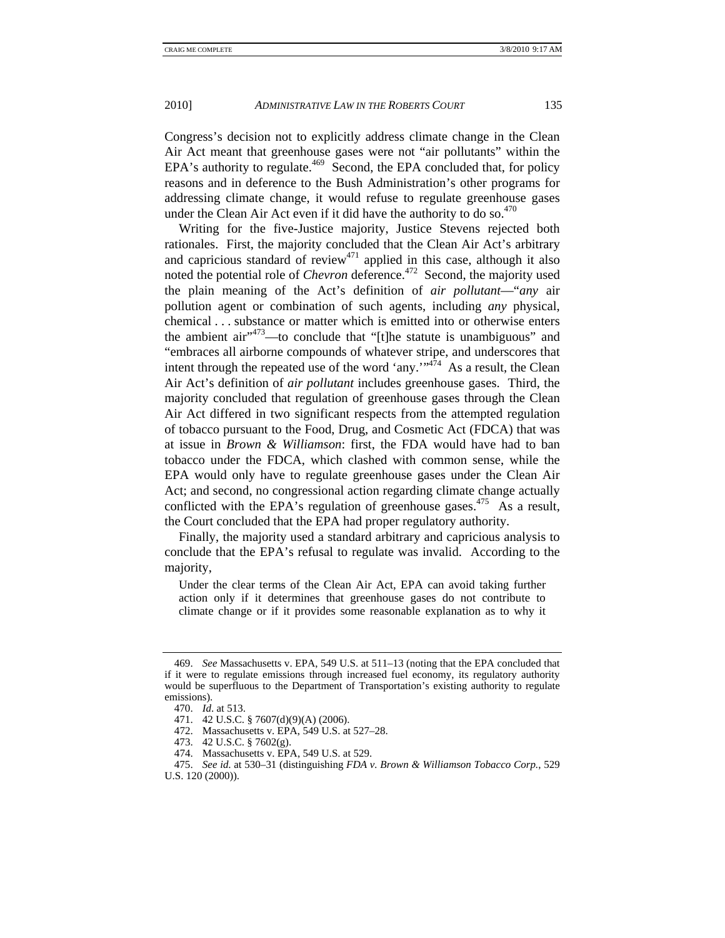Congress's decision not to explicitly address climate change in the Clean Air Act meant that greenhouse gases were not "air pollutants" within the EPA's authority to regulate.<sup>469</sup> Second, the EPA concluded that, for policy reasons and in deference to the Bush Administration's other programs for addressing climate change, it would refuse to regulate greenhouse gases under the Clean Air Act even if it did have the authority to do so. $470$ 

Writing for the five-Justice majority, Justice Stevens rejected both rationales. First, the majority concluded that the Clean Air Act's arbitrary and capricious standard of review<sup>471</sup> applied in this case, although it also noted the potential role of *Chevron* deference.<sup>472</sup> Second, the majority used the plain meaning of the Act's definition of *air pollutant*—"*any* air pollution agent or combination of such agents, including *any* physical, chemical . . . substance or matter which is emitted into or otherwise enters the ambient air $11^{34}$ <sup>-173</sup> —to conclude that "[t]he statute is unambiguous" and "embraces all airborne compounds of whatever stripe, and underscores that intent through the repeated use of the word 'any." $4\pi$ <sup>474</sup> As a result, the Clean Air Act's definition of *air pollutant* includes greenhouse gases. Third, the majority concluded that regulation of greenhouse gases through the Clean Air Act differed in two significant respects from the attempted regulation of tobacco pursuant to the Food, Drug, and Cosmetic Act (FDCA) that was at issue in *Brown & Williamson*: first, the FDA would have had to ban tobacco under the FDCA, which clashed with common sense, while the EPA would only have to regulate greenhouse gases under the Clean Air Act; and second, no congressional action regarding climate change actually conflicted with the EPA's regulation of greenhouse gases.  $475$  As a result, the Court concluded that the EPA had proper regulatory authority.

Finally, the majority used a standard arbitrary and capricious analysis to conclude that the EPA's refusal to regulate was invalid. According to the majority,

Under the clear terms of the Clean Air Act, EPA can avoid taking further action only if it determines that greenhouse gases do not contribute to climate change or if it provides some reasonable explanation as to why it

 <sup>469.</sup> *See* Massachusetts v. EPA, 549 U.S. at 511–13 (noting that the EPA concluded that if it were to regulate emissions through increased fuel economy, its regulatory authority would be superfluous to the Department of Transportation's existing authority to regulate emissions).

 <sup>470.</sup> *Id*. at 513.

 <sup>471. 42</sup> U.S.C. § 7607(d)(9)(A) (2006).

 <sup>472.</sup> Massachusetts v. EPA, 549 U.S. at 527–28.

 <sup>473. 42</sup> U.S.C. § 7602(g).

 <sup>474.</sup> Massachusetts v. EPA, 549 U.S. at 529.

 <sup>475.</sup> *See id*. at 530–31 (distinguishing *FDA v. Brown & Williamson Tobacco Corp.*, 529 U.S. 120 (2000)).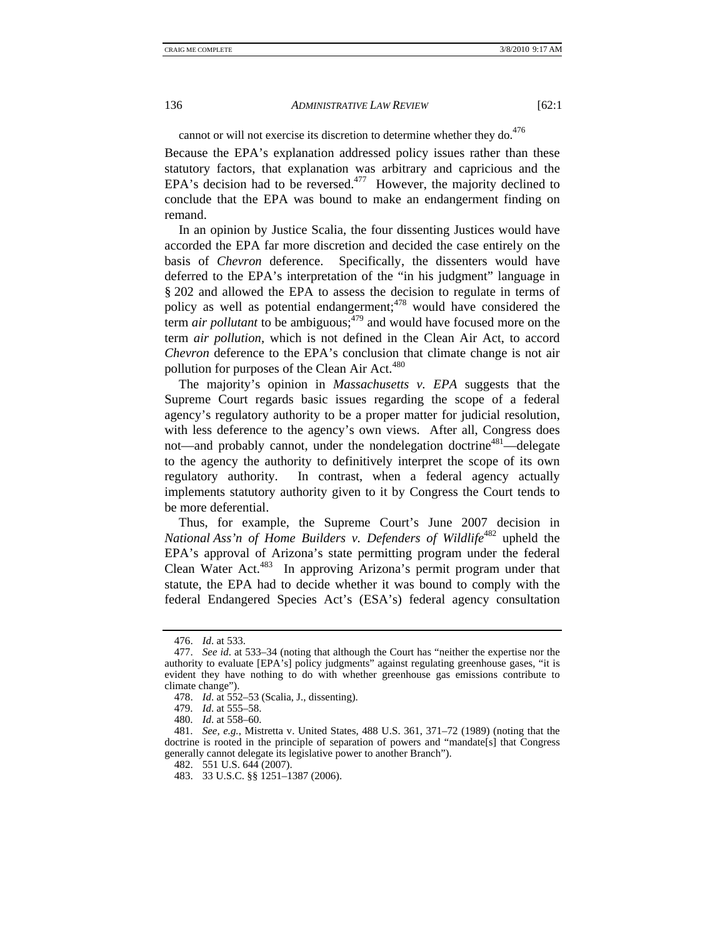cannot or will not exercise its discretion to determine whether they do.<sup>476</sup>

Because the EPA's explanation addressed policy issues rather than these statutory factors, that explanation was arbitrary and capricious and the EPA's decision had to be reversed.<sup>477</sup> However, the majority declined to conclude that the EPA was bound to make an endangerment finding on remand.

In an opinion by Justice Scalia, the four dissenting Justices would have accorded the EPA far more discretion and decided the case entirely on the basis of *Chevron* deference. Specifically, the dissenters would have deferred to the EPA's interpretation of the "in his judgment" language in § 202 and allowed the EPA to assess the decision to regulate in terms of policy as well as potential endangerment;<sup>478</sup> would have considered the term *air pollutant* to be ambiguous;<sup> $479$ </sup> and would have focused more on the term *air pollution*, which is not defined in the Clean Air Act, to accord *Chevron* deference to the EPA's conclusion that climate change is not air pollution for purposes of the Clean Air Act.<sup>480</sup>

The majority's opinion in *Massachusetts v. EPA* suggests that the Supreme Court regards basic issues regarding the scope of a federal agency's regulatory authority to be a proper matter for judicial resolution, with less deference to the agency's own views. After all, Congress does not—and probably cannot, under the nondelegation doctrine<sup>481</sup>—delegate to the agency the authority to definitively interpret the scope of its own regulatory authority. In contrast, when a federal agency actually implements statutory authority given to it by Congress the Court tends to be more deferential.

Thus, for example, the Supreme Court's June 2007 decision in *National Ass'n of Home Builders v. Defenders of Wildlife<sup>482</sup> upheld the* EPA's approval of Arizona's state permitting program under the federal Clean Water Act.<sup>483</sup> In approving Arizona's permit program under that statute, the EPA had to decide whether it was bound to comply with the federal Endangered Species Act's (ESA's) federal agency consultation

 <sup>476.</sup> *Id*. at 533.

 <sup>477.</sup> *See id*. at 533–34 (noting that although the Court has "neither the expertise nor the authority to evaluate [EPA's] policy judgments" against regulating greenhouse gases, "it is evident they have nothing to do with whether greenhouse gas emissions contribute to climate change").

 <sup>478.</sup> *Id*. at 552–53 (Scalia, J., dissenting).

 <sup>479.</sup> *Id*. at 555–58.

 <sup>480.</sup> *Id*. at 558–60.

 <sup>481.</sup> *See, e.g.*, Mistretta v. United States, 488 U.S. 361, 371–72 (1989) (noting that the doctrine is rooted in the principle of separation of powers and "mandate[s] that Congress generally cannot delegate its legislative power to another Branch").

 <sup>482. 551</sup> U.S. 644 (2007).

 <sup>483. 33</sup> U.S.C. §§ 1251–1387 (2006).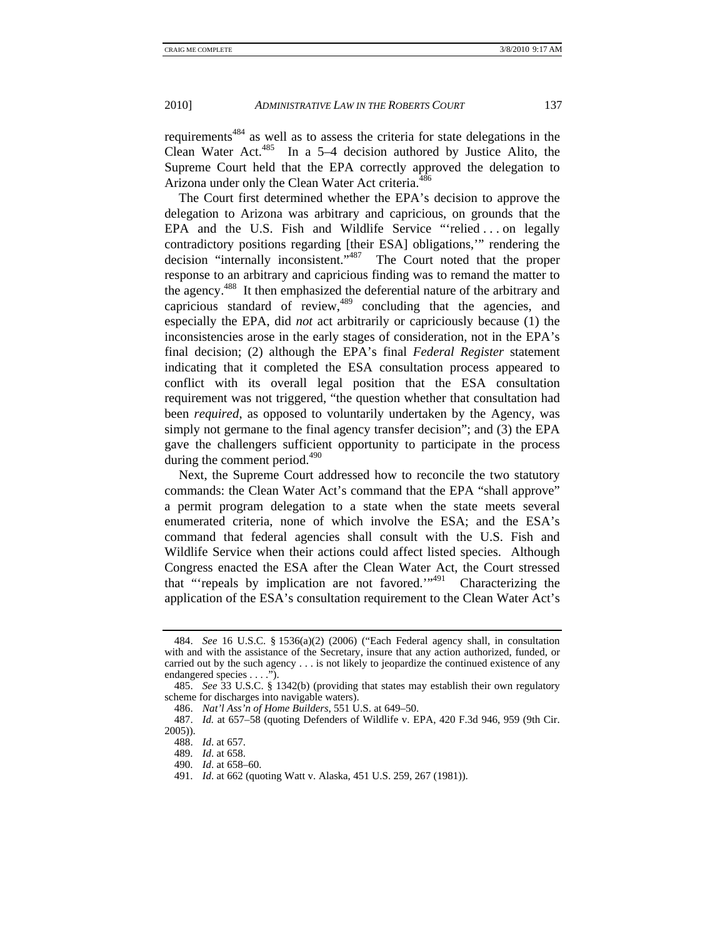requirements<sup>484</sup> as well as to assess the criteria for state delegations in the Clean Water Act.<sup>485</sup> In a 5–4 decision authored by Justice Alito, the Supreme Court held that the EPA correctly approved the delegation to Arizona under only the Clean Water Act criteria.<sup>486</sup>

The Court first determined whether the EPA's decision to approve the delegation to Arizona was arbitrary and capricious, on grounds that the EPA and the U.S. Fish and Wildlife Service "relied . . . on legally contradictory positions regarding [their ESA] obligations,'" rendering the decision "internally inconsistent."<sup>487</sup> The Court noted that the proper response to an arbitrary and capricious finding was to remand the matter to the agency.488 It then emphasized the deferential nature of the arbitrary and capricious standard of review,<sup>489</sup> concluding that the agencies, and especially the EPA, did *not* act arbitrarily or capriciously because (1) the inconsistencies arose in the early stages of consideration, not in the EPA's final decision; (2) although the EPA's final *Federal Register* statement indicating that it completed the ESA consultation process appeared to conflict with its overall legal position that the ESA consultation requirement was not triggered, "the question whether that consultation had been *required*, as opposed to voluntarily undertaken by the Agency, was simply not germane to the final agency transfer decision"; and (3) the EPA gave the challengers sufficient opportunity to participate in the process during the comment period. $490$ 

Next, the Supreme Court addressed how to reconcile the two statutory commands: the Clean Water Act's command that the EPA "shall approve" a permit program delegation to a state when the state meets several enumerated criteria, none of which involve the ESA; and the ESA's command that federal agencies shall consult with the U.S. Fish and Wildlife Service when their actions could affect listed species. Although Congress enacted the ESA after the Clean Water Act, the Court stressed that "'repeals by implication are not favored."<sup> $4^{91}$ </sup> Characterizing the application of the ESA's consultation requirement to the Clean Water Act's

 <sup>484.</sup> *See* 16 U.S.C. § 1536(a)(2) (2006) ("Each Federal agency shall, in consultation with and with the assistance of the Secretary, insure that any action authorized, funded, or carried out by the such agency . . . is not likely to jeopardize the continued existence of any endangered species . . . .").

 <sup>485.</sup> *See* 33 U.S.C. § 1342(b) (providing that states may establish their own regulatory scheme for discharges into navigable waters).

 <sup>486.</sup> *Nat'l Ass'n of Home Builders*, 551 U.S. at 649–50.

 <sup>487.</sup> *Id.* at 657–58 (quoting Defenders of Wildlife v. EPA, 420 F.3d 946, 959 (9th Cir. 2005)).

 <sup>488.</sup> *Id*. at 657.

 <sup>489.</sup> *Id*. at 658.

 <sup>490.</sup> *Id*. at 658–60.

 <sup>491.</sup> *Id*. at 662 (quoting Watt v. Alaska, 451 U.S. 259, 267 (1981)).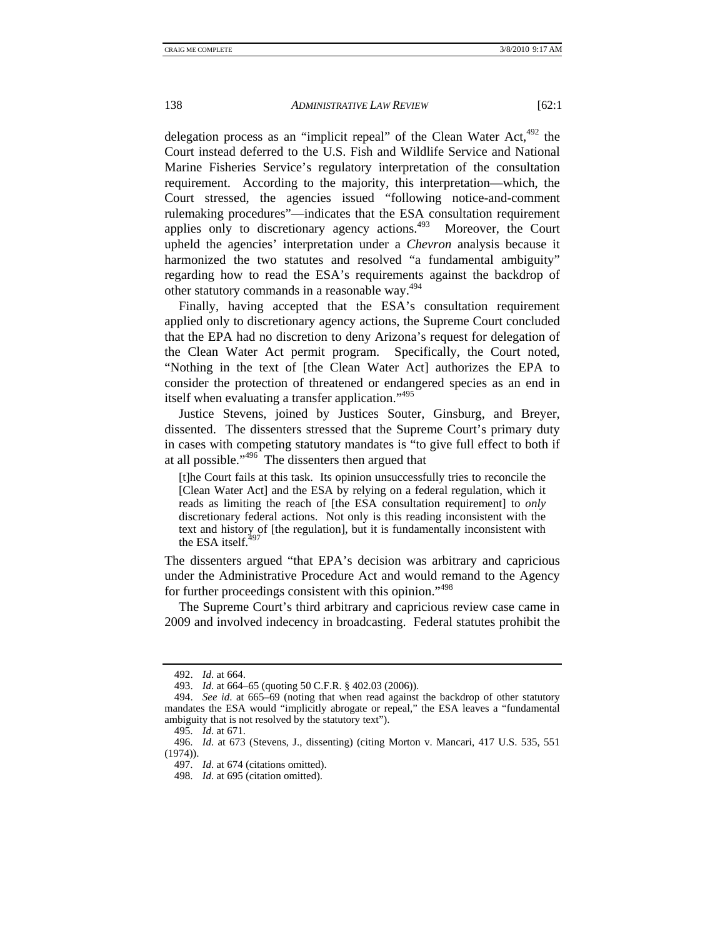delegation process as an "implicit repeal" of the Clean Water Act, $492$  the Court instead deferred to the U.S. Fish and Wildlife Service and National Marine Fisheries Service's regulatory interpretation of the consultation requirement. According to the majority, this interpretation—which, the Court stressed, the agencies issued "following notice-and-comment rulemaking procedures"—indicates that the ESA consultation requirement applies only to discretionary agency actions. $493$  Moreover, the Court upheld the agencies' interpretation under a *Chevron* analysis because it harmonized the two statutes and resolved "a fundamental ambiguity" regarding how to read the ESA's requirements against the backdrop of other statutory commands in a reasonable way.<sup>494</sup>

Finally, having accepted that the ESA's consultation requirement applied only to discretionary agency actions, the Supreme Court concluded that the EPA had no discretion to deny Arizona's request for delegation of the Clean Water Act permit program. Specifically, the Court noted, "Nothing in the text of [the Clean Water Act] authorizes the EPA to consider the protection of threatened or endangered species as an end in itself when evaluating a transfer application."<sup>495</sup>

Justice Stevens, joined by Justices Souter, Ginsburg, and Breyer, dissented. The dissenters stressed that the Supreme Court's primary duty in cases with competing statutory mandates is "to give full effect to both if at all possible."496 The dissenters then argued that

[t]he Court fails at this task. Its opinion unsuccessfully tries to reconcile the [Clean Water Act] and the ESA by relying on a federal regulation, which it reads as limiting the reach of [the ESA consultation requirement] to *only* discretionary federal actions. Not only is this reading inconsistent with the text and history of [the regulation], but it is fundamentally inconsistent with the ESA itself. $49$ <sup>79</sup>

The dissenters argued "that EPA's decision was arbitrary and capricious under the Administrative Procedure Act and would remand to the Agency for further proceedings consistent with this opinion."<sup>498</sup>

The Supreme Court's third arbitrary and capricious review case came in 2009 and involved indecency in broadcasting. Federal statutes prohibit the

 <sup>492.</sup> *Id*. at 664.

 <sup>493.</sup> *Id*. at 664–65 (quoting 50 C.F.R. § 402.03 (2006)).

 <sup>494.</sup> *See id*. at 665–69 (noting that when read against the backdrop of other statutory mandates the ESA would "implicitly abrogate or repeal," the ESA leaves a "fundamental ambiguity that is not resolved by the statutory text").

 <sup>495.</sup> *Id*. at 671.

 <sup>496.</sup> *Id*. at 673 (Stevens, J., dissenting) (citing Morton v. Mancari, 417 U.S. 535, 551  $(1974)$ .

 <sup>497.</sup> *Id*. at 674 (citations omitted).

 <sup>498.</sup> *Id*. at 695 (citation omitted).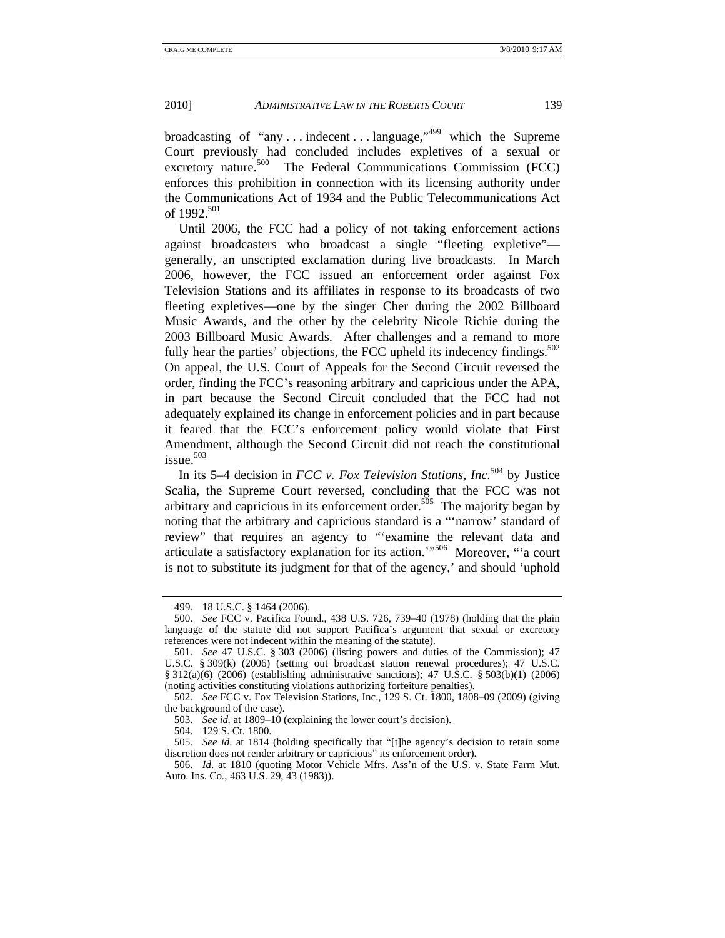broadcasting of "any ... indecent ... language," which the Supreme Court previously had concluded includes expletives of a sexual or excretory nature.<sup>500</sup> The Federal Communications Commission (FCC) enforces this prohibition in connection with its licensing authority under the Communications Act of 1934 and the Public Telecommunications Act of 1992.<sup>501</sup>

Until 2006, the FCC had a policy of not taking enforcement actions against broadcasters who broadcast a single "fleeting expletive" generally, an unscripted exclamation during live broadcasts. In March 2006, however, the FCC issued an enforcement order against Fox Television Stations and its affiliates in response to its broadcasts of two fleeting expletives—one by the singer Cher during the 2002 Billboard Music Awards, and the other by the celebrity Nicole Richie during the 2003 Billboard Music Awards. After challenges and a remand to more fully hear the parties' objections, the FCC upheld its indecency findings.<sup>502</sup> On appeal, the U.S. Court of Appeals for the Second Circuit reversed the order, finding the FCC's reasoning arbitrary and capricious under the APA, in part because the Second Circuit concluded that the FCC had not adequately explained its change in enforcement policies and in part because it feared that the FCC's enforcement policy would violate that First Amendment, although the Second Circuit did not reach the constitutional  $i$ ssue.<sup>503</sup>

In its 5–4 decision in *FCC v. Fox Television Stations, Inc.*504 by Justice Scalia, the Supreme Court reversed, concluding that the FCC was not arbitrary and capricious in its enforcement order.<sup>505</sup> The majority began by noting that the arbitrary and capricious standard is a "'narrow' standard of review" that requires an agency to "'examine the relevant data and articulate a satisfactory explanation for its action.'"506 Moreover, "'a court is not to substitute its judgment for that of the agency,' and should 'uphold

504. 129 S. Ct. 1800.

 <sup>499. 18</sup> U.S.C. § 1464 (2006).

 <sup>500.</sup> *See* FCC v. Pacifica Found., 438 U.S. 726, 739–40 (1978) (holding that the plain language of the statute did not support Pacifica's argument that sexual or excretory references were not indecent within the meaning of the statute).

 <sup>501.</sup> *See* 47 U.S.C. § 303 (2006) (listing powers and duties of the Commission); 47 U.S.C. § 309(k) (2006) (setting out broadcast station renewal procedures); 47 U.S.C. § 312(a)(6) (2006) (establishing administrative sanctions); 47 U.S.C. § 503(b)(1) (2006) (noting activities constituting violations authorizing forfeiture penalties).

 <sup>502.</sup> *See* FCC v. Fox Television Stations, Inc., 129 S. Ct. 1800, 1808–09 (2009) (giving the background of the case).

 <sup>503.</sup> *See id.* at 1809–10 (explaining the lower court's decision).

 <sup>505.</sup> *See id*. at 1814 (holding specifically that "[t]he agency's decision to retain some discretion does not render arbitrary or capricious" its enforcement order).

 <sup>506.</sup> *Id*. at 1810 (quoting Motor Vehicle Mfrs. Ass'n of the U.S. v. State Farm Mut. Auto. Ins. Co*.*, 463 U.S. 29, 43 (1983)).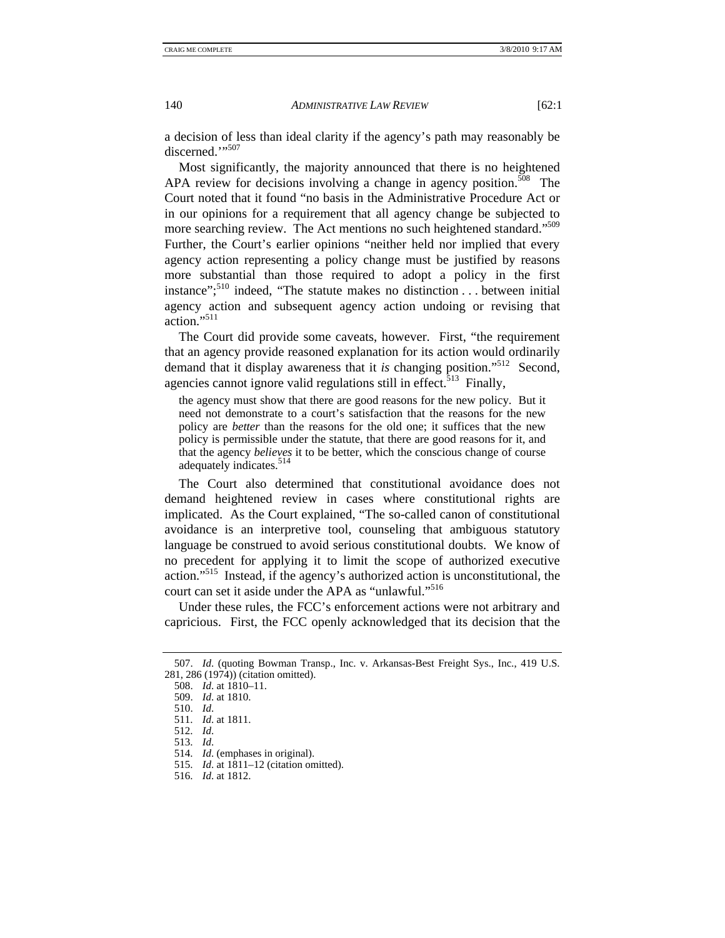a decision of less than ideal clarity if the agency's path may reasonably be discerned.""507

Most significantly, the majority announced that there is no heightened APA review for decisions involving a change in agency position.<sup>508</sup> The Court noted that it found "no basis in the Administrative Procedure Act or in our opinions for a requirement that all agency change be subjected to more searching review. The Act mentions no such heightened standard."<sup>509</sup> Further, the Court's earlier opinions "neither held nor implied that every agency action representing a policy change must be justified by reasons more substantial than those required to adopt a policy in the first instance";510 indeed, "The statute makes no distinction . . . between initial agency action and subsequent agency action undoing or revising that action $"$ <sup>511</sup>

The Court did provide some caveats, however. First, "the requirement that an agency provide reasoned explanation for its action would ordinarily demand that it display awareness that it *is* changing position."512 Second, agencies cannot ignore valid regulations still in effect.<sup>513</sup> Finally,

the agency must show that there are good reasons for the new policy. But it need not demonstrate to a court's satisfaction that the reasons for the new policy are *better* than the reasons for the old one; it suffices that the new policy is permissible under the statute, that there are good reasons for it, and that the agency *believes* it to be better, which the conscious change of course adequately indicates.<sup>514</sup>

The Court also determined that constitutional avoidance does not demand heightened review in cases where constitutional rights are implicated. As the Court explained, "The so-called canon of constitutional avoidance is an interpretive tool, counseling that ambiguous statutory language be construed to avoid serious constitutional doubts. We know of no precedent for applying it to limit the scope of authorized executive action."515 Instead, if the agency's authorized action is unconstitutional, the court can set it aside under the APA as "unlawful."<sup>516</sup>

Under these rules, the FCC's enforcement actions were not arbitrary and capricious. First, the FCC openly acknowledged that its decision that the

 <sup>507.</sup> *Id*. (quoting Bowman Transp., Inc. v. Arkansas-Best Freight Sys., Inc*.*, 419 U.S. 281, 286 (1974)) (citation omitted).

 <sup>508.</sup> *Id*. at 1810–11.

 <sup>509.</sup> *Id*. at 1810.

 <sup>510.</sup> *Id*. 511. *Id*. at 1811.

 <sup>512.</sup> *Id*.

 <sup>513.</sup> *Id*.

 <sup>514.</sup> *Id*. (emphases in original).

 <sup>515.</sup> *Id*. at 1811–12 (citation omitted).

 <sup>516.</sup> *Id*. at 1812.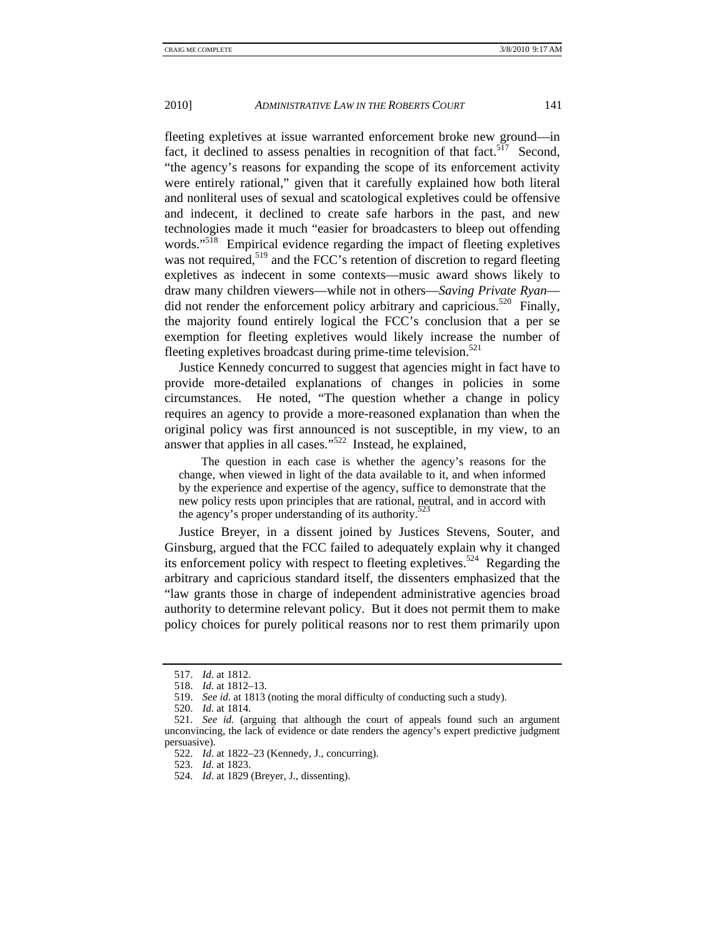fleeting expletives at issue warranted enforcement broke new ground—in fact, it declined to assess penalties in recognition of that fact.<sup> $517$ </sup> Second, "the agency's reasons for expanding the scope of its enforcement activity were entirely rational," given that it carefully explained how both literal and nonliteral uses of sexual and scatological expletives could be offensive and indecent, it declined to create safe harbors in the past, and new technologies made it much "easier for broadcasters to bleep out offending words."<sup>518</sup> Empirical evidence regarding the impact of fleeting expletives was not required,<sup>519</sup> and the FCC's retention of discretion to regard fleeting expletives as indecent in some contexts—music award shows likely to draw many children viewers—while not in others—*Saving Private Ryan* did not render the enforcement policy arbitrary and capricious.<sup>520</sup> Finally, the majority found entirely logical the FCC's conclusion that a per se exemption for fleeting expletives would likely increase the number of fleeting expletives broadcast during prime-time television.<sup>521</sup>

Justice Kennedy concurred to suggest that agencies might in fact have to provide more-detailed explanations of changes in policies in some circumstances. He noted, "The question whether a change in policy requires an agency to provide a more-reasoned explanation than when the original policy was first announced is not susceptible, in my view, to an answer that applies in all cases."522 Instead, he explained,

 The question in each case is whether the agency's reasons for the change, when viewed in light of the data available to it, and when informed by the experience and expertise of the agency, suffice to demonstrate that the new policy rests upon principles that are rational, neutral, and in accord with the agency's proper understanding of its authority.<sup>523</sup>

Justice Breyer, in a dissent joined by Justices Stevens, Souter, and Ginsburg, argued that the FCC failed to adequately explain why it changed its enforcement policy with respect to fleeting expletives.<sup>524</sup> Regarding the arbitrary and capricious standard itself, the dissenters emphasized that the "law grants those in charge of independent administrative agencies broad authority to determine relevant policy. But it does not permit them to make policy choices for purely political reasons nor to rest them primarily upon

 <sup>517.</sup> *Id*. at 1812.

 <sup>518.</sup> *Id*. at 1812–13.

 <sup>519.</sup> *See id*. at 1813 (noting the moral difficulty of conducting such a study).

 <sup>520.</sup> *Id*. at 1814.

 <sup>521.</sup> *See id*. (arguing that although the court of appeals found such an argument unconvincing, the lack of evidence or date renders the agency's expert predictive judgment persuasive).

 <sup>522.</sup> *Id*. at 1822–23 (Kennedy, J., concurring).

 <sup>523.</sup> *Id*. at 1823.

 <sup>524.</sup> *Id*. at 1829 (Breyer, J., dissenting).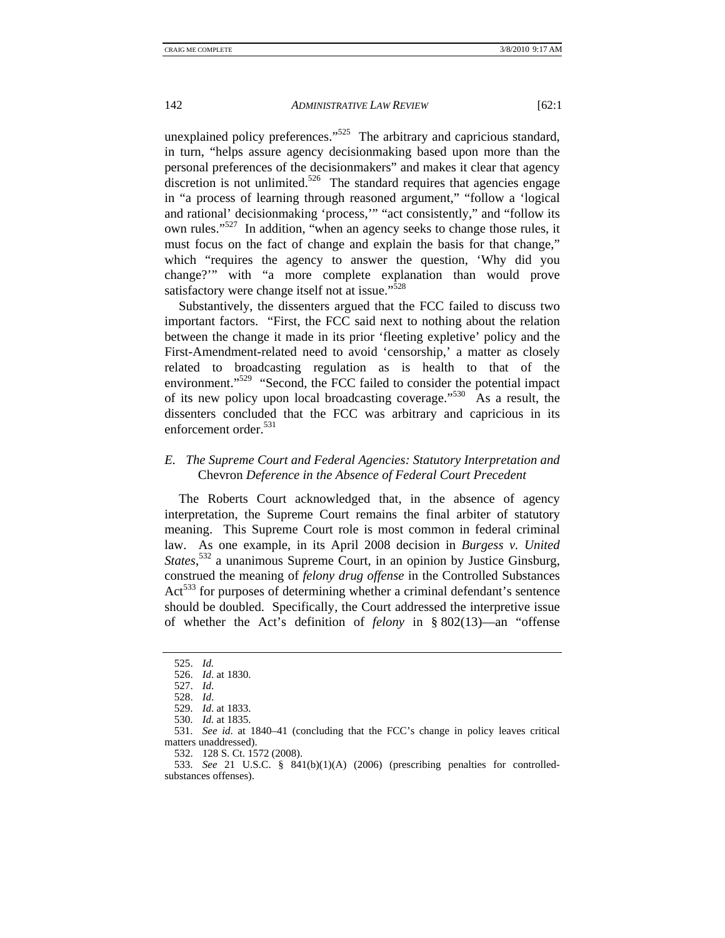unexplained policy preferences."<sup>525</sup> The arbitrary and capricious standard, in turn, "helps assure agency decisionmaking based upon more than the personal preferences of the decisionmakers" and makes it clear that agency discretion is not unlimited.<sup>526</sup> The standard requires that agencies engage in "a process of learning through reasoned argument," "follow a 'logical and rational' decisionmaking 'process,'" "act consistently," and "follow its own rules."527 In addition, "when an agency seeks to change those rules, it must focus on the fact of change and explain the basis for that change," which "requires the agency to answer the question, 'Why did you change?'" with "a more complete explanation than would prove satisfactory were change itself not at issue." $528$ 

Substantively, the dissenters argued that the FCC failed to discuss two important factors. "First, the FCC said next to nothing about the relation between the change it made in its prior 'fleeting expletive' policy and the First-Amendment-related need to avoid 'censorship,' a matter as closely related to broadcasting regulation as is health to that of the environment."<sup>529</sup> "Second, the FCC failed to consider the potential impact of its new policy upon local broadcasting coverage."530 As a result, the dissenters concluded that the FCC was arbitrary and capricious in its enforcement order.<sup>531</sup>

## *E. The Supreme Court and Federal Agencies: Statutory Interpretation and*  Chevron *Deference in the Absence of Federal Court Precedent*

The Roberts Court acknowledged that, in the absence of agency interpretation, the Supreme Court remains the final arbiter of statutory meaning. This Supreme Court role is most common in federal criminal law. As one example, in its April 2008 decision in *Burgess v. United States*, 532 a unanimous Supreme Court, in an opinion by Justice Ginsburg, construed the meaning of *felony drug offense* in the Controlled Substances Act<sup>533</sup> for purposes of determining whether a criminal defendant's sentence should be doubled. Specifically, the Court addressed the interpretive issue of whether the Act's definition of *felony* in § 802(13)—an "offense

 <sup>525.</sup> *Id.*

 <sup>526.</sup> *Id*. at 1830.

 <sup>527.</sup> *Id*.

 <sup>528.</sup> *Id*.

 <sup>529.</sup> *Id*. at 1833.

 <sup>530.</sup> *Id.* at 1835.

 <sup>531.</sup> *See id*. at 1840–41 (concluding that the FCC's change in policy leaves critical matters unaddressed).

 <sup>532. 128</sup> S. Ct. 1572 (2008).

 <sup>533.</sup> *See* 21 U.S.C. § 841(b)(1)(A) (2006) (prescribing penalties for controlledsubstances offenses).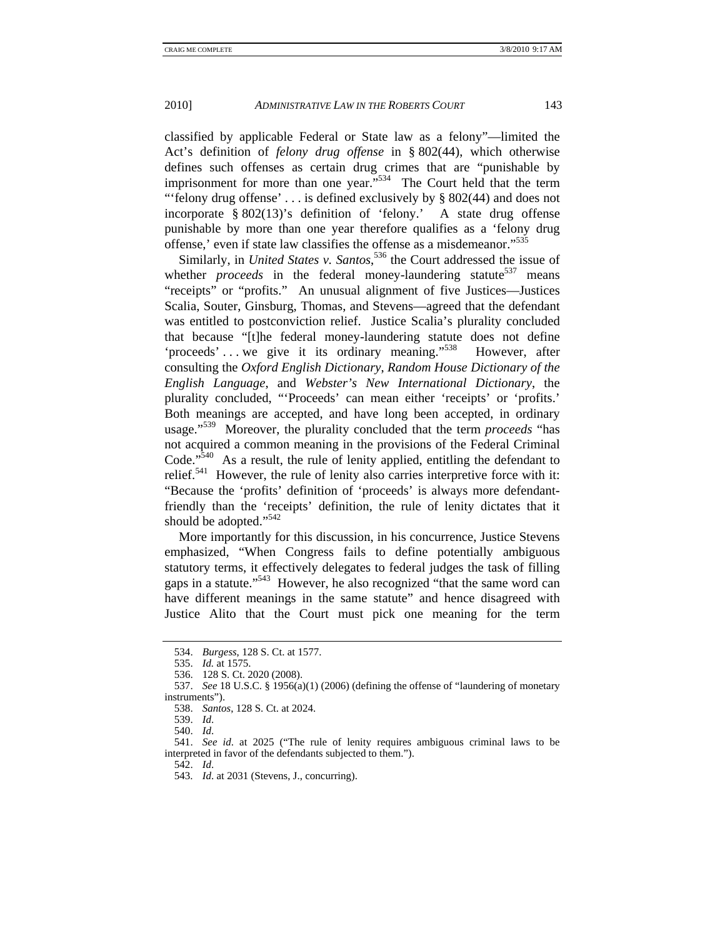classified by applicable Federal or State law as a felony"—limited the Act's definition of *felony drug offense* in § 802(44), which otherwise defines such offenses as certain drug crimes that are "punishable by imprisonment for more than one year. $1534$  The Court held that the term "'felony drug offense'  $\ldots$  is defined exclusively by § 802(44) and does not incorporate § 802(13)'s definition of 'felony.' A state drug offense punishable by more than one year therefore qualifies as a 'felony drug offense,' even if state law classifies the offense as a misdemeanor."535

Similarly, in *United States v. Santos*, 536 the Court addressed the issue of whether *proceeds* in the federal money-laundering statute<sup>537</sup> means "receipts" or "profits." An unusual alignment of five Justices—Justices Scalia, Souter, Ginsburg, Thomas, and Stevens—agreed that the defendant was entitled to postconviction relief. Justice Scalia's plurality concluded that because "[t]he federal money-laundering statute does not define 'proceeds' . . . we give it its ordinary meaning."538 However, after consulting the *Oxford English Dictionary*, *Random House Dictionary of the English Language*, and *Webster's New International Dictionary*, the plurality concluded, "'Proceeds' can mean either 'receipts' or 'profits.' Both meanings are accepted, and have long been accepted, in ordinary usage."539 Moreover, the plurality concluded that the term *proceeds* "has not acquired a common meaning in the provisions of the Federal Criminal Code." $540$  As a result, the rule of lenity applied, entitling the defendant to relief.<sup>541</sup> However, the rule of lenity also carries interpretive force with it: "Because the 'profits' definition of 'proceeds' is always more defendantfriendly than the 'receipts' definition, the rule of lenity dictates that it should be adopted."<sup>542</sup>

More importantly for this discussion, in his concurrence, Justice Stevens emphasized, "When Congress fails to define potentially ambiguous statutory terms, it effectively delegates to federal judges the task of filling gaps in a statute."<sup>543</sup> However, he also recognized "that the same word can have different meanings in the same statute" and hence disagreed with Justice Alito that the Court must pick one meaning for the term

 <sup>534.</sup> *Burgess*, 128 S. Ct. at 1577.

 <sup>535.</sup> *Id.* at 1575.

 <sup>536. 128</sup> S. Ct. 2020 (2008).

 <sup>537.</sup> *See* 18 U.S.C. § 1956(a)(1) (2006) (defining the offense of "laundering of monetary instruments").

 <sup>538.</sup> *Santos*, 128 S. Ct. at 2024.

 <sup>539.</sup> *Id*.

 <sup>540.</sup> *Id*.

 <sup>541.</sup> *See id*. at 2025 ("The rule of lenity requires ambiguous criminal laws to be interpreted in favor of the defendants subjected to them.").

 <sup>542.</sup> *Id*.

 <sup>543.</sup> *Id*. at 2031 (Stevens, J., concurring).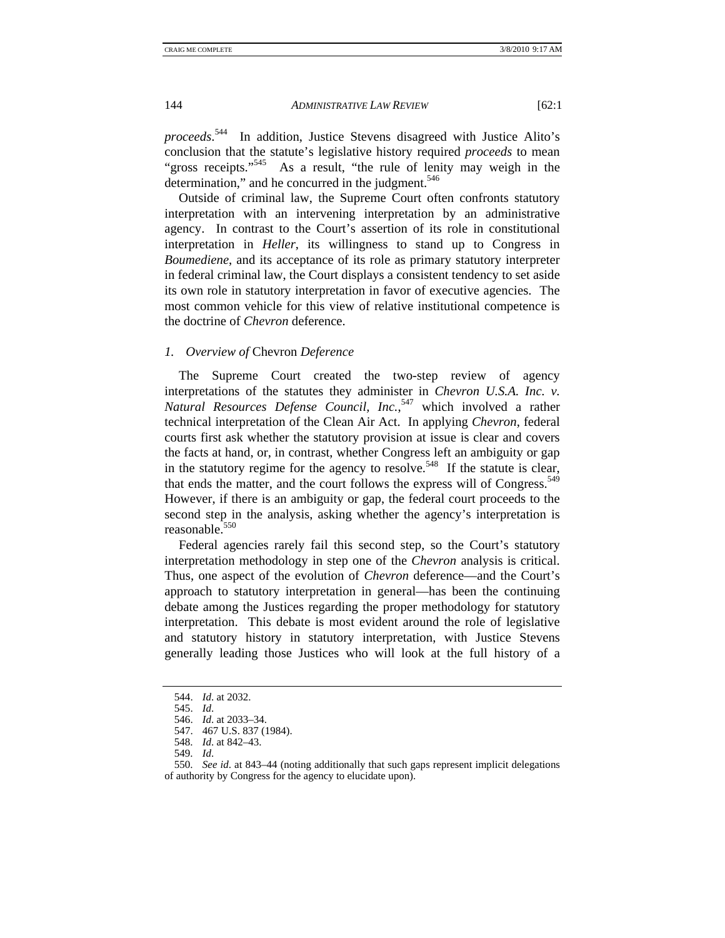*proceeds*. 544 In addition, Justice Stevens disagreed with Justice Alito's conclusion that the statute's legislative history required *proceeds* to mean "gross receipts."<sup>545</sup> As a result, "the rule of lenity may weigh in the As a result, "the rule of lenity may weigh in the determination," and he concurred in the judgment.<sup>546</sup>

Outside of criminal law, the Supreme Court often confronts statutory interpretation with an intervening interpretation by an administrative agency. In contrast to the Court's assertion of its role in constitutional interpretation in *Heller*, its willingness to stand up to Congress in *Boumediene*, and its acceptance of its role as primary statutory interpreter in federal criminal law, the Court displays a consistent tendency to set aside its own role in statutory interpretation in favor of executive agencies. The most common vehicle for this view of relative institutional competence is the doctrine of *Chevron* deference.

#### *1. Overview of* Chevron *Deference*

The Supreme Court created the two-step review of agency interpretations of the statutes they administer in *Chevron U.S.A. Inc. v. Natural Resources Defense Council, Inc.*, 547 which involved a rather technical interpretation of the Clean Air Act. In applying *Chevron*, federal courts first ask whether the statutory provision at issue is clear and covers the facts at hand, or, in contrast, whether Congress left an ambiguity or gap in the statutory regime for the agency to resolve.<sup>548</sup> If the statute is clear, that ends the matter, and the court follows the express will of Congress.<sup>549</sup> However, if there is an ambiguity or gap, the federal court proceeds to the second step in the analysis, asking whether the agency's interpretation is reasonable.<sup>550</sup>

Federal agencies rarely fail this second step, so the Court's statutory interpretation methodology in step one of the *Chevron* analysis is critical. Thus, one aspect of the evolution of *Chevron* deference—and the Court's approach to statutory interpretation in general—has been the continuing debate among the Justices regarding the proper methodology for statutory interpretation. This debate is most evident around the role of legislative and statutory history in statutory interpretation, with Justice Stevens generally leading those Justices who will look at the full history of a

 <sup>544.</sup> *Id*. at 2032.

 <sup>545.</sup> *Id*.

 <sup>546.</sup> *Id*. at 2033–34.

 <sup>547. 467</sup> U.S. 837 (1984).

 <sup>548.</sup> *Id*. at 842–43.

 <sup>549.</sup> *Id*.

 <sup>550.</sup> *See id*. at 843–44 (noting additionally that such gaps represent implicit delegations of authority by Congress for the agency to elucidate upon).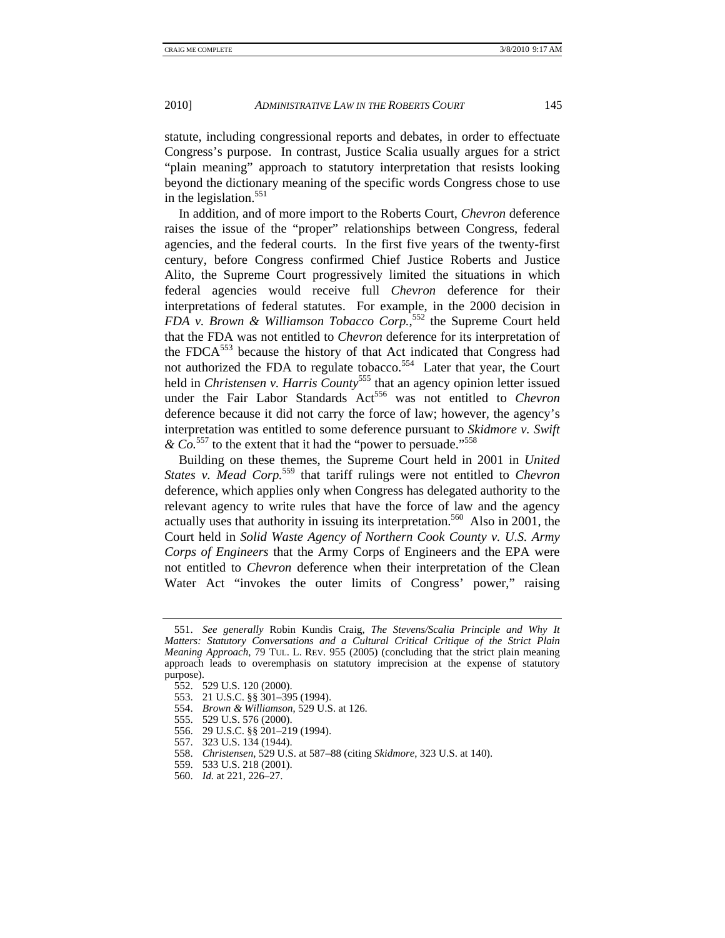statute, including congressional reports and debates, in order to effectuate Congress's purpose. In contrast, Justice Scalia usually argues for a strict "plain meaning" approach to statutory interpretation that resists looking beyond the dictionary meaning of the specific words Congress chose to use in the legislation. $551$ 

In addition, and of more import to the Roberts Court, *Chevron* deference raises the issue of the "proper" relationships between Congress, federal agencies, and the federal courts. In the first five years of the twenty-first century, before Congress confirmed Chief Justice Roberts and Justice Alito, the Supreme Court progressively limited the situations in which federal agencies would receive full *Chevron* deference for their interpretations of federal statutes. For example, in the 2000 decision in *FDA v. Brown & Williamson Tobacco Corp.*, 552 the Supreme Court held that the FDA was not entitled to *Chevron* deference for its interpretation of the FDCA<sup>553</sup> because the history of that Act indicated that Congress had not authorized the FDA to regulate tobacco.<sup>554</sup> Later that year, the Court held in *Christensen v. Harris County*<sup>555</sup> that an agency opinion letter issued under the Fair Labor Standards Act<sup>556</sup> was not entitled to *Chevron* deference because it did not carry the force of law; however, the agency's interpretation was entitled to some deference pursuant to *Skidmore v. Swift & Co.*557 to the extent that it had the "power to persuade."558

Building on these themes, the Supreme Court held in 2001 in *United States v. Mead Corp.*559 that tariff rulings were not entitled to *Chevron* deference, which applies only when Congress has delegated authority to the relevant agency to write rules that have the force of law and the agency actually uses that authority in issuing its interpretation.<sup>560</sup> Also in 2001, the Court held in *Solid Waste Agency of Northern Cook County v. U.S. Army Corps of Engineers* that the Army Corps of Engineers and the EPA were not entitled to *Chevron* deference when their interpretation of the Clean Water Act "invokes the outer limits of Congress' power," raising

- 555. 529 U.S. 576 (2000).
- 556. 29 U.S.C. §§ 201–219 (1994).
- 557. 323 U.S. 134 (1944).
- 558. *Christensen*, 529 U.S. at 587–88 (citing *Skidmore*, 323 U.S. at 140).
	- 559. 533 U.S. 218 (2001).
	- 560. *Id.* at 221, 226–27.

 <sup>551.</sup> *See generally* Robin Kundis Craig, *The Stevens/Scalia Principle and Why It Matters: Statutory Conversations and a Cultural Critical Critique of the Strict Plain Meaning Approach*, 79 TUL. L. REV. 955 (2005) (concluding that the strict plain meaning approach leads to overemphasis on statutory imprecision at the expense of statutory purpose).

 <sup>552. 529</sup> U.S. 120 (2000).

 <sup>553. 21</sup> U.S.C. §§ 301–395 (1994).

 <sup>554.</sup> *Brown & Williamson*, 529 U.S. at 126.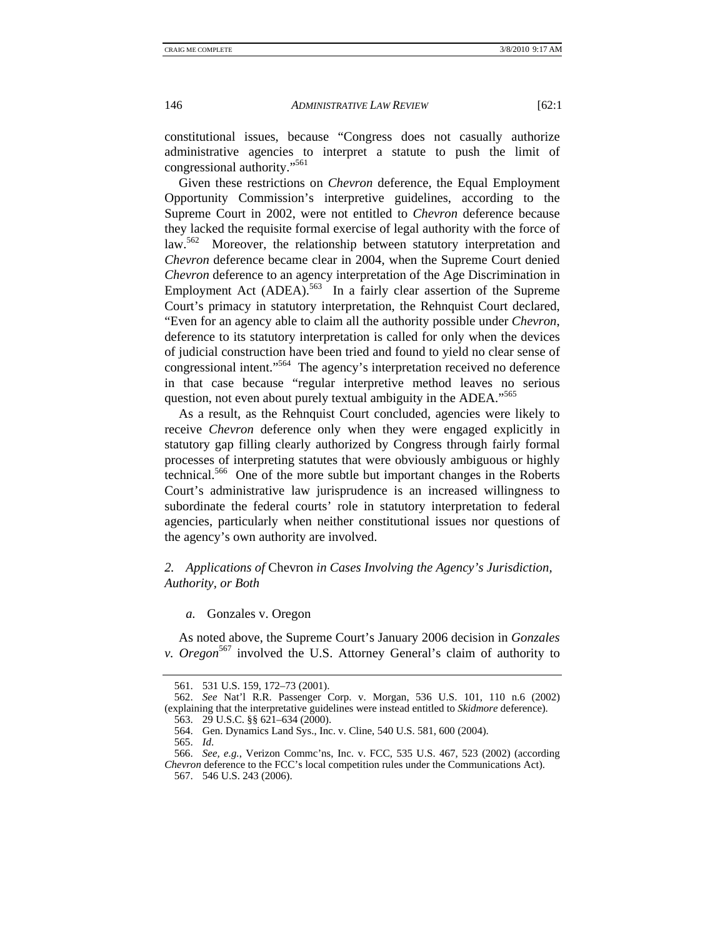constitutional issues, because "Congress does not casually authorize administrative agencies to interpret a statute to push the limit of congressional authority."561

Given these restrictions on *Chevron* deference, the Equal Employment Opportunity Commission's interpretive guidelines, according to the Supreme Court in 2002, were not entitled to *Chevron* deference because they lacked the requisite formal exercise of legal authority with the force of law.<sup>562</sup> Moreover, the relationship between statutory interpretation and *Chevron* deference became clear in 2004, when the Supreme Court denied *Chevron* deference to an agency interpretation of the Age Discrimination in Employment Act  $(ADEA)$ <sup>563</sup> In a fairly clear assertion of the Supreme Court's primacy in statutory interpretation, the Rehnquist Court declared, "Even for an agency able to claim all the authority possible under *Chevron*, deference to its statutory interpretation is called for only when the devices of judicial construction have been tried and found to yield no clear sense of congressional intent."564 The agency's interpretation received no deference in that case because "regular interpretive method leaves no serious question, not even about purely textual ambiguity in the ADEA."<sup>565</sup>

As a result, as the Rehnquist Court concluded, agencies were likely to receive *Chevron* deference only when they were engaged explicitly in statutory gap filling clearly authorized by Congress through fairly formal processes of interpreting statutes that were obviously ambiguous or highly technical.566 One of the more subtle but important changes in the Roberts Court's administrative law jurisprudence is an increased willingness to subordinate the federal courts' role in statutory interpretation to federal agencies, particularly when neither constitutional issues nor questions of the agency's own authority are involved.

## *2. Applications of* Chevron *in Cases Involving the Agency's Jurisdiction, Authority, or Both*

*a.* Gonzales v. Oregon

As noted above, the Supreme Court's January 2006 decision in *Gonzales v. Oregon*<sup>567</sup> involved the U.S. Attorney General's claim of authority to

 <sup>561. 531</sup> U.S. 159, 172–73 (2001).

 <sup>562.</sup> *See* Nat'l R.R. Passenger Corp. v. Morgan, 536 U.S. 101, 110 n.6 (2002) (explaining that the interpretative guidelines were instead entitled to *Skidmore* deference). 563. 29 U.S.C. §§ 621–634 (2000).

 <sup>564.</sup> Gen. Dynamics Land Sys., Inc. v. Cline, 540 U.S. 581, 600 (2004).

 <sup>565.</sup> *Id*.

 <sup>566.</sup> *See, e.g.*, Verizon Commc'ns, Inc. v. FCC, 535 U.S. 467, 523 (2002) (according *Chevron* deference to the FCC's local competition rules under the Communications Act).

 <sup>567. 546</sup> U.S. 243 (2006).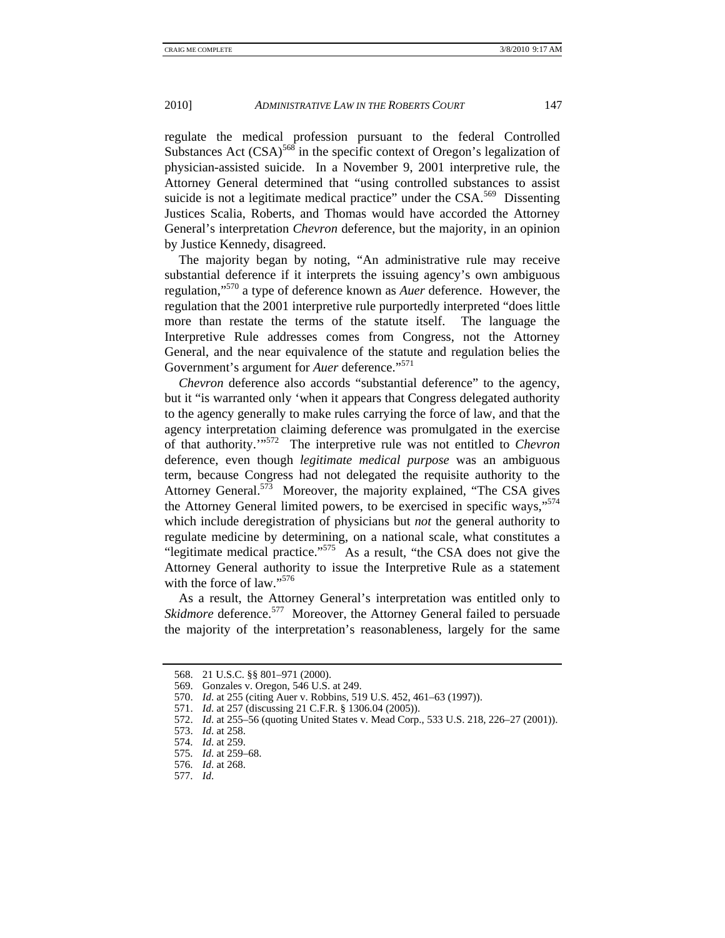regulate the medical profession pursuant to the federal Controlled Substances Act  $(CSA)$ <sup>568</sup> in the specific context of Oregon's legalization of physician-assisted suicide. In a November 9, 2001 interpretive rule, the Attorney General determined that "using controlled substances to assist suicide is not a legitimate medical practice" under the CSA.<sup>569</sup> Dissenting Justices Scalia, Roberts, and Thomas would have accorded the Attorney General's interpretation *Chevron* deference, but the majority, in an opinion by Justice Kennedy, disagreed.

The majority began by noting, "An administrative rule may receive substantial deference if it interprets the issuing agency's own ambiguous regulation,"570 a type of deference known as *Auer* deference. However, the regulation that the 2001 interpretive rule purportedly interpreted "does little more than restate the terms of the statute itself. The language the Interpretive Rule addresses comes from Congress, not the Attorney General, and the near equivalence of the statute and regulation belies the Government's argument for *Auer* deference."<sup>571</sup>

*Chevron* deference also accords "substantial deference" to the agency, but it "is warranted only 'when it appears that Congress delegated authority to the agency generally to make rules carrying the force of law, and that the agency interpretation claiming deference was promulgated in the exercise of that authority.'"572 The interpretive rule was not entitled to *Chevron* deference, even though *legitimate medical purpose* was an ambiguous term, because Congress had not delegated the requisite authority to the Attorney General.<sup>573</sup> Moreover, the majority explained, "The CSA gives the Attorney General limited powers, to be exercised in specific ways,"<sup>574</sup> which include deregistration of physicians but *not* the general authority to regulate medicine by determining, on a national scale, what constitutes a "legitimate medical practice."<sup>575</sup> As a result, "the CSA does not give the Attorney General authority to issue the Interpretive Rule as a statement with the force of law."<sup>576</sup>

As a result, the Attorney General's interpretation was entitled only to *Skidmore* deference.<sup>577</sup> Moreover, the Attorney General failed to persuade the majority of the interpretation's reasonableness, largely for the same

577. *Id*.

 <sup>568. 21</sup> U.S.C. §§ 801–971 (2000).

 <sup>569.</sup> Gonzales v. Oregon, 546 U.S. at 249.

 <sup>570.</sup> *Id*. at 255 (citing Auer v. Robbins, 519 U.S. 452, 461–63 (1997)).

 <sup>571.</sup> *Id*. at 257 (discussing 21 C.F.R. § 1306.04 (2005)).

 <sup>572.</sup> *Id*. at 255–56 (quoting United States v. Mead Corp., 533 U.S. 218, 226–27 (2001)).

 <sup>573.</sup> *Id*. at 258.

 <sup>574.</sup> *Id*. at 259.

 <sup>575.</sup> *Id*. at 259–68.

 <sup>576.</sup> *Id*. at 268.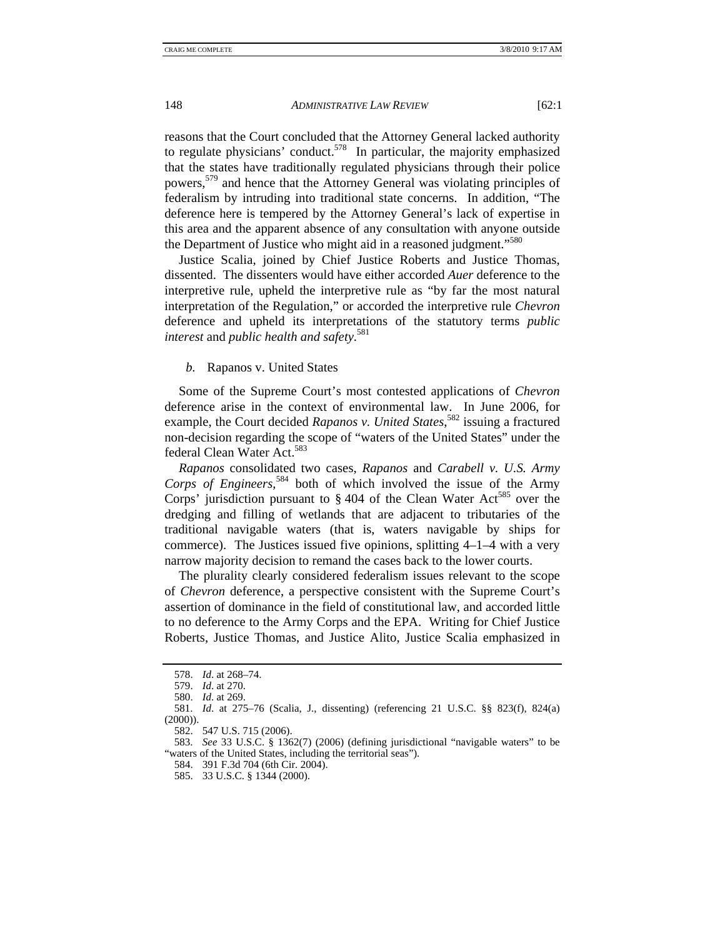reasons that the Court concluded that the Attorney General lacked authority to regulate physicians' conduct. $578$  In particular, the majority emphasized that the states have traditionally regulated physicians through their police powers,579 and hence that the Attorney General was violating principles of federalism by intruding into traditional state concerns. In addition, "The deference here is tempered by the Attorney General's lack of expertise in this area and the apparent absence of any consultation with anyone outside the Department of Justice who might aid in a reasoned judgment."<sup>580</sup>

Justice Scalia, joined by Chief Justice Roberts and Justice Thomas, dissented. The dissenters would have either accorded *Auer* deference to the interpretive rule, upheld the interpretive rule as "by far the most natural interpretation of the Regulation," or accorded the interpretive rule *Chevron*  deference and upheld its interpretations of the statutory terms *public interest* and *public health and safety*. 581

## *b.* Rapanos v. United States

Some of the Supreme Court's most contested applications of *Chevron*  deference arise in the context of environmental law. In June 2006, for example, the Court decided *Rapanos v. United States*,<sup>582</sup> issuing a fractured non-decision regarding the scope of "waters of the United States" under the federal Clean Water Act.<sup>583</sup>

*Rapanos* consolidated two cases, *Rapanos* and *Carabell v. U.S. Army Corps of Engineers*, 584 both of which involved the issue of the Army Corps' jurisdiction pursuant to  $\S 404$  of the Clean Water Act<sup>585</sup> over the dredging and filling of wetlands that are adjacent to tributaries of the traditional navigable waters (that is, waters navigable by ships for commerce). The Justices issued five opinions, splitting 4–1–4 with a very narrow majority decision to remand the cases back to the lower courts.

The plurality clearly considered federalism issues relevant to the scope of *Chevron* deference, a perspective consistent with the Supreme Court's assertion of dominance in the field of constitutional law, and accorded little to no deference to the Army Corps and the EPA. Writing for Chief Justice Roberts, Justice Thomas, and Justice Alito, Justice Scalia emphasized in

 <sup>578.</sup> *Id*. at 268–74.

 <sup>579.</sup> *Id*. at 270.

 <sup>580.</sup> *Id*. at 269.

 <sup>581.</sup> *Id*. at 275–76 (Scalia, J., dissenting) (referencing 21 U.S.C. §§ 823(f), 824(a) (2000)).

 <sup>582. 547</sup> U.S. 715 (2006).

 <sup>583.</sup> *See* 33 U.S.C. § 1362(7) (2006) (defining jurisdictional "navigable waters" to be "waters of the United States, including the territorial seas").

 <sup>584. 391</sup> F.3d 704 (6th Cir. 2004).

 <sup>585. 33</sup> U.S.C. § 1344 (2000).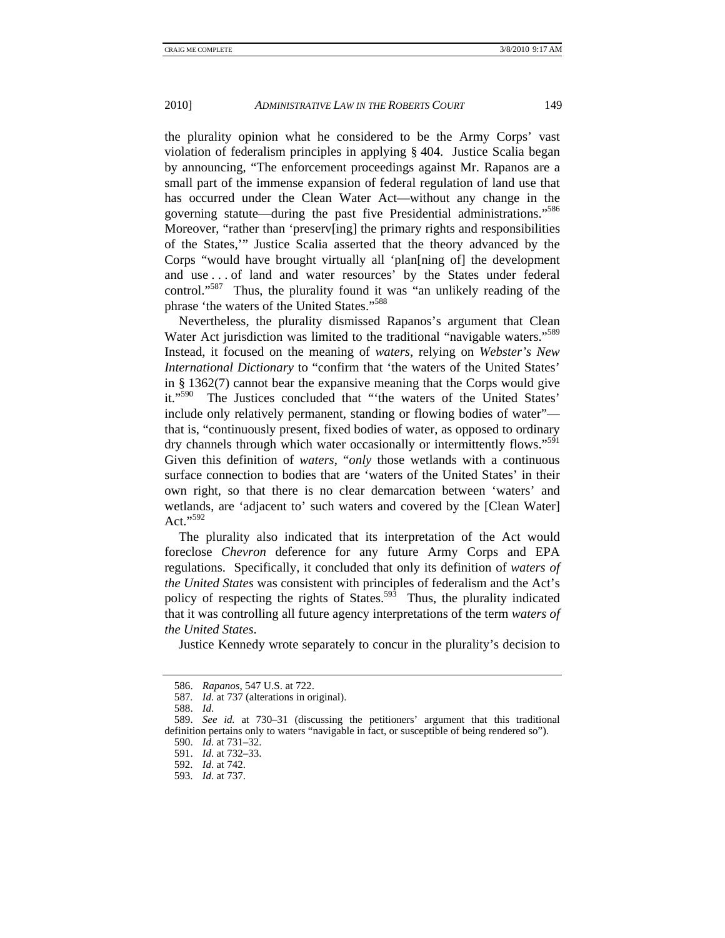the plurality opinion what he considered to be the Army Corps' vast violation of federalism principles in applying § 404. Justice Scalia began by announcing, "The enforcement proceedings against Mr. Rapanos are a small part of the immense expansion of federal regulation of land use that has occurred under the Clean Water Act—without any change in the governing statute—during the past five Presidential administrations."586 Moreover, "rather than 'preserv[ing] the primary rights and responsibilities of the States,'" Justice Scalia asserted that the theory advanced by the Corps "would have brought virtually all 'plan[ning of] the development and use . . . of land and water resources' by the States under federal control."<sup>587</sup> Thus, the plurality found it was "an unlikely reading of the phrase 'the waters of the United States."<sup>588</sup>

Nevertheless, the plurality dismissed Rapanos's argument that Clean Water Act jurisdiction was limited to the traditional "navigable waters."<sup>589</sup> Instead, it focused on the meaning of *waters*, relying on *Webster's New International Dictionary* to "confirm that 'the waters of the United States' in § 1362(7) cannot bear the expansive meaning that the Corps would give it."<sup>590</sup> The Justices concluded that "the waters of the United States' include only relatively permanent, standing or flowing bodies of water" that is, "continuously present, fixed bodies of water, as opposed to ordinary dry channels through which water occasionally or intermittently flows."<sup>591</sup> Given this definition of *waters*, "*only* those wetlands with a continuous surface connection to bodies that are 'waters of the United States' in their own right, so that there is no clear demarcation between 'waters' and wetlands, are 'adjacent to' such waters and covered by the [Clean Water] Act."592

The plurality also indicated that its interpretation of the Act would foreclose *Chevron* deference for any future Army Corps and EPA regulations. Specifically, it concluded that only its definition of *waters of the United States* was consistent with principles of federalism and the Act's policy of respecting the rights of States.<sup>593</sup> Thus, the plurality indicated that it was controlling all future agency interpretations of the term *waters of the United States*.

Justice Kennedy wrote separately to concur in the plurality's decision to

 <sup>586.</sup> *Rapanos*, 547 U.S. at 722.

<sup>587</sup>*. Id*. at 737 (alterations in original).

 <sup>588.</sup> *Id*.

 <sup>589.</sup> *See id.* at 730–31 (discussing the petitioners' argument that this traditional definition pertains only to waters "navigable in fact, or susceptible of being rendered so").

 <sup>590.</sup> *Id*. at 731–32.

 <sup>591.</sup> *Id*. at 732–33.

 <sup>592.</sup> *Id*. at 742.

 <sup>593.</sup> *Id*. at 737.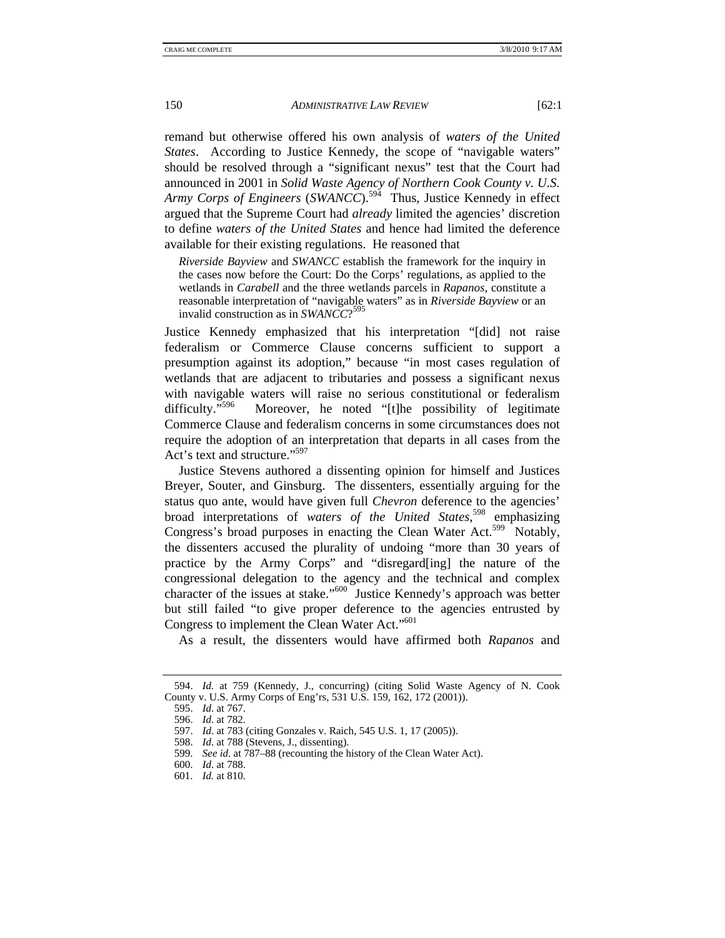remand but otherwise offered his own analysis of *waters of the United States*. According to Justice Kennedy, the scope of "navigable waters" should be resolved through a "significant nexus" test that the Court had announced in 2001 in *Solid Waste Agency of Northern Cook County v. U.S. Army Corps of Engineers* (*SWANCC*).<sup>594</sup> Thus, Justice Kennedy in effect argued that the Supreme Court had *already* limited the agencies' discretion to define *waters of the United States* and hence had limited the deference available for their existing regulations. He reasoned that

*Riverside Bayview* and *SWANCC* establish the framework for the inquiry in the cases now before the Court: Do the Corps' regulations, as applied to the wetlands in *Carabell* and the three wetlands parcels in *Rapanos*, constitute a reasonable interpretation of "navigable waters" as in *Riverside Bayview* or an invalid construction as in *SWANCC*? 595

Justice Kennedy emphasized that his interpretation "[did] not raise federalism or Commerce Clause concerns sufficient to support a presumption against its adoption," because "in most cases regulation of wetlands that are adjacent to tributaries and possess a significant nexus with navigable waters will raise no serious constitutional or federalism difficulty."<sup>596</sup> Moreover, he noted "[t]he possibility of legitimate Commerce Clause and federalism concerns in some circumstances does not require the adoption of an interpretation that departs in all cases from the Act's text and structure."<sup>597</sup>

Justice Stevens authored a dissenting opinion for himself and Justices Breyer, Souter, and Ginsburg. The dissenters, essentially arguing for the status quo ante, would have given full *Chevron* deference to the agencies' broad interpretations of *waters of the United States*, 598 emphasizing Congress's broad purposes in enacting the Clean Water Act.<sup>599</sup> Notably, the dissenters accused the plurality of undoing "more than 30 years of practice by the Army Corps" and "disregard[ing] the nature of the congressional delegation to the agency and the technical and complex character of the issues at stake."<sup>600</sup> Justice Kennedy's approach was better but still failed "to give proper deference to the agencies entrusted by Congress to implement the Clean Water Act."601

As a result, the dissenters would have affirmed both *Rapanos* and

 <sup>594.</sup> *Id.* at 759 (Kennedy, J., concurring) (citing Solid Waste Agency of N. Cook County v. U.S. Army Corps of Eng'rs, 531 U.S. 159, 162, 172 (2001)).

 <sup>595.</sup> *Id*. at 767.

 <sup>596.</sup> *Id*. at 782.

 <sup>597.</sup> *Id*. at 783 (citing Gonzales v. Raich, 545 U.S. 1, 17 (2005)).

 <sup>598.</sup> *Id*. at 788 (Stevens, J., dissenting).

 <sup>599.</sup> *See id*. at 787–88 (recounting the history of the Clean Water Act).

 <sup>600.</sup> *Id*. at 788.

 <sup>601.</sup> *Id.* at 810.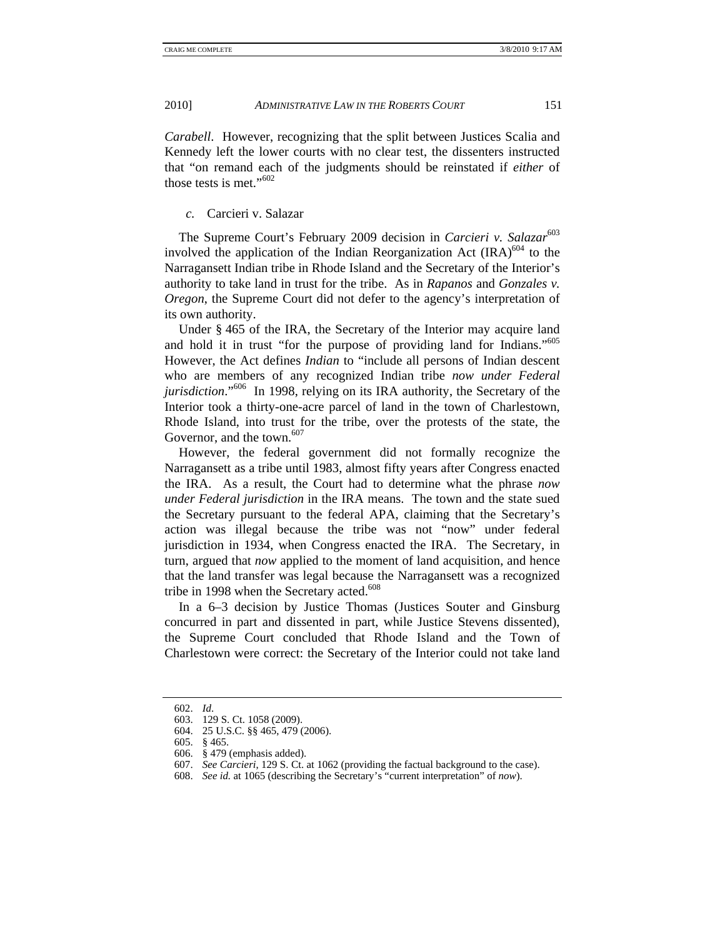*Carabell*. However, recognizing that the split between Justices Scalia and Kennedy left the lower courts with no clear test, the dissenters instructed that "on remand each of the judgments should be reinstated if *either* of those tests is met."<sup>602</sup>

### *c.* Carcieri v. Salazar

The Supreme Court's February 2009 decision in *Carcieri v. Salazar*<sup>603</sup> involved the application of the Indian Reorganization Act  $\left( \text{IRA} \right)^{604}$  to the Narragansett Indian tribe in Rhode Island and the Secretary of the Interior's authority to take land in trust for the tribe. As in *Rapanos* and *Gonzales v. Oregon*, the Supreme Court did not defer to the agency's interpretation of its own authority.

Under § 465 of the IRA, the Secretary of the Interior may acquire land and hold it in trust "for the purpose of providing land for Indians."605 However, the Act defines *Indian* to "include all persons of Indian descent who are members of any recognized Indian tribe *now under Federal jurisdiction*."<sup>606</sup> In 1998, relying on its IRA authority, the Secretary of the Interior took a thirty-one-acre parcel of land in the town of Charlestown, Rhode Island, into trust for the tribe, over the protests of the state, the Governor, and the town. $607$ 

However, the federal government did not formally recognize the Narragansett as a tribe until 1983, almost fifty years after Congress enacted the IRA. As a result, the Court had to determine what the phrase *now under Federal jurisdiction* in the IRA means. The town and the state sued the Secretary pursuant to the federal APA, claiming that the Secretary's action was illegal because the tribe was not "now" under federal jurisdiction in 1934, when Congress enacted the IRA. The Secretary, in turn, argued that *now* applied to the moment of land acquisition, and hence that the land transfer was legal because the Narragansett was a recognized tribe in 1998 when the Secretary acted.<sup>608</sup>

In a 6–3 decision by Justice Thomas (Justices Souter and Ginsburg concurred in part and dissented in part, while Justice Stevens dissented), the Supreme Court concluded that Rhode Island and the Town of Charlestown were correct: the Secretary of the Interior could not take land

 <sup>602.</sup> *Id*.

 <sup>603. 129</sup> S. Ct. 1058 (2009).

 <sup>604. 25</sup> U.S.C. §§ 465, 479 (2006).

 <sup>605. § 465.</sup> 

 <sup>606. § 479 (</sup>emphasis added).

 <sup>607.</sup> *See Carcieri*, 129 S. Ct. at 1062 (providing the factual background to the case).

 <sup>608.</sup> *See id.* at 1065 (describing the Secretary's "current interpretation" of *now*).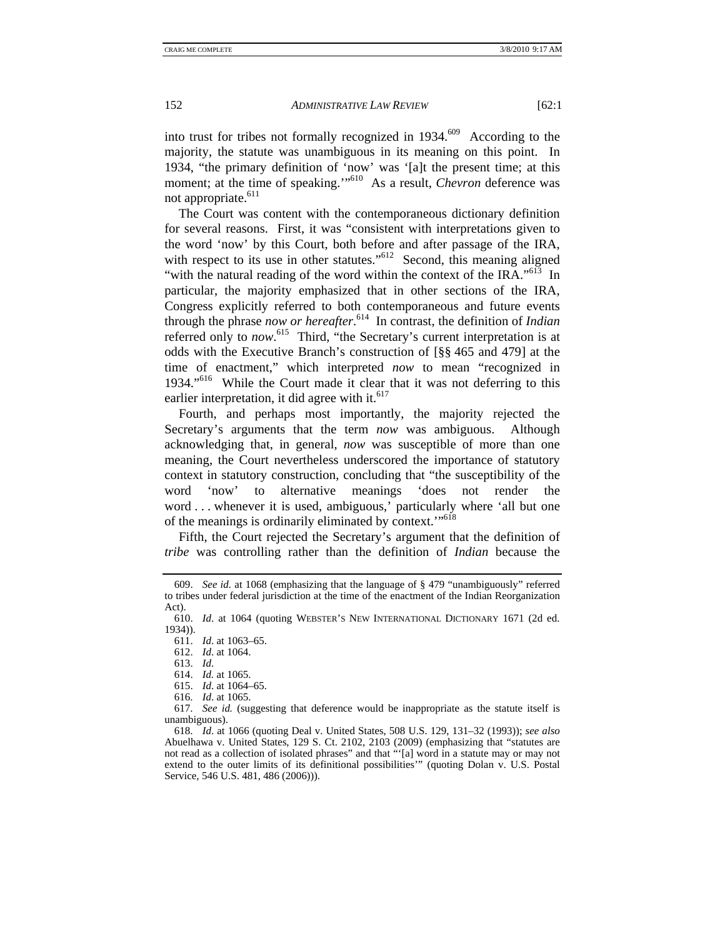into trust for tribes not formally recognized in  $1934$ <sup>609</sup> According to the majority, the statute was unambiguous in its meaning on this point. In 1934, "the primary definition of 'now' was '[a]t the present time; at this moment; at the time of speaking."<sup>510</sup> As a result, *Chevron* deference was not appropriate.<sup>611</sup>

The Court was content with the contemporaneous dictionary definition for several reasons. First, it was "consistent with interpretations given to the word 'now' by this Court, both before and after passage of the IRA, with respect to its use in other statutes."<sup>612</sup> Second, this meaning aligned "with the natural reading of the word within the context of the IRA."<sup>613</sup> In particular, the majority emphasized that in other sections of the IRA, Congress explicitly referred to both contemporaneous and future events through the phrase *now or hereafter*. 614 In contrast, the definition of *Indian* referred only to *now*.<sup>615</sup> Third, "the Secretary's current interpretation is at odds with the Executive Branch's construction of [§§ 465 and 479] at the time of enactment," which interpreted *now* to mean "recognized in 1934."<sup>616</sup> While the Court made it clear that it was not deferring to this earlier interpretation, it did agree with it. $617$ 

Fourth, and perhaps most importantly, the majority rejected the Secretary's arguments that the term *now* was ambiguous. Although acknowledging that, in general, *now* was susceptible of more than one meaning, the Court nevertheless underscored the importance of statutory context in statutory construction, concluding that "the susceptibility of the word 'now' to alternative meanings 'does not render the word . . . whenever it is used, ambiguous,' particularly where 'all but one of the meanings is ordinarily eliminated by context."<sup>618</sup>

Fifth, the Court rejected the Secretary's argument that the definition of *tribe* was controlling rather than the definition of *Indian* because the

 617. *See id.* (suggesting that deference would be inappropriate as the statute itself is unambiguous).

 <sup>609.</sup> *See id.* at 1068 (emphasizing that the language of § 479 "unambiguously" referred to tribes under federal jurisdiction at the time of the enactment of the Indian Reorganization Act).

 <sup>610.</sup> *Id*. at 1064 (quoting WEBSTER'S NEW INTERNATIONAL DICTIONARY 1671 (2d ed. 1934)).

 <sup>611.</sup> *Id*. at 1063–65.

 <sup>612.</sup> *Id*. at 1064.

 <sup>613.</sup> *Id*.

 <sup>614.</sup> *Id.* at 1065.

 <sup>615.</sup> *Id*. at 1064–65.

 <sup>616.</sup> *Id*. at 1065.

 <sup>618.</sup> *Id*. at 1066 (quoting Deal v. United States, 508 U.S. 129, 131–32 (1993)); *see also*  Abuelhawa v. United States, 129 S. Ct. 2102, 2103 (2009) (emphasizing that "statutes are not read as a collection of isolated phrases" and that "'[a] word in a statute may or may not extend to the outer limits of its definitional possibilities'" (quoting Dolan v. U.S. Postal Service, 546 U.S. 481, 486 (2006))).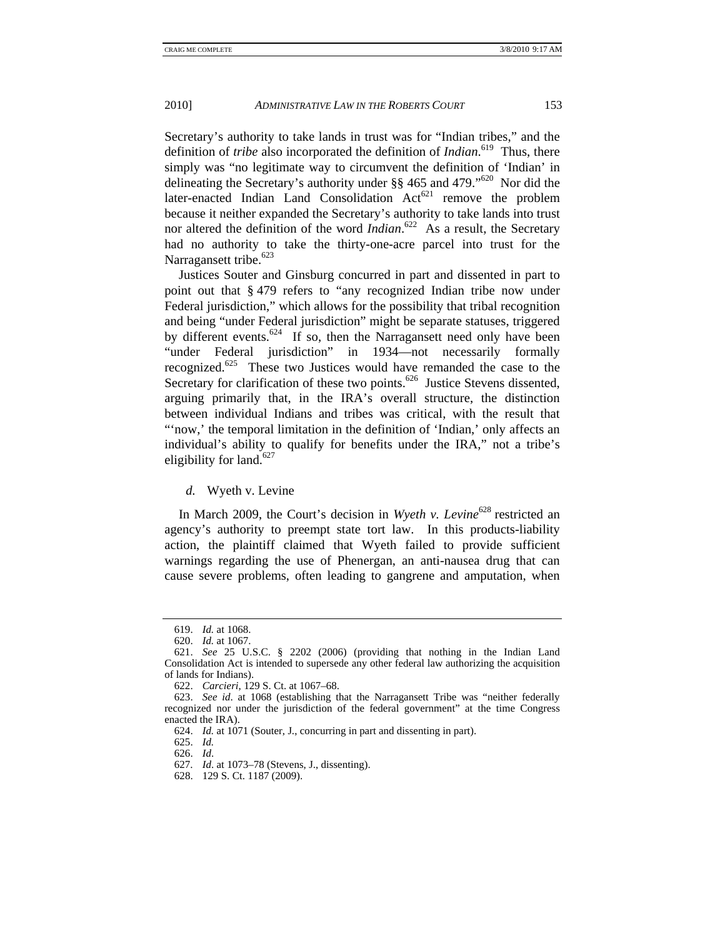Secretary's authority to take lands in trust was for "Indian tribes," and the definition of *tribe* also incorporated the definition of *Indian*. 619 Thus, there simply was "no legitimate way to circumvent the definition of 'Indian' in delineating the Secretary's authority under  $\S$ § 465 and 479."<sup>620</sup> Nor did the later-enacted Indian Land Consolidation  $Act^{621}$  remove the problem because it neither expanded the Secretary's authority to take lands into trust nor altered the definition of the word *Indian*. 622 As a result, the Secretary had no authority to take the thirty-one-acre parcel into trust for the Narragansett tribe.<sup>623</sup>

Justices Souter and Ginsburg concurred in part and dissented in part to point out that § 479 refers to "any recognized Indian tribe now under Federal jurisdiction," which allows for the possibility that tribal recognition and being "under Federal jurisdiction" might be separate statuses, triggered by different events.<sup>624</sup> If so, then the Narragansett need only have been "under Federal jurisdiction" in 1934—not necessarily formally recognized.<sup>625</sup> These two Justices would have remanded the case to the Secretary for clarification of these two points.<sup>626</sup> Justice Stevens dissented, arguing primarily that, in the IRA's overall structure, the distinction between individual Indians and tribes was critical, with the result that "'now,' the temporal limitation in the definition of 'Indian,' only affects an individual's ability to qualify for benefits under the IRA," not a tribe's eligibility for land.<sup>627</sup>

### *d.* Wyeth v. Levine

In March 2009, the Court's decision in *Wyeth v. Levine*<sup>628</sup> restricted an agency's authority to preempt state tort law. In this products-liability action, the plaintiff claimed that Wyeth failed to provide sufficient warnings regarding the use of Phenergan, an anti-nausea drug that can cause severe problems, often leading to gangrene and amputation, when

 <sup>619.</sup> *Id.* at 1068.

 <sup>620.</sup> *Id.* at 1067.

 <sup>621.</sup> *See* 25 U.S.C. § 2202 (2006) (providing that nothing in the Indian Land Consolidation Act is intended to supersede any other federal law authorizing the acquisition of lands for Indians).

 <sup>622.</sup> *Carcieri*, 129 S. Ct. at 1067–68.

 <sup>623.</sup> *See id*. at 1068 (establishing that the Narragansett Tribe was "neither federally recognized nor under the jurisdiction of the federal government" at the time Congress enacted the IRA).

 <sup>624.</sup> *Id.* at 1071 (Souter, J., concurring in part and dissenting in part).

 <sup>625.</sup> *Id.*

 <sup>626.</sup> *Id*.

 <sup>627.</sup> *Id*. at 1073–78 (Stevens, J., dissenting).

 <sup>628. 129</sup> S. Ct. 1187 (2009).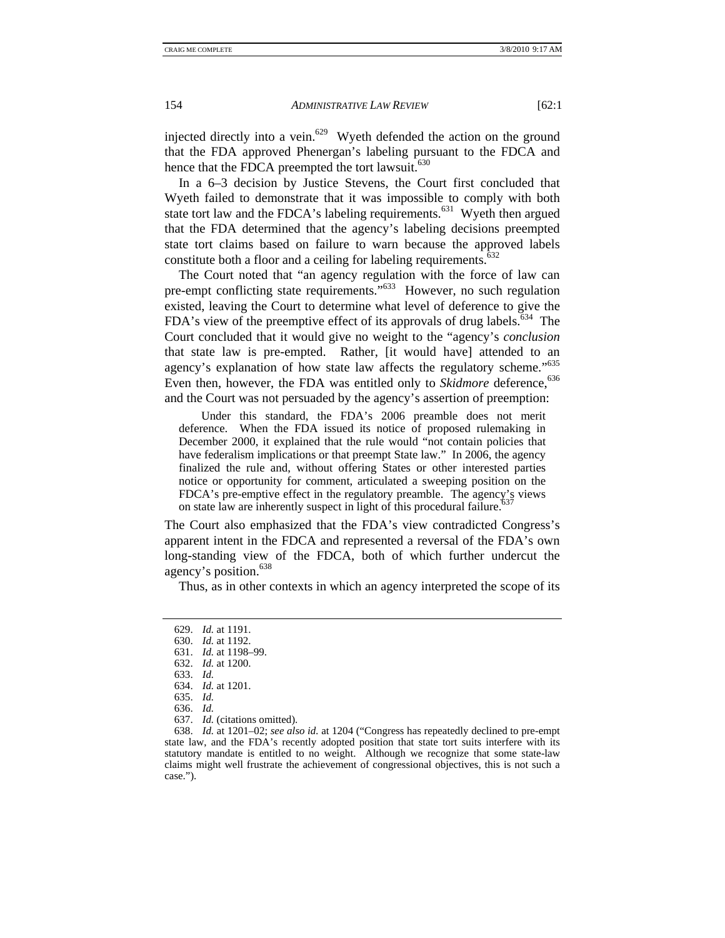injected directly into a vein.<sup>629</sup> Wyeth defended the action on the ground that the FDA approved Phenergan's labeling pursuant to the FDCA and hence that the FDCA preempted the tort lawsuit.<sup>630</sup>

In a 6–3 decision by Justice Stevens, the Court first concluded that Wyeth failed to demonstrate that it was impossible to comply with both state tort law and the FDCA's labeling requirements.<sup>631</sup> Wyeth then argued that the FDA determined that the agency's labeling decisions preempted state tort claims based on failure to warn because the approved labels constitute both a floor and a ceiling for labeling requirements.<sup>632</sup>

The Court noted that "an agency regulation with the force of law can pre-empt conflicting state requirements."633 However, no such regulation existed, leaving the Court to determine what level of deference to give the FDA's view of the preemptive effect of its approvals of drug labels.<sup>634</sup> The Court concluded that it would give no weight to the "agency's *conclusion* that state law is pre-empted. Rather, [it would have] attended to an agency's explanation of how state law affects the regulatory scheme."<sup>635</sup> Even then, however, the FDA was entitled only to *Skidmore* deference,<sup>636</sup> and the Court was not persuaded by the agency's assertion of preemption:

 Under this standard, the FDA's 2006 preamble does not merit deference. When the FDA issued its notice of proposed rulemaking in December 2000, it explained that the rule would "not contain policies that have federalism implications or that preempt State law." In 2006, the agency finalized the rule and, without offering States or other interested parties notice or opportunity for comment, articulated a sweeping position on the FDCA's pre-emptive effect in the regulatory preamble. The agency's views on state law are inherently suspect in light of this procedural failure.

The Court also emphasized that the FDA's view contradicted Congress's apparent intent in the FDCA and represented a reversal of the FDA's own long-standing view of the FDCA, both of which further undercut the agency's position.638

Thus, as in other contexts in which an agency interpreted the scope of its

637. *Id.* (citations omitted).

 638. *Id.* at 1201–02; *see also id.* at 1204 ("Congress has repeatedly declined to pre-empt state law, and the FDA's recently adopted position that state tort suits interfere with its statutory mandate is entitled to no weight. Although we recognize that some state-law claims might well frustrate the achievement of congressional objectives, this is not such a case.").

 <sup>629.</sup> *Id.* at 1191.

 <sup>630.</sup> *Id.* at 1192.

 <sup>631.</sup> *Id.* at 1198–99.

 <sup>632.</sup> *Id.* at 1200.

 <sup>633.</sup> *Id.*

 <sup>634.</sup> *Id.* at 1201.

 <sup>635.</sup> *Id.* 

 <sup>636.</sup> *Id.*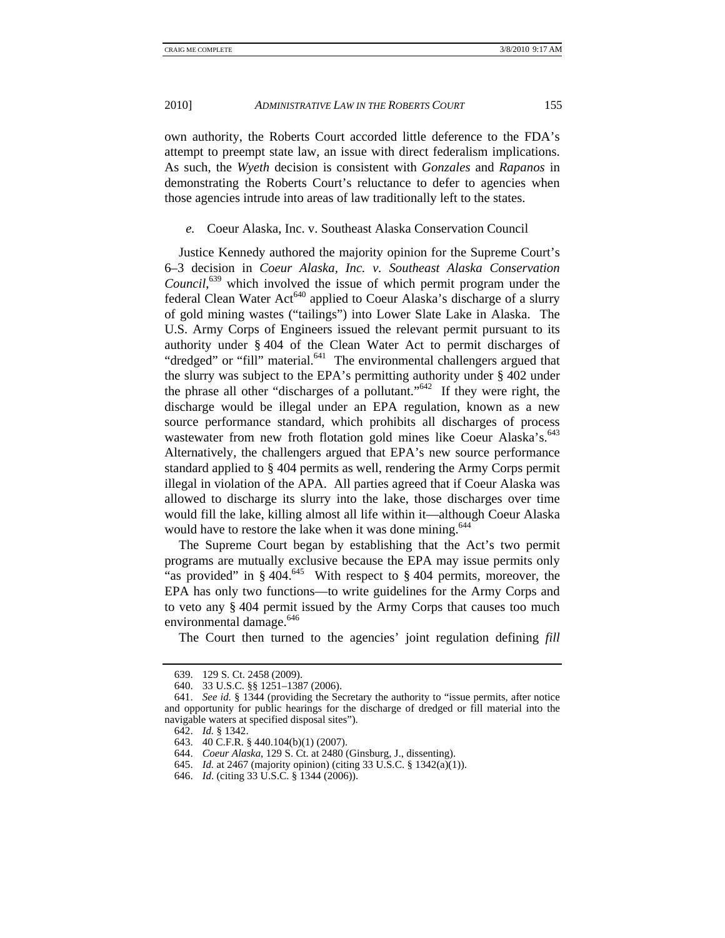own authority, the Roberts Court accorded little deference to the FDA's attempt to preempt state law, an issue with direct federalism implications. As such, the *Wyeth* decision is consistent with *Gonzales* and *Rapanos* in demonstrating the Roberts Court's reluctance to defer to agencies when those agencies intrude into areas of law traditionally left to the states.

#### *e.* Coeur Alaska, Inc. v. Southeast Alaska Conservation Council

Justice Kennedy authored the majority opinion for the Supreme Court's 6–3 decision in *Coeur Alaska, Inc. v. Southeast Alaska Conservation Council*, 639 which involved the issue of which permit program under the federal Clean Water  $Act^{640}$  applied to Coeur Alaska's discharge of a slurry of gold mining wastes ("tailings") into Lower Slate Lake in Alaska. The U.S. Army Corps of Engineers issued the relevant permit pursuant to its authority under § 404 of the Clean Water Act to permit discharges of "dredged" or "fill" material.<sup>641</sup> The environmental challengers argued that the slurry was subject to the EPA's permitting authority under § 402 under the phrase all other "discharges of a pollutant."<sup>642</sup> If they were right, the discharge would be illegal under an EPA regulation, known as a new source performance standard, which prohibits all discharges of process wastewater from new froth flotation gold mines like Coeur Alaska's.<sup>643</sup> Alternatively, the challengers argued that EPA's new source performance standard applied to § 404 permits as well, rendering the Army Corps permit illegal in violation of the APA. All parties agreed that if Coeur Alaska was allowed to discharge its slurry into the lake, those discharges over time would fill the lake, killing almost all life within it—although Coeur Alaska would have to restore the lake when it was done mining.<sup>644</sup>

The Supreme Court began by establishing that the Act's two permit programs are mutually exclusive because the EPA may issue permits only "as provided" in  $§$  404.<sup>645</sup> With respect to  $§$  404 permits, moreover, the EPA has only two functions—to write guidelines for the Army Corps and to veto any § 404 permit issued by the Army Corps that causes too much environmental damage.<sup>646</sup>

The Court then turned to the agencies' joint regulation defining *fill* 

 <sup>639. 129</sup> S. Ct. 2458 (2009).

 <sup>640. 33</sup> U.S.C. §§ 1251–1387 (2006).

 <sup>641.</sup> *See id.* § 1344 (providing the Secretary the authority to "issue permits, after notice and opportunity for public hearings for the discharge of dredged or fill material into the navigable waters at specified disposal sites").

 <sup>642.</sup> *Id.* § 1342.

 <sup>643. 40</sup> C.F.R. § 440.104(b)(1) (2007).

 <sup>644.</sup> *Coeur Alaska*, 129 S. Ct. at 2480 (Ginsburg, J., dissenting).

 <sup>645.</sup> *Id.* at 2467 (majority opinion) (citing 33 U.S.C. § 1342(a)(1)).

 <sup>646.</sup> *Id*. (citing 33 U.S.C. § 1344 (2006)).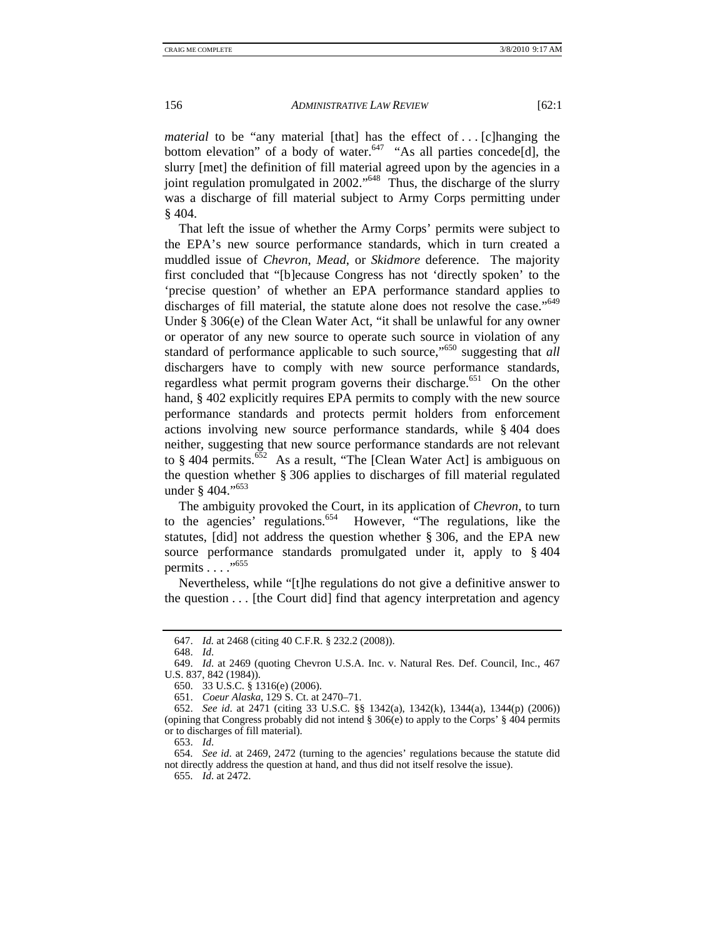*material* to be "any material [that] has the effect of ... [c]hanging the bottom elevation" of a body of water. $647$  "As all parties concede[d], the slurry [met] the definition of fill material agreed upon by the agencies in a joint regulation promulgated in 2002."<sup>648</sup> Thus, the discharge of the slurry was a discharge of fill material subject to Army Corps permitting under  $§$  404.

That left the issue of whether the Army Corps' permits were subject to the EPA's new source performance standards, which in turn created a muddled issue of *Chevron*, *Mead*, or *Skidmore* deference. The majority first concluded that "[b]ecause Congress has not 'directly spoken' to the 'precise question' of whether an EPA performance standard applies to discharges of fill material, the statute alone does not resolve the case."<sup>649</sup> Under § 306(e) of the Clean Water Act, "it shall be unlawful for any owner or operator of any new source to operate such source in violation of any standard of performance applicable to such source,"650 suggesting that *all*  dischargers have to comply with new source performance standards, regardless what permit program governs their discharge.<sup>651</sup> On the other hand, § 402 explicitly requires EPA permits to comply with the new source performance standards and protects permit holders from enforcement actions involving new source performance standards, while § 404 does neither, suggesting that new source performance standards are not relevant to § 404 permits. $652$  As a result, "The [Clean Water Act] is ambiguous on the question whether § 306 applies to discharges of fill material regulated under § 404."<sup>653</sup>

The ambiguity provoked the Court, in its application of *Chevron*, to turn to the agencies' regulations.654 However, "The regulations, like the statutes, [did] not address the question whether § 306, and the EPA new source performance standards promulgated under it, apply to § 404 permits . . . ."655

Nevertheless, while "[t]he regulations do not give a definitive answer to the question . . . [the Court did] find that agency interpretation and agency

653. *Id*.

 654. *See id*. at 2469, 2472 (turning to the agencies' regulations because the statute did not directly address the question at hand, and thus did not itself resolve the issue).

655. *Id*. at 2472.

 <sup>647.</sup> *Id.* at 2468 (citing 40 C.F.R. § 232.2 (2008)).

 <sup>648.</sup> *Id*.

 <sup>649.</sup> *Id*. at 2469 (quoting Chevron U.S.A. Inc. v. Natural Res. Def. Council, Inc., 467 U.S. 837, 842 (1984)).

 <sup>650. 33</sup> U.S.C. § 1316(e) (2006).

 <sup>651.</sup> *Coeur Alaska*, 129 S. Ct. at 2470–71.

 <sup>652.</sup> *See id*. at 2471 (citing 33 U.S.C. §§ 1342(a), 1342(k), 1344(a), 1344(p) (2006)) (opining that Congress probably did not intend  $\S 306(e)$  to apply to the Corps'  $\S 404$  permits or to discharges of fill material).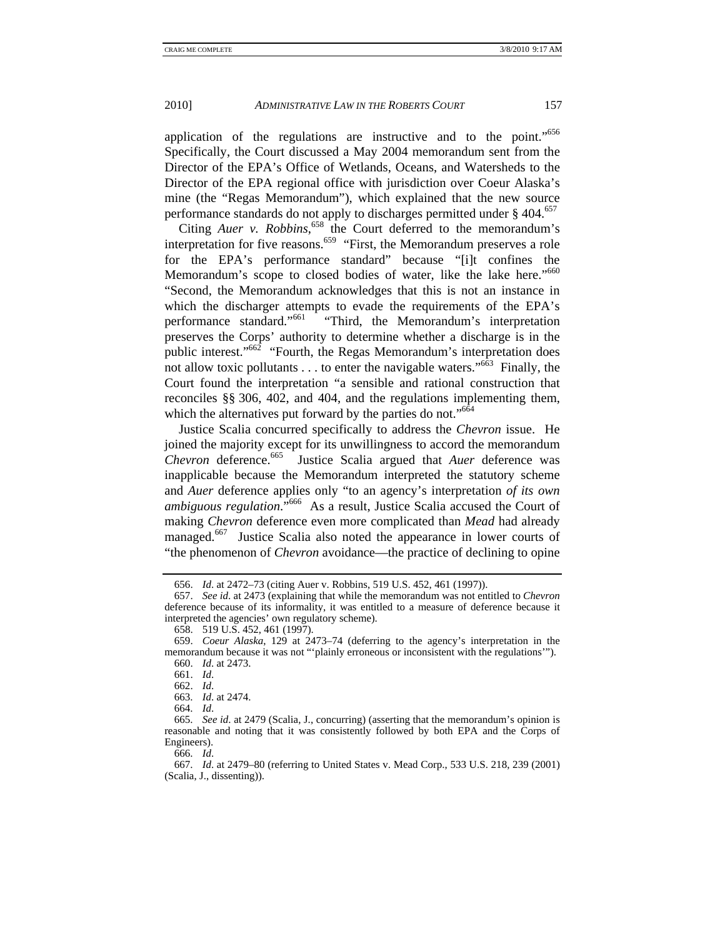application of the regulations are instructive and to the point."<sup>656</sup> Specifically, the Court discussed a May 2004 memorandum sent from the Director of the EPA's Office of Wetlands, Oceans, and Watersheds to the Director of the EPA regional office with jurisdiction over Coeur Alaska's mine (the "Regas Memorandum"), which explained that the new source performance standards do not apply to discharges permitted under § 404.<sup>657</sup>

Citing *Auer v. Robbins*,<sup>658</sup> the Court deferred to the memorandum's interpretation for five reasons.<sup>659</sup> "First, the Memorandum preserves a role" for the EPA's performance standard" because "[i]t confines the Memorandum's scope to closed bodies of water, like the lake here."<sup>660</sup> "Second, the Memorandum acknowledges that this is not an instance in which the discharger attempts to evade the requirements of the EPA's performance standard."<sup>661</sup> "Third, the Memorandum's interpretation "Third, the Memorandum's interpretation preserves the Corps' authority to determine whether a discharge is in the public interest." $662$  "Fourth, the Regas Memorandum's interpretation does not allow toxic pollutants  $\dots$  to enter the navigable waters."<sup>663</sup> Finally, the Court found the interpretation "a sensible and rational construction that reconciles §§ 306, 402, and 404, and the regulations implementing them, which the alternatives put forward by the parties do not."<sup>664</sup>

Justice Scalia concurred specifically to address the *Chevron* issue. He joined the majority except for its unwillingness to accord the memorandum *Chevron* deference.<sup>665</sup> Justice Scalia argued that *Auer* deference was inapplicable because the Memorandum interpreted the statutory scheme and *Auer* deference applies only "to an agency's interpretation *of its own ambiguous regulation*."666 As a result, Justice Scalia accused the Court of making *Chevron* deference even more complicated than *Mead* had already managed.<sup>667</sup> Justice Scalia also noted the appearance in lower courts of "the phenomenon of *Chevron* avoidance—the practice of declining to opine

664. *Id*.

666. *Id*.

 <sup>656.</sup> *Id*. at 2472–73 (citing Auer v. Robbins, 519 U.S. 452, 461 (1997)).

 <sup>657.</sup> *See id*. at 2473 (explaining that while the memorandum was not entitled to *Chevron* deference because of its informality, it was entitled to a measure of deference because it interpreted the agencies' own regulatory scheme).

 <sup>658. 519</sup> U.S. 452, 461 (1997).

 <sup>659.</sup> *Coeur Alaska*, 129 at 2473–74 (deferring to the agency's interpretation in the memorandum because it was not "'plainly erroneous or inconsistent with the regulations'"). 660. *Id*. at 2473.

 <sup>661.</sup> *Id*.

 <sup>662.</sup> *Id*.

 <sup>663.</sup> *Id*. at 2474.

 <sup>665.</sup> *See id*. at 2479 (Scalia, J., concurring) (asserting that the memorandum's opinion is reasonable and noting that it was consistently followed by both EPA and the Corps of Engineers).

 <sup>667.</sup> *Id*. at 2479–80 (referring to United States v. Mead Corp., 533 U.S. 218, 239 (2001) (Scalia, J., dissenting)).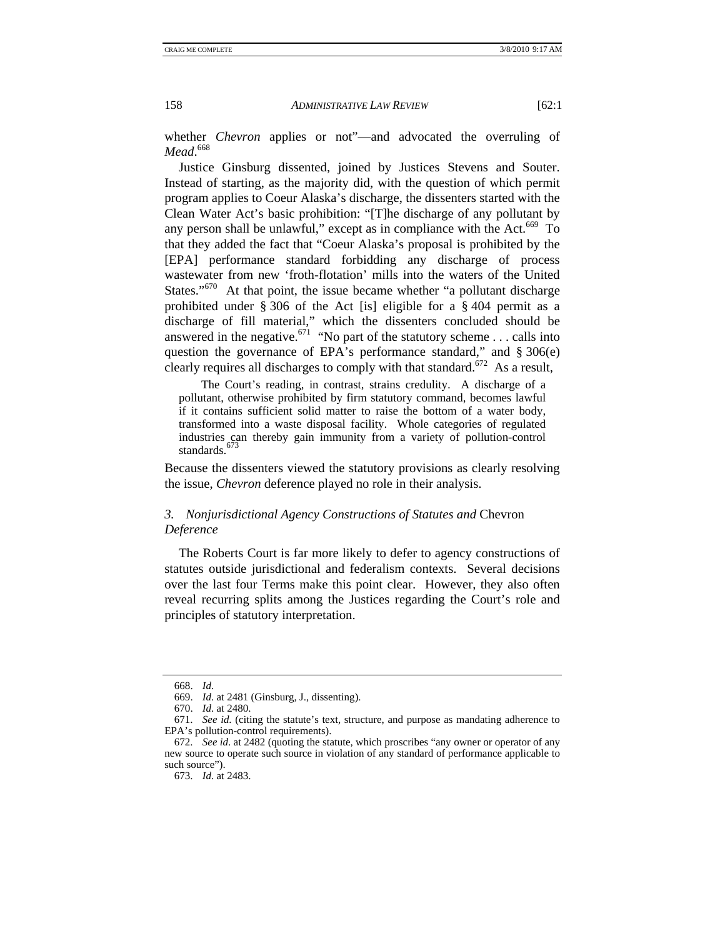whether *Chevron* applies or not"—and advocated the overruling of *Mead*. 668

Justice Ginsburg dissented, joined by Justices Stevens and Souter. Instead of starting, as the majority did, with the question of which permit program applies to Coeur Alaska's discharge, the dissenters started with the Clean Water Act's basic prohibition: "[T]he discharge of any pollutant by any person shall be unlawful," except as in compliance with the Act.<sup>669</sup> To that they added the fact that "Coeur Alaska's proposal is prohibited by the [EPA] performance standard forbidding any discharge of process wastewater from new 'froth-flotation' mills into the waters of the United States."<sup>670</sup> At that point, the issue became whether "a pollutant discharge" prohibited under § 306 of the Act [is] eligible for a § 404 permit as a discharge of fill material," which the dissenters concluded should be answered in the negative.<sup>671</sup> "No part of the statutory scheme . . . calls into question the governance of EPA's performance standard," and § 306(e) clearly requires all discharges to comply with that standard.<sup>672</sup> As a result,

 The Court's reading, in contrast, strains credulity. A discharge of a pollutant, otherwise prohibited by firm statutory command, becomes lawful if it contains sufficient solid matter to raise the bottom of a water body, transformed into a waste disposal facility. Whole categories of regulated industries can thereby gain immunity from a variety of pollution-control standards.<sup>673</sup>

Because the dissenters viewed the statutory provisions as clearly resolving the issue, *Chevron* deference played no role in their analysis.

## *3. Nonjurisdictional Agency Constructions of Statutes and* Chevron *Deference*

The Roberts Court is far more likely to defer to agency constructions of statutes outside jurisdictional and federalism contexts. Several decisions over the last four Terms make this point clear. However, they also often reveal recurring splits among the Justices regarding the Court's role and principles of statutory interpretation.

 <sup>668.</sup> *Id*.

 <sup>669.</sup> *Id*. at 2481 (Ginsburg, J., dissenting).

 <sup>670.</sup> *Id*. at 2480.

 <sup>671.</sup> *See id*. (citing the statute's text, structure, and purpose as mandating adherence to EPA's pollution-control requirements).

 <sup>672.</sup> *See id*. at 2482 (quoting the statute, which proscribes "any owner or operator of any new source to operate such source in violation of any standard of performance applicable to such source").

 <sup>673.</sup> *Id*. at 2483.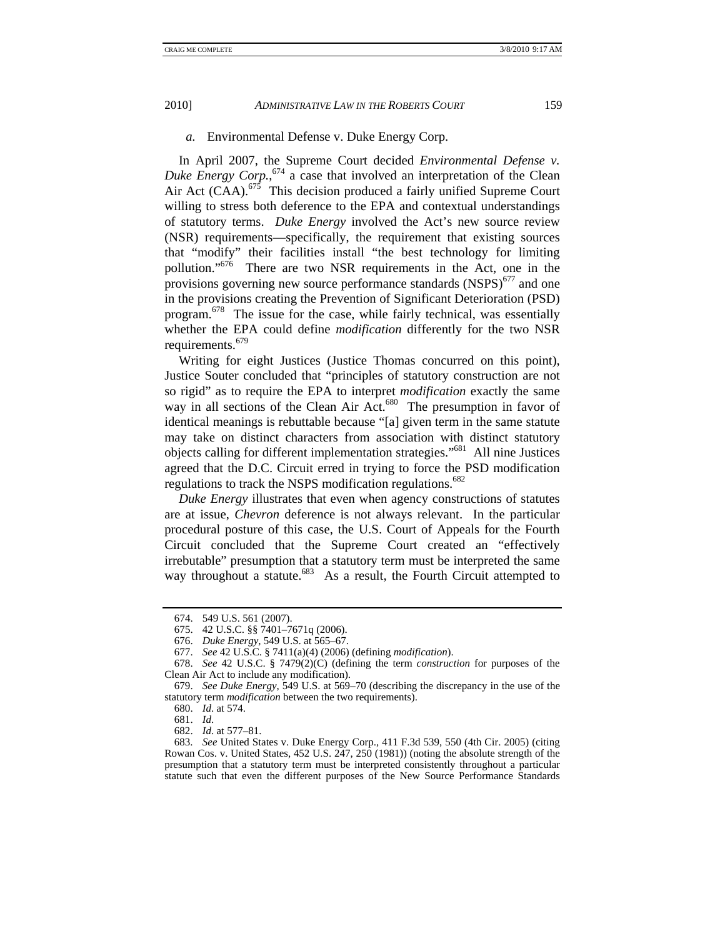#### *a.* Environmental Defense v. Duke Energy Corp.

In April 2007, the Supreme Court decided *Environmental Defense v. Duke Energy Corp.*, 674 a case that involved an interpretation of the Clean Air Act (CAA). $675$  This decision produced a fairly unified Supreme Court willing to stress both deference to the EPA and contextual understandings of statutory terms. *Duke Energy* involved the Act's new source review (NSR) requirements—specifically, the requirement that existing sources that "modify" their facilities install "the best technology for limiting pollution."676 There are two NSR requirements in the Act, one in the provisions governing new source performance standards  $(NSPS)^{677}$  and one in the provisions creating the Prevention of Significant Deterioration (PSD) program.678 The issue for the case, while fairly technical, was essentially whether the EPA could define *modification* differently for the two NSR requirements.<sup>679</sup>

Writing for eight Justices (Justice Thomas concurred on this point), Justice Souter concluded that "principles of statutory construction are not so rigid" as to require the EPA to interpret *modification* exactly the same way in all sections of the Clean Air Act.<sup>680</sup> The presumption in favor of identical meanings is rebuttable because "[a] given term in the same statute may take on distinct characters from association with distinct statutory objects calling for different implementation strategies."681 All nine Justices agreed that the D.C. Circuit erred in trying to force the PSD modification regulations to track the NSPS modification regulations.<sup>682</sup>

*Duke Energy* illustrates that even when agency constructions of statutes are at issue, *Chevron* deference is not always relevant. In the particular procedural posture of this case, the U.S. Court of Appeals for the Fourth Circuit concluded that the Supreme Court created an "effectively irrebutable" presumption that a statutory term must be interpreted the same way throughout a statute.<sup>683</sup> As a result, the Fourth Circuit attempted to

680. *Id*. at 574.

681. *Id*.

 <sup>674. 549</sup> U.S. 561 (2007).

 <sup>675. 42</sup> U.S.C. §§ 7401–7671q (2006).

 <sup>676.</sup> *Duke Energy*, 549 U.S. at 565–67.

 <sup>677.</sup> *See* 42 U.S.C. § 7411(a)(4) (2006) (defining *modification*).

 <sup>678.</sup> *See* 42 U.S.C. § 7479(2)(C) (defining the term *construction* for purposes of the Clean Air Act to include any modification).

 <sup>679.</sup> *See Duke Energy*, 549 U.S. at 569–70 (describing the discrepancy in the use of the statutory term *modification* between the two requirements).

 <sup>682.</sup> *Id*. at 577–81.

 <sup>683.</sup> *See* United States v. Duke Energy Corp., 411 F.3d 539, 550 (4th Cir. 2005) (citing Rowan Cos. v. United States, 452 U.S. 247, 250 (1981)) (noting the absolute strength of the presumption that a statutory term must be interpreted consistently throughout a particular statute such that even the different purposes of the New Source Performance Standards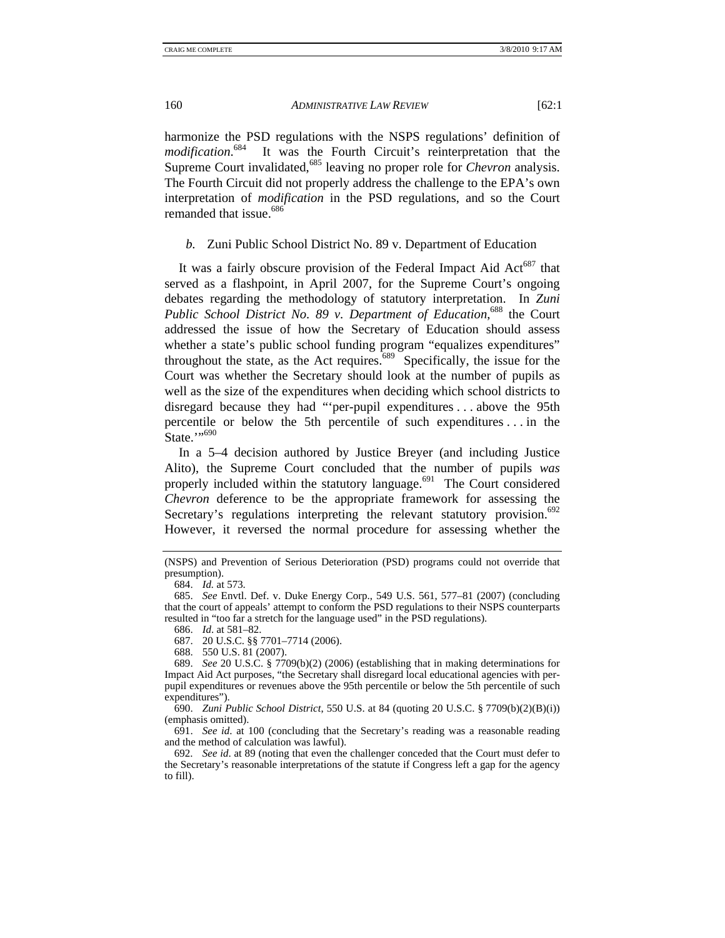harmonize the PSD regulations with the NSPS regulations' definition of *modification*. It was the Fourth Circuit's reinterpretation that the Supreme Court invalidated,<sup>685</sup> leaving no proper role for *Chevron* analysis. The Fourth Circuit did not properly address the challenge to the EPA's own interpretation of *modification* in the PSD regulations, and so the Court remanded that issue.<sup>686</sup>

*b.* Zuni Public School District No. 89 v. Department of Education

It was a fairly obscure provision of the Federal Impact Aid  $Act^{687}$  that served as a flashpoint, in April 2007, for the Supreme Court's ongoing debates regarding the methodology of statutory interpretation. In *Zuni Public School District No. 89 v. Department of Education*, 688 the Court addressed the issue of how the Secretary of Education should assess whether a state's public school funding program "equalizes expenditures" throughout the state, as the Act requires. $689$  Specifically, the issue for the Court was whether the Secretary should look at the number of pupils as well as the size of the expenditures when deciding which school districts to disregard because they had "'per-pupil expenditures . . . above the 95th percentile or below the 5th percentile of such expenditures . . . in the State."<sup>690</sup>

In a 5–4 decision authored by Justice Breyer (and including Justice Alito), the Supreme Court concluded that the number of pupils *was* properly included within the statutory language.<sup>691</sup> The Court considered *Chevron* deference to be the appropriate framework for assessing the Secretary's regulations interpreting the relevant statutory provision.<sup>692</sup> However, it reversed the normal procedure for assessing whether the

 690. *Zuni Public School District*, 550 U.S. at 84 (quoting 20 U.S.C. § 7709(b)(2)(B)(i)) (emphasis omitted).

 691. *See id*. at 100 (concluding that the Secretary's reading was a reasonable reading and the method of calculation was lawful).

<sup>(</sup>NSPS) and Prevention of Serious Deterioration (PSD) programs could not override that presumption).

 <sup>684.</sup> *Id.* at 573.

 <sup>685.</sup> *See* Envtl. Def. v. Duke Energy Corp., 549 U.S. 561, 577–81 (2007) (concluding that the court of appeals' attempt to conform the PSD regulations to their NSPS counterparts resulted in "too far a stretch for the language used" in the PSD regulations).

 <sup>686.</sup> *Id*. at 581–82.

 <sup>687. 20</sup> U.S.C. §§ 7701–7714 (2006).

 <sup>688. 550</sup> U.S. 81 (2007).

 <sup>689.</sup> *See* 20 U.S.C. § 7709(b)(2) (2006) (establishing that in making determinations for Impact Aid Act purposes, "the Secretary shall disregard local educational agencies with perpupil expenditures or revenues above the 95th percentile or below the 5th percentile of such expenditures").

 <sup>692.</sup> *See id*. at 89 (noting that even the challenger conceded that the Court must defer to the Secretary's reasonable interpretations of the statute if Congress left a gap for the agency to fill).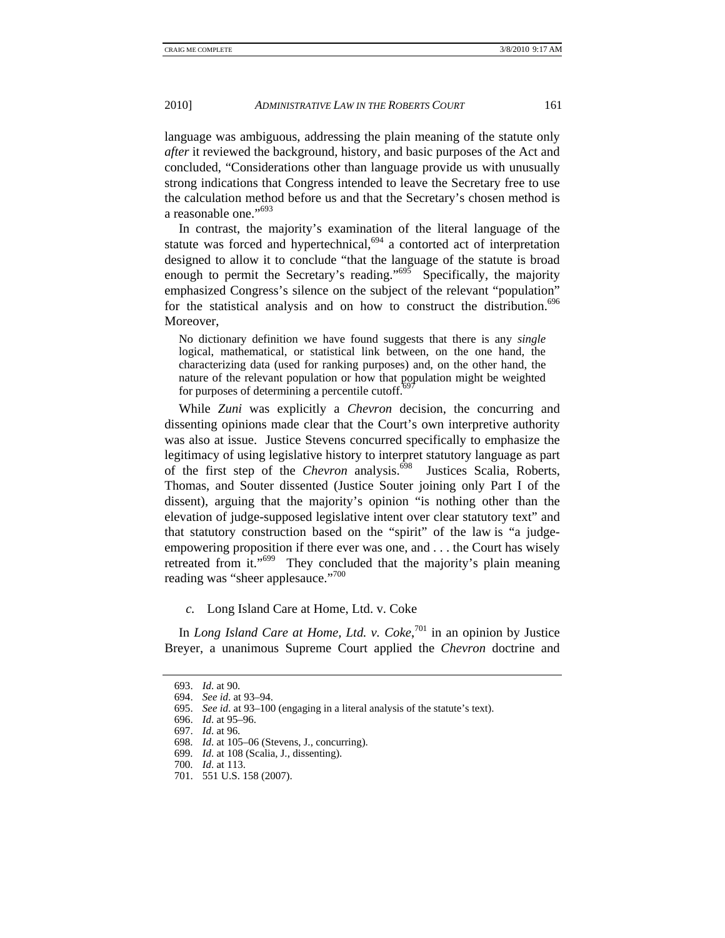language was ambiguous, addressing the plain meaning of the statute only *after* it reviewed the background, history, and basic purposes of the Act and concluded, "Considerations other than language provide us with unusually strong indications that Congress intended to leave the Secretary free to use the calculation method before us and that the Secretary's chosen method is a reasonable one."693

In contrast, the majority's examination of the literal language of the statute was forced and hypertechnical, $694$  a contorted act of interpretation designed to allow it to conclude "that the language of the statute is broad enough to permit the Secretary's reading."<sup>695</sup> Specifically, the majority emphasized Congress's silence on the subject of the relevant "population" for the statistical analysis and on how to construct the distribution.<sup>696</sup> Moreover,

No dictionary definition we have found suggests that there is any *single* logical, mathematical, or statistical link between, on the one hand, the characterizing data (used for ranking purposes) and, on the other hand, the nature of the relevant population or how that population might be weighted for purposes of determining a percentile cutoff. $69$ 

While *Zuni* was explicitly a *Chevron* decision, the concurring and dissenting opinions made clear that the Court's own interpretive authority was also at issue. Justice Stevens concurred specifically to emphasize the legitimacy of using legislative history to interpret statutory language as part of the first step of the *Chevron* analysis.<sup>698</sup> Justices Scalia, Roberts, Thomas, and Souter dissented (Justice Souter joining only Part I of the dissent), arguing that the majority's opinion "is nothing other than the elevation of judge-supposed legislative intent over clear statutory text" and that statutory construction based on the "spirit" of the law is "a judgeempowering proposition if there ever was one, and . . . the Court has wisely retreated from it."<sup>699</sup> They concluded that the majority's plain meaning reading was "sheer applesauce."<sup>700</sup>

*c.* Long Island Care at Home, Ltd. v. Coke

In *Long Island Care at Home, Ltd. v. Coke*, 701 in an opinion by Justice Breyer, a unanimous Supreme Court applied the *Chevron* doctrine and

 <sup>693.</sup> *Id*. at 90.

 <sup>694.</sup> *See id*. at 93–94.

 <sup>695.</sup> *See id*. at 93–100 (engaging in a literal analysis of the statute's text).

 <sup>696.</sup> *Id*. at 95–96.

 <sup>697.</sup> *Id*. at 96.

 <sup>698.</sup> *Id*. at 105–06 (Stevens, J., concurring).

 <sup>699.</sup> *Id*. at 108 (Scalia, J., dissenting).

 <sup>700.</sup> *Id*. at 113.

 <sup>701. 551</sup> U.S. 158 (2007).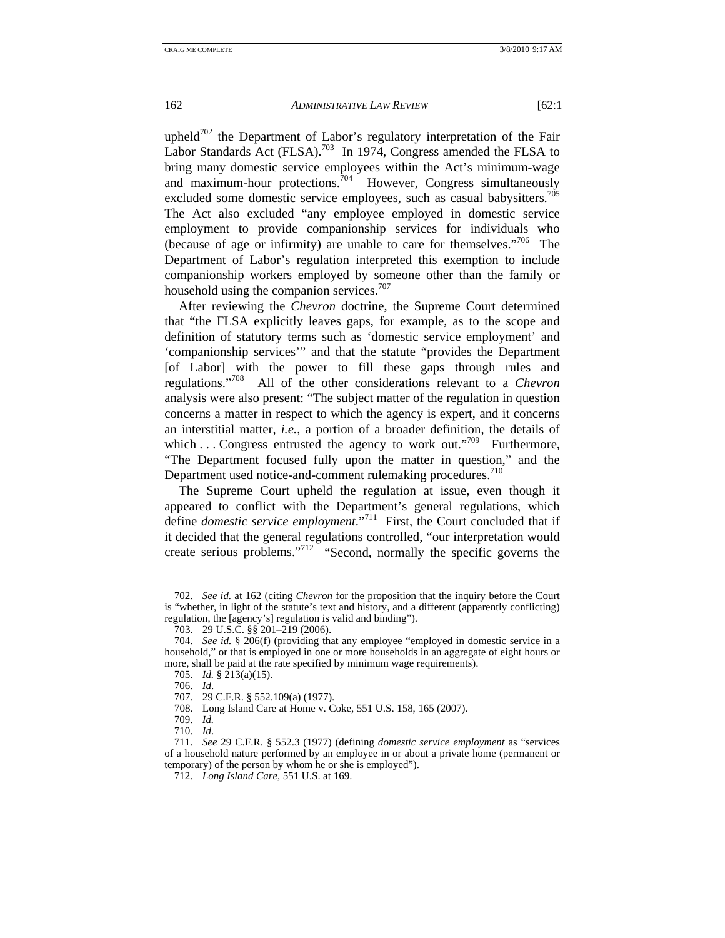upheld<sup>702</sup> the Department of Labor's regulatory interpretation of the Fair Labor Standards Act (FLSA).<sup>703</sup> In 1974, Congress amended the FLSA to bring many domestic service employees within the Act's minimum-wage and maximum-hour protections. $704$  However, Congress simultaneously excluded some domestic service employees, such as casual babysitters.<sup>705</sup> The Act also excluded "any employee employed in domestic service employment to provide companionship services for individuals who (because of age or infirmity) are unable to care for themselves."<sup>706</sup> The Department of Labor's regulation interpreted this exemption to include companionship workers employed by someone other than the family or household using the companion services.<sup>707</sup>

After reviewing the *Chevron* doctrine, the Supreme Court determined that "the FLSA explicitly leaves gaps, for example, as to the scope and definition of statutory terms such as 'domestic service employment' and 'companionship services'" and that the statute "provides the Department [of Labor] with the power to fill these gaps through rules and regulations."708 All of the other considerations relevant to a *Chevron* analysis were also present: "The subject matter of the regulation in question concerns a matter in respect to which the agency is expert, and it concerns an interstitial matter, *i.e.*, a portion of a broader definition, the details of which  $\dots$  Congress entrusted the agency to work out."<sup>709</sup> Furthermore, "The Department focused fully upon the matter in question," and the Department used notice-and-comment rulemaking procedures.<sup>710</sup>

The Supreme Court upheld the regulation at issue, even though it appeared to conflict with the Department's general regulations, which define *domestic service employment*."711 First, the Court concluded that if it decided that the general regulations controlled, "our interpretation would create serious problems."712 "Second, normally the specific governs the

 <sup>702.</sup> *See id.* at 162 (citing *Chevron* for the proposition that the inquiry before the Court is "whether, in light of the statute's text and history, and a different (apparently conflicting) regulation, the [agency's] regulation is valid and binding").

 <sup>703. 29</sup> U.S.C. §§ 201–219 (2006).

 <sup>704.</sup> *See id.* § 206(f) (providing that any employee "employed in domestic service in a household," or that is employed in one or more households in an aggregate of eight hours or more, shall be paid at the rate specified by minimum wage requirements).

 <sup>705.</sup> *Id.* § 213(a)(15).

 <sup>706.</sup> *Id*.

 <sup>707. 29</sup> C.F.R. § 552.109(a) (1977).

 <sup>708.</sup> Long Island Care at Home v. Coke, 551 U.S. 158, 165 (2007).

 <sup>709.</sup> *Id.*

 <sup>710.</sup> *Id*.

 <sup>711.</sup> *See* 29 C.F.R. § 552.3 (1977) (defining *domestic service employment* as "services of a household nature performed by an employee in or about a private home (permanent or temporary) of the person by whom he or she is employed").

 <sup>712.</sup> *Long Island Care*, 551 U.S. at 169.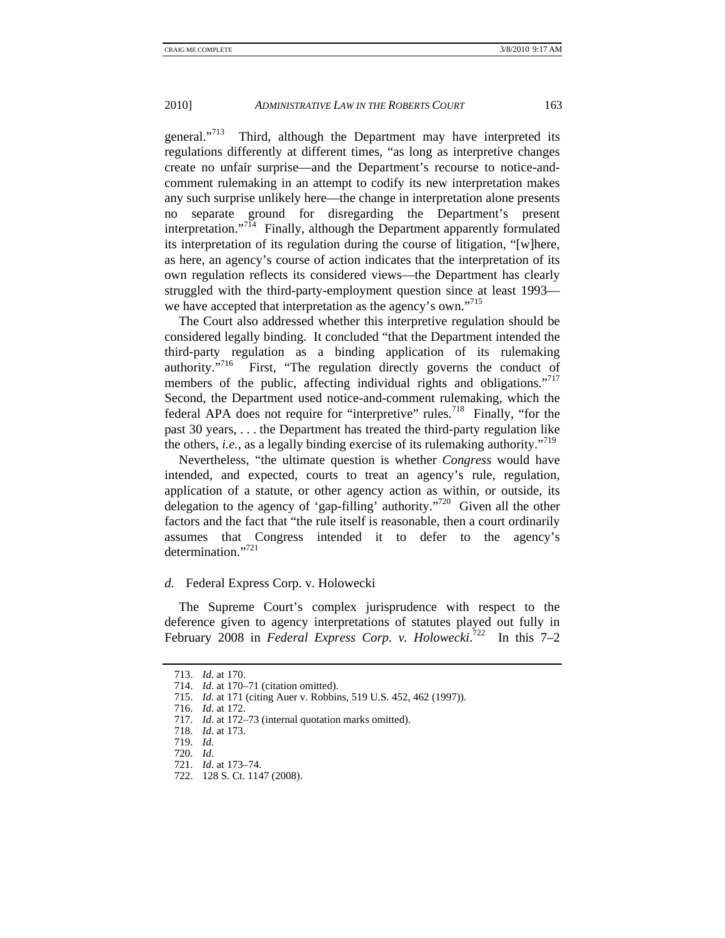general."<sup>713</sup> Third, although the Department may have interpreted its regulations differently at different times, "as long as interpretive changes create no unfair surprise—and the Department's recourse to notice-andcomment rulemaking in an attempt to codify its new interpretation makes any such surprise unlikely here—the change in interpretation alone presents no separate ground for disregarding the Department's present interpretation."<sup>714</sup> Finally, although the Department apparently formulated its interpretation of its regulation during the course of litigation, "[w]here, as here, an agency's course of action indicates that the interpretation of its own regulation reflects its considered views—the Department has clearly struggled with the third-party-employment question since at least 1993 we have accepted that interpretation as the agency's own."<sup>715</sup>

The Court also addressed whether this interpretive regulation should be considered legally binding. It concluded "that the Department intended the third-party regulation as a binding application of its rulemaking authority."<sup>716</sup> First, "The regulation directly governs the conduct of members of the public, affecting individual rights and obligations."<sup>717</sup> Second, the Department used notice-and-comment rulemaking, which the federal APA does not require for "interpretive" rules.<sup>718</sup> Finally, "for the past 30 years, . . . the Department has treated the third-party regulation like the others, *i.e.*, as a legally binding exercise of its rulemaking authority."719

Nevertheless, "the ultimate question is whether *Congress* would have intended, and expected, courts to treat an agency's rule, regulation, application of a statute, or other agency action as within, or outside, its delegation to the agency of 'gap-filling' authority."720 Given all the other factors and the fact that "the rule itself is reasonable, then a court ordinarily assumes that Congress intended it to defer to the agency's determination."<sup>721</sup>

## *d.* Federal Express Corp. v. Holowecki

The Supreme Court's complex jurisprudence with respect to the deference given to agency interpretations of statutes played out fully in February 2008 in *Federal Express Corp. v. Holowecki.*<sup>722</sup> In this 7–2

 <sup>713.</sup> *Id*. at 170.

 <sup>714.</sup> *Id*. at 170–71 (citation omitted).

 <sup>715.</sup> *Id*. at 171 (citing Auer v. Robbins, 519 U.S. 452, 462 (1997)).

 <sup>716.</sup> *Id*. at 172.

 <sup>717.</sup> *Id*. at 172–73 (internal quotation marks omitted).

 <sup>718.</sup> *Id*. at 173.

 <sup>719.</sup> *Id*.

 <sup>720.</sup> *Id*.

 <sup>721.</sup> *Id*. at 173–74.

 <sup>722. 128</sup> S. Ct. 1147 (2008).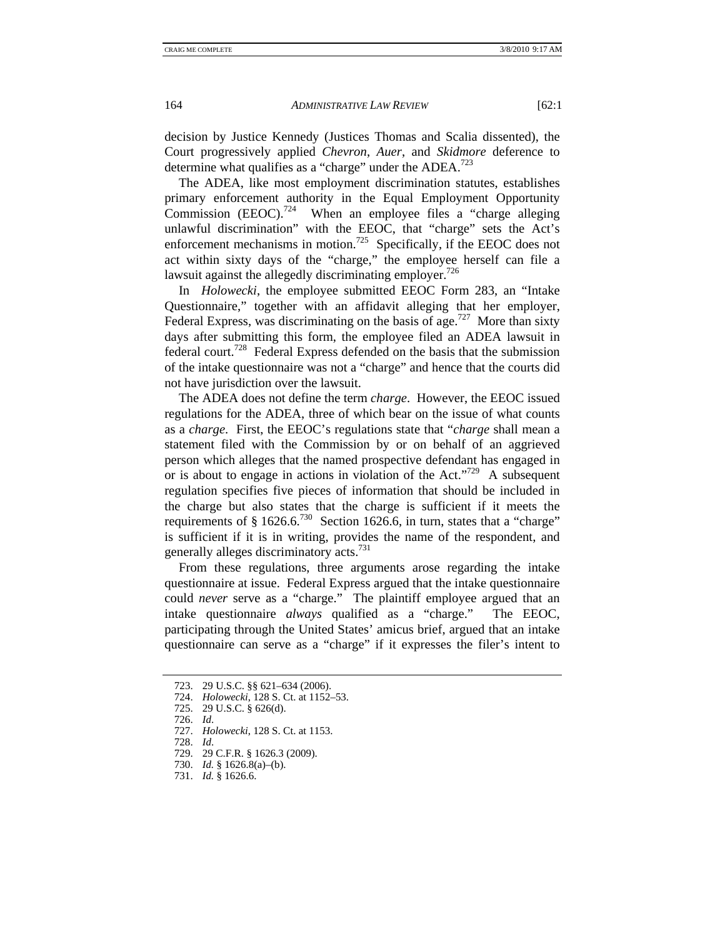decision by Justice Kennedy (Justices Thomas and Scalia dissented), the Court progressively applied *Chevron*, *Auer*, and *Skidmore* deference to determine what qualifies as a "charge" under the ADEA.<sup>723</sup>

The ADEA, like most employment discrimination statutes, establishes primary enforcement authority in the Equal Employment Opportunity Commission (EEOC).<sup>724</sup> When an employee files a "charge alleging" unlawful discrimination" with the EEOC, that "charge" sets the Act's enforcement mechanisms in motion.<sup>725</sup> Specifically, if the EEOC does not act within sixty days of the "charge," the employee herself can file a lawsuit against the allegedly discriminating employer.<sup>726</sup>

In *Holowecki*, the employee submitted EEOC Form 283, an "Intake Questionnaire," together with an affidavit alleging that her employer, Federal Express, was discriminating on the basis of age.<sup>727</sup> More than sixty days after submitting this form, the employee filed an ADEA lawsuit in federal court.728 Federal Express defended on the basis that the submission of the intake questionnaire was not a "charge" and hence that the courts did not have jurisdiction over the lawsuit.

The ADEA does not define the term *charge*. However, the EEOC issued regulations for the ADEA, three of which bear on the issue of what counts as a *charge*. First, the EEOC's regulations state that "*charge* shall mean a statement filed with the Commission by or on behalf of an aggrieved person which alleges that the named prospective defendant has engaged in or is about to engage in actions in violation of the Act."<sup>729</sup> A subsequent regulation specifies five pieces of information that should be included in the charge but also states that the charge is sufficient if it meets the requirements of  $\S 1626.6$ <sup>730</sup> Section 1626.6, in turn, states that a "charge" is sufficient if it is in writing, provides the name of the respondent, and generally alleges discriminatory acts.<sup>731</sup>

From these regulations, three arguments arose regarding the intake questionnaire at issue. Federal Express argued that the intake questionnaire could *never* serve as a "charge." The plaintiff employee argued that an intake questionnaire *always* qualified as a "charge." The EEOC, participating through the United States' amicus brief, argued that an intake questionnaire can serve as a "charge" if it expresses the filer's intent to

726. *Id*.

728. *Id*.

 <sup>723. 29</sup> U.S.C. §§ 621–634 (2006).

 <sup>724.</sup> *Holowecki*, 128 S. Ct. at 1152–53.

 <sup>725. 29</sup> U.S.C. § 626(d).

 <sup>727.</sup> *Holowecki*, 128 S. Ct. at 1153.

 <sup>729. 29</sup> C.F.R. § 1626.3 (2009).

 <sup>730.</sup> *Id.* § 1626.8(a)–(b).

 <sup>731.</sup> *Id.* § 1626.6.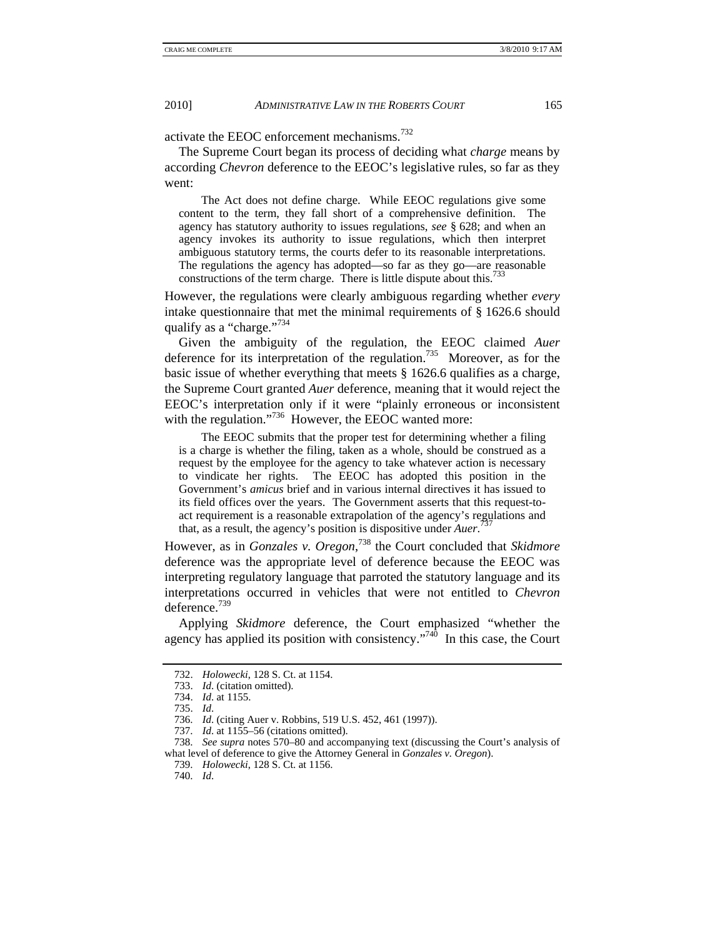activate the EEOC enforcement mechanisms.<sup>732</sup>

The Supreme Court began its process of deciding what *charge* means by according *Chevron* deference to the EEOC's legislative rules, so far as they went:

 The Act does not define charge. While EEOC regulations give some content to the term, they fall short of a comprehensive definition. The agency has statutory authority to issues regulations, *see* § 628; and when an agency invokes its authority to issue regulations, which then interpret ambiguous statutory terms, the courts defer to its reasonable interpretations. The regulations the agency has adopted—so far as they go—are reasonable constructions of the term charge. There is little dispute about this.<sup>733</sup>

However, the regulations were clearly ambiguous regarding whether *every*  intake questionnaire that met the minimal requirements of § 1626.6 should qualify as a "charge."<sup>734</sup>

Given the ambiguity of the regulation, the EEOC claimed *Auer*  deference for its interpretation of the regulation.<sup>735</sup> Moreover, as for the basic issue of whether everything that meets § 1626.6 qualifies as a charge, the Supreme Court granted *Auer* deference, meaning that it would reject the EEOC's interpretation only if it were "plainly erroneous or inconsistent with the regulation."<sup>736</sup> However, the EEOC wanted more:

 The EEOC submits that the proper test for determining whether a filing is a charge is whether the filing, taken as a whole, should be construed as a request by the employee for the agency to take whatever action is necessary to vindicate her rights. The EEOC has adopted this position in the Government's *amicus* brief and in various internal directives it has issued to its field offices over the years. The Government asserts that this request-toact requirement is a reasonable extrapolation of the agency's regulations and that, as a result, the agency's position is dispositive under *Auer*. 737

However, as in *Gonzales v. Oregon*, 738 the Court concluded that *Skidmore*  deference was the appropriate level of deference because the EEOC was interpreting regulatory language that parroted the statutory language and its interpretations occurred in vehicles that were not entitled to *Chevron*  deference.<sup>739</sup>

Applying *Skidmore* deference, the Court emphasized "whether the agency has applied its position with consistency."<sup>740</sup> In this case, the Court

740. *Id*.

 <sup>732.</sup> *Holowecki*, 128 S. Ct. at 1154.

 <sup>733.</sup> *Id*. (citation omitted). 734. *Id*. at 1155.

 <sup>735.</sup> *Id*.

 <sup>736.</sup> *Id*. (citing Auer v. Robbins, 519 U.S. 452, 461 (1997)).

 <sup>737.</sup> *Id*. at 1155–56 (citations omitted).

 <sup>738.</sup> *See supra* notes 570–80 and accompanying text (discussing the Court's analysis of what level of deference to give the Attorney General in *Gonzales v. Oregon*).

 <sup>739.</sup> *Holowecki*, 128 S. Ct. at 1156.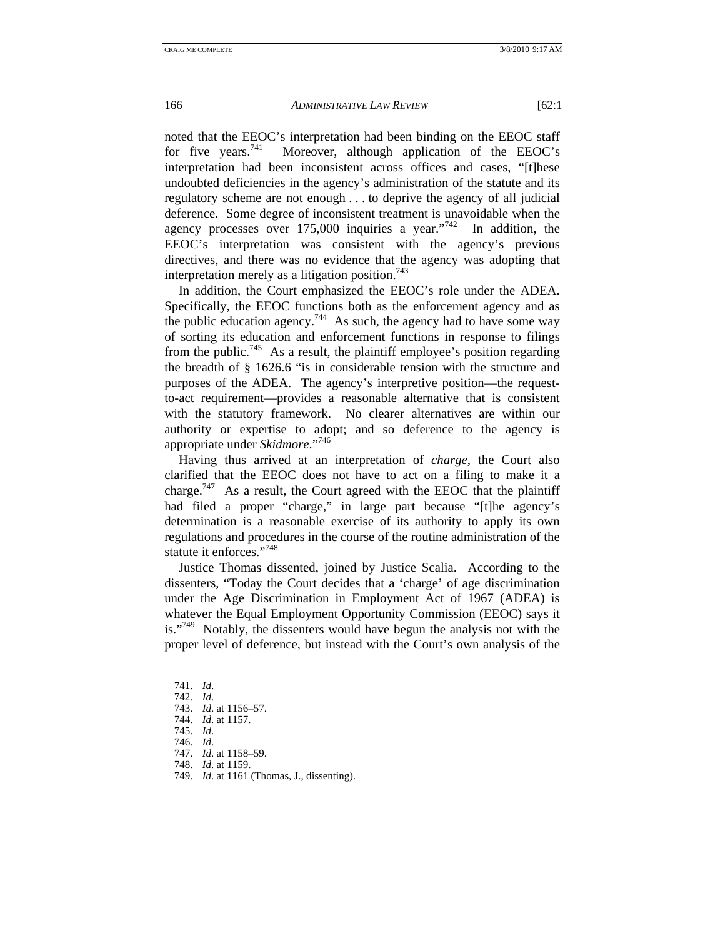noted that the EEOC's interpretation had been binding on the EEOC staff for five years.<sup>741</sup> Moreover, although application of the EEOC's Moreover, although application of the EEOC's interpretation had been inconsistent across offices and cases, "[t]hese undoubted deficiencies in the agency's administration of the statute and its regulatory scheme are not enough . . . to deprive the agency of all judicial deference. Some degree of inconsistent treatment is unavoidable when the agency processes over  $175,000$  inquiries a year."<sup>742</sup> In addition, the EEOC's interpretation was consistent with the agency's previous directives, and there was no evidence that the agency was adopting that interpretation merely as a litigation position.<sup>743</sup>

In addition, the Court emphasized the EEOC's role under the ADEA. Specifically, the EEOC functions both as the enforcement agency and as the public education agency.<sup>744</sup> As such, the agency had to have some way of sorting its education and enforcement functions in response to filings from the public.<sup>745</sup> As a result, the plaintiff employee's position regarding the breadth of § 1626.6 "is in considerable tension with the structure and purposes of the ADEA. The agency's interpretive position—the requestto-act requirement—provides a reasonable alternative that is consistent with the statutory framework. No clearer alternatives are within our authority or expertise to adopt; and so deference to the agency is appropriate under *Skidmore*."<sup>746</sup>

Having thus arrived at an interpretation of *charge*, the Court also clarified that the EEOC does not have to act on a filing to make it a charge.<sup>747</sup> As a result, the Court agreed with the EEOC that the plaintiff had filed a proper "charge," in large part because "[t]he agency's determination is a reasonable exercise of its authority to apply its own regulations and procedures in the course of the routine administration of the statute it enforces."<sup>748</sup>

Justice Thomas dissented, joined by Justice Scalia. According to the dissenters, "Today the Court decides that a 'charge' of age discrimination under the Age Discrimination in Employment Act of 1967 (ADEA) is whatever the Equal Employment Opportunity Commission (EEOC) says it is."<sup>749</sup> Notably, the dissenters would have begun the analysis not with the proper level of deference, but instead with the Court's own analysis of the

- 745. *Id*.
- 746. *Id*.
- 747. *Id*. at 1158–59.

749. *Id*. at 1161 (Thomas, J., dissenting).

 <sup>741.</sup> *Id*.

 <sup>742.</sup> *Id*.

 <sup>743.</sup> *Id*. at 1156–57.

 <sup>744.</sup> *Id*. at 1157.

 <sup>748.</sup> *Id*. at 1159.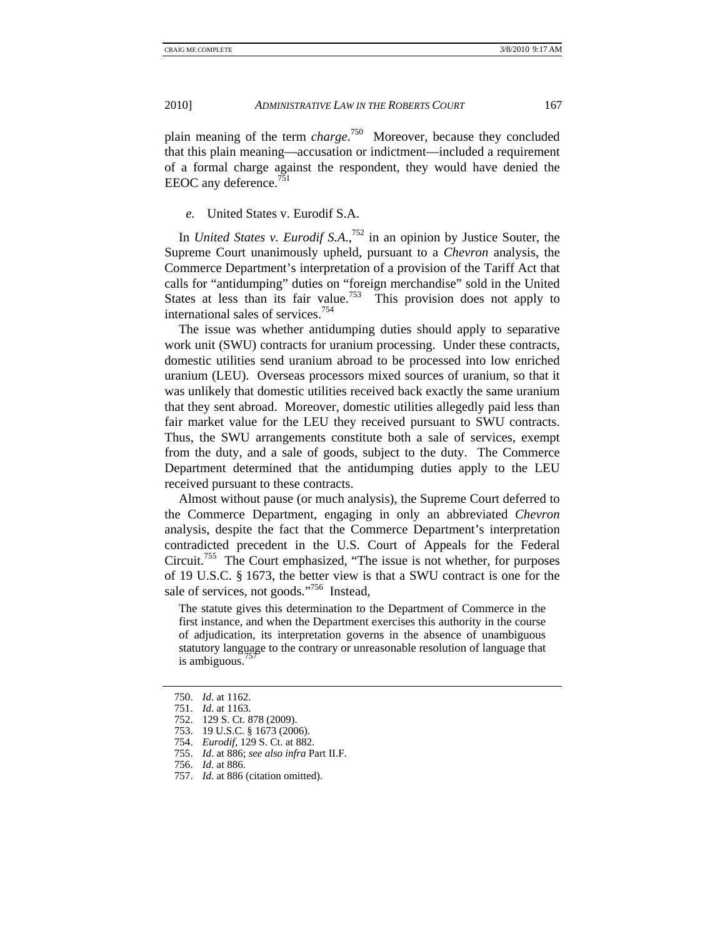plain meaning of the term *charge*. 750 Moreover, because they concluded that this plain meaning—accusation or indictment—included a requirement of a formal charge against the respondent, they would have denied the EEOC any deference.<sup>751</sup>

### *e.* United States v. Eurodif S.A.

In *United States v. Eurodif S.A.*, 752 in an opinion by Justice Souter, the Supreme Court unanimously upheld, pursuant to a *Chevron* analysis, the Commerce Department's interpretation of a provision of the Tariff Act that calls for "antidumping" duties on "foreign merchandise" sold in the United States at less than its fair value.<sup>753</sup> This provision does not apply to international sales of services.754

The issue was whether antidumping duties should apply to separative work unit (SWU) contracts for uranium processing. Under these contracts, domestic utilities send uranium abroad to be processed into low enriched uranium (LEU). Overseas processors mixed sources of uranium, so that it was unlikely that domestic utilities received back exactly the same uranium that they sent abroad. Moreover, domestic utilities allegedly paid less than fair market value for the LEU they received pursuant to SWU contracts. Thus, the SWU arrangements constitute both a sale of services, exempt from the duty, and a sale of goods, subject to the duty. The Commerce Department determined that the antidumping duties apply to the LEU received pursuant to these contracts.

Almost without pause (or much analysis), the Supreme Court deferred to the Commerce Department, engaging in only an abbreviated *Chevron*  analysis, despite the fact that the Commerce Department's interpretation contradicted precedent in the U.S. Court of Appeals for the Federal Circuit.755 The Court emphasized, "The issue is not whether, for purposes of 19 U.S.C. § 1673, the better view is that a SWU contract is one for the sale of services, not goods."<sup>756</sup> Instead,

The statute gives this determination to the Department of Commerce in the first instance, and when the Department exercises this authority in the course of adjudication, its interpretation governs in the absence of unambiguous statutory language to the contrary or unreasonable resolution of language that is ambiguous.'

 <sup>750.</sup> *Id*. at 1162.

 <sup>751.</sup> *Id*. at 1163.

 <sup>752. 129</sup> S. Ct. 878 (2009).

 <sup>753. 19</sup> U.S.C. § 1673 (2006).

 <sup>754.</sup> *Eurodif*, 129 S. Ct. at 882.

 <sup>755.</sup> *Id*. at 886; *see also infra* Part II.F.

 <sup>756.</sup> *Id.* at 886.

 <sup>757.</sup> *Id*. at 886 (citation omitted).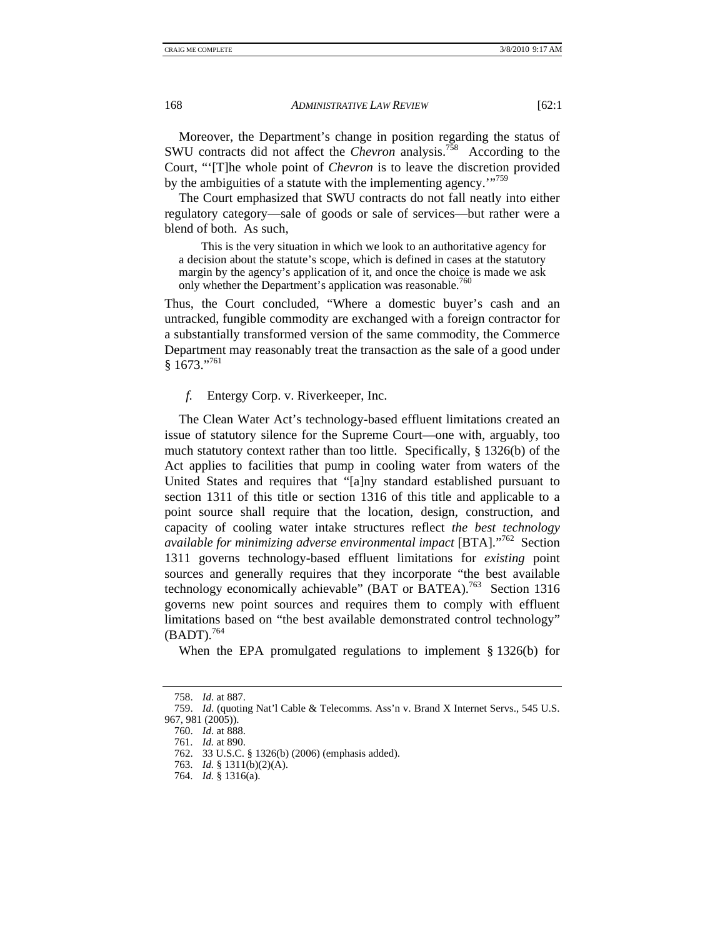Moreover, the Department's change in position regarding the status of SWU contracts did not affect the *Chevron* analysis.758 According to the Court, "'[T]he whole point of *Chevron* is to leave the discretion provided by the ambiguities of a statute with the implementing agency."<sup>759</sup>

The Court emphasized that SWU contracts do not fall neatly into either regulatory category—sale of goods or sale of services—but rather were a blend of both. As such,

 This is the very situation in which we look to an authoritative agency for a decision about the statute's scope, which is defined in cases at the statutory margin by the agency's application of it, and once the choice is made we ask only whether the Department's application was reasonable.<sup>760</sup>

Thus, the Court concluded, "Where a domestic buyer's cash and an untracked, fungible commodity are exchanged with a foreign contractor for a substantially transformed version of the same commodity, the Commerce Department may reasonably treat the transaction as the sale of a good under  $§ 1673$ ."<sup>761</sup>

*f.* Entergy Corp. v. Riverkeeper, Inc.

The Clean Water Act's technology-based effluent limitations created an issue of statutory silence for the Supreme Court—one with, arguably, too much statutory context rather than too little. Specifically, § 1326(b) of the Act applies to facilities that pump in cooling water from waters of the United States and requires that "[a]ny standard established pursuant to section 1311 of this title or section 1316 of this title and applicable to a point source shall require that the location, design, construction, and capacity of cooling water intake structures reflect *the best technology available for minimizing adverse environmental impact* [BTA]."762 Section 1311 governs technology-based effluent limitations for *existing* point sources and generally requires that they incorporate "the best available technology economically achievable" (BAT or BATEA).<sup>763</sup> Section 1316 governs new point sources and requires them to comply with effluent limitations based on "the best available demonstrated control technology"  $(BADT).$ <sup>764</sup>

When the EPA promulgated regulations to implement § 1326(b) for

 <sup>758.</sup> *Id*. at 887.

 <sup>759.</sup> *Id*. (quoting Nat'l Cable & Telecomms. Ass'n v. Brand X Internet Servs., 545 U.S. 967, 981 (2005)).

 <sup>760.</sup> *Id*. at 888.

 <sup>761.</sup> *Id.* at 890.

 <sup>762. 33</sup> U.S.C. § 1326(b) (2006) (emphasis added).

 <sup>763.</sup> *Id.* § 1311(b)(2)(A).

 <sup>764.</sup> *Id.* § 1316(a).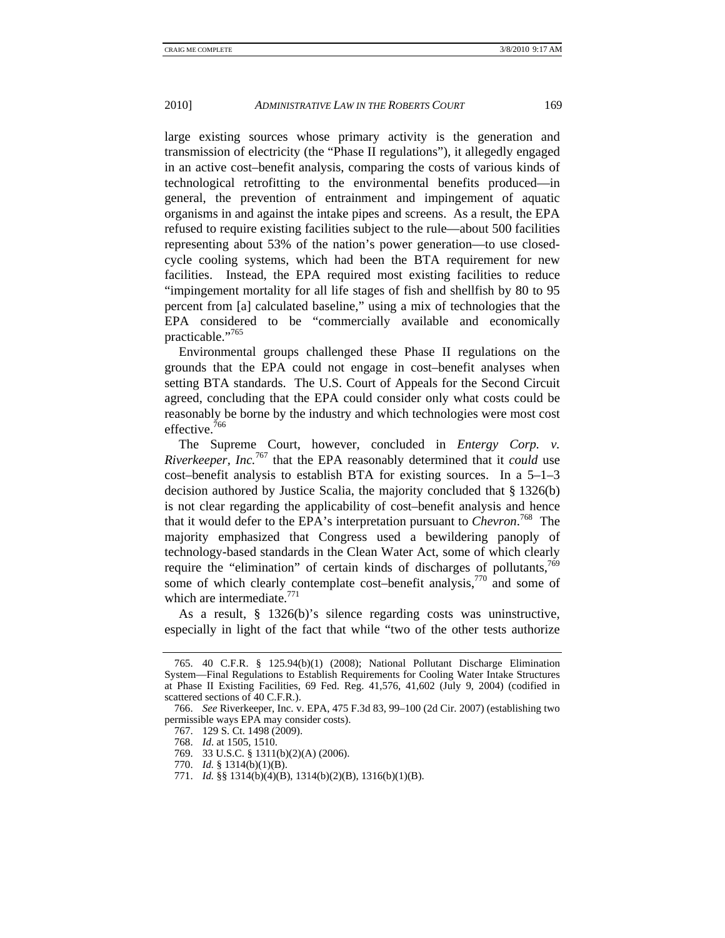large existing sources whose primary activity is the generation and transmission of electricity (the "Phase II regulations"), it allegedly engaged in an active cost–benefit analysis, comparing the costs of various kinds of technological retrofitting to the environmental benefits produced—in general, the prevention of entrainment and impingement of aquatic organisms in and against the intake pipes and screens. As a result, the EPA refused to require existing facilities subject to the rule—about 500 facilities representing about 53% of the nation's power generation—to use closedcycle cooling systems, which had been the BTA requirement for new facilities. Instead, the EPA required most existing facilities to reduce "impingement mortality for all life stages of fish and shellfish by 80 to 95 percent from [a] calculated baseline," using a mix of technologies that the EPA considered to be "commercially available and economically practicable."<sup>765</sup>

Environmental groups challenged these Phase II regulations on the grounds that the EPA could not engage in cost–benefit analyses when setting BTA standards. The U.S. Court of Appeals for the Second Circuit agreed, concluding that the EPA could consider only what costs could be reasonably be borne by the industry and which technologies were most cost effective.<sup>766</sup>

The Supreme Court, however, concluded in *Entergy Corp. v. Riverkeeper, Inc.*<sup>767</sup> that the EPA reasonably determined that it *could* use cost–benefit analysis to establish BTA for existing sources. In a 5–1–3 decision authored by Justice Scalia, the majority concluded that § 1326(b) is not clear regarding the applicability of cost–benefit analysis and hence that it would defer to the EPA's interpretation pursuant to *Chevron*. 768 The majority emphasized that Congress used a bewildering panoply of technology-based standards in the Clean Water Act, some of which clearly require the "elimination" of certain kinds of discharges of pollutants,  $769$ some of which clearly contemplate cost–benefit analysis, $770$  and some of which are intermediate. $771$ 

As a result, § 1326(b)'s silence regarding costs was uninstructive, especially in light of the fact that while "two of the other tests authorize

 <sup>765. 40</sup> C.F.R. § 125.94(b)(1) (2008); National Pollutant Discharge Elimination System—Final Regulations to Establish Requirements for Cooling Water Intake Structures at Phase II Existing Facilities, 69 Fed. Reg. 41,576, 41,602 (July 9, 2004) (codified in scattered sections of 40 C.F.R.).

 <sup>766.</sup> *See* Riverkeeper, Inc. v. EPA, 475 F.3d 83, 99–100 (2d Cir. 2007) (establishing two permissible ways EPA may consider costs).

 <sup>767. 129</sup> S. Ct. 1498 (2009).

 <sup>768.</sup> *Id*. at 1505, 1510.

 <sup>769. 33</sup> U.S.C. § 1311(b)(2)(A) (2006).

 <sup>770.</sup> *Id.* § 1314(b)(1)(B).

 <sup>771.</sup> *Id.* §§ 1314(b)(4)(B), 1314(b)(2)(B), 1316(b)(1)(B).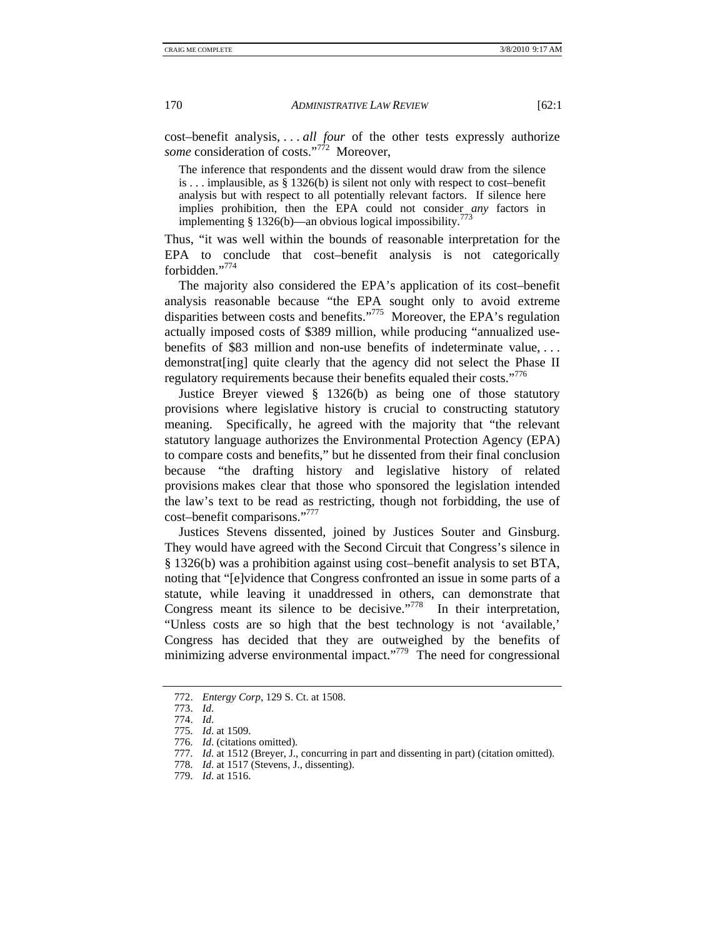cost–benefit analysis, . . . *all four* of the other tests expressly authorize *some* consideration of costs."<sup>772</sup> Moreover,

The inference that respondents and the dissent would draw from the silence is . . . implausible, as § 1326(b) is silent not only with respect to cost–benefit analysis but with respect to all potentially relevant factors. If silence here implies prohibition, then the EPA could not consider *any* factors in implementing § 1326(b)—an obvious logical impossibility.<sup>773</sup>

Thus, "it was well within the bounds of reasonable interpretation for the EPA to conclude that cost–benefit analysis is not categorically forbidden."774

The majority also considered the EPA's application of its cost–benefit analysis reasonable because "the EPA sought only to avoid extreme disparities between costs and benefits."775 Moreover, the EPA's regulation actually imposed costs of \$389 million, while producing "annualized usebenefits of \$83 million and non-use benefits of indeterminate value, . . . demonstrat[ing] quite clearly that the agency did not select the Phase II regulatory requirements because their benefits equaled their costs."<sup>776</sup>

Justice Breyer viewed § 1326(b) as being one of those statutory provisions where legislative history is crucial to constructing statutory meaning. Specifically, he agreed with the majority that "the relevant statutory language authorizes the Environmental Protection Agency (EPA) to compare costs and benefits," but he dissented from their final conclusion because "the drafting history and legislative history of related provisions makes clear that those who sponsored the legislation intended the law's text to be read as restricting, though not forbidding, the use of cost–benefit comparisons."777

Justices Stevens dissented, joined by Justices Souter and Ginsburg. They would have agreed with the Second Circuit that Congress's silence in § 1326(b) was a prohibition against using cost–benefit analysis to set BTA, noting that "[e]vidence that Congress confronted an issue in some parts of a statute, while leaving it unaddressed in others, can demonstrate that Congress meant its silence to be decisive."<sup>778</sup> In their interpretation, "Unless costs are so high that the best technology is not 'available,' Congress has decided that they are outweighed by the benefits of minimizing adverse environmental impact."<sup>779</sup> The need for congressional

 <sup>772.</sup> *Entergy Corp*, 129 S. Ct. at 1508.

 <sup>773.</sup> *Id*.

 <sup>774.</sup> *Id*.

 <sup>775.</sup> *Id*. at 1509.

 <sup>776.</sup> *Id*. (citations omitted).

 <sup>777.</sup> *Id*. at 1512 (Breyer, J., concurring in part and dissenting in part) (citation omitted).

 <sup>778.</sup> *Id*. at 1517 (Stevens, J., dissenting).

 <sup>779.</sup> *Id*. at 1516.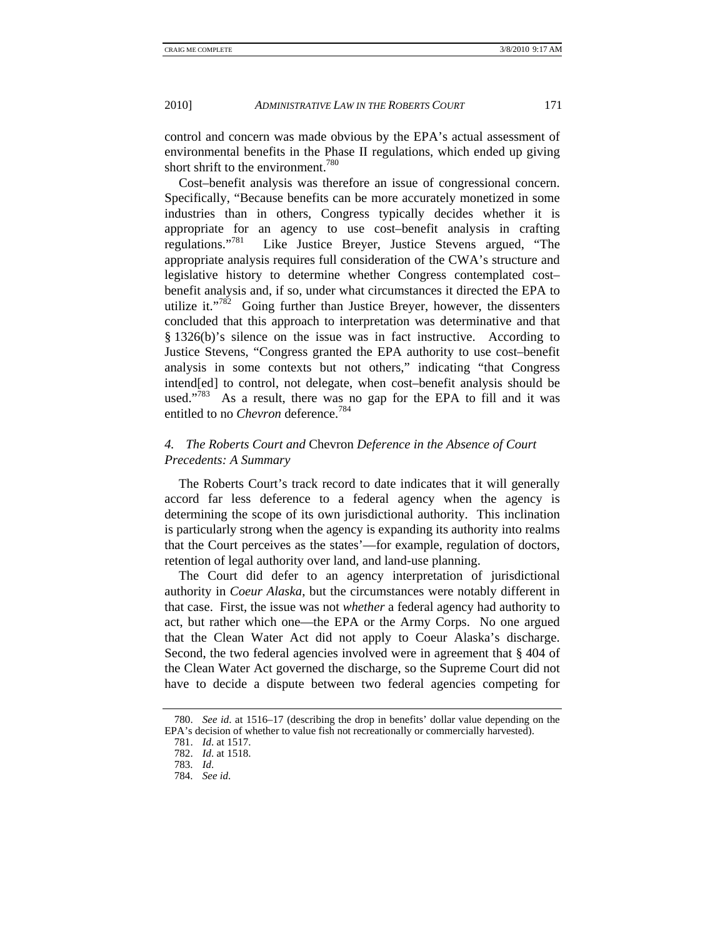control and concern was made obvious by the EPA's actual assessment of environmental benefits in the Phase II regulations, which ended up giving short shrift to the environment.<sup>780</sup>

Cost–benefit analysis was therefore an issue of congressional concern. Specifically, "Because benefits can be more accurately monetized in some industries than in others, Congress typically decides whether it is appropriate for an agency to use cost–benefit analysis in crafting regulations."781 Like Justice Breyer, Justice Stevens argued, "The appropriate analysis requires full consideration of the CWA's structure and legislative history to determine whether Congress contemplated cost– benefit analysis and, if so, under what circumstances it directed the EPA to utilize it."<sup>782</sup> Going further than Justice Breyer, however, the dissenters concluded that this approach to interpretation was determinative and that § 1326(b)'s silence on the issue was in fact instructive. According to Justice Stevens, "Congress granted the EPA authority to use cost–benefit analysis in some contexts but not others," indicating "that Congress intend[ed] to control, not delegate, when cost–benefit analysis should be used."<sup>783</sup> As a result, there was no gap for the EPA to fill and it was entitled to no *Chevron* deference.<sup>784</sup>

# *4. The Roberts Court and* Chevron *Deference in the Absence of Court Precedents: A Summary*

The Roberts Court's track record to date indicates that it will generally accord far less deference to a federal agency when the agency is determining the scope of its own jurisdictional authority. This inclination is particularly strong when the agency is expanding its authority into realms that the Court perceives as the states'—for example, regulation of doctors, retention of legal authority over land, and land-use planning.

The Court did defer to an agency interpretation of jurisdictional authority in *Coeur Alaska*, but the circumstances were notably different in that case. First, the issue was not *whether* a federal agency had authority to act, but rather which one—the EPA or the Army Corps. No one argued that the Clean Water Act did not apply to Coeur Alaska's discharge. Second, the two federal agencies involved were in agreement that § 404 of the Clean Water Act governed the discharge, so the Supreme Court did not have to decide a dispute between two federal agencies competing for

 <sup>780.</sup> *See id*. at 1516–17 (describing the drop in benefits' dollar value depending on the EPA's decision of whether to value fish not recreationally or commercially harvested).

 <sup>781.</sup> *Id*. at 1517.

 <sup>782.</sup> *Id*. at 1518.

 <sup>783.</sup> *Id*.

 <sup>784.</sup> *See id*.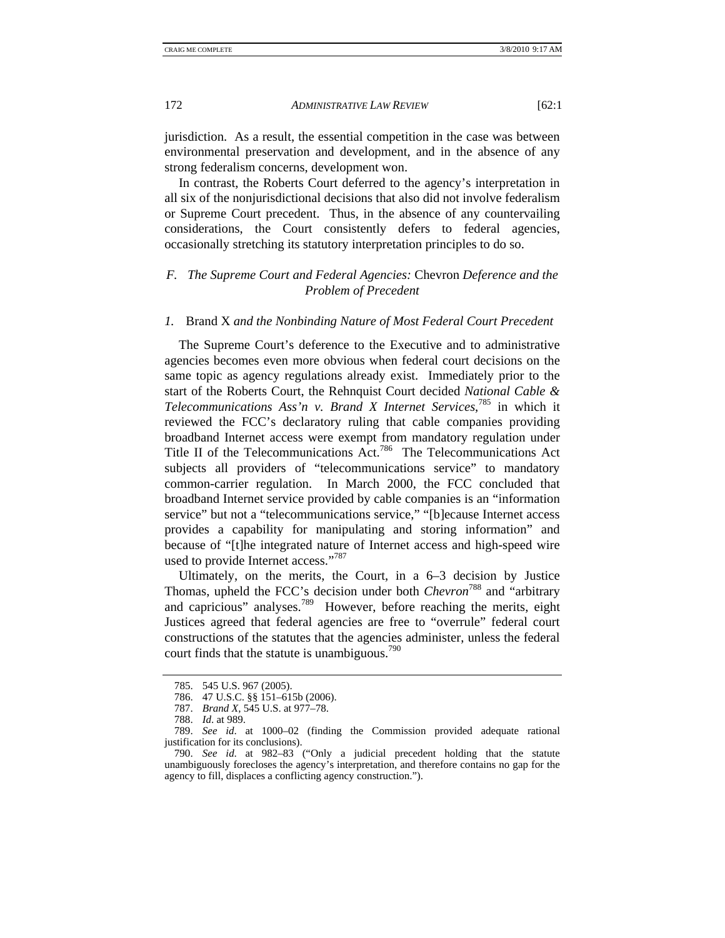jurisdiction. As a result, the essential competition in the case was between environmental preservation and development, and in the absence of any strong federalism concerns, development won.

In contrast, the Roberts Court deferred to the agency's interpretation in all six of the nonjurisdictional decisions that also did not involve federalism or Supreme Court precedent. Thus, in the absence of any countervailing considerations, the Court consistently defers to federal agencies, occasionally stretching its statutory interpretation principles to do so.

# *F. The Supreme Court and Federal Agencies:* Chevron *Deference and the Problem of Precedent*

#### *1.* Brand X *and the Nonbinding Nature of Most Federal Court Precedent*

The Supreme Court's deference to the Executive and to administrative agencies becomes even more obvious when federal court decisions on the same topic as agency regulations already exist. Immediately prior to the start of the Roberts Court, the Rehnquist Court decided *National Cable & Telecommunications Ass'n v. Brand X Internet Services*, 785 in which it reviewed the FCC's declaratory ruling that cable companies providing broadband Internet access were exempt from mandatory regulation under Title II of the Telecommunications Act.<sup>786</sup> The Telecommunications Act subjects all providers of "telecommunications service" to mandatory common-carrier regulation. In March 2000, the FCC concluded that broadband Internet service provided by cable companies is an "information service" but not a "telecommunications service," "[b]ecause Internet access provides a capability for manipulating and storing information" and because of "[t]he integrated nature of Internet access and high-speed wire used to provide Internet access."<sup>787</sup>

Ultimately, on the merits, the Court, in a 6–3 decision by Justice Thomas, upheld the FCC's decision under both *Chevron*<sup>788</sup> and "arbitrary and capricious" analyses.<sup>789</sup> However, before reaching the merits, eight Justices agreed that federal agencies are free to "overrule" federal court constructions of the statutes that the agencies administer, unless the federal court finds that the statute is unambiguous. $790$ 

 <sup>785. 545</sup> U.S. 967 (2005).

 <sup>786. 47</sup> U.S.C. §§ 151–615b (2006).

 <sup>787.</sup> *Brand X*, 545 U.S. at 977–78.

 <sup>788.</sup> *Id*. at 989.

 <sup>789.</sup> *See id*. at 1000–02 (finding the Commission provided adequate rational justification for its conclusions).

 <sup>790.</sup> *See id*. at 982–83 ("Only a judicial precedent holding that the statute unambiguously forecloses the agency's interpretation, and therefore contains no gap for the agency to fill, displaces a conflicting agency construction.").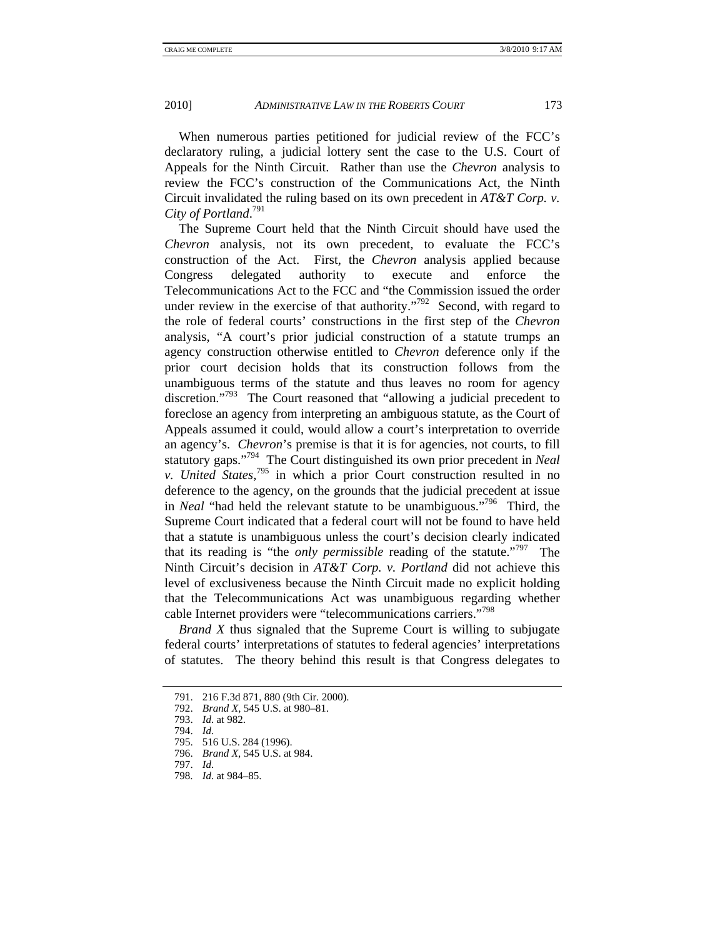When numerous parties petitioned for judicial review of the FCC's declaratory ruling, a judicial lottery sent the case to the U.S. Court of Appeals for the Ninth Circuit. Rather than use the *Chevron* analysis to review the FCC's construction of the Communications Act, the Ninth Circuit invalidated the ruling based on its own precedent in *AT&T Corp. v. City of Portland*. 791

The Supreme Court held that the Ninth Circuit should have used the *Chevron* analysis, not its own precedent, to evaluate the FCC's construction of the Act. First, the *Chevron* analysis applied because Congress delegated authority to execute and enforce the Telecommunications Act to the FCC and "the Commission issued the order under review in the exercise of that authority."<sup>792</sup> Second, with regard to the role of federal courts' constructions in the first step of the *Chevron*  analysis, "A court's prior judicial construction of a statute trumps an agency construction otherwise entitled to *Chevron* deference only if the prior court decision holds that its construction follows from the unambiguous terms of the statute and thus leaves no room for agency discretion."<sup>793</sup> The Court reasoned that "allowing a judicial precedent to foreclose an agency from interpreting an ambiguous statute, as the Court of Appeals assumed it could, would allow a court's interpretation to override an agency's. *Chevron*'s premise is that it is for agencies, not courts, to fill statutory gaps."794 The Court distinguished its own prior precedent in *Neal v. United States*, 795 in which a prior Court construction resulted in no deference to the agency, on the grounds that the judicial precedent at issue in *Neal* "had held the relevant statute to be unambiguous."796 Third, the Supreme Court indicated that a federal court will not be found to have held that a statute is unambiguous unless the court's decision clearly indicated that its reading is "the *only permissible* reading of the statute."797 The Ninth Circuit's decision in *AT&T Corp. v. Portland* did not achieve this level of exclusiveness because the Ninth Circuit made no explicit holding that the Telecommunications Act was unambiguous regarding whether cable Internet providers were "telecommunications carriers."798

*Brand X* thus signaled that the Supreme Court is willing to subjugate federal courts' interpretations of statutes to federal agencies' interpretations of statutes. The theory behind this result is that Congress delegates to

 <sup>791. 216</sup> F.3d 871, 880 (9th Cir. 2000).

 <sup>792.</sup> *Brand X*, 545 U.S. at 980–81.

 <sup>793.</sup> *Id*. at 982.

 <sup>794.</sup> *Id*.

 <sup>795. 516</sup> U.S. 284 (1996).

 <sup>796.</sup> *Brand X*, 545 U.S. at 984.

 <sup>797.</sup> *Id*.

 <sup>798.</sup> *Id*. at 984–85.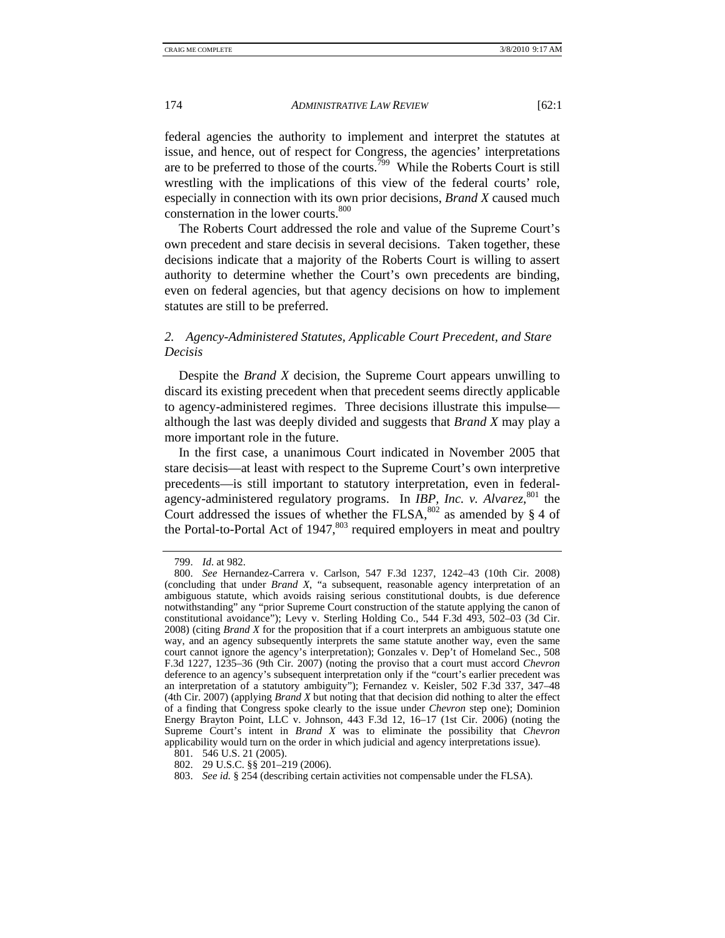federal agencies the authority to implement and interpret the statutes at issue, and hence, out of respect for Congress, the agencies' interpretations are to be preferred to those of the courts.<sup>799</sup> While the Roberts Court is still wrestling with the implications of this view of the federal courts' role, especially in connection with its own prior decisions, *Brand X* caused much consternation in the lower courts.<sup>800</sup>

The Roberts Court addressed the role and value of the Supreme Court's own precedent and stare decisis in several decisions. Taken together, these decisions indicate that a majority of the Roberts Court is willing to assert authority to determine whether the Court's own precedents are binding, even on federal agencies, but that agency decisions on how to implement statutes are still to be preferred.

# *2. Agency-Administered Statutes, Applicable Court Precedent, and Stare Decisis*

Despite the *Brand X* decision, the Supreme Court appears unwilling to discard its existing precedent when that precedent seems directly applicable to agency-administered regimes. Three decisions illustrate this impulse although the last was deeply divided and suggests that *Brand X* may play a more important role in the future.

In the first case, a unanimous Court indicated in November 2005 that stare decisis—at least with respect to the Supreme Court's own interpretive precedents—is still important to statutory interpretation, even in federalagency-administered regulatory programs. In *IBP, Inc. v. Alvarez*, 801 the Court addressed the issues of whether the FLSA,  $802$  as amended by § 4 of the Portal-to-Portal Act of  $1947$ ,  $803$  required employers in meat and poultry

 <sup>799.</sup> *Id*. at 982.

 <sup>800.</sup> *See* Hernandez-Carrera v. Carlson, 547 F.3d 1237, 1242–43 (10th Cir. 2008) (concluding that under *Brand X*, "a subsequent, reasonable agency interpretation of an ambiguous statute, which avoids raising serious constitutional doubts, is due deference notwithstanding" any "prior Supreme Court construction of the statute applying the canon of constitutional avoidance"); Levy v. Sterling Holding Co., 544 F.3d 493, 502–03 (3d Cir. 2008) (citing *Brand X* for the proposition that if a court interprets an ambiguous statute one way, and an agency subsequently interprets the same statute another way, even the same court cannot ignore the agency's interpretation); Gonzales v. Dep't of Homeland Sec., 508 F.3d 1227, 1235–36 (9th Cir. 2007) (noting the proviso that a court must accord *Chevron*  deference to an agency's subsequent interpretation only if the "court's earlier precedent was an interpretation of a statutory ambiguity"); Fernandez v. Keisler, 502 F.3d 337, 347–48 (4th Cir. 2007) (applying *Brand X* but noting that that decision did nothing to alter the effect of a finding that Congress spoke clearly to the issue under *Chevron* step one); Dominion Energy Brayton Point, LLC v. Johnson, 443 F.3d 12, 16–17 (1st Cir. 2006) (noting the Supreme Court's intent in *Brand X* was to eliminate the possibility that *Chevron*  applicability would turn on the order in which judicial and agency interpretations issue).

 <sup>801. 546</sup> U.S. 21 (2005).

 <sup>802. 29</sup> U.S.C. §§ 201–219 (2006).

 <sup>803.</sup> *See id.* § 254 (describing certain activities not compensable under the FLSA).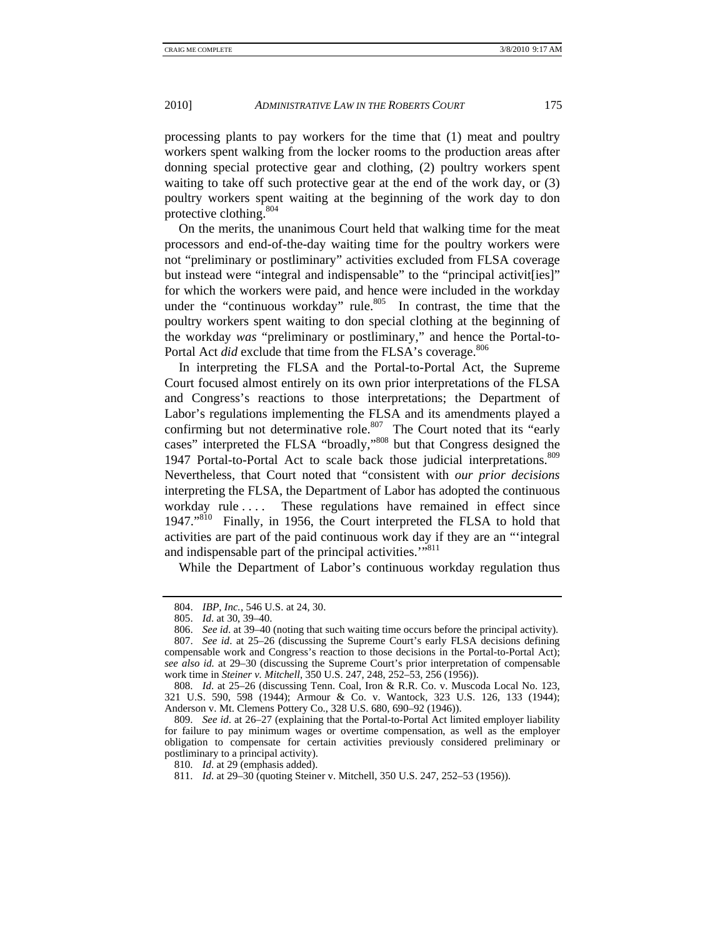processing plants to pay workers for the time that (1) meat and poultry workers spent walking from the locker rooms to the production areas after donning special protective gear and clothing, (2) poultry workers spent waiting to take off such protective gear at the end of the work day, or (3) poultry workers spent waiting at the beginning of the work day to don protective clothing.<sup>804</sup>

On the merits, the unanimous Court held that walking time for the meat processors and end-of-the-day waiting time for the poultry workers were not "preliminary or postliminary" activities excluded from FLSA coverage but instead were "integral and indispensable" to the "principal activites]" for which the workers were paid, and hence were included in the workday under the "continuous workday" rule. $805$  In contrast, the time that the poultry workers spent waiting to don special clothing at the beginning of the workday *was* "preliminary or postliminary," and hence the Portal-to-Portal Act *did* exclude that time from the FLSA's coverage.<sup>806</sup>

In interpreting the FLSA and the Portal-to-Portal Act, the Supreme Court focused almost entirely on its own prior interpretations of the FLSA and Congress's reactions to those interpretations; the Department of Labor's regulations implementing the FLSA and its amendments played a confirming but not determinative role. $807$  The Court noted that its "early" cases" interpreted the FLSA "broadly,"808 but that Congress designed the 1947 Portal-to-Portal Act to scale back those judicial interpretations.<sup>809</sup> Nevertheless, that Court noted that "consistent with *our prior decisions*  interpreting the FLSA, the Department of Labor has adopted the continuous workday rule .... These regulations have remained in effect since 1947."810 Finally, in 1956, the Court interpreted the FLSA to hold that activities are part of the paid continuous work day if they are an "'integral and indispensable part of the principal activities."<sup>811</sup>

While the Department of Labor's continuous workday regulation thus

 <sup>804.</sup> *IBP, Inc.*, 546 U.S. at 24, 30.

 <sup>805.</sup> *Id*. at 30, 39–40.

 <sup>806.</sup> *See id*. at 39–40 (noting that such waiting time occurs before the principal activity).

 <sup>807.</sup> *See id*. at 25–26 (discussing the Supreme Court's early FLSA decisions defining compensable work and Congress's reaction to those decisions in the Portal-to-Portal Act); *see also id.* at 29–30 (discussing the Supreme Court's prior interpretation of compensable work time in *Steiner v. Mitchell*, 350 U.S. 247, 248, 252–53, 256 (1956)).

 <sup>808.</sup> *Id*. at 25–26 (discussing Tenn. Coal, Iron & R.R. Co. v. Muscoda Local No. 123, 321 U.S. 590, 598 (1944); Armour & Co. v. Wantock, 323 U.S. 126, 133 (1944); Anderson v. Mt. Clemens Pottery Co., 328 U.S. 680, 690–92 (1946)).

 <sup>809.</sup> *See id*. at 26–27 (explaining that the Portal-to-Portal Act limited employer liability for failure to pay minimum wages or overtime compensation, as well as the employer obligation to compensate for certain activities previously considered preliminary or postliminary to a principal activity).

 <sup>810.</sup> *Id*. at 29 (emphasis added).

 <sup>811.</sup> *Id*. at 29–30 (quoting Steiner v. Mitchell, 350 U.S. 247, 252–53 (1956)).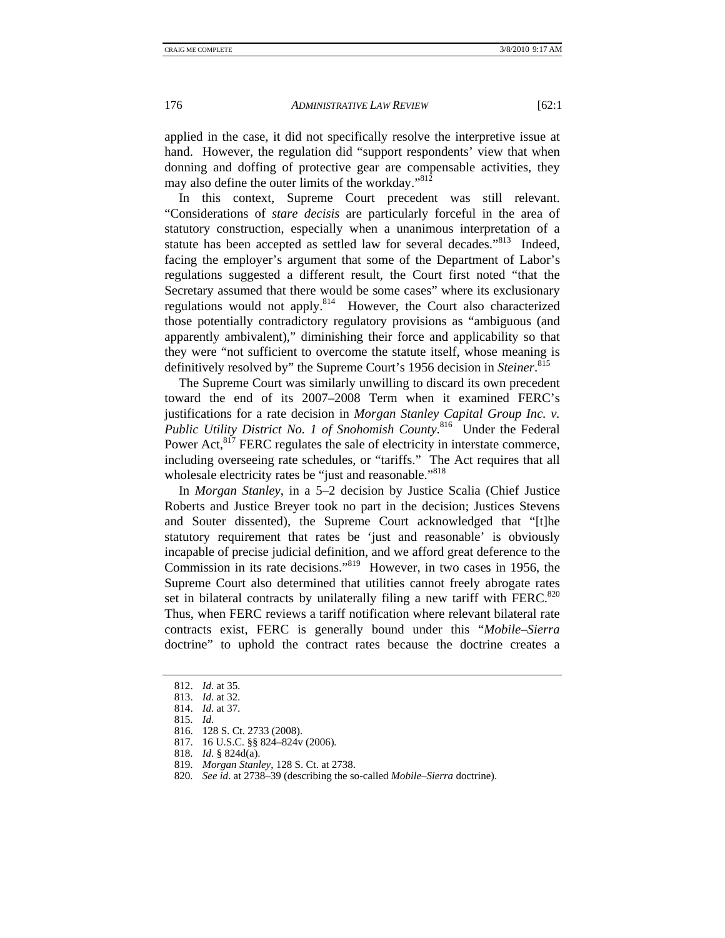applied in the case, it did not specifically resolve the interpretive issue at hand. However, the regulation did "support respondents' view that when donning and doffing of protective gear are compensable activities, they may also define the outer limits of the workday."<sup>812</sup>

In this context, Supreme Court precedent was still relevant. "Considerations of *stare decisis* are particularly forceful in the area of statutory construction, especially when a unanimous interpretation of a statute has been accepted as settled law for several decades."<sup>813</sup> Indeed, facing the employer's argument that some of the Department of Labor's regulations suggested a different result, the Court first noted "that the Secretary assumed that there would be some cases" where its exclusionary regulations would not apply.814 However, the Court also characterized those potentially contradictory regulatory provisions as "ambiguous (and apparently ambivalent)," diminishing their force and applicability so that they were "not sufficient to overcome the statute itself, whose meaning is definitively resolved by" the Supreme Court's 1956 decision in *Steiner*. 815

The Supreme Court was similarly unwilling to discard its own precedent toward the end of its 2007–2008 Term when it examined FERC's justifications for a rate decision in *Morgan Stanley Capital Group Inc. v. Public Utility District No. 1 of Snohomish County*. 816 Under the Federal Power Act,<sup>817</sup> FERC regulates the sale of electricity in interstate commerce, including overseeing rate schedules, or "tariffs." The Act requires that all wholesale electricity rates be "just and reasonable."<sup>818</sup>

In *Morgan Stanley*, in a 5–2 decision by Justice Scalia (Chief Justice Roberts and Justice Breyer took no part in the decision; Justices Stevens and Souter dissented), the Supreme Court acknowledged that "[t]he statutory requirement that rates be 'just and reasonable' is obviously incapable of precise judicial definition, and we afford great deference to the Commission in its rate decisions."819 However, in two cases in 1956, the Supreme Court also determined that utilities cannot freely abrogate rates set in bilateral contracts by unilaterally filing a new tariff with  $FERC<sup>820</sup>$ Thus, when FERC reviews a tariff notification where relevant bilateral rate contracts exist, FERC is generally bound under this "*Mobile–Sierra*  doctrine" to uphold the contract rates because the doctrine creates a

 <sup>812.</sup> *Id*. at 35.

 <sup>813.</sup> *Id*. at 32.

 <sup>814.</sup> *Id*. at 37.

 <sup>815.</sup> *Id*.

 <sup>816. 128</sup> S. Ct. 2733 (2008).

 <sup>817. 16</sup> U.S.C. §§ 824–824v (2006)*.*

 <sup>818.</sup> *Id*. § 824d(a).

 <sup>819.</sup> *Morgan Stanley*, 128 S. Ct. at 2738.

 <sup>820.</sup> *See id*. at 2738–39 (describing the so-called *Mobile–Sierra* doctrine).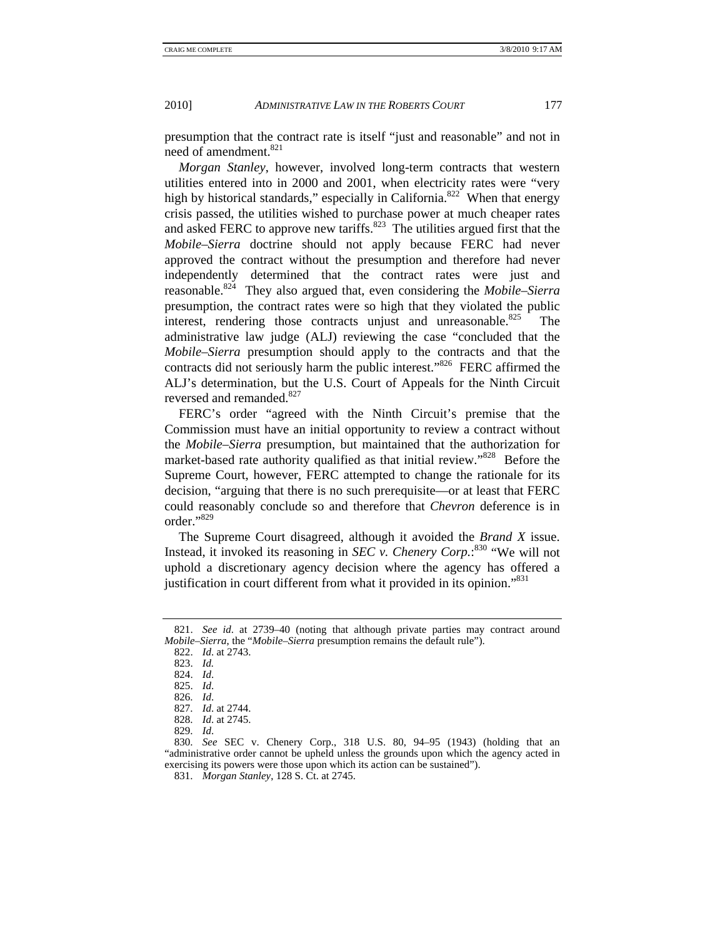presumption that the contract rate is itself "just and reasonable" and not in need of amendment.<sup>821</sup>

*Morgan Stanley*, however, involved long-term contracts that western utilities entered into in 2000 and 2001, when electricity rates were "very high by historical standards," especially in California. $822$ <sup>\*</sup> When that energy crisis passed, the utilities wished to purchase power at much cheaper rates and asked FERC to approve new tariffs.<sup>823</sup> The utilities argued first that the *Mobile–Sierra* doctrine should not apply because FERC had never approved the contract without the presumption and therefore had never independently determined that the contract rates were just and reasonable.824 They also argued that, even considering the *Mobile–Sierra*  presumption, the contract rates were so high that they violated the public interest, rendering those contracts unjust and unreasonable. $825$  The administrative law judge (ALJ) reviewing the case "concluded that the *Mobile–Sierra* presumption should apply to the contracts and that the contracts did not seriously harm the public interest."<sup>826</sup> FERC affirmed the ALJ's determination, but the U.S. Court of Appeals for the Ninth Circuit reversed and remanded.<sup>827</sup>

FERC's order "agreed with the Ninth Circuit's premise that the Commission must have an initial opportunity to review a contract without the *Mobile–Sierra* presumption, but maintained that the authorization for market-based rate authority qualified as that initial review."<sup>828</sup> Before the Supreme Court, however, FERC attempted to change the rationale for its decision, "arguing that there is no such prerequisite—or at least that FERC could reasonably conclude so and therefore that *Chevron* deference is in order."829

The Supreme Court disagreed, although it avoided the *Brand X* issue. Instead, it invoked its reasoning in *SEC v. Chenery Corp.*: 830 "We will not uphold a discretionary agency decision where the agency has offered a justification in court different from what it provided in its opinion."<sup>831</sup>

 830. *See* SEC v. Chenery Corp., 318 U.S. 80, 94–95 (1943) (holding that an "administrative order cannot be upheld unless the grounds upon which the agency acted in exercising its powers were those upon which its action can be sustained").

831. *Morgan Stanley*, 128 S. Ct. at 2745.

 <sup>821.</sup> *See id*. at 2739–40 (noting that although private parties may contract around *Mobile–Sierra*, the "*Mobile–Sierra* presumption remains the default rule").

 <sup>822.</sup> *Id*. at 2743.

 <sup>823.</sup> *Id.*

 <sup>824.</sup> *Id*.

 <sup>825.</sup> *Id*.

 <sup>826.</sup> *Id*.

 <sup>827.</sup> *Id*. at 2744.

 <sup>828.</sup> *Id*. at 2745.

 <sup>829.</sup> *Id*.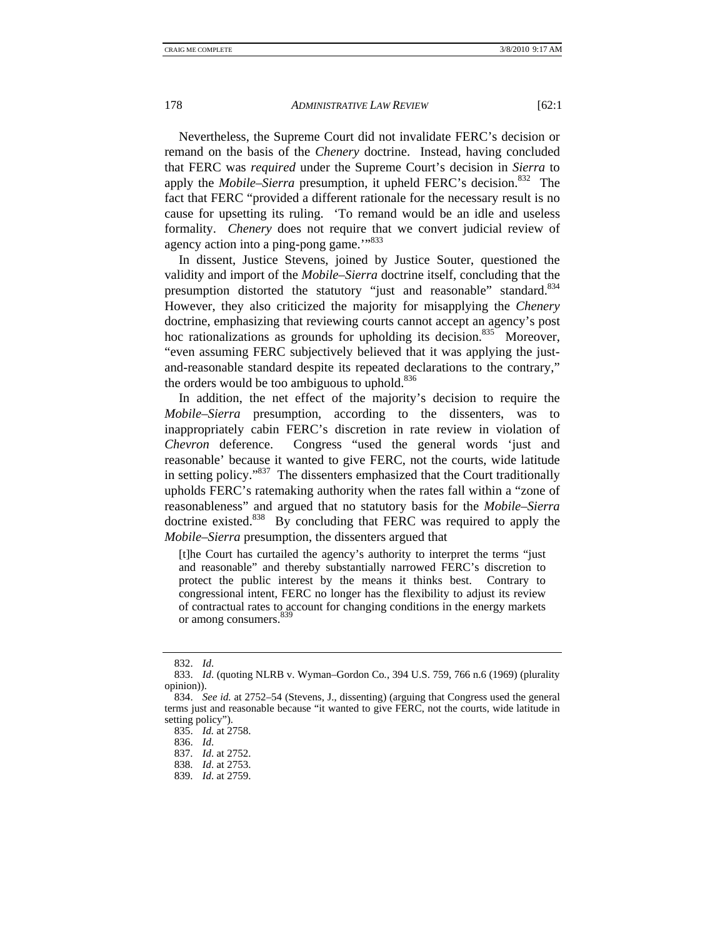Nevertheless, the Supreme Court did not invalidate FERC's decision or remand on the basis of the *Chenery* doctrine. Instead, having concluded that FERC was *required* under the Supreme Court's decision in *Sierra* to apply the *Mobile–Sierra* presumption, it upheld FERC's decision.<sup>832</sup> The fact that FERC "provided a different rationale for the necessary result is no cause for upsetting its ruling. 'To remand would be an idle and useless formality. *Chenery* does not require that we convert judicial review of agency action into a ping-pong game."<sup>833</sup>

In dissent, Justice Stevens, joined by Justice Souter, questioned the validity and import of the *Mobile–Sierra* doctrine itself, concluding that the presumption distorted the statutory "just and reasonable" standard.<sup>834</sup> However, they also criticized the majority for misapplying the *Chenery*  doctrine, emphasizing that reviewing courts cannot accept an agency's post hoc rationalizations as grounds for upholding its decision.<sup>835</sup> Moreover, "even assuming FERC subjectively believed that it was applying the justand-reasonable standard despite its repeated declarations to the contrary," the orders would be too ambiguous to uphold. $836$ 

In addition, the net effect of the majority's decision to require the *Mobile–Sierra* presumption, according to the dissenters, was to inappropriately cabin FERC's discretion in rate review in violation of *Chevron* deference. Congress "used the general words 'just and reasonable' because it wanted to give FERC, not the courts, wide latitude in setting policy."837 The dissenters emphasized that the Court traditionally upholds FERC's ratemaking authority when the rates fall within a "zone of reasonableness" and argued that no statutory basis for the *Mobile–Sierra*  doctrine existed.<sup>838</sup> By concluding that FERC was required to apply the *Mobile–Sierra* presumption, the dissenters argued that

[t]he Court has curtailed the agency's authority to interpret the terms "just and reasonable" and thereby substantially narrowed FERC's discretion to protect the public interest by the means it thinks best. Contrary to congressional intent, FERC no longer has the flexibility to adjust its review of contractual rates to account for changing conditions in the energy markets or among consumers. 839

 <sup>832.</sup> *Id*.

 <sup>833.</sup> *Id*. (quoting NLRB v. Wyman–Gordon Co*.*, 394 U.S. 759, 766 n.6 (1969) (plurality opinion)).

 <sup>834.</sup> *See id.* at 2752–54 (Stevens, J., dissenting) (arguing that Congress used the general terms just and reasonable because "it wanted to give FERC, not the courts, wide latitude in setting policy").

 <sup>835.</sup> *Id.* at 2758.

 <sup>836.</sup> *Id*.

 <sup>837.</sup> *Id*. at 2752.

 <sup>838.</sup> *Id*. at 2753.

 <sup>839.</sup> *Id*. at 2759.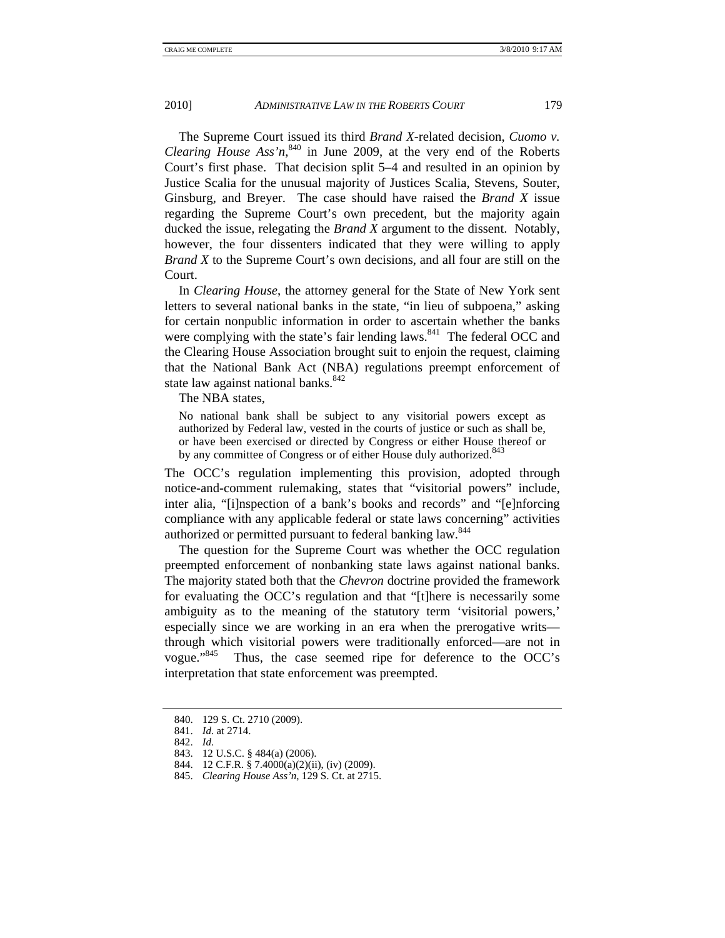The Supreme Court issued its third *Brand X*-related decision, *Cuomo v. Clearing House Ass'n*<sup>840</sup>, in June 2009, at the very end of the Roberts Court's first phase. That decision split 5–4 and resulted in an opinion by Justice Scalia for the unusual majority of Justices Scalia, Stevens, Souter, Ginsburg, and Breyer. The case should have raised the *Brand X* issue regarding the Supreme Court's own precedent, but the majority again ducked the issue, relegating the *Brand X* argument to the dissent. Notably, however, the four dissenters indicated that they were willing to apply *Brand X* to the Supreme Court's own decisions, and all four are still on the Court.

In *Clearing House*, the attorney general for the State of New York sent letters to several national banks in the state, "in lieu of subpoena," asking for certain nonpublic information in order to ascertain whether the banks were complying with the state's fair lending laws.  $841$  The federal OCC and the Clearing House Association brought suit to enjoin the request, claiming that the National Bank Act (NBA) regulations preempt enforcement of state law against national banks.<sup>842</sup>

The NBA states,

No national bank shall be subject to any visitorial powers except as authorized by Federal law, vested in the courts of justice or such as shall be, or have been exercised or directed by Congress or either House thereof or by any committee of Congress or of either House duly authorized.<sup>843</sup>

The OCC's regulation implementing this provision, adopted through notice-and-comment rulemaking, states that "visitorial powers" include, inter alia, "[i]nspection of a bank's books and records" and "[e]nforcing compliance with any applicable federal or state laws concerning" activities authorized or permitted pursuant to federal banking law.<sup>844</sup>

The question for the Supreme Court was whether the OCC regulation preempted enforcement of nonbanking state laws against national banks. The majority stated both that the *Chevron* doctrine provided the framework for evaluating the OCC's regulation and that "[t]here is necessarily some ambiguity as to the meaning of the statutory term 'visitorial powers,' especially since we are working in an era when the prerogative writs through which visitorial powers were traditionally enforced—are not in vogue."845 Thus, the case seemed ripe for deference to the OCC's interpretation that state enforcement was preempted.

 <sup>840. 129</sup> S. Ct. 2710 (2009).

 <sup>841.</sup> *Id*. at 2714.

 <sup>842.</sup> *Id*.

 <sup>843. 12</sup> U.S.C. § 484(a) (2006).

 <sup>844. 12</sup> C.F.R. § 7.4000(a)(2)(ii), (iv) (2009).

 <sup>845.</sup> *Clearing House Ass'n*, 129 S. Ct. at 2715.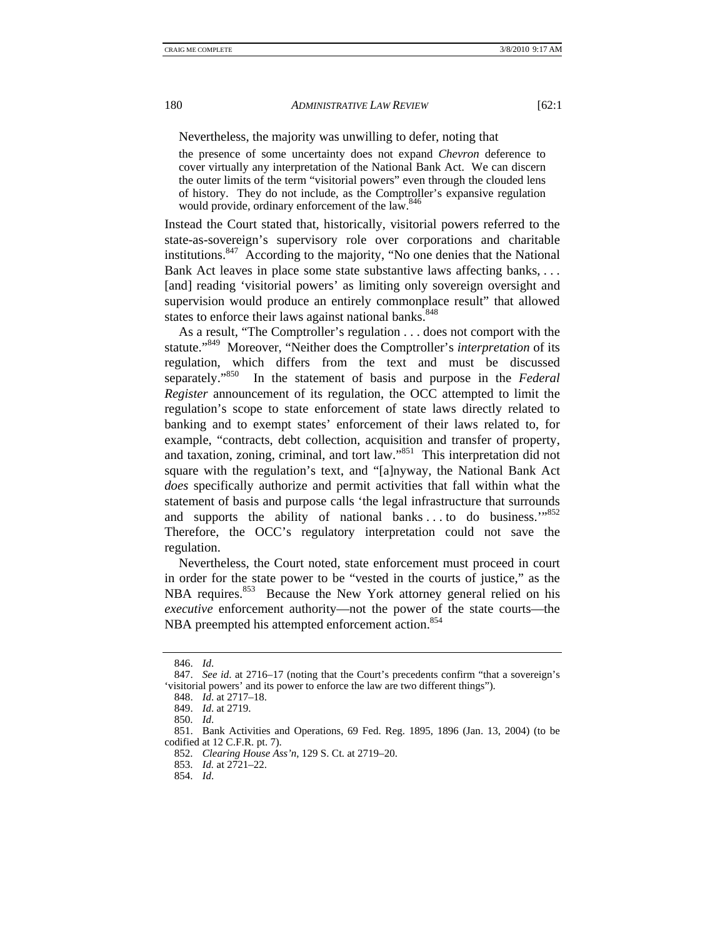Nevertheless, the majority was unwilling to defer, noting that

the presence of some uncertainty does not expand *Chevron* deference to cover virtually any interpretation of the National Bank Act. We can discern the outer limits of the term "visitorial powers" even through the clouded lens of history. They do not include, as the Comptroller's expansive regulation would provide, ordinary enforcement of the law.<sup>846</sup>

Instead the Court stated that, historically, visitorial powers referred to the state-as-sovereign's supervisory role over corporations and charitable institutions.847 According to the majority, "No one denies that the National Bank Act leaves in place some state substantive laws affecting banks, . . . [and] reading 'visitorial powers' as limiting only sovereign oversight and supervision would produce an entirely commonplace result" that allowed states to enforce their laws against national banks.<sup>848</sup>

As a result, "The Comptroller's regulation . . . does not comport with the statute."849 Moreover, "Neither does the Comptroller's *interpretation* of its regulation, which differs from the text and must be discussed separately."850 In the statement of basis and purpose in the *Federal Register* announcement of its regulation, the OCC attempted to limit the regulation's scope to state enforcement of state laws directly related to banking and to exempt states' enforcement of their laws related to, for example, "contracts, debt collection, acquisition and transfer of property, and taxation, zoning, criminal, and tort law."851 This interpretation did not square with the regulation's text, and "[a]nyway, the National Bank Act *does* specifically authorize and permit activities that fall within what the statement of basis and purpose calls 'the legal infrastructure that surrounds and supports the ability of national banks ... to do business."<sup>852</sup> Therefore, the OCC's regulatory interpretation could not save the regulation.

Nevertheless, the Court noted, state enforcement must proceed in court in order for the state power to be "vested in the courts of justice," as the NBA requires.<sup>853</sup> Because the New York attorney general relied on his *executive* enforcement authority—not the power of the state courts—the NBA preempted his attempted enforcement action.<sup>854</sup>

 <sup>846.</sup> *Id*.

 <sup>847.</sup> *See id*. at 2716–17 (noting that the Court's precedents confirm "that a sovereign's 'visitorial powers' and its power to enforce the law are two different things").

 <sup>848.</sup> *Id*. at 2717–18.

 <sup>849.</sup> *Id*. at 2719.

 <sup>850.</sup> *Id*.

 <sup>851.</sup> Bank Activities and Operations, 69 Fed. Reg. 1895, 1896 (Jan. 13, 2004) (to be codified at 12 C.F.R. pt. 7).

 <sup>852.</sup> *Clearing House Ass'n*, 129 S. Ct. at 2719–20.

 <sup>853.</sup> *Id.* at 2721–22.

 <sup>854.</sup> *Id*.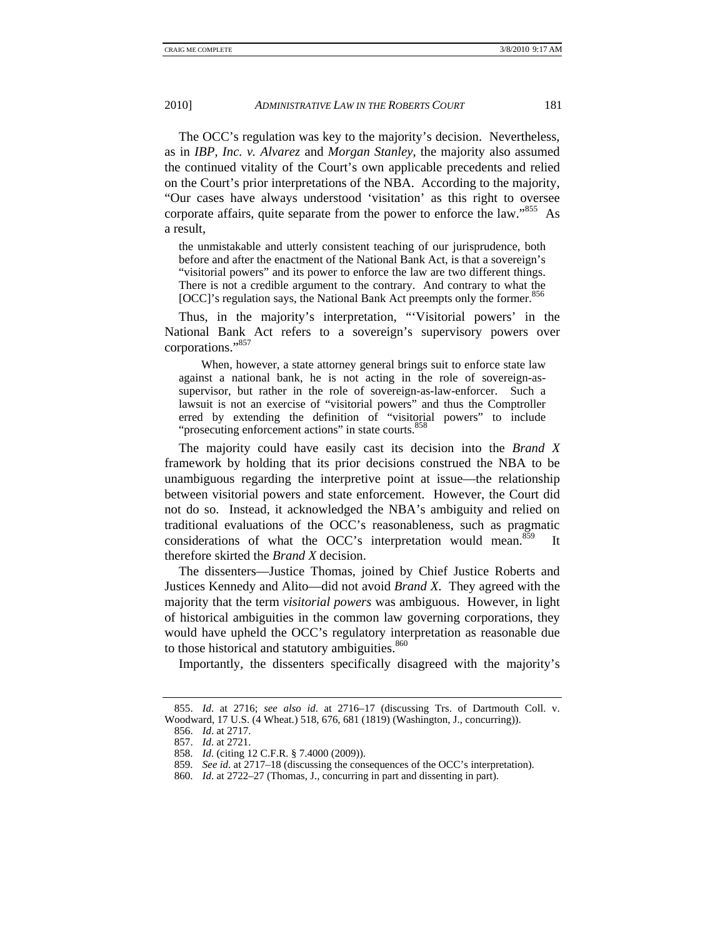The OCC's regulation was key to the majority's decision. Nevertheless, as in *IBP, Inc. v. Alvarez* and *Morgan Stanley*, the majority also assumed the continued vitality of the Court's own applicable precedents and relied on the Court's prior interpretations of the NBA. According to the majority, "Our cases have always understood 'visitation' as this right to oversee corporate affairs, quite separate from the power to enforce the law."855 As a result,

the unmistakable and utterly consistent teaching of our jurisprudence, both before and after the enactment of the National Bank Act, is that a sovereign's "visitorial powers" and its power to enforce the law are two different things. There is not a credible argument to the contrary. And contrary to what the [OCC]'s regulation says, the National Bank Act preempts only the former.<sup>856</sup>

Thus, in the majority's interpretation, "'Visitorial powers' in the National Bank Act refers to a sovereign's supervisory powers over corporations."<sup>857</sup>

 When, however, a state attorney general brings suit to enforce state law against a national bank, he is not acting in the role of sovereign-assupervisor, but rather in the role of sovereign-as-law-enforcer. Such a lawsuit is not an exercise of "visitorial powers" and thus the Comptroller erred by extending the definition of "visitorial powers" to include "prosecuting enforcement actions" in state courts.<sup>858</sup>

The majority could have easily cast its decision into the *Brand X*  framework by holding that its prior decisions construed the NBA to be unambiguous regarding the interpretive point at issue—the relationship between visitorial powers and state enforcement. However, the Court did not do so. Instead, it acknowledged the NBA's ambiguity and relied on traditional evaluations of the OCC's reasonableness, such as pragmatic considerations of what the OCC's interpretation would mean.<sup>859</sup> It therefore skirted the *Brand X* decision.

The dissenters—Justice Thomas, joined by Chief Justice Roberts and Justices Kennedy and Alito—did not avoid *Brand X*. They agreed with the majority that the term *visitorial powers* was ambiguous. However, in light of historical ambiguities in the common law governing corporations, they would have upheld the OCC's regulatory interpretation as reasonable due to those historical and statutory ambiguities.<sup>860</sup>

Importantly, the dissenters specifically disagreed with the majority's

 <sup>855.</sup> *Id*. at 2716; *see also id*. at 2716–17 (discussing Trs. of Dartmouth Coll. v. Woodward, 17 U.S. (4 Wheat.) 518, 676, 681 (1819) (Washington, J., concurring)).

 <sup>856.</sup> *Id*. at 2717.

 <sup>857.</sup> *Id*. at 2721.

 <sup>858.</sup> *Id*. (citing 12 C.F.R. § 7.4000 (2009)).

 <sup>859.</sup> *See id*. at 2717–18 (discussing the consequences of the OCC's interpretation).

 <sup>860.</sup> *Id*. at 2722–27 (Thomas, J., concurring in part and dissenting in part).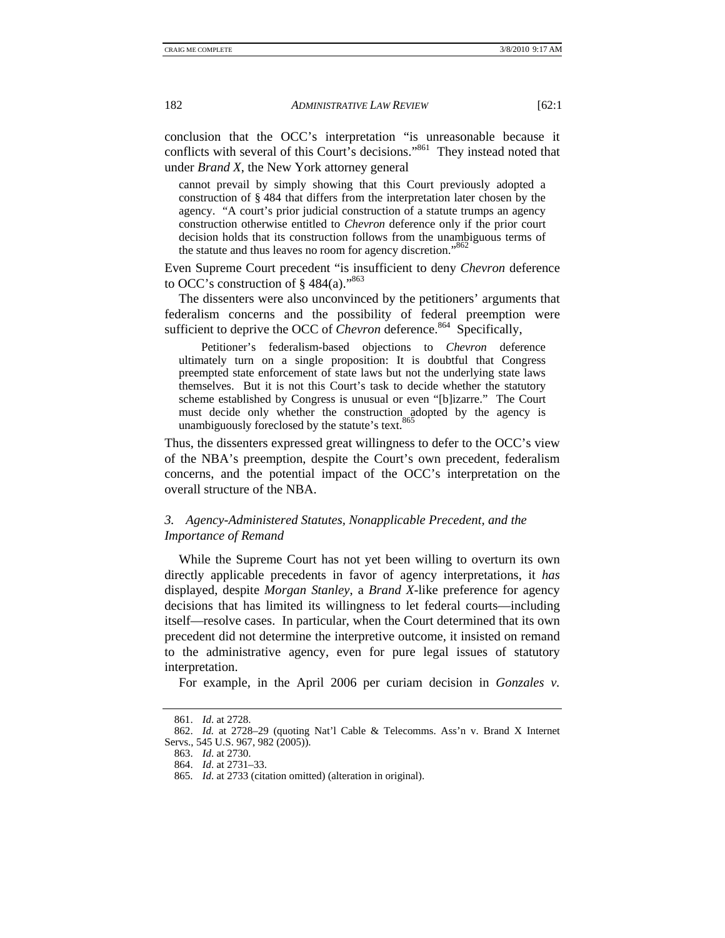conclusion that the OCC's interpretation "is unreasonable because it conflicts with several of this Court's decisions."<sup>861</sup> They instead noted that under *Brand X*, the New York attorney general

cannot prevail by simply showing that this Court previously adopted a construction of § 484 that differs from the interpretation later chosen by the agency. "A court's prior judicial construction of a statute trumps an agency construction otherwise entitled to *Chevron* deference only if the prior court decision holds that its construction follows from the unambiguous terms of the statute and thus leaves no room for agency discretion."<sup>862</sup>

Even Supreme Court precedent "is insufficient to deny *Chevron* deference to OCC's construction of  $\S$  484(a)."<sup>863</sup>

The dissenters were also unconvinced by the petitioners' arguments that federalism concerns and the possibility of federal preemption were sufficient to deprive the OCC of *Chevron* deference.<sup>864</sup> Specifically,

 Petitioner's federalism-based objections to *Chevron* deference ultimately turn on a single proposition: It is doubtful that Congress preempted state enforcement of state laws but not the underlying state laws themselves. But it is not this Court's task to decide whether the statutory scheme established by Congress is unusual or even "[b]izarre." The Court must decide only whether the construction adopted by the agency is unambiguously foreclosed by the statute's text.<sup>865</sup>

Thus, the dissenters expressed great willingness to defer to the OCC's view of the NBA's preemption, despite the Court's own precedent, federalism concerns, and the potential impact of the OCC's interpretation on the overall structure of the NBA.

## *3. Agency-Administered Statutes, Nonapplicable Precedent, and the Importance of Remand*

While the Supreme Court has not yet been willing to overturn its own directly applicable precedents in favor of agency interpretations, it *has* displayed, despite *Morgan Stanley*, a *Brand X*-like preference for agency decisions that has limited its willingness to let federal courts—including itself—resolve cases. In particular, when the Court determined that its own precedent did not determine the interpretive outcome, it insisted on remand to the administrative agency, even for pure legal issues of statutory interpretation.

For example, in the April 2006 per curiam decision in *Gonzales v.* 

 <sup>861.</sup> *Id*. at 2728.

 <sup>862.</sup> *Id.* at 2728–29 (quoting Nat'l Cable & Telecomms. Ass'n v. Brand X Internet Servs., 545 U.S. 967, 982 (2005)).

 <sup>863.</sup> *Id*. at 2730.

 <sup>864.</sup> *Id*. at 2731–33.

 <sup>865.</sup> *Id*. at 2733 (citation omitted) (alteration in original).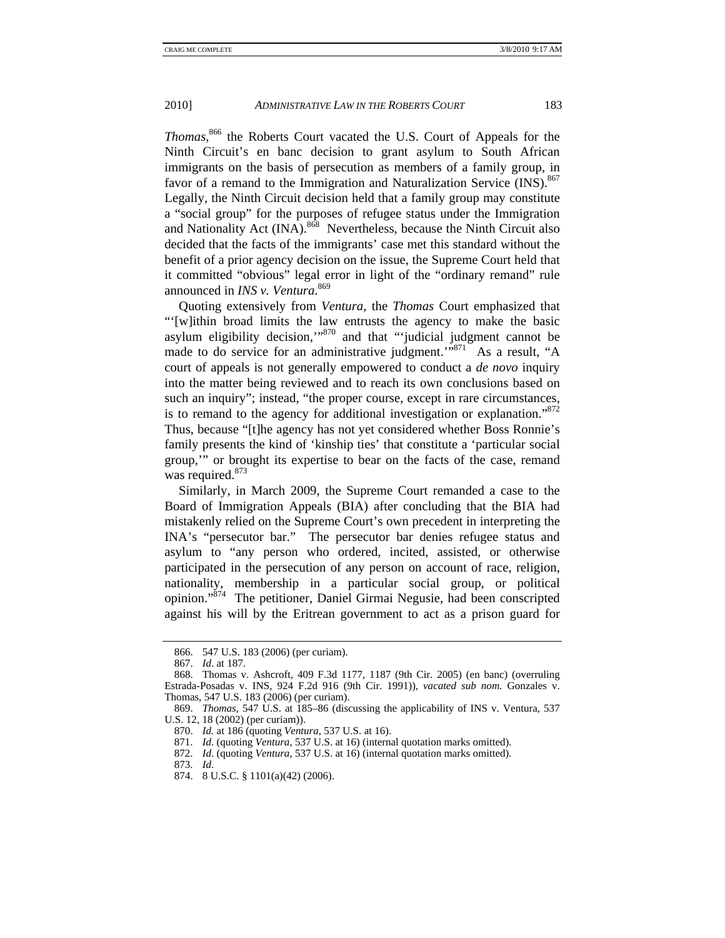*Thomas*, 866 the Roberts Court vacated the U.S. Court of Appeals for the Ninth Circuit's en banc decision to grant asylum to South African immigrants on the basis of persecution as members of a family group, in favor of a remand to the Immigration and Naturalization Service (INS).<sup>867</sup> Legally, the Ninth Circuit decision held that a family group may constitute a "social group" for the purposes of refugee status under the Immigration and Nationality Act  $(INA)$ .<sup>868</sup> Nevertheless, because the Ninth Circuit also decided that the facts of the immigrants' case met this standard without the benefit of a prior agency decision on the issue, the Supreme Court held that it committed "obvious" legal error in light of the "ordinary remand" rule announced in *INS v. Ventura*. 869

Quoting extensively from *Ventura*, the *Thomas* Court emphasized that "'[w]ithin broad limits the law entrusts the agency to make the basic asylum eligibility decision, $\frac{1}{100}$  and that "'judicial judgment cannot be made to do service for an administrative judgment."<sup>871</sup> As a result, "A court of appeals is not generally empowered to conduct a *de novo* inquiry into the matter being reviewed and to reach its own conclusions based on such an inquiry"; instead, "the proper course, except in rare circumstances, is to remand to the agency for additional investigation or explanation."<sup>872</sup> Thus, because "[t]he agency has not yet considered whether Boss Ronnie's family presents the kind of 'kinship ties' that constitute a 'particular social group,'" or brought its expertise to bear on the facts of the case, remand was required.<sup>873</sup>

Similarly, in March 2009, the Supreme Court remanded a case to the Board of Immigration Appeals (BIA) after concluding that the BIA had mistakenly relied on the Supreme Court's own precedent in interpreting the INA's "persecutor bar." The persecutor bar denies refugee status and asylum to "any person who ordered, incited, assisted, or otherwise participated in the persecution of any person on account of race, religion, nationality, membership in a particular social group, or political opinion."874 The petitioner, Daniel Girmai Negusie, had been conscripted against his will by the Eritrean government to act as a prison guard for

 <sup>866. 547</sup> U.S. 183 (2006) (per curiam).

 <sup>867.</sup> *Id*. at 187.

 <sup>868.</sup> Thomas v. Ashcroft, 409 F.3d 1177, 1187 (9th Cir. 2005) (en banc) (overruling Estrada-Posadas v. INS, 924 F.2d 916 (9th Cir. 1991)), *vacated sub nom.* Gonzales v. Thomas, 547 U.S. 183 (2006) (per curiam).

 <sup>869.</sup> *Thomas*, 547 U.S. at 185–86 (discussing the applicability of INS v. Ventura, 537 U.S. 12, 18 (2002) (per curiam)).

 <sup>870.</sup> *Id.* at 186 (quoting *Ventura*, 537 U.S. at 16).

 <sup>871.</sup> *Id*. (quoting *Ventura*, 537 U.S. at 16) (internal quotation marks omitted).

 <sup>872.</sup> *Id*. (quoting *Ventura*, 537 U.S. at 16) (internal quotation marks omitted).

 <sup>873.</sup> *Id*.

 <sup>874. 8</sup> U.S.C. § 1101(a)(42) (2006).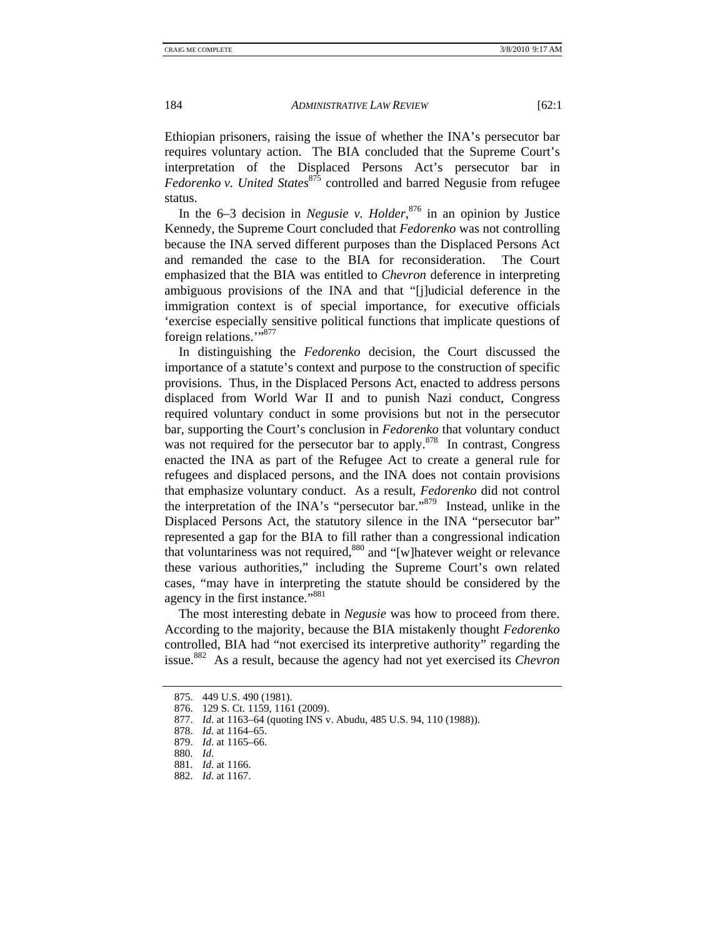Ethiopian prisoners, raising the issue of whether the INA's persecutor bar requires voluntary action. The BIA concluded that the Supreme Court's interpretation of the Displaced Persons Act's persecutor bar in *Fedorenko v. United States*<sup>875</sup> controlled and barred Negusie from refugee status.

In the 6–3 decision in *Negusie v. Holder*, 876 in an opinion by Justice Kennedy, the Supreme Court concluded that *Fedorenko* was not controlling because the INA served different purposes than the Displaced Persons Act and remanded the case to the BIA for reconsideration. The Court emphasized that the BIA was entitled to *Chevron* deference in interpreting ambiguous provisions of the INA and that "[j]udicial deference in the immigration context is of special importance, for executive officials 'exercise especially sensitive political functions that implicate questions of foreign relations."<sup>877</sup>

In distinguishing the *Fedorenko* decision, the Court discussed the importance of a statute's context and purpose to the construction of specific provisions. Thus, in the Displaced Persons Act, enacted to address persons displaced from World War II and to punish Nazi conduct, Congress required voluntary conduct in some provisions but not in the persecutor bar, supporting the Court's conclusion in *Fedorenko* that voluntary conduct was not required for the persecutor bar to apply.<sup>878</sup> In contrast, Congress enacted the INA as part of the Refugee Act to create a general rule for refugees and displaced persons, and the INA does not contain provisions that emphasize voluntary conduct. As a result, *Fedorenko* did not control the interpretation of the INA's "persecutor bar."879 Instead, unlike in the Displaced Persons Act, the statutory silence in the INA "persecutor bar" represented a gap for the BIA to fill rather than a congressional indication that voluntariness was not required,880 and "[w]hatever weight or relevance these various authorities," including the Supreme Court's own related cases, "may have in interpreting the statute should be considered by the agency in the first instance."<sup>881</sup>

The most interesting debate in *Negusie* was how to proceed from there. According to the majority, because the BIA mistakenly thought *Fedorenko* controlled, BIA had "not exercised its interpretive authority" regarding the issue.882 As a result, because the agency had not yet exercised its *Chevron* 

 <sup>875. 449</sup> U.S. 490 (1981).

 <sup>876. 129</sup> S. Ct. 1159, 1161 (2009).

 <sup>877.</sup> *Id*. at 1163–64 (quoting INS v. Abudu, 485 U.S. 94, 110 (1988)).

 <sup>878.</sup> *Id*. at 1164–65.

 <sup>879.</sup> *Id*. at 1165–66.

 <sup>880.</sup> *Id*.

 <sup>881.</sup> *Id*. at 1166.

 <sup>882.</sup> *Id*. at 1167.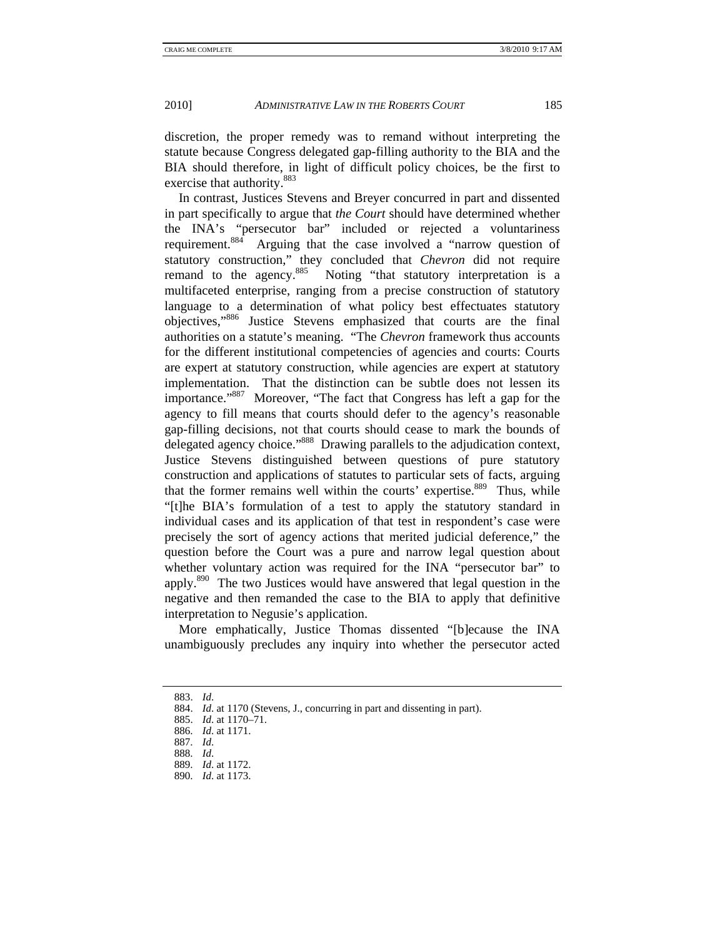discretion, the proper remedy was to remand without interpreting the statute because Congress delegated gap-filling authority to the BIA and the BIA should therefore, in light of difficult policy choices, be the first to exercise that authority.<sup>883</sup>

In contrast, Justices Stevens and Breyer concurred in part and dissented in part specifically to argue that *the Court* should have determined whether the INA's "persecutor bar" included or rejected a voluntariness requirement.<sup>884</sup> Arguing that the case involved a "narrow question of Arguing that the case involved a "narrow question of statutory construction," they concluded that *Chevron* did not require remand to the agency.<sup>885</sup> Noting "that statutory interpretation is a Noting "that statutory interpretation is a multifaceted enterprise, ranging from a precise construction of statutory language to a determination of what policy best effectuates statutory objectives,"886 Justice Stevens emphasized that courts are the final authorities on a statute's meaning. "The *Chevron* framework thus accounts for the different institutional competencies of agencies and courts: Courts are expert at statutory construction, while agencies are expert at statutory implementation. That the distinction can be subtle does not lessen its importance."887 Moreover, "The fact that Congress has left a gap for the agency to fill means that courts should defer to the agency's reasonable gap-filling decisions, not that courts should cease to mark the bounds of delegated agency choice."<sup>888</sup> Drawing parallels to the adjudication context, Justice Stevens distinguished between questions of pure statutory construction and applications of statutes to particular sets of facts, arguing that the former remains well within the courts' expertise.<sup>889</sup> Thus, while "[t]he BIA's formulation of a test to apply the statutory standard in individual cases and its application of that test in respondent's case were precisely the sort of agency actions that merited judicial deference," the question before the Court was a pure and narrow legal question about whether voluntary action was required for the INA "persecutor bar" to apply.<sup>890</sup> The two Justices would have answered that legal question in the negative and then remanded the case to the BIA to apply that definitive interpretation to Negusie's application.

More emphatically, Justice Thomas dissented "[b]ecause the INA unambiguously precludes any inquiry into whether the persecutor acted

 <sup>883.</sup> *Id*.

 <sup>884.</sup> *Id*. at 1170 (Stevens, J., concurring in part and dissenting in part).

 <sup>885.</sup> *Id*. at 1170–71.

 <sup>886.</sup> *Id*. at 1171.

 <sup>887.</sup> *Id*.

 <sup>888.</sup> *Id*.

 <sup>889.</sup> *Id*. at 1172.

 <sup>890.</sup> *Id*. at 1173.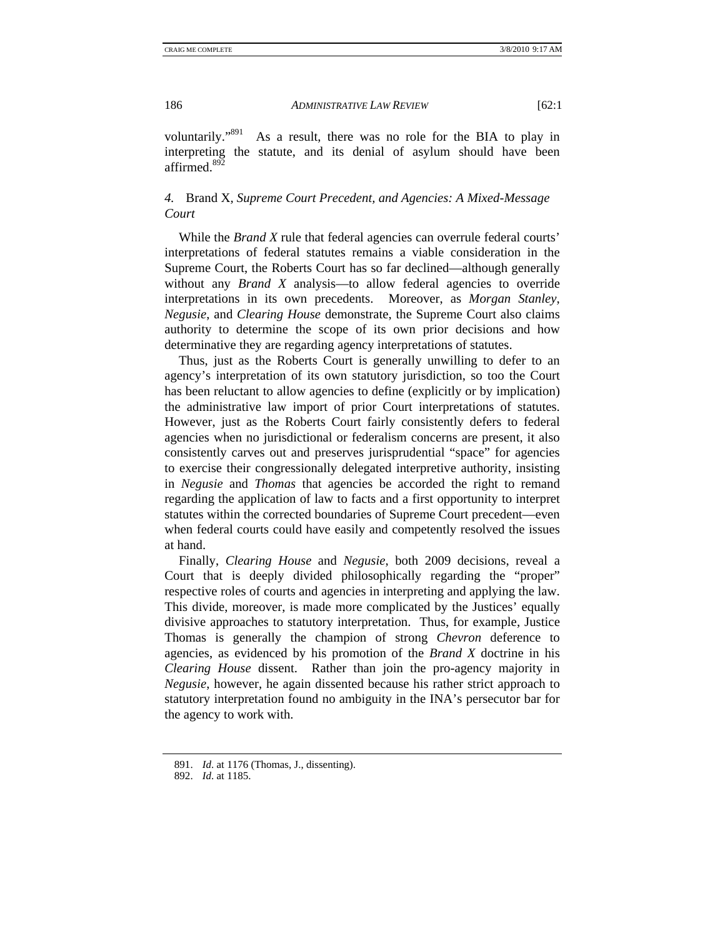voluntarily."891 As a result, there was no role for the BIA to play in interpreting the statute, and its denial of asylum should have been affirmed.<sup>892</sup>

## *4.* Brand X*, Supreme Court Precedent, and Agencies: A Mixed-Message Court*

While the *Brand X* rule that federal agencies can overrule federal courts' interpretations of federal statutes remains a viable consideration in the Supreme Court, the Roberts Court has so far declined—although generally without any *Brand X* analysis—to allow federal agencies to override interpretations in its own precedents. Moreover, as *Morgan Stanley*, *Negusie*, and *Clearing House* demonstrate, the Supreme Court also claims authority to determine the scope of its own prior decisions and how determinative they are regarding agency interpretations of statutes.

Thus, just as the Roberts Court is generally unwilling to defer to an agency's interpretation of its own statutory jurisdiction, so too the Court has been reluctant to allow agencies to define (explicitly or by implication) the administrative law import of prior Court interpretations of statutes. However, just as the Roberts Court fairly consistently defers to federal agencies when no jurisdictional or federalism concerns are present, it also consistently carves out and preserves jurisprudential "space" for agencies to exercise their congressionally delegated interpretive authority, insisting in *Negusie* and *Thomas* that agencies be accorded the right to remand regarding the application of law to facts and a first opportunity to interpret statutes within the corrected boundaries of Supreme Court precedent—even when federal courts could have easily and competently resolved the issues at hand.

Finally, *Clearing House* and *Negusie*, both 2009 decisions, reveal a Court that is deeply divided philosophically regarding the "proper" respective roles of courts and agencies in interpreting and applying the law. This divide, moreover, is made more complicated by the Justices' equally divisive approaches to statutory interpretation. Thus, for example, Justice Thomas is generally the champion of strong *Chevron* deference to agencies, as evidenced by his promotion of the *Brand X* doctrine in his *Clearing House* dissent. Rather than join the pro-agency majority in *Negusie*, however, he again dissented because his rather strict approach to statutory interpretation found no ambiguity in the INA's persecutor bar for the agency to work with.

 <sup>891.</sup> *Id*. at 1176 (Thomas, J., dissenting).

 <sup>892.</sup> *Id*. at 1185.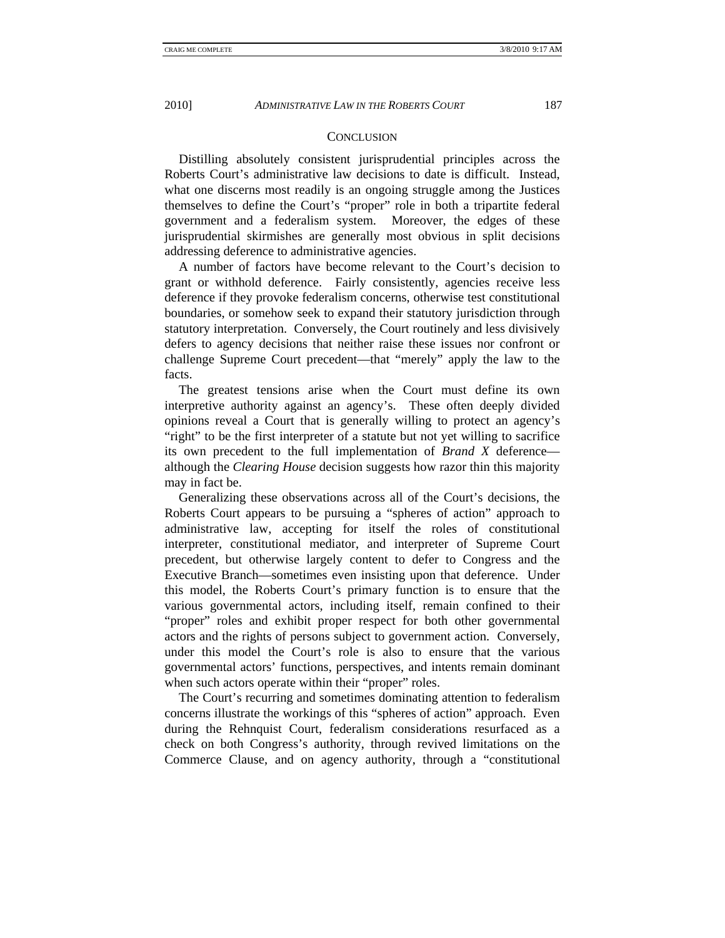## **CONCLUSION**

Distilling absolutely consistent jurisprudential principles across the Roberts Court's administrative law decisions to date is difficult. Instead, what one discerns most readily is an ongoing struggle among the Justices themselves to define the Court's "proper" role in both a tripartite federal government and a federalism system. Moreover, the edges of these jurisprudential skirmishes are generally most obvious in split decisions addressing deference to administrative agencies.

A number of factors have become relevant to the Court's decision to grant or withhold deference. Fairly consistently, agencies receive less deference if they provoke federalism concerns, otherwise test constitutional boundaries, or somehow seek to expand their statutory jurisdiction through statutory interpretation. Conversely, the Court routinely and less divisively defers to agency decisions that neither raise these issues nor confront or challenge Supreme Court precedent—that "merely" apply the law to the facts.

The greatest tensions arise when the Court must define its own interpretive authority against an agency's. These often deeply divided opinions reveal a Court that is generally willing to protect an agency's "right" to be the first interpreter of a statute but not yet willing to sacrifice its own precedent to the full implementation of *Brand X* deference although the *Clearing House* decision suggests how razor thin this majority may in fact be.

Generalizing these observations across all of the Court's decisions, the Roberts Court appears to be pursuing a "spheres of action" approach to administrative law, accepting for itself the roles of constitutional interpreter, constitutional mediator, and interpreter of Supreme Court precedent, but otherwise largely content to defer to Congress and the Executive Branch—sometimes even insisting upon that deference. Under this model, the Roberts Court's primary function is to ensure that the various governmental actors, including itself, remain confined to their "proper" roles and exhibit proper respect for both other governmental actors and the rights of persons subject to government action. Conversely, under this model the Court's role is also to ensure that the various governmental actors' functions, perspectives, and intents remain dominant when such actors operate within their "proper" roles.

The Court's recurring and sometimes dominating attention to federalism concerns illustrate the workings of this "spheres of action" approach. Even during the Rehnquist Court, federalism considerations resurfaced as a check on both Congress's authority, through revived limitations on the Commerce Clause, and on agency authority, through a "constitutional